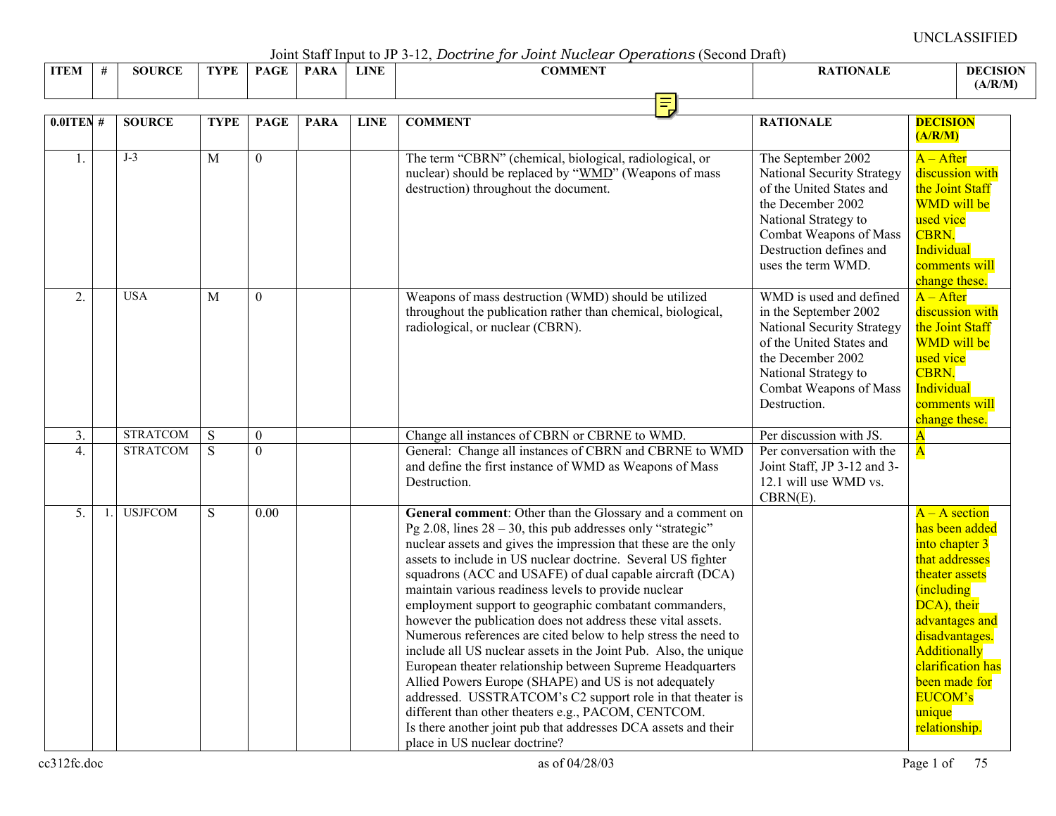Joint Staff Input to JP 3-12, *Doctrine for Joint Nuclear Operations* (Second Draft)

| <b>ITEM</b> | $\overline{\phantom{a}}$ | <b>SOURCE</b> | <b>TYPE</b> | <b>PAGE</b> | <b>PARA</b> | <b>LINE</b> | <b>COMMENT</b> | <b>RATIONALE</b> | <b>DECISION</b><br>(A/R/M) |
|-------------|--------------------------|---------------|-------------|-------------|-------------|-------------|----------------|------------------|----------------------------|
|             |                          |               |             |             |             |             | ЛL<br>×т       |                  |                            |

| $0.0$ ITEN#      | <b>SOURCE</b>   | <b>TYPE</b>    | <b>PAGE</b>    | <b>PARA</b> | <b>LINE</b> | <b>COMMENT</b>                                                                                                                                                                                                                                                                                                                                                                                                                                                                                                                                                                                                                                                                                                                                                                                                                                                                                                                                                                                    | <b>RATIONALE</b>                                                                                                                                                                                         | <b>DECISION</b><br>(A/R/M)                                                                                                                                                                                                                           |
|------------------|-----------------|----------------|----------------|-------------|-------------|---------------------------------------------------------------------------------------------------------------------------------------------------------------------------------------------------------------------------------------------------------------------------------------------------------------------------------------------------------------------------------------------------------------------------------------------------------------------------------------------------------------------------------------------------------------------------------------------------------------------------------------------------------------------------------------------------------------------------------------------------------------------------------------------------------------------------------------------------------------------------------------------------------------------------------------------------------------------------------------------------|----------------------------------------------------------------------------------------------------------------------------------------------------------------------------------------------------------|------------------------------------------------------------------------------------------------------------------------------------------------------------------------------------------------------------------------------------------------------|
| 1.               | $J-3$           | $\overline{M}$ | $\overline{0}$ |             |             | The term "CBRN" (chemical, biological, radiological, or<br>nuclear) should be replaced by "WMD" (Weapons of mass<br>destruction) throughout the document.                                                                                                                                                                                                                                                                                                                                                                                                                                                                                                                                                                                                                                                                                                                                                                                                                                         | The September 2002<br>National Security Strategy<br>of the United States and<br>the December 2002<br>National Strategy to<br>Combat Weapons of Mass<br>Destruction defines and<br>uses the term WMD.     | $A - After$<br>discussion with<br>the Joint Staff<br>WMD will be<br>used vice<br><b>CBRN.</b><br>Individual<br>comments will<br>change these.                                                                                                        |
| 2.               | <b>USA</b>      | M              | $\theta$       |             |             | Weapons of mass destruction (WMD) should be utilized<br>throughout the publication rather than chemical, biological,<br>radiological, or nuclear (CBRN).                                                                                                                                                                                                                                                                                                                                                                                                                                                                                                                                                                                                                                                                                                                                                                                                                                          | WMD is used and defined<br>in the September 2002<br><b>National Security Strategy</b><br>of the United States and<br>the December 2002<br>National Strategy to<br>Combat Weapons of Mass<br>Destruction. | $A - After$<br>discussion with<br>the Joint Staff<br>WMD will be<br>used vice<br><b>CBRN.</b><br>Individual<br>comments will<br>change these.                                                                                                        |
| 3.               | <b>STRATCOM</b> | S              | $\mathbf{0}$   |             |             | Change all instances of CBRN or CBRNE to WMD.                                                                                                                                                                                                                                                                                                                                                                                                                                                                                                                                                                                                                                                                                                                                                                                                                                                                                                                                                     | Per discussion with JS.                                                                                                                                                                                  | $\overline{\mathbf{A}}$                                                                                                                                                                                                                              |
| $\overline{4}$ . | <b>STRATCOM</b> | $\overline{S}$ | $\theta$       |             |             | General: Change all instances of CBRN and CBRNE to WMD<br>and define the first instance of WMD as Weapons of Mass<br>Destruction.                                                                                                                                                                                                                                                                                                                                                                                                                                                                                                                                                                                                                                                                                                                                                                                                                                                                 | Per conversation with the<br>Joint Staff, JP 3-12 and 3-<br>12.1 will use WMD vs.<br>$CBRN(E)$ .                                                                                                         | $\overline{\mathbf{A}}$                                                                                                                                                                                                                              |
| 5.               | <b>USJFCOM</b>  | ${\bf S}$      | 0.00           |             |             | General comment: Other than the Glossary and a comment on<br>Pg 2.08, lines $28 - 30$ , this pub addresses only "strategic"<br>nuclear assets and gives the impression that these are the only<br>assets to include in US nuclear doctrine. Several US fighter<br>squadrons (ACC and USAFE) of dual capable aircraft (DCA)<br>maintain various readiness levels to provide nuclear<br>employment support to geographic combatant commanders,<br>however the publication does not address these vital assets.<br>Numerous references are cited below to help stress the need to<br>include all US nuclear assets in the Joint Pub. Also, the unique<br>European theater relationship between Supreme Headquarters<br>Allied Powers Europe (SHAPE) and US is not adequately<br>addressed. USSTRATCOM's C2 support role in that theater is<br>different than other theaters e.g., PACOM, CENTCOM.<br>Is there another joint pub that addresses DCA assets and their<br>place in US nuclear doctrine? |                                                                                                                                                                                                          | $A - A$ section<br>has been added<br>into chapter 3<br>that addresses<br>theater assets<br>(including<br>DCA), their<br>advantages and<br>disadvantages.<br>Additionally<br>clarification has<br>been made for<br>EUCOM's<br>unique<br>relationship. |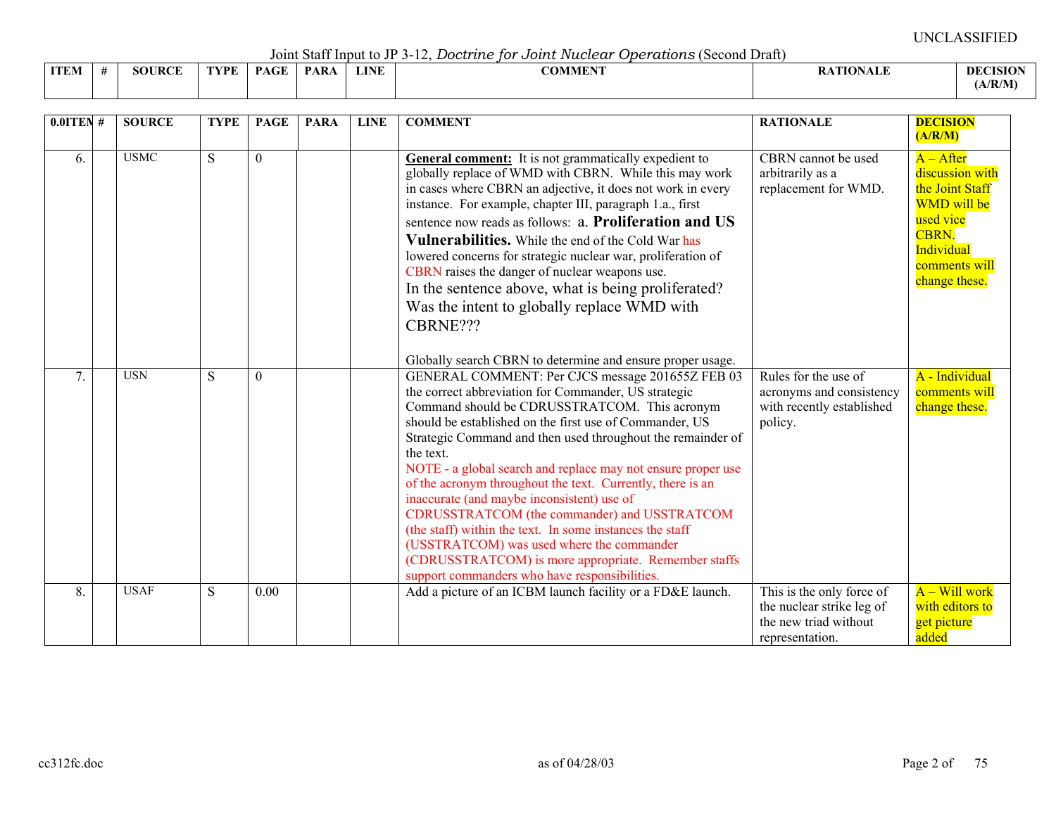Joint Staff Input to JP 3-12, *Doctrine for Joint Nuclear Operations* (Second Draft)

|             |               |             |      | .   |             |                |                 |                 |
|-------------|---------------|-------------|------|-----|-------------|----------------|-----------------|-----------------|
| <b>ITEM</b> | <b>SOURCE</b> | <b>TYPE</b> | PAGE | PAR | <b>LINE</b> | <b>COMMENT</b> | <b>ATIONALE</b> | <b>DECISION</b> |
|             |               |             |      |     |             |                |                 | (A/R/M)         |

| $0.01$ TEN# | <b>SOURCE</b> | <b>TYPE</b> | <b>PAGE</b>  | <b>PARA</b> | <b>LINE</b> | <b>COMMENT</b>                                                                                                                                                                                                                                                                                                                                                                                                                                                                                                                                                                                                                                                                                                                                 | <b>RATIONALE</b>                                                                                   | <b>DECISION</b><br>(A/R/M)                                                                                                                    |
|-------------|---------------|-------------|--------------|-------------|-------------|------------------------------------------------------------------------------------------------------------------------------------------------------------------------------------------------------------------------------------------------------------------------------------------------------------------------------------------------------------------------------------------------------------------------------------------------------------------------------------------------------------------------------------------------------------------------------------------------------------------------------------------------------------------------------------------------------------------------------------------------|----------------------------------------------------------------------------------------------------|-----------------------------------------------------------------------------------------------------------------------------------------------|
| 6.          | <b>USMC</b>   | S           | $\mathbf{0}$ |             |             | General comment: It is not grammatically expedient to<br>globally replace of WMD with CBRN. While this may work<br>in cases where CBRN an adjective, it does not work in every<br>instance. For example, chapter III, paragraph 1.a., first<br>sentence now reads as follows: a. Proliferation and US<br>Vulnerabilities. While the end of the Cold War has<br>lowered concerns for strategic nuclear war, proliferation of<br>CBRN raises the danger of nuclear weapons use.<br>In the sentence above, what is being proliferated?<br>Was the intent to globally replace WMD with<br>CBRNE???<br>Globally search CBRN to determine and ensure proper usage.                                                                                   | CBRN cannot be used<br>arbitrarily as a<br>replacement for WMD.                                    | $A - After$<br>discussion with<br>the Joint Staff<br><b>WMD</b> will be<br>used vice<br>CBRN.<br>Individual<br>comments will<br>change these. |
| 7.          | <b>USN</b>    | S           | $\theta$     |             |             | GENERAL COMMENT: Per CJCS message 201655Z FEB 03<br>the correct abbreviation for Commander, US strategic<br>Command should be CDRUSSTRATCOM. This acronym<br>should be established on the first use of Commander, US<br>Strategic Command and then used throughout the remainder of<br>the text.<br>NOTE - a global search and replace may not ensure proper use<br>of the acronym throughout the text. Currently, there is an<br>inaccurate (and maybe inconsistent) use of<br>CDRUSSTRATCOM (the commander) and USSTRATCOM<br>(the staff) within the text. In some instances the staff<br>(USSTRATCOM) was used where the commander<br>(CDRUSSTRATCOM) is more appropriate. Remember staffs<br>support commanders who have responsibilities. | Rules for the use of<br>acronyms and consistency<br>with recently established<br>policy.           | A - Individual<br>comments will<br>change these.                                                                                              |
| 8.          | <b>USAF</b>   | S           | 0.00         |             |             | Add a picture of an ICBM launch facility or a FD&E launch.                                                                                                                                                                                                                                                                                                                                                                                                                                                                                                                                                                                                                                                                                     | This is the only force of<br>the nuclear strike leg of<br>the new triad without<br>representation. | A – Will work<br>with editors to<br>get picture<br>added                                                                                      |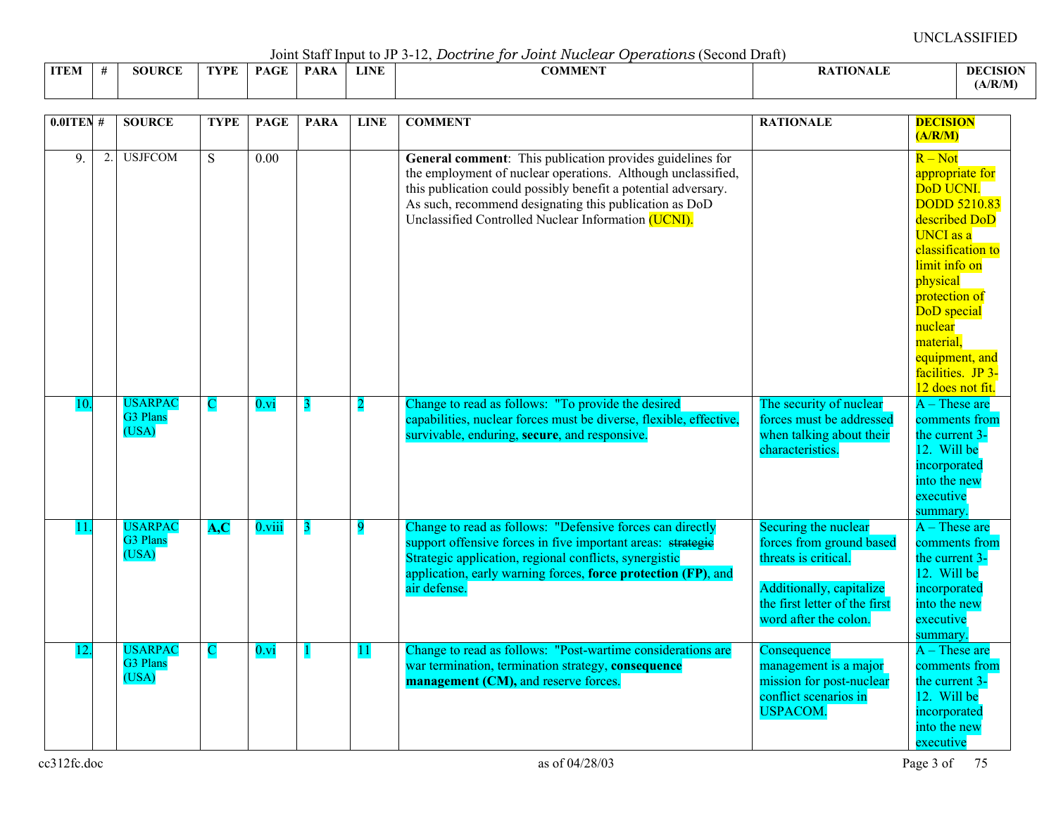Joint Staff Input to JP 3-12, *Doctrine for Joint Nuclear Operations* (Second Draft)

|             |   |        |         |             |      |             | - · <del>- - - - - - -</del><br>.     |                    |                |  |
|-------------|---|--------|---------|-------------|------|-------------|---------------------------------------|--------------------|----------------|--|
| <b>ITEM</b> | - | SOURCF | $.$ YPF | <b>PAGF</b> | DAD. | <b>LINE</b> | $\alpha$ $\alpha$ is the the<br>:OMMI | <b>TION</b><br>IX. | <b>DECISIO</b> |  |
|             |   |        |         |             |      |             |                                       |                    | (A/R/M)        |  |

| $0.01$ TEN # |    | <b>SOURCE</b>                       | <b>TYPE</b>    | <b>PAGE</b>                | <b>PARA</b>             | <b>LINE</b>    | <b>COMMENT</b>                                                                                                                                                                                                                                                                                               | <b>RATIONALE</b>                                                                                                                                               | <b>DECISION</b><br>(A/R/M)                                                                                                                                                                                                                                                 |
|--------------|----|-------------------------------------|----------------|----------------------------|-------------------------|----------------|--------------------------------------------------------------------------------------------------------------------------------------------------------------------------------------------------------------------------------------------------------------------------------------------------------------|----------------------------------------------------------------------------------------------------------------------------------------------------------------|----------------------------------------------------------------------------------------------------------------------------------------------------------------------------------------------------------------------------------------------------------------------------|
| 9            | 2. | <b>USJFCOM</b>                      | $\overline{S}$ | $\overline{0.00}$          |                         |                | General comment: This publication provides guidelines for<br>the employment of nuclear operations. Although unclassified,<br>this publication could possibly benefit a potential adversary.<br>As such, recommend designating this publication as DoD<br>Unclassified Controlled Nuclear Information (UCNI). |                                                                                                                                                                | $R - Not$<br>appropriate for<br>DoD UCNI.<br><b>DODD 5210.83</b><br>described DoD<br><b>UNCI</b> as a<br>classification to<br>limit info on<br>physical<br>protection of<br>DoD special<br>nuclear<br>material.<br>equipment, and<br>facilities. JP 3-<br>12 does not fit. |
| 10.          |    | <b>USARPAC</b><br>G3 Plans<br>(USA) | C              | $0.\overline{\mathrm{vi}}$ | 3                       | $\overline{2}$ | Change to read as follows: "To provide the desired<br>capabilities, nuclear forces must be diverse, flexible, effective,<br>survivable, enduring, secure, and responsive.                                                                                                                                    | The security of nuclear<br>forces must be addressed<br>when talking about their<br>characteristics.                                                            | $A$ – These are<br>comments from<br>the current 3-<br>12. Will be<br>incorporated<br>into the new<br>executive<br>summary.                                                                                                                                                 |
| 11           |    | <b>USARPAC</b><br>G3 Plans<br>(USA) | A, C           | $0.\n$ viii                | $\overline{\mathbf{3}}$ | $\overline{9}$ | Change to read as follows: "Defensive forces can directly<br>support offensive forces in five important areas: strategie<br>Strategic application, regional conflicts, synergistic<br>application, early warning forces, force protection (FP), and<br>air defense.                                          | Securing the nuclear<br>forces from ground based<br>threats is critical.<br>Additionally, capitalize<br>the first letter of the first<br>word after the colon. | $A$ – These are<br>comments from<br>the current 3-<br>12. Will be<br>incorporated<br>into the new<br>executive<br>summary                                                                                                                                                  |
|              |    | <b>USARPAC</b><br>G3 Plans<br>(USA) | $\mathbf C$    | $0.\overline{\mathrm{vi}}$ | $\blacksquare$          | 11             | Change to read as follows: "Post-wartime considerations are<br>war termination, termination strategy, consequence<br>management (CM), and reserve forces.                                                                                                                                                    | Consequence<br>management is a major<br>mission for post-nuclear<br>conflict scenarios in<br><b>USPACOM.</b>                                                   | $A$ – These are<br>comments from<br>the current 3-<br>12. Will be<br>incorporated<br>into the new<br>executive                                                                                                                                                             |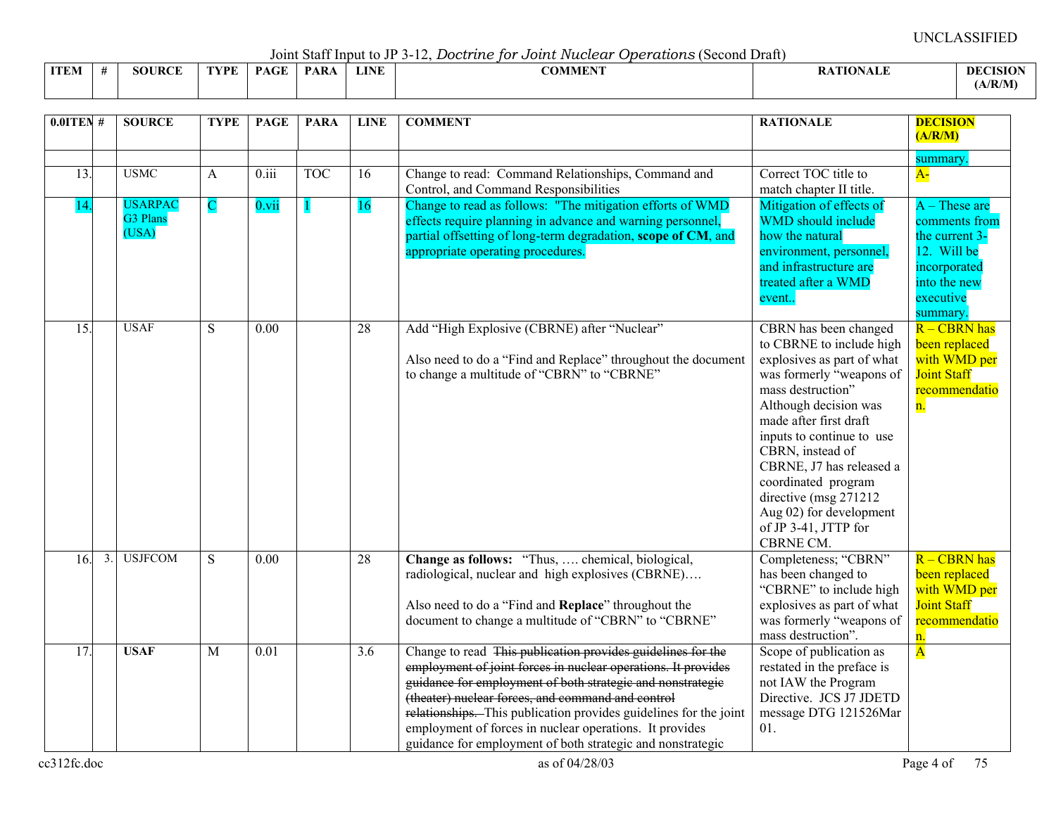Joint Staff Input to JP 3-12, *Doctrine for Joint Nuclear Operations* (Second Draft)

|             | $\sim$ 0.111. $\sim$ 0.000 11 11. $\sim$ 0.000 0.1000 0.11<br>------<br>--------------<br>. |                  |      |              |            |             |                             |  |              |  |  |  |  |
|-------------|---------------------------------------------------------------------------------------------|------------------|------|--------------|------------|-------------|-----------------------------|--|--------------|--|--|--|--|
| <b>ITEM</b> |                                                                                             | ID $\cap$<br>ЮI. | TVPF | $\sim$<br>DА | <b>PAR</b> | <b>LINE</b> | $\alpha$ anatrnet<br>:OMMER |  | -DEC<br>ASIO |  |  |  |  |
|             |                                                                                             |                  |      |              |            |             |                             |  | (A/R/M)      |  |  |  |  |

| $0.01$ TEN #          | <b>SOURCE</b>                              | <b>TYPE</b> | <b>PAGE</b>        | <b>PARA</b> | <b>LINE</b> | <b>COMMENT</b>                                                                                                                                                                                                                                                                                                                                                                                                                                | <b>RATIONALE</b>                                                                                                                                                                                                                                                                                                                                                                  | <b>DECISION</b><br>(A/R/M)                                                                                     |
|-----------------------|--------------------------------------------|-------------|--------------------|-------------|-------------|-----------------------------------------------------------------------------------------------------------------------------------------------------------------------------------------------------------------------------------------------------------------------------------------------------------------------------------------------------------------------------------------------------------------------------------------------|-----------------------------------------------------------------------------------------------------------------------------------------------------------------------------------------------------------------------------------------------------------------------------------------------------------------------------------------------------------------------------------|----------------------------------------------------------------------------------------------------------------|
| $\overline{13}$ .     | <b>USMC</b>                                | A           | $\overline{0.111}$ | <b>TOC</b>  | 16          | Change to read: Command Relationships, Command and                                                                                                                                                                                                                                                                                                                                                                                            | Correct TOC title to                                                                                                                                                                                                                                                                                                                                                              | summary<br>$A-$                                                                                                |
| 14                    | <b>JSARPAC</b><br><b>G3 Plans</b><br>(USA) | $\mathbf C$ | $0.\nvii$          |             | <b>16</b>   | Control, and Command Responsibilities<br>Change to read as follows: "The mitigation efforts of WMD<br>effects require planning in advance and warning personnel,<br>partial offsetting of long-term degradation, scope of CM, and<br>appropriate operating procedures.                                                                                                                                                                        | match chapter II title.<br>Mitigation of effects of<br><b>WMD</b> should include<br>how the natural<br>environment, personnel,<br>and infrastructure are<br>treated after a WMD<br>event                                                                                                                                                                                          | $A$ – These are<br>comments from<br>the current 3-<br>12. Will be<br>incorporated<br>into the new<br>executive |
| 15.                   | <b>USAF</b>                                | S           | 0.00               |             | 28          | Add "High Explosive (CBRNE) after "Nuclear"<br>Also need to do a "Find and Replace" throughout the document<br>to change a multitude of "CBRN" to "CBRNE"                                                                                                                                                                                                                                                                                     | CBRN has been changed<br>to CBRNE to include high<br>explosives as part of what<br>was formerly "weapons of<br>mass destruction"<br>Although decision was<br>made after first draft<br>inputs to continue to use<br>CBRN, instead of<br>CBRNE, J7 has released a<br>coordinated program<br>directive (msg 271212)<br>Aug 02) for development<br>of JP 3-41, JTTP for<br>CBRNE CM. | summary<br>R-CBRN has<br>been replaced<br>with WMD per<br><b>Joint Staff</b><br>recommendatio<br>n.            |
| 16.<br>$\mathfrak{Z}$ | <b>USJFCOM</b>                             | S           | 0.00               |             | 28          | Change as follows: "Thus,  chemical, biological,<br>radiological, nuclear and high explosives (CBRNE)<br>Also need to do a "Find and Replace" throughout the<br>document to change a multitude of "CBRN" to "CBRNE"                                                                                                                                                                                                                           | Completeness; "CBRN"<br>has been changed to<br>"CBRNE" to include high<br>explosives as part of what<br>was formerly "weapons of<br>mass destruction".                                                                                                                                                                                                                            | R-CBRN has<br>been replaced<br>with WMD per<br><b>Joint Staff</b><br>recommendatio<br>n.                       |
| 17.                   | <b>USAF</b>                                | M           | 0.01               |             | 3.6         | Change to read This publication provides guidelines for the<br>employment of joint forces in nuclear operations. It provides<br>guidance for employment of both strategic and nonstrategie<br>(theater) nuclear forces, and command and control<br>relationships. This publication provides guidelines for the joint<br>employment of forces in nuclear operations. It provides<br>guidance for employment of both strategic and nonstrategic | Scope of publication as<br>restated in the preface is<br>not IAW the Program<br>Directive. JCS J7 JDETD<br>message DTG 121526Mar<br>01.                                                                                                                                                                                                                                           | $\overline{\mathbf{A}}$                                                                                        |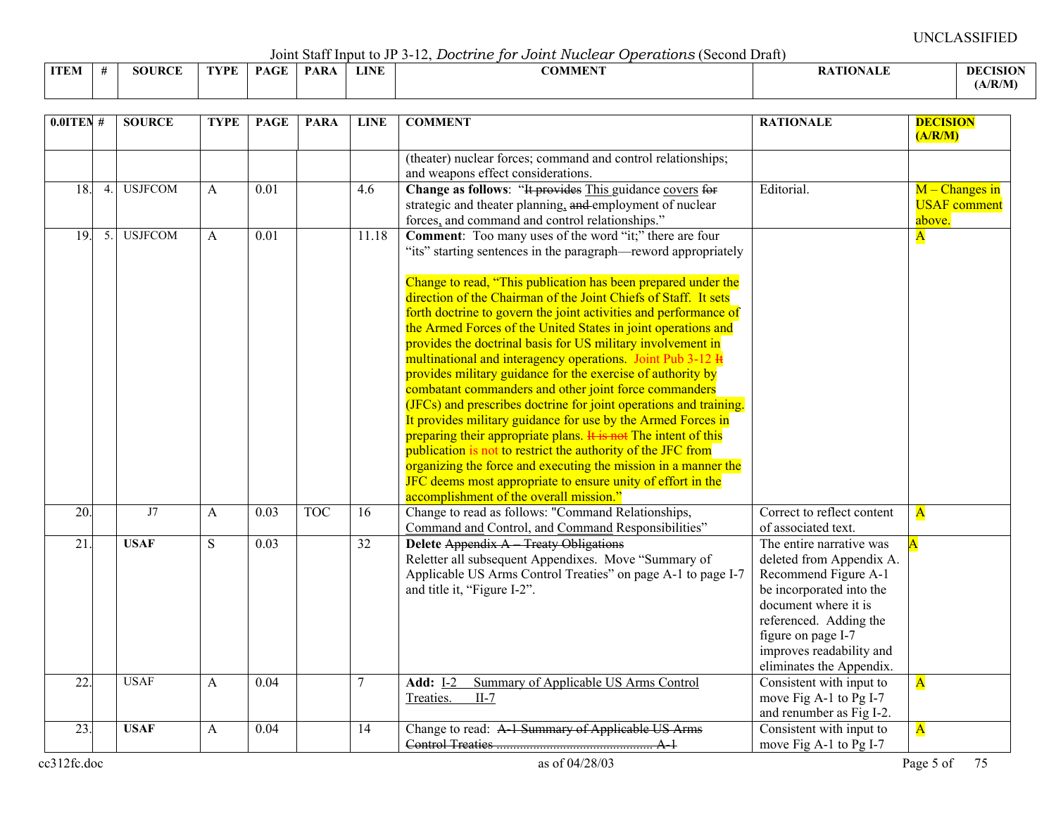Joint Staff Input to JP 3-12, *Doctrine for Joint Nuclear Operations* (Second Draft)

|             |               |             |      | .           |             |                |                  |                 |
|-------------|---------------|-------------|------|-------------|-------------|----------------|------------------|-----------------|
| <b>ITEM</b> | <b>SOURCE</b> | <b>TYPE</b> | PAGE | <b>PARA</b> | <b>LINE</b> | <b>COMMENT</b> | <b>RATIONALE</b> | <b>DECISION</b> |
|             |               |             |      |             |             |                |                  | (A/R/M)         |

| $0.01$ TEN #    |    | <b>SOURCE</b>  | <b>TYPE</b>  | <b>PAGE</b>       | <b>PARA</b> | <b>LINE</b>     | <b>COMMENT</b>                                                                                                                                                                                                                                                                                                                                                                                                                                                                                                                                                                                                                                                                                                                                                                                                                                                                                                                                                                                                                                                          | <b>RATIONALE</b>                                                                                                                                                                                                                         | <b>DECISION</b><br>(A/R/M)                        |
|-----------------|----|----------------|--------------|-------------------|-------------|-----------------|-------------------------------------------------------------------------------------------------------------------------------------------------------------------------------------------------------------------------------------------------------------------------------------------------------------------------------------------------------------------------------------------------------------------------------------------------------------------------------------------------------------------------------------------------------------------------------------------------------------------------------------------------------------------------------------------------------------------------------------------------------------------------------------------------------------------------------------------------------------------------------------------------------------------------------------------------------------------------------------------------------------------------------------------------------------------------|------------------------------------------------------------------------------------------------------------------------------------------------------------------------------------------------------------------------------------------|---------------------------------------------------|
|                 |    |                |              |                   |             |                 | (theater) nuclear forces; command and control relationships;<br>and weapons effect considerations.                                                                                                                                                                                                                                                                                                                                                                                                                                                                                                                                                                                                                                                                                                                                                                                                                                                                                                                                                                      |                                                                                                                                                                                                                                          |                                                   |
| 18.             | 4. | <b>USJFCOM</b> | A            | $\overline{0.01}$ |             | 4.6             | Change as follows: "It provides This guidance covers for<br>strategic and theater planning, and employment of nuclear<br>forces, and command and control relationships."                                                                                                                                                                                                                                                                                                                                                                                                                                                                                                                                                                                                                                                                                                                                                                                                                                                                                                | Editorial.                                                                                                                                                                                                                               | $M -$ Changes in<br><b>USAF</b> comment<br>above. |
| 19.             | 5. | <b>USJFCOM</b> | A            | $\overline{0.01}$ |             | 11.18           | <b>Comment:</b> Too many uses of the word "it;" there are four<br>"its" starting sentences in the paragraph—reword appropriately<br>Change to read, "This publication has been prepared under the<br>direction of the Chairman of the Joint Chiefs of Staff. It sets<br>forth doctrine to govern the joint activities and performance of<br>the Armed Forces of the United States in joint operations and<br>provides the doctrinal basis for US military involvement in<br>multinational and interagency operations. Joint Pub 3-12 H<br>provides military guidance for the exercise of authority by<br>combatant commanders and other joint force commanders<br>(JFCs) and prescribes doctrine for joint operations and training.<br>It provides military guidance for use by the Armed Forces in<br>preparing their appropriate plans. It is not The intent of this<br>publication is not to restrict the authority of the JFC from<br>organizing the force and executing the mission in a manner the<br>JFC deems most appropriate to ensure unity of effort in the |                                                                                                                                                                                                                                          | ${\bf A}$                                         |
| 20.             |    | J7             | $\mathsf{A}$ | 0.03              | <b>TOC</b>  | 16              | accomplishment of the overall mission."<br>Change to read as follows: "Command Relationships,<br>Command and Control, and Command Responsibilities"                                                                                                                                                                                                                                                                                                                                                                                                                                                                                                                                                                                                                                                                                                                                                                                                                                                                                                                     | Correct to reflect content<br>of associated text.                                                                                                                                                                                        | $\overline{\mathbf{A}}$                           |
| $\overline{21}$ |    | <b>USAF</b>    | S            | 0.03              |             | $\overline{32}$ | <b>Delete Appendix A</b> Treaty Obligations<br>Reletter all subsequent Appendixes. Move "Summary of<br>Applicable US Arms Control Treaties" on page A-1 to page I-7<br>and title it, "Figure I-2".                                                                                                                                                                                                                                                                                                                                                                                                                                                                                                                                                                                                                                                                                                                                                                                                                                                                      | The entire narrative was<br>deleted from Appendix A.<br>Recommend Figure A-1<br>be incorporated into the<br>document where it is<br>referenced. Adding the<br>figure on page I-7<br>improves readability and<br>eliminates the Appendix. |                                                   |
| 22.             |    | <b>USAF</b>    | $\mathbf{A}$ | 0.04              |             | 7               | Summary of Applicable US Arms Control<br><b>Add: I-2</b><br>Treaties.<br>$II-7$                                                                                                                                                                                                                                                                                                                                                                                                                                                                                                                                                                                                                                                                                                                                                                                                                                                                                                                                                                                         | Consistent with input to<br>move Fig A-1 to Pg I-7<br>and renumber as Fig I-2.                                                                                                                                                           | $\overline{\mathbf{A}}$                           |
| 23.             |    | <b>USAF</b>    | A            | 0.04              |             | 14              | Change to read: A 1 Summary of Applicable US Arms                                                                                                                                                                                                                                                                                                                                                                                                                                                                                                                                                                                                                                                                                                                                                                                                                                                                                                                                                                                                                       | Consistent with input to<br>move Fig A-1 to Pg I-7                                                                                                                                                                                       | $\mathbf{A}$                                      |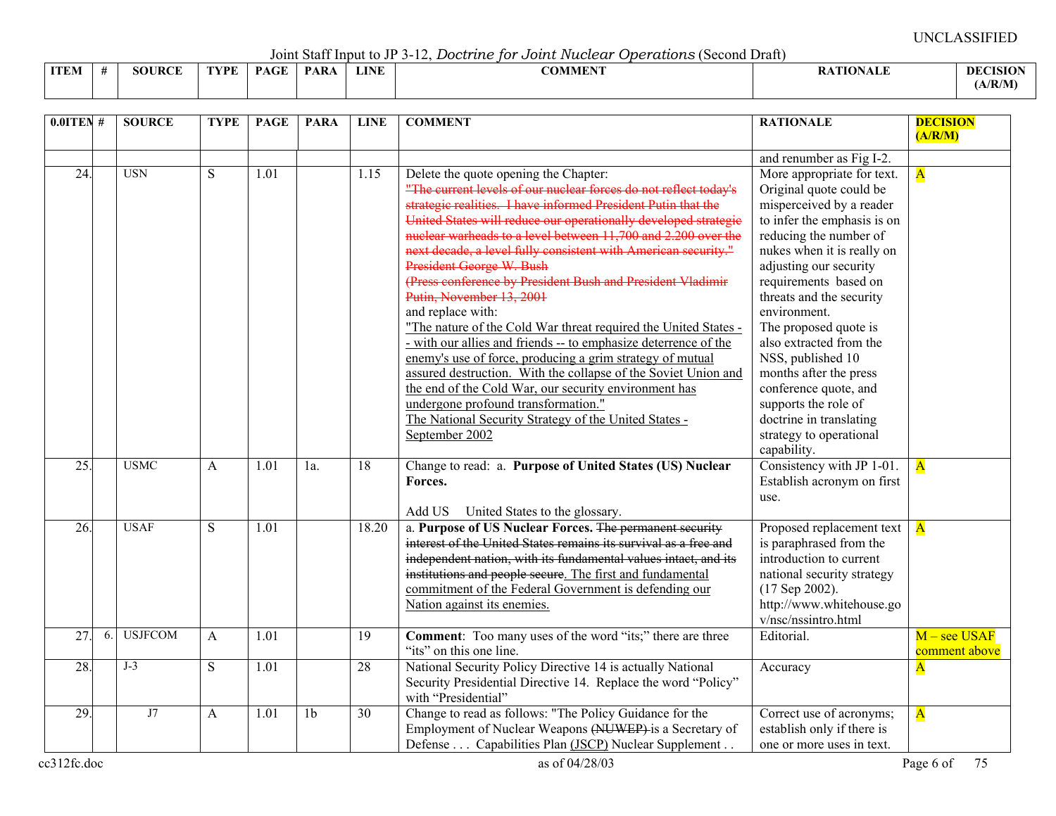Joint Staff Input to JP 3-12, *Doctrine for Joint Nuclear Operations* (Second Draft)

|             |               |             |      |            |             | ----------<br>---------------<br>----------------------------------- |                 |                 |
|-------------|---------------|-------------|------|------------|-------------|----------------------------------------------------------------------|-----------------|-----------------|
| <b>ITEM</b> | <b>SOURCE</b> | <b>TYPE</b> | PAGE | <b>PAR</b> | <b>LINE</b> | COMMENT                                                              | <b>ATIONALE</b> | <b>DECISION</b> |
|             |               |             |      |            |             |                                                                      |                 | (A/R/M)         |

| $0.01$ TEN #      |    | <b>SOURCE</b>  | <b>TYPE</b> | <b>PAGE</b>       | <b>PARA</b>     | <b>LINE</b>     | <b>COMMENT</b>                                                                                                                                                                                                                                                                                                                                                                                                                                                                                                                                                                                                                                                                                                                                                                                                                                                                                                                                                              | <b>RATIONALE</b>                                                                                                                                                                                                                                                                                                                                                                                                                                                                                 | <b>DECISION</b><br>(A/R/M)      |
|-------------------|----|----------------|-------------|-------------------|-----------------|-----------------|-----------------------------------------------------------------------------------------------------------------------------------------------------------------------------------------------------------------------------------------------------------------------------------------------------------------------------------------------------------------------------------------------------------------------------------------------------------------------------------------------------------------------------------------------------------------------------------------------------------------------------------------------------------------------------------------------------------------------------------------------------------------------------------------------------------------------------------------------------------------------------------------------------------------------------------------------------------------------------|--------------------------------------------------------------------------------------------------------------------------------------------------------------------------------------------------------------------------------------------------------------------------------------------------------------------------------------------------------------------------------------------------------------------------------------------------------------------------------------------------|---------------------------------|
|                   |    |                |             |                   |                 |                 |                                                                                                                                                                                                                                                                                                                                                                                                                                                                                                                                                                                                                                                                                                                                                                                                                                                                                                                                                                             | and renumber as Fig I-2.                                                                                                                                                                                                                                                                                                                                                                                                                                                                         |                                 |
| $\overline{24}$ . |    | <b>USN</b>     | S           | $\overline{1.01}$ |                 | 1.15            | Delete the quote opening the Chapter:<br>"The current levels of our nuclear forces do not reflect today's<br>strategic realities. I have informed President Putin that the<br>United States will reduce our operationally developed strategie<br>nuclear warheads to a level between 11,700 and 2,200 over the<br>next decade, a level fully consistent with American security."<br>President George W. Bush<br>(Press conference by President Bush and President Vladimir<br>Putin, November 13, 2001<br>and replace with:<br>"The nature of the Cold War threat required the United States -<br>- with our allies and friends -- to emphasize deterrence of the<br>enemy's use of force, producing a grim strategy of mutual<br>assured destruction. With the collapse of the Soviet Union and<br>the end of the Cold War, our security environment has<br>undergone profound transformation."<br>The National Security Strategy of the United States -<br>September 2002 | More appropriate for text.<br>Original quote could be<br>misperceived by a reader<br>to infer the emphasis is on<br>reducing the number of<br>nukes when it is really on<br>adjusting our security<br>requirements based on<br>threats and the security<br>environment.<br>The proposed quote is<br>also extracted from the<br>NSS, published 10<br>months after the press<br>conference quote, and<br>supports the role of<br>doctrine in translating<br>strategy to operational<br>capability. | $\overline{\mathbf{A}}$         |
| $\overline{25}$ . |    | <b>USMC</b>    | A           | 1.01              | $1a$ .          | 18              | Change to read: a. Purpose of United States (US) Nuclear<br>Forces.<br>Add US United States to the glossary.                                                                                                                                                                                                                                                                                                                                                                                                                                                                                                                                                                                                                                                                                                                                                                                                                                                                | Consistency with JP 1-01.<br>Establish acronym on first<br>use.                                                                                                                                                                                                                                                                                                                                                                                                                                  | $\mathbf{A}$                    |
| 26.               |    | <b>USAF</b>    | S           | $\overline{1.01}$ |                 | 18.20           | a. Purpose of US Nuclear Forces. The permanent security<br>interest of the United States remains its survival as a free and<br>independent nation, with its fundamental values intact, and its<br>institutions and people secure. The first and fundamental<br>commitment of the Federal Government is defending our<br>Nation against its enemies.                                                                                                                                                                                                                                                                                                                                                                                                                                                                                                                                                                                                                         | Proposed replacement text<br>is paraphrased from the<br>introduction to current<br>national security strategy<br>$(17$ Sep 2002).<br>http://www.whitehouse.go<br>v/nsc/nssintro.html                                                                                                                                                                                                                                                                                                             | $\overline{\mathbf{A}}$         |
| $\overline{27}$   | 6. | <b>USJFCOM</b> | A           | $\overline{1.01}$ |                 | $\overline{19}$ | <b>Comment:</b> Too many uses of the word "its;" there are three<br>"its" on this one line.                                                                                                                                                                                                                                                                                                                                                                                                                                                                                                                                                                                                                                                                                                                                                                                                                                                                                 | Editorial.                                                                                                                                                                                                                                                                                                                                                                                                                                                                                       | $M -$ see USAF<br>comment above |
| 28.               |    | $J-3$          | S           | 1.01              |                 | 28              | National Security Policy Directive 14 is actually National<br>Security Presidential Directive 14. Replace the word "Policy"<br>with "Presidential"                                                                                                                                                                                                                                                                                                                                                                                                                                                                                                                                                                                                                                                                                                                                                                                                                          | Accuracy                                                                                                                                                                                                                                                                                                                                                                                                                                                                                         | $\overline{\mathbf{A}}$         |
| $\overline{29}$   |    | J7             | A           | $\overline{1.01}$ | $\overline{1}b$ | 30              | Change to read as follows: "The Policy Guidance for the<br>Employment of Nuclear Weapons (NUWEP) is a Secretary of<br>Defense  Capabilities Plan (JSCP) Nuclear Supplement.                                                                                                                                                                                                                                                                                                                                                                                                                                                                                                                                                                                                                                                                                                                                                                                                 | Correct use of acronyms;<br>establish only if there is<br>one or more uses in text.                                                                                                                                                                                                                                                                                                                                                                                                              | $\overline{\mathbf{A}}$         |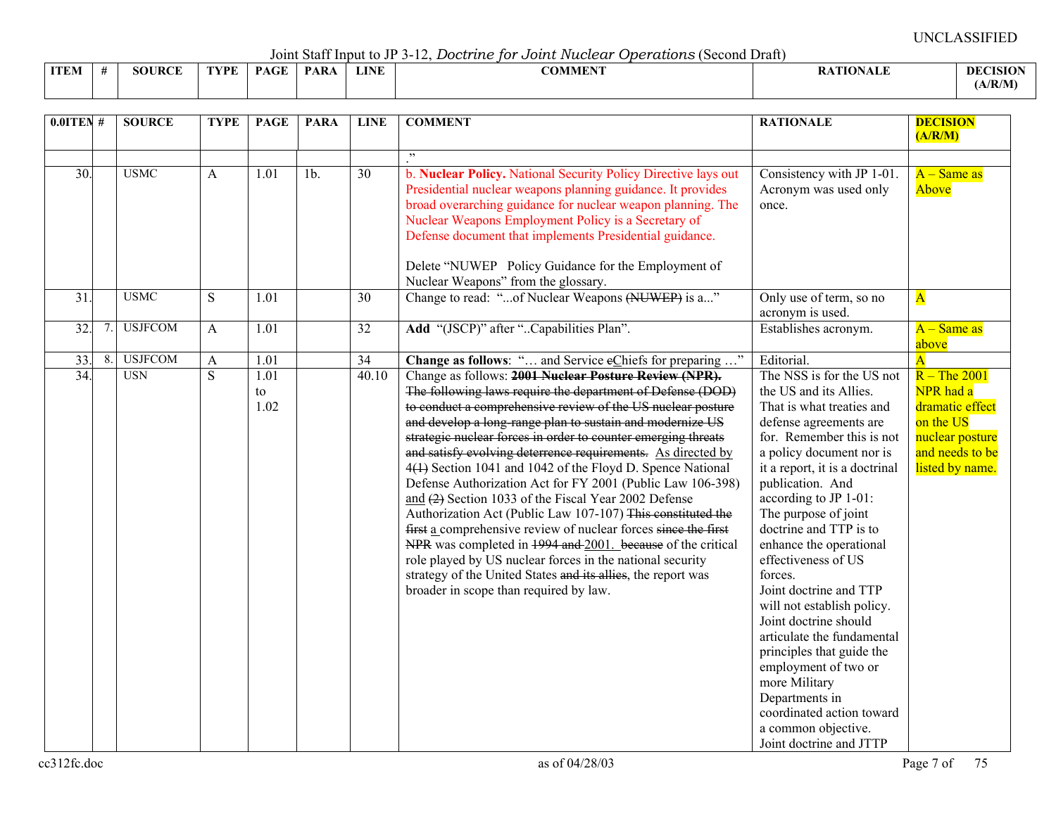Joint Staff Input to JP 3-12, *Doctrine for Joint Nuclear Operations* (Second Draft)

|             |        |             |             | $\frac{1}{2}$ |             | .<br>.<br>---------------                   |                 |
|-------------|--------|-------------|-------------|---------------|-------------|---------------------------------------------|-----------------|
| <b>ITEM</b> | SOURCE | <b>TVPE</b> | <b>PAGE</b> | <b>PAR</b>    | <b>LINE</b> | $\alpha$ and $\alpha$ and $\alpha$<br>:OMME | <b>DECISION</b> |
|             |        |             |             |               |             |                                             | (A/R/M)         |

| $0.0$ ITEN #             |    | <b>SOURCE</b>                | <b>TYPE</b>                    | <b>PAGE</b>                                          | <b>PARA</b>       | <b>LINE</b>              | <b>COMMENT</b>                                                                                                                                                                                                                                                                                                                                                                                                                                                                                                                                                                                                                                                                                                                                                                                                                                                                                                                                                                                            | <b>RATIONALE</b>                                                                                                                                                                                                                                                                                                                                                                                                                                                                                                                                                                                                                           | <b>DECISION</b><br>(A/R/M)                                                                                                                      |
|--------------------------|----|------------------------------|--------------------------------|------------------------------------------------------|-------------------|--------------------------|-----------------------------------------------------------------------------------------------------------------------------------------------------------------------------------------------------------------------------------------------------------------------------------------------------------------------------------------------------------------------------------------------------------------------------------------------------------------------------------------------------------------------------------------------------------------------------------------------------------------------------------------------------------------------------------------------------------------------------------------------------------------------------------------------------------------------------------------------------------------------------------------------------------------------------------------------------------------------------------------------------------|--------------------------------------------------------------------------------------------------------------------------------------------------------------------------------------------------------------------------------------------------------------------------------------------------------------------------------------------------------------------------------------------------------------------------------------------------------------------------------------------------------------------------------------------------------------------------------------------------------------------------------------------|-------------------------------------------------------------------------------------------------------------------------------------------------|
| 30.                      |    | <b>USMC</b>                  | A                              | 1.01                                                 | $\overline{1b}$ . | $\overline{30}$          | , ,<br>b. Nuclear Policy. National Security Policy Directive lays out<br>Presidential nuclear weapons planning guidance. It provides<br>broad overarching guidance for nuclear weapon planning. The<br>Nuclear Weapons Employment Policy is a Secretary of<br>Defense document that implements Presidential guidance.<br>Delete "NUWEP Policy Guidance for the Employment of                                                                                                                                                                                                                                                                                                                                                                                                                                                                                                                                                                                                                              | Consistency with JP 1-01.<br>Acronym was used only<br>once.                                                                                                                                                                                                                                                                                                                                                                                                                                                                                                                                                                                | $A - Same$ as<br>Above                                                                                                                          |
| 31.                      |    | <b>USMC</b>                  | S                              | $\overline{1.01}$                                    |                   | 30                       | Nuclear Weapons" from the glossary.<br>Change to read: "of Nuclear Weapons (NUWEP) is a"                                                                                                                                                                                                                                                                                                                                                                                                                                                                                                                                                                                                                                                                                                                                                                                                                                                                                                                  | Only use of term, so no<br>acronym is used.                                                                                                                                                                                                                                                                                                                                                                                                                                                                                                                                                                                                | ${\bf A}$                                                                                                                                       |
| 32.                      | 7. | <b>USJFCOM</b>               | $\mathbf{A}$                   | 1.01                                                 |                   | 32                       | Add "(JSCP)" after "Capabilities Plan".                                                                                                                                                                                                                                                                                                                                                                                                                                                                                                                                                                                                                                                                                                                                                                                                                                                                                                                                                                   | Establishes acronym.                                                                                                                                                                                                                                                                                                                                                                                                                                                                                                                                                                                                                       | $A - Same$ as<br>above                                                                                                                          |
| 33.<br>$\overline{34}$ . | 8. | <b>USJFCOM</b><br><b>USN</b> | $\mathbf{A}$<br>$\overline{S}$ | $\overline{1.01}$<br>$\overline{1.01}$<br>to<br>1.02 |                   | $\overline{34}$<br>40.10 | Change as follows: " and Service eChiefs for preparing "<br>Change as follows: 2001 Nuclear Posture Review (NPR).<br>The following laws require the department of Defense (DOD)<br>to conduct a comprehensive review of the US nuclear posture<br>and develop a long-range plan to sustain and modernize US<br>strategic nuclear forces in order to counter emerging threats<br>and satisfy evolving deterrence requirements. As directed by<br>4(1) Section 1041 and 1042 of the Floyd D. Spence National<br>Defense Authorization Act for FY 2001 (Public Law 106-398)<br>and $(2)$ Section 1033 of the Fiscal Year 2002 Defense<br>Authorization Act (Public Law 107-107) This constituted the<br>first a comprehensive review of nuclear forces since the first<br>NPR was completed in 1994 and 2001. because of the critical<br>role played by US nuclear forces in the national security<br>strategy of the United States and its allies, the report was<br>broader in scope than required by law. | Editorial.<br>The NSS is for the US not<br>the US and its Allies.<br>That is what treaties and<br>defense agreements are<br>for. Remember this is not<br>a policy document nor is<br>it a report, it is a doctrinal<br>publication. And<br>according to JP 1-01:<br>The purpose of joint<br>doctrine and TTP is to<br>enhance the operational<br>effectiveness of US<br>forces.<br>Joint doctrine and TTP<br>will not establish policy.<br>Joint doctrine should<br>articulate the fundamental<br>principles that guide the<br>employment of two or<br>more Military<br>Departments in<br>coordinated action toward<br>a common objective. | $\overline{\mathbf{A}}$<br>$R$ – The 2001<br>NPR had a<br>dramatic effect<br>on the US<br>nuclear posture<br>and needs to be<br>listed by name. |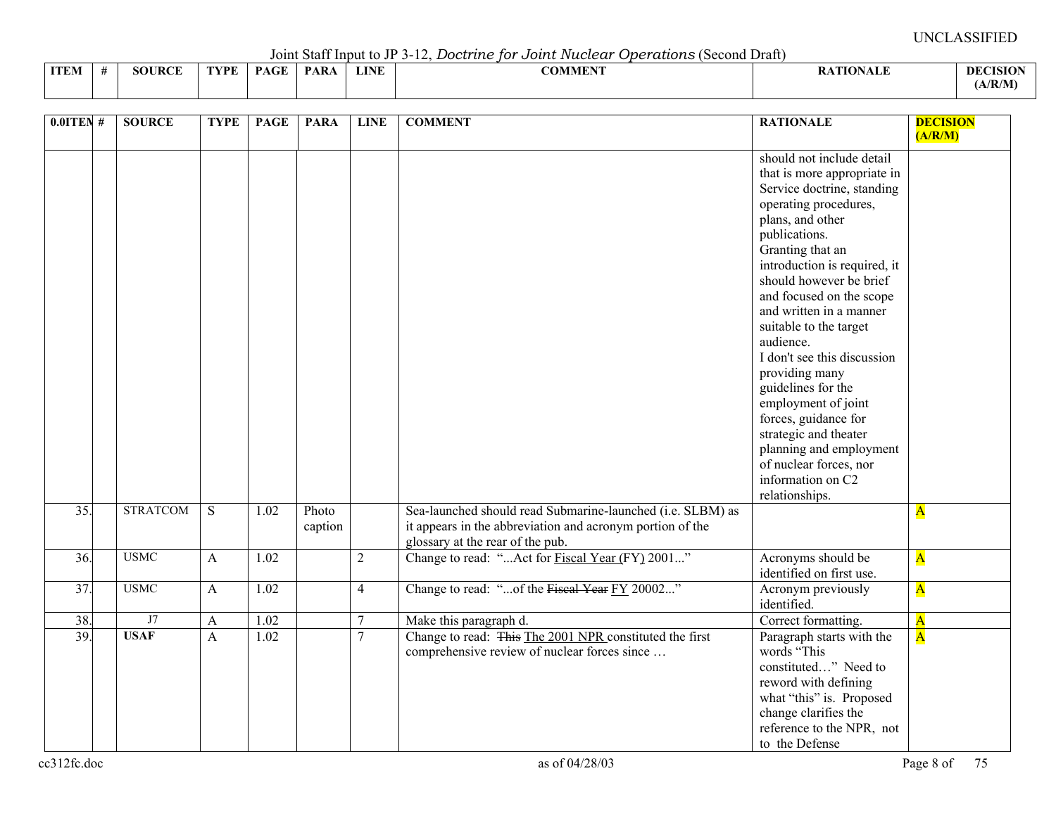Joint Staff Input to JP 3-12, *Doctrine for Joint Nuclear Operations* (Second Draft)

|             |        |      |             | $\sqrt{2}$ $\sqrt{2}$ $\sqrt{2}$ $\sqrt{2}$ $\sqrt{2}$ $\sqrt{2}$ $\sqrt{2}$ $\sqrt{2}$ $\sqrt{2}$ $\sqrt{2}$ $\sqrt{2}$ $\sqrt{2}$ $\sqrt{2}$ $\sqrt{2}$ $\sqrt{2}$ $\sqrt{2}$ $\sqrt{2}$ $\sqrt{2}$ $\sqrt{2}$ $\sqrt{2}$ $\sqrt{2}$ $\sqrt{2}$ $\sqrt{2}$ $\sqrt{2}$ $\sqrt{2}$ $\sqrt{2}$ $\sqrt{2}$ $\sqrt{2$ |             | --------------                  |                |                 |
|-------------|--------|------|-------------|--------------------------------------------------------------------------------------------------------------------------------------------------------------------------------------------------------------------------------------------------------------------------------------------------------------------|-------------|---------------------------------|----------------|-----------------|
| <b>ITEM</b> | SOURCE | TVDF | <b>PAGE</b> | <b>PARA</b>                                                                                                                                                                                                                                                                                                        | <b>LINE</b> | $\alpha$ atitum<br>AD MINI PART | <b>TIONALL</b> | <b>DECISION</b> |
|             |        |      |             |                                                                                                                                                                                                                                                                                                                    |             |                                 |                | (A/R/M)         |

| $0.01$ TEN # | <b>SOURCE</b>   | <b>TYPE</b>  | <b>PAGE</b>       | <b>PARA</b>      | <b>LINE</b>    | <b>COMMENT</b>                                                                                                                                              | <b>RATIONALE</b>                                                                                                                                                                                                                                                                                                    | <b>DECISION</b>         |
|--------------|-----------------|--------------|-------------------|------------------|----------------|-------------------------------------------------------------------------------------------------------------------------------------------------------------|---------------------------------------------------------------------------------------------------------------------------------------------------------------------------------------------------------------------------------------------------------------------------------------------------------------------|-------------------------|
|              |                 |              |                   |                  |                |                                                                                                                                                             | should not include detail<br>that is more appropriate in<br>Service doctrine, standing<br>operating procedures,<br>plans, and other<br>publications.<br>Granting that an<br>introduction is required, it<br>should however be brief                                                                                 | (A/R/M)                 |
|              |                 |              |                   |                  |                |                                                                                                                                                             | and focused on the scope<br>and written in a manner<br>suitable to the target<br>audience.<br>I don't see this discussion<br>providing many<br>guidelines for the<br>employment of joint<br>forces, guidance for<br>strategic and theater<br>planning and employment<br>of nuclear forces, nor<br>information on C2 |                         |
| 35.          | <b>STRATCOM</b> | S.           | 1.02              | Photo<br>caption |                | Sea-launched should read Submarine-launched (i.e. SLBM) as<br>it appears in the abbreviation and acronym portion of the<br>glossary at the rear of the pub. | relationships.                                                                                                                                                                                                                                                                                                      | $\overline{\mathbf{A}}$ |
| 36.          | <b>USMC</b>     | A            | 1.02              |                  | $\overline{2}$ | Change to read: " Act for Fiscal Year (FY) 2001"                                                                                                            | Acronyms should be<br>identified on first use.                                                                                                                                                                                                                                                                      | $\overline{\mathbf{A}}$ |
| 37.          | <b>USMC</b>     | A            | $\overline{1.02}$ |                  | $\overline{4}$ | Change to read: "of the Fiseal Year FY 20002"                                                                                                               | Acronym previously<br>identified.                                                                                                                                                                                                                                                                                   | $\overline{\mathbf{A}}$ |
| 38.          | J7              | $\mathbf{A}$ | 1.02              |                  | 7              | Make this paragraph d.                                                                                                                                      | Correct formatting.                                                                                                                                                                                                                                                                                                 | $\overline{\mathbf{A}}$ |
| 39.          | <b>USAF</b>     | $\mathbf{A}$ | 1.02              |                  | $\overline{7}$ | Change to read: This The 2001 NPR constituted the first<br>comprehensive review of nuclear forces since                                                     | Paragraph starts with the<br>words "This<br>constituted" Need to<br>reword with defining<br>what "this" is. Proposed<br>change clarifies the<br>reference to the NPR, not<br>to the Defense                                                                                                                         | $\overline{\mathbf{A}}$ |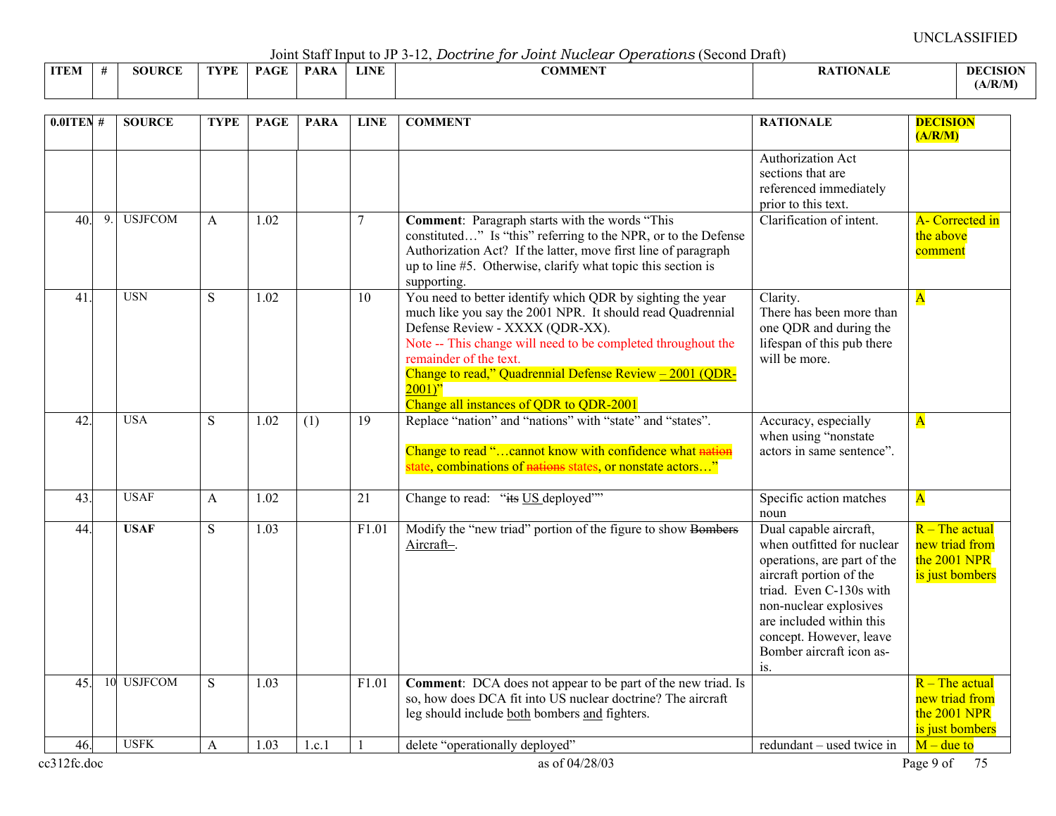Joint Staff Input to JP 3-12, *Doctrine for Joint Nuclear Operations* (Second Draft)

|             |               |      |             | vonn omn mogely of |      | - 12. Doctritic Tor Obtrict Intellection<br>$\sigma$ |                |                            |
|-------------|---------------|------|-------------|--------------------|------|------------------------------------------------------|----------------|----------------------------|
| <b>ITEM</b> | <b>SOURCE</b> | TVDF | <b>PAGE</b> | <b>PARA</b>        | LINE | <b>COMMENT</b>                                       | <b>TIONALE</b> | <b>DECISION</b><br>(A/R/M) |
|             |               |      |             |                    |      |                                                      |                |                            |

| $0.01$ TEN# |    | <b>SOURCE</b>  | <b>TYPE</b>  | <b>PAGE</b> | <b>PARA</b> | <b>LINE</b>     | <b>COMMENT</b>                                                                                                                                                                                                                                                                                                                                                            | <b>RATIONALE</b>                                                                                                                                                                                                                                              | <b>DECISION</b><br>(A/R/M)                                            |
|-------------|----|----------------|--------------|-------------|-------------|-----------------|---------------------------------------------------------------------------------------------------------------------------------------------------------------------------------------------------------------------------------------------------------------------------------------------------------------------------------------------------------------------------|---------------------------------------------------------------------------------------------------------------------------------------------------------------------------------------------------------------------------------------------------------------|-----------------------------------------------------------------------|
|             |    |                |              |             |             |                 |                                                                                                                                                                                                                                                                                                                                                                           | <b>Authorization Act</b><br>sections that are<br>referenced immediately<br>prior to this text.                                                                                                                                                                |                                                                       |
| 40.         | 9. | <b>USJFCOM</b> | $\mathsf{A}$ | 1.02        |             | $\overline{7}$  | <b>Comment:</b> Paragraph starts with the words "This<br>constituted" Is "this" referring to the NPR, or to the Defense<br>Authorization Act? If the latter, move first line of paragraph<br>up to line #5. Otherwise, clarify what topic this section is<br>supporting.                                                                                                  | Clarification of intent.                                                                                                                                                                                                                                      | <b>A-</b> Corrected in<br>the above<br>comment                        |
| 41.         |    | <b>USN</b>     | S            | 1.02        |             | 10              | You need to better identify which QDR by sighting the year<br>much like you say the 2001 NPR. It should read Quadrennial<br>Defense Review - XXXX (QDR-XX).<br>Note -- This change will need to be completed throughout the<br>remainder of the text.<br>Change to read," Quadrennial Defense Review $-2001$ (QDR-<br>$2001$ "<br>Change all instances of QDR to QDR-2001 | Clarity.<br>There has been more than<br>one QDR and during the<br>lifespan of this pub there<br>will be more.                                                                                                                                                 | $\overline{\mathbf{A}}$                                               |
| 42          |    | <b>USA</b>     | S            | 1.02        | (1)         | 19              | Replace "nation" and "nations" with "state" and "states".<br>Change to read "cannot know with confidence what nation<br>state, combinations of nations states, or nonstate actors"                                                                                                                                                                                        | Accuracy, especially<br>when using "nonstate<br>actors in same sentence".                                                                                                                                                                                     | $\overline{\mathbf{A}}$                                               |
| 43.         |    | <b>USAF</b>    | $\mathbf{A}$ | 1.02        |             | $\overline{21}$ | Change to read: "its US deployed""                                                                                                                                                                                                                                                                                                                                        | Specific action matches<br>noun                                                                                                                                                                                                                               | $\overline{\mathbf{A}}$                                               |
| 44.         |    | <b>USAF</b>    | S            | 1.03        |             | F1.01           | Modify the "new triad" portion of the figure to show Bombers<br>Aircraft-                                                                                                                                                                                                                                                                                                 | Dual capable aircraft,<br>when outfitted for nuclear<br>operations, are part of the<br>aircraft portion of the<br>triad. Even C-130s with<br>non-nuclear explosives<br>are included within this<br>concept. However, leave<br>Bomber aircraft icon as-<br>is. | $R$ – The actual<br>new triad from<br>the 2001 NPR<br>is just bombers |
| 45.         |    | 10 USJFCOM     | S            | 1.03        |             | F1.01           | Comment: DCA does not appear to be part of the new triad. Is<br>so, how does DCA fit into US nuclear doctrine? The aircraft<br>leg should include both bombers and fighters.                                                                                                                                                                                              |                                                                                                                                                                                                                                                               | $R$ – The actual<br>new triad from<br>the 2001 NPR<br>is just bombers |
| 46.         |    | <b>USFK</b>    | A            | 1.03        | 1.c.1       |                 | delete "operationally deployed"                                                                                                                                                                                                                                                                                                                                           | redundant – used twice in                                                                                                                                                                                                                                     | $M$ – due to                                                          |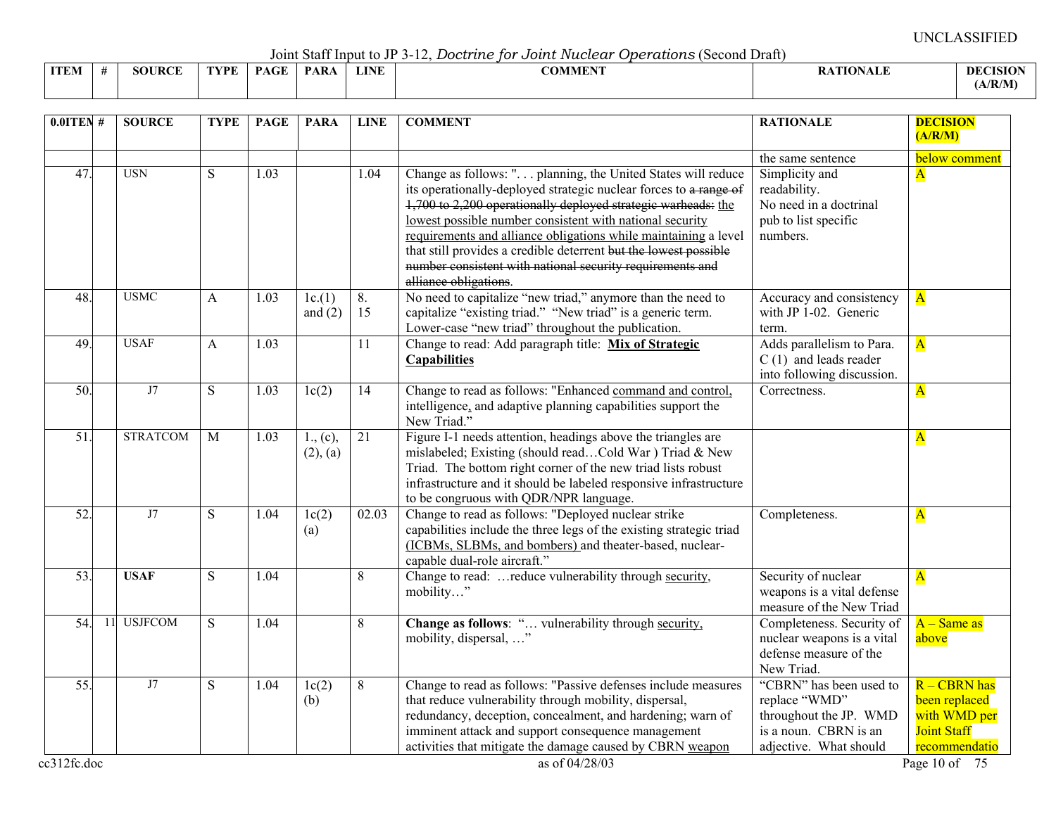Joint Staff Input to JP 3-12, *Doctrine for Joint Nuclear Operations* (Second Draft)

|             |               |      |             |             |             | <u>JOHN DIAH HIDAU to JE D'IL, DOCH HIC TOT OOH IN ACCION</u><br>$\sigma$ |                 |                 |
|-------------|---------------|------|-------------|-------------|-------------|---------------------------------------------------------------------------|-----------------|-----------------|
| <b>ITEM</b> | <b>SOURCE</b> | TYPE | <b>PAGE</b> | <b>PARA</b> | <b>LINE</b> | <b>COMMENT</b>                                                            | <b>ATIONALE</b> | <b>DECISION</b> |
|             |               |      |             |             |             |                                                                           |                 | A/R/M           |

| $0.01$ TEN #    |    | <b>SOURCE</b>   | <b>TYPE</b> | <b>PAGE</b> | <b>PARA</b>          | <b>LINE</b>     | <b>COMMENT</b>                                                                                                                                                                                                                                                                                                                                                                                                                                                                              | <b>RATIONALE</b>                                                                                                      | <b>DECISION</b><br>(A/R/M)                                                             |
|-----------------|----|-----------------|-------------|-------------|----------------------|-----------------|---------------------------------------------------------------------------------------------------------------------------------------------------------------------------------------------------------------------------------------------------------------------------------------------------------------------------------------------------------------------------------------------------------------------------------------------------------------------------------------------|-----------------------------------------------------------------------------------------------------------------------|----------------------------------------------------------------------------------------|
| 47              |    | <b>USN</b>      | S           | 1.03        |                      | 1.04            | Change as follows: " planning, the United States will reduce<br>its operationally-deployed strategic nuclear forces to a range of<br>1,700 to 2,200 operationally deployed strategic warheads: the<br>lowest possible number consistent with national security<br>requirements and alliance obligations while maintaining a level<br>that still provides a credible deterrent but the lowest possible<br>number consistent with national security requirements and<br>alliance obligations. | the same sentence<br>Simplicity and<br>readability.<br>No need in a doctrinal<br>pub to list specific<br>numbers.     | below comment<br>$\overline{\mathbf{A}}$                                               |
| 48.             |    | <b>USMC</b>     | A           | 1.03        | 1c(1)<br>and $(2)$   | 8.<br>15        | No need to capitalize "new triad," anymore than the need to<br>capitalize "existing triad." "New triad" is a generic term.<br>Lower-case "new triad" throughout the publication.                                                                                                                                                                                                                                                                                                            | Accuracy and consistency<br>with JP 1-02. Generic<br>term.                                                            | $\overline{\mathbf{A}}$                                                                |
| 49.             |    | <b>USAF</b>     | A           | 1.03        |                      | $\overline{11}$ | Change to read: Add paragraph title: Mix of Strategic<br><b>Capabilities</b>                                                                                                                                                                                                                                                                                                                                                                                                                | Adds parallelism to Para.<br>$C(1)$ and leads reader<br>into following discussion.                                    | $\overline{\mathbf{A}}$                                                                |
| 50.             |    | J7              | S           | 1.03        | 1c(2)                | 14              | Change to read as follows: "Enhanced command and control,<br>intelligence, and adaptive planning capabilities support the<br>New Triad."                                                                                                                                                                                                                                                                                                                                                    | Correctness.                                                                                                          | $\overline{\mathbf{A}}$                                                                |
| 51.             |    | <b>STRATCOM</b> | M           | 1.03        | 1., (c),<br>(2), (a) | $\overline{21}$ | Figure I-1 needs attention, headings above the triangles are<br>mislabeled; Existing (should readCold War) Triad & New<br>Triad. The bottom right corner of the new triad lists robust<br>infrastructure and it should be labeled responsive infrastructure<br>to be congruous with QDR/NPR language.                                                                                                                                                                                       |                                                                                                                       | $\mathbf{A}$                                                                           |
| $\overline{52}$ |    | J7              | S           | 1.04        | 1c(2)<br>(a)         | 02.03           | Change to read as follows: "Deployed nuclear strike<br>capabilities include the three legs of the existing strategic triad<br>(ICBMs, SLBMs, and bombers) and theater-based, nuclear-<br>capable dual-role aircraft."                                                                                                                                                                                                                                                                       | Completeness.                                                                                                         | $\overline{\mathbf{A}}$                                                                |
| $\overline{53}$ |    | <b>USAF</b>     | S           | 1.04        |                      | 8               | Change to read: reduce vulnerability through security,<br>mobility"                                                                                                                                                                                                                                                                                                                                                                                                                         | Security of nuclear<br>weapons is a vital defense<br>measure of the New Triad                                         | $\overline{\mathbf{A}}$                                                                |
| 54.             | 11 | <b>USJFCOM</b>  | S           | 1.04        |                      | 8               | Change as follows: " vulnerability through security,<br>mobility, dispersal, "                                                                                                                                                                                                                                                                                                                                                                                                              | Completeness. Security of<br>nuclear weapons is a vital<br>defense measure of the<br>New Triad.                       | $A - Same$ as<br>above                                                                 |
| $\overline{55}$ |    | J7              | S           | 1.04        | 1c(2)<br>(b)         | 8               | Change to read as follows: "Passive defenses include measures<br>that reduce vulnerability through mobility, dispersal,<br>redundancy, deception, concealment, and hardening; warn of<br>imminent attack and support consequence management<br>activities that mitigate the damage caused by CBRN weapon                                                                                                                                                                                    | "CBRN" has been used to<br>replace "WMD"<br>throughout the JP. WMD<br>is a noun. CBRN is an<br>adjective. What should | $R - CBRN$ has<br>been replaced<br>with WMD per<br><b>Joint Staff</b><br>recommendatio |

cc312fc.doc  $\cos 12$  Page 10 of 75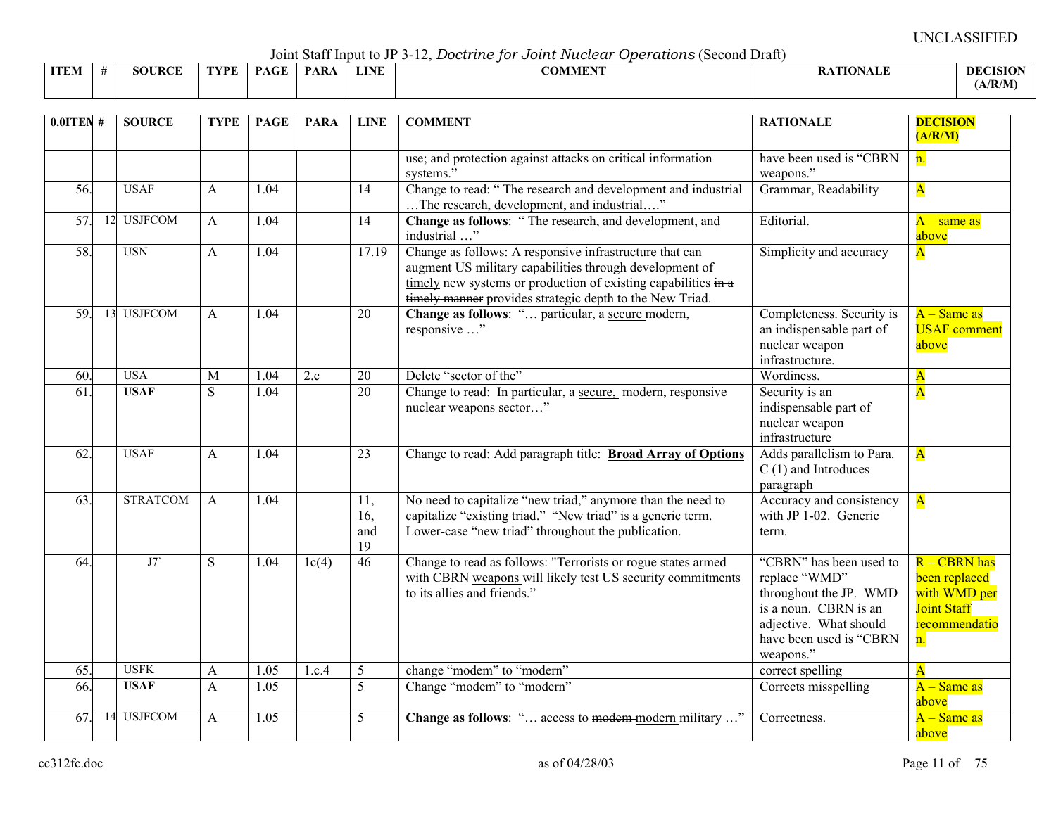Joint Staff Input to JP 3-12, *Doctrine for Joint Nuclear Operations* (Second Draft)

|             |     |      |             | $\sim$ 0.111.0 $\sim$ 0.000 11.1.1.1.0 0.0 0.0 0.1 0.1 |      | --------------<br>.<br>--------------<br>----------- |                 |                 |
|-------------|-----|------|-------------|--------------------------------------------------------|------|------------------------------------------------------|-----------------|-----------------|
| <b>ITEN</b> | DAE | 7DF. | $P_{\rm A}$ | PAR                                                    | LINE | 001 <i>515015</i><br>:OMMEN                          | <b>ATIONALE</b> | <b>DECISION</b> |
|             |     |      |             |                                                        |      |                                                      |                 | (A/R/M)         |

| $0.0$ ITEN #    |    | <b>SOURCE</b>   | <b>TYPE</b>  | <b>PAGE</b> | <b>PARA</b>       | <b>LINE</b>             | <b>COMMENT</b>                                                                                                                                                                                                                                            | <b>RATIONALE</b>                                                                                                                                              | <b>DECISION</b><br>(A/R/M)                                                                 |
|-----------------|----|-----------------|--------------|-------------|-------------------|-------------------------|-----------------------------------------------------------------------------------------------------------------------------------------------------------------------------------------------------------------------------------------------------------|---------------------------------------------------------------------------------------------------------------------------------------------------------------|--------------------------------------------------------------------------------------------|
|                 |    |                 |              |             |                   |                         | use; and protection against attacks on critical information<br>systems."                                                                                                                                                                                  | have been used is "CBRN<br>weapons."                                                                                                                          | n.                                                                                         |
| 56.             |    | <b>USAF</b>     | A            | 1.04        |                   | $\overline{14}$         | Change to read: "The research and development and industrial<br>The research, development, and industrial"                                                                                                                                                | Grammar, Readability                                                                                                                                          | $\overline{\mathbf{A}}$                                                                    |
| 57.             |    | 12 USJFCOM      | A            | 1.04        |                   | 14                      | Change as follows: "The research, and development, and<br>industrial "                                                                                                                                                                                    | Editorial.                                                                                                                                                    | $A$ – same as<br>above                                                                     |
| 58.             |    | <b>USN</b>      | A            | 1.04        |                   | 17.19                   | Change as follows: A responsive infrastructure that can<br>augment US military capabilities through development of<br>timely new systems or production of existing capabilities $\frac{1}{2}$<br>timely manner provides strategic depth to the New Triad. | Simplicity and accuracy                                                                                                                                       | $\mathbf{A}$                                                                               |
| 59.             |    | 13 USJFCOM      | A            | 1.04        |                   | 20                      | Change as follows: " particular, a secure modern,<br>responsive "                                                                                                                                                                                         | Completeness. Security is<br>an indispensable part of<br>nuclear weapon<br>infrastructure.                                                                    | $A - Same$ as<br><b>USAF</b> comment<br>above                                              |
| $\overline{60}$ |    | <b>USA</b>      | M            | 1.04        | $\overline{2}$ .c | $\overline{20}$         | Delete "sector of the"                                                                                                                                                                                                                                    | Wordiness.                                                                                                                                                    | $\overline{\mathbf{A}}$                                                                    |
| $\overline{61}$ |    | <b>USAF</b>     | S.           | 1.04        |                   | 20                      | Change to read: In particular, a secure, modern, responsive<br>nuclear weapons sector"                                                                                                                                                                    | Security is an<br>indispensable part of<br>nuclear weapon<br>infrastructure                                                                                   | $\overline{\mathbf{A}}$                                                                    |
| $\overline{62}$ |    | <b>USAF</b>     | A            | 1.04        |                   | $\overline{23}$         | Change to read: Add paragraph title: Broad Array of Options                                                                                                                                                                                               | Adds parallelism to Para.<br>$C(1)$ and Introduces<br>paragraph                                                                                               | $\overline{\mathbf{A}}$                                                                    |
| 63.             |    | <b>STRATCOM</b> | $\mathbf{A}$ | 1.04        |                   | 11,<br>16,<br>and<br>19 | No need to capitalize "new triad," anymore than the need to<br>capitalize "existing triad." "New triad" is a generic term.<br>Lower-case "new triad" throughout the publication.                                                                          | Accuracy and consistency<br>with JP 1-02. Generic<br>term.                                                                                                    | $\overline{\mathbf{A}}$                                                                    |
| $\overline{64}$ |    | J7              | S            | 1.04        | 1c(4)             | 46                      | Change to read as follows: "Terrorists or rogue states armed<br>with CBRN weapons will likely test US security commitments<br>to its allies and friends."                                                                                                 | "CBRN" has been used to<br>replace "WMD"<br>throughout the JP. WMD<br>is a noun. CBRN is an<br>adjective. What should<br>have been used is "CBRN<br>weapons." | R - CBRN has<br>been replaced<br>with WMD per<br><b>Joint Staff</b><br>recommendatio<br>n. |
| 65.             |    | <b>USFK</b>     | A            | 1.05        | 1.c.4             | 5                       | change "modem" to "modern"                                                                                                                                                                                                                                | correct spelling                                                                                                                                              | $\overline{\mathbf{A}}$                                                                    |
| 66.             |    | <b>USAF</b>     | A            | 1.05        |                   | 5                       | Change "modem" to "modern"                                                                                                                                                                                                                                | Corrects misspelling                                                                                                                                          | $A - Same$ as<br>above                                                                     |
| 67.             | 14 | <b>USJFCOM</b>  | A            | 1.05        |                   | 5                       | Change as follows: " access to modem modern military "                                                                                                                                                                                                    | Correctness.                                                                                                                                                  | $A - Same$ as<br>above                                                                     |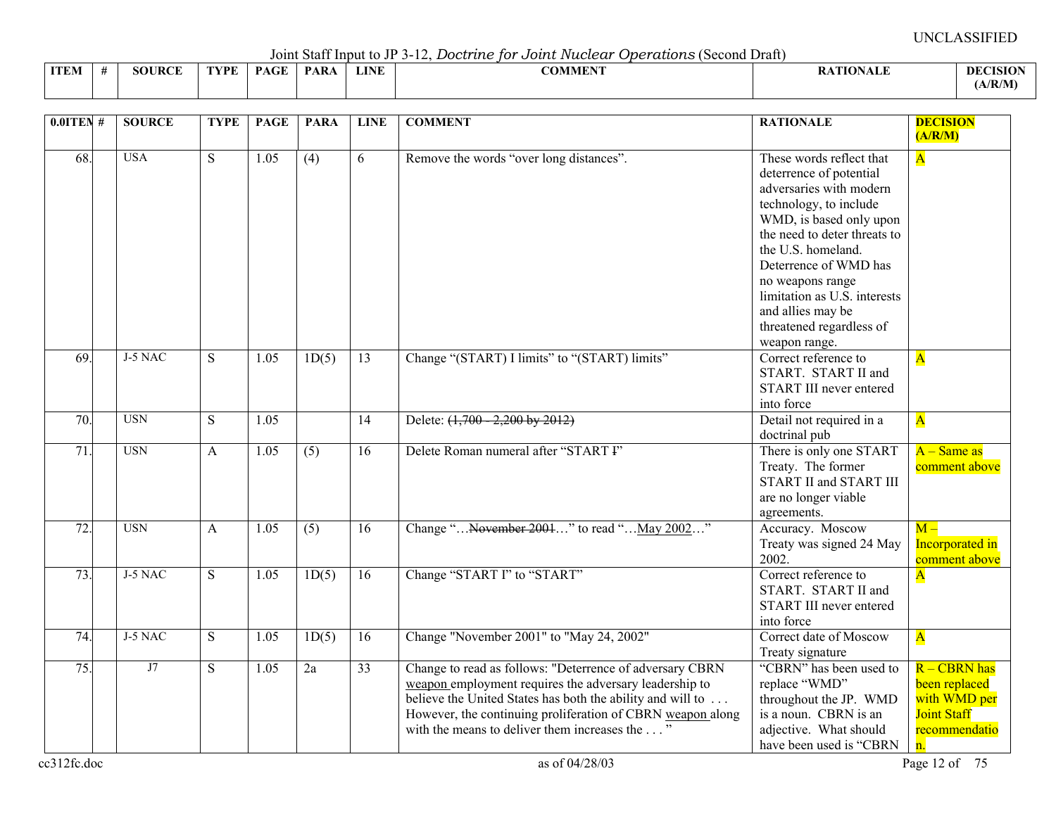Joint Staff Input to JP 3-12, *Doctrine for Joint Nuclear Operations* (Second Draft)

|             |               |      |             |            |             | voint baar nipat to vi b is, boot the for bother received |          |                |
|-------------|---------------|------|-------------|------------|-------------|-----------------------------------------------------------|----------|----------------|
| <b>ITEM</b> | <b>SOURCE</b> | TVDF | <b>DACE</b> | <b>PAR</b> | <b>LINE</b> | COMMENT                                                   | $\cdots$ | <b>DECISIO</b> |
|             |               |      |             |            |             |                                                           |          | (A/R/M)        |

| $0.01$ TEN #      | <b>SOURCE</b> | <b>TYPE</b> | <b>PAGE</b> | <b>PARA</b> | <b>LINE</b>     | <b>COMMENT</b>                                                                                                                                                                                                                                                                                   | <b>RATIONALE</b>                                                                                                                                                                                                                                                                                                                         | <b>DECISION</b><br>(A/R/M)                                                                 |
|-------------------|---------------|-------------|-------------|-------------|-----------------|--------------------------------------------------------------------------------------------------------------------------------------------------------------------------------------------------------------------------------------------------------------------------------------------------|------------------------------------------------------------------------------------------------------------------------------------------------------------------------------------------------------------------------------------------------------------------------------------------------------------------------------------------|--------------------------------------------------------------------------------------------|
| 68.               | <b>USA</b>    | S           | 1.05        | (4)         | 6               | Remove the words "over long distances".                                                                                                                                                                                                                                                          | These words reflect that<br>deterrence of potential<br>adversaries with modern<br>technology, to include<br>WMD, is based only upon<br>the need to deter threats to<br>the U.S. homeland.<br>Deterrence of WMD has<br>no weapons range<br>limitation as U.S. interests<br>and allies may be<br>threatened regardless of<br>weapon range. | $\overline{\mathbf{A}}$                                                                    |
| $\overline{69}$   | J-5 NAC       | S           | 1.05        | 1D(5)       | $\overline{13}$ | Change "(START) I limits" to "(START) limits"                                                                                                                                                                                                                                                    | Correct reference to<br>START. START II and<br>START III never entered<br>into force                                                                                                                                                                                                                                                     | $\overline{\mathbf{A}}$                                                                    |
| 70.               | <b>USN</b>    | S           | 1.05        |             | 14              | Delete: (1,700 - 2,200 by 2012)                                                                                                                                                                                                                                                                  | Detail not required in a<br>doctrinal pub                                                                                                                                                                                                                                                                                                | $\overline{\mathbf{A}}$                                                                    |
| 71.               | <b>USN</b>    | A           | 1.05        | (5)         | 16              | Delete Roman numeral after "START I"                                                                                                                                                                                                                                                             | There is only one START<br>Treaty. The former<br><b>START II and START III</b><br>are no longer viable<br>agreements.                                                                                                                                                                                                                    | $A - Same$ as<br>comment above                                                             |
| $\overline{72}$ . | <b>USN</b>    | A           | 1.05        | (5)         | 16              | Change " November 2001" to read " May 2002"                                                                                                                                                                                                                                                      | Accuracy. Moscow<br>Treaty was signed 24 May<br>2002.                                                                                                                                                                                                                                                                                    | $M -$<br><b>Incorporated</b> in<br>comment above                                           |
| 73.               | J-5 NAC       | S           | 1.05        | 1D(5)       | 16              | Change "START I" to "START"                                                                                                                                                                                                                                                                      | Correct reference to<br>START. START II and<br><b>START III</b> never entered<br>into force                                                                                                                                                                                                                                              | $\overline{\mathbf{A}}$                                                                    |
| 74.               | J-5 NAC       | S           | 1.05        | 1D(5)       | 16              | Change "November 2001" to "May 24, 2002"                                                                                                                                                                                                                                                         | Correct date of Moscow<br>Treaty signature                                                                                                                                                                                                                                                                                               | $\overline{\mathbf{A}}$                                                                    |
| 75.               | J7            | S.          | 1.05        | 2a          | 33              | Change to read as follows: "Deterrence of adversary CBRN<br>weapon employment requires the adversary leadership to<br>believe the United States has both the ability and will to<br>However, the continuing proliferation of CBRN weapon along<br>with the means to deliver them increases the " | "CBRN" has been used to<br>replace "WMD"<br>throughout the JP. WMD<br>is a noun. CBRN is an<br>adjective. What should<br>have been used is "CBRN                                                                                                                                                                                         | R - CBRN has<br>been replaced<br>with WMD per<br><b>Joint Staff</b><br>recommendatio<br>n. |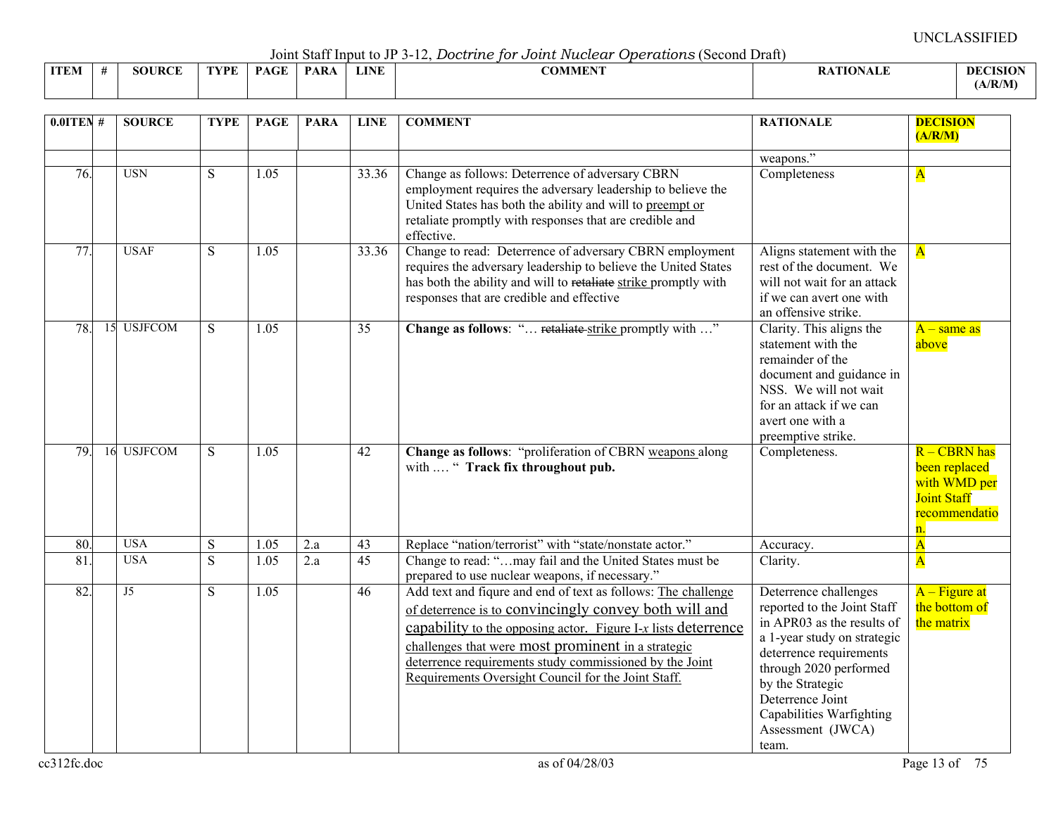Joint Staff Input to JP 3-12, *Doctrine for Joint Nuclear Operations* (Second Draft)

|             | <u>Julii bilii hiput to Ji 9 Te, Doctritic for obtrite Hactour Operationo (boomu Diuit)</u> |               |             |      |             |      |                |                |                |  |  |  |  |
|-------------|---------------------------------------------------------------------------------------------|---------------|-------------|------|-------------|------|----------------|----------------|----------------|--|--|--|--|
| <b>ITEM</b> |                                                                                             | <b>SOURCE</b> | <b>TYPE</b> | DACE | <b>PARA</b> | LINE | <b>COMMENT</b> | <b>TIONALL</b> | <b>DECISIO</b> |  |  |  |  |
|             |                                                                                             |               |             |      |             |      |                |                | (A/R/M)        |  |  |  |  |

| $0.01$ TEN #           | <b>SOURCE</b>            | <b>TYPE</b> | <b>PAGE</b>  | <b>PARA</b> | <b>LINE</b>           | <b>COMMENT</b>                                                                                                                                                                                                                                                                                                                                                  | <b>RATIONALE</b>                                                                                                                                                                                                                                                         | <b>DECISION</b><br>(A/R/M)                                                                 |
|------------------------|--------------------------|-------------|--------------|-------------|-----------------------|-----------------------------------------------------------------------------------------------------------------------------------------------------------------------------------------------------------------------------------------------------------------------------------------------------------------------------------------------------------------|--------------------------------------------------------------------------------------------------------------------------------------------------------------------------------------------------------------------------------------------------------------------------|--------------------------------------------------------------------------------------------|
| 76.                    | <b>USN</b>               | S           | 1.05         |             | 33.36                 | Change as follows: Deterrence of adversary CBRN<br>employment requires the adversary leadership to believe the<br>United States has both the ability and will to preempt or<br>retaliate promptly with responses that are credible and<br>effective.                                                                                                            | weapons."<br>Completeness                                                                                                                                                                                                                                                | $\mathbf{A}$                                                                               |
| 77.                    | <b>USAF</b>              | S           | 1.05         |             | 33.36                 | Change to read: Deterrence of adversary CBRN employment<br>requires the adversary leadership to believe the United States<br>has both the ability and will to retaliate strike promptly with<br>responses that are credible and effective                                                                                                                       | Aligns statement with the<br>rest of the document. We<br>will not wait for an attack<br>if we can avert one with<br>an offensive strike.                                                                                                                                 | $\overline{\mathbf{A}}$                                                                    |
| 78.                    | <b>USJFCOM</b><br>15     | S           | 1.05         |             | 35                    | Change as follows: " retaliate-strike promptly with "                                                                                                                                                                                                                                                                                                           | Clarity. This aligns the<br>statement with the<br>remainder of the<br>document and guidance in<br>NSS. We will not wait<br>for an attack if we can<br>avert one with a<br>preemptive strike.                                                                             | $A$ – same as<br>above                                                                     |
| 79.                    | <b>USJFCOM</b><br>16     | S           | 1.05         |             | 42                    | Change as follows: "proliferation of CBRN weapons along<br>with  " Track fix throughout pub.                                                                                                                                                                                                                                                                    | Completeness.                                                                                                                                                                                                                                                            | R - CBRN has<br>been replaced<br>with WMD per<br><b>Joint Staff</b><br>recommendatio<br>n. |
| 80.<br>$\overline{81}$ | <b>USA</b><br><b>USA</b> | S<br>S      | 1.05<br>1.05 | 2.a<br>2.a  | 43<br>$\overline{45}$ | Replace "nation/terrorist" with "state/nonstate actor."<br>Change to read: "may fail and the United States must be<br>prepared to use nuclear weapons, if necessary."                                                                                                                                                                                           | Accuracy.<br>Clarity.                                                                                                                                                                                                                                                    | $\overline{\mathbf{A}}$<br>$\overline{\mathbf{A}}$                                         |
| 82.                    | J5                       | S           | 1.05         |             | 46                    | Add text and figure and end of text as follows: The challenge<br>of deterrence is to convincingly convey both will and<br>capability to the opposing actor. Figure I-x lists deterrence<br>challenges that were most prominent in a strategic<br>deterrence requirements study commissioned by the Joint<br>Requirements Oversight Council for the Joint Staff. | Deterrence challenges<br>reported to the Joint Staff<br>in APR03 as the results of<br>a 1-year study on strategic<br>deterrence requirements<br>through 2020 performed<br>by the Strategic<br>Deterrence Joint<br>Capabilities Warfighting<br>Assessment (JWCA)<br>team. | $A - Figure$ at<br>the bottom of<br>the matrix                                             |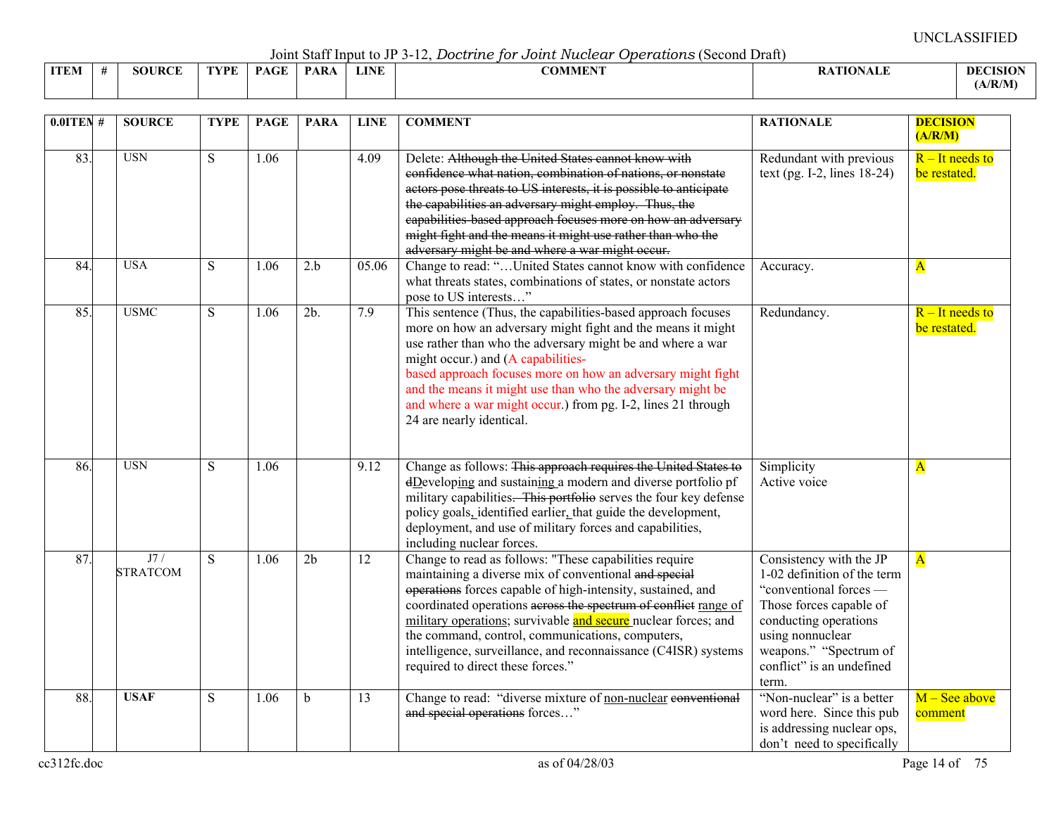Joint Staff Input to JP 3-12, *Doctrine for Joint Nuclear Operations* (Second Draft)

|             | $\frac{1}{2}$ |        |      |             |            |             |                           |                               |                      |  |  |  |  |  |
|-------------|---------------|--------|------|-------------|------------|-------------|---------------------------|-------------------------------|----------------------|--|--|--|--|--|
| <b>ITEM</b> |               | SOURCF | TVPF | <b>PAGE</b> | <b>PAR</b> | <b>LINE</b> | 0015555157575<br>" IVI Ba | $^{\circ}$ $^{\circ}$ TIONAL. | DEC.<br><b>CISIO</b> |  |  |  |  |  |
|             |               |        |      |             |            |             |                           |                               | (A/R/M)              |  |  |  |  |  |

| $0.01$ TEN# | <b>SOURCE</b>          | <b>TYPE</b> | <b>PAGE</b> | <b>PARA</b>    | <b>LINE</b> | <b>COMMENT</b>                                                                                                                                                                                                                                                                                                                                                                                                                                                                 | <b>RATIONALE</b>                                                                                                                                                                                                         | <b>DECISION</b>                              |
|-------------|------------------------|-------------|-------------|----------------|-------------|--------------------------------------------------------------------------------------------------------------------------------------------------------------------------------------------------------------------------------------------------------------------------------------------------------------------------------------------------------------------------------------------------------------------------------------------------------------------------------|--------------------------------------------------------------------------------------------------------------------------------------------------------------------------------------------------------------------------|----------------------------------------------|
| 83.         | <b>USN</b>             | S           | 1.06        |                | 4.09        | Delete: Although the United States cannot know with<br>confidence what nation, combination of nations, or nonstate<br>actors pose threats to US interests, it is possible to anticipate<br>the capabilities an adversary might employ. Thus, the<br>eapabilities based approach focuses more on how an adversary<br>might fight and the means it might use rather than who the<br>adversary might be and where a war might occur.                                              | Redundant with previous<br>text (pg. $I-2$ , lines $18-24$ )                                                                                                                                                             | (A/R/M)<br>$R$ – It needs to<br>be restated. |
| 84.         | <b>USA</b>             | S           | 1.06        | 2.b            | 05.06       | Change to read: "United States cannot know with confidence<br>what threats states, combinations of states, or nonstate actors<br>pose to US interests"                                                                                                                                                                                                                                                                                                                         | Accuracy.                                                                                                                                                                                                                | $\mathbf{A}$                                 |
| 85.         | <b>USMC</b>            | S           | 1.06        | 2b.            | 7.9         | This sentence (Thus, the capabilities-based approach focuses<br>more on how an adversary might fight and the means it might<br>use rather than who the adversary might be and where a war<br>might occur.) and (A capabilities-<br>based approach focuses more on how an adversary might fight<br>and the means it might use than who the adversary might be<br>and where a war might occur.) from pg. I-2, lines 21 through<br>24 are nearly identical.                       | Redundancy.                                                                                                                                                                                                              | $R$ – It needs to<br>be restated.            |
| 86.         | <b>USN</b>             | S           | 1.06        |                | 9.12        | Change as follows: This approach requires the United States to<br>dDeveloping and sustaining a modern and diverse portfolio pf<br>military capabilities. This portfolio serves the four key defense<br>policy goals, identified earlier, that guide the development,<br>deployment, and use of military forces and capabilities,<br>including nuclear forces.                                                                                                                  | Simplicity<br>Active voice                                                                                                                                                                                               | $\overline{\mathbf{A}}$                      |
| 87.         | J7/<br><b>STRATCOM</b> | S           | 1.06        | 2 <sub>b</sub> | 12          | Change to read as follows: "These capabilities require<br>maintaining a diverse mix of conventional and special<br>operations forces capable of high-intensity, sustained, and<br>coordinated operations across the spectrum of conflict range of<br>military operations; survivable and secure nuclear forces; and<br>the command, control, communications, computers,<br>intelligence, surveillance, and reconnaissance (C4ISR) systems<br>required to direct these forces." | Consistency with the JP<br>1-02 definition of the term<br>"conventional forces -<br>Those forces capable of<br>conducting operations<br>using nonnuclear<br>weapons." "Spectrum of<br>conflict" is an undefined<br>term. | $\overline{\mathbf{A}}$                      |
| 88.         | <b>USAF</b>            | S           | 1.06        | b              | 13          | Change to read: "diverse mixture of non-nuclear eonventional<br>and special operations forces"                                                                                                                                                                                                                                                                                                                                                                                 | "Non-nuclear" is a better<br>word here. Since this pub<br>is addressing nuclear ops,<br>don't need to specifically                                                                                                       | $M -$ See above<br>comment                   |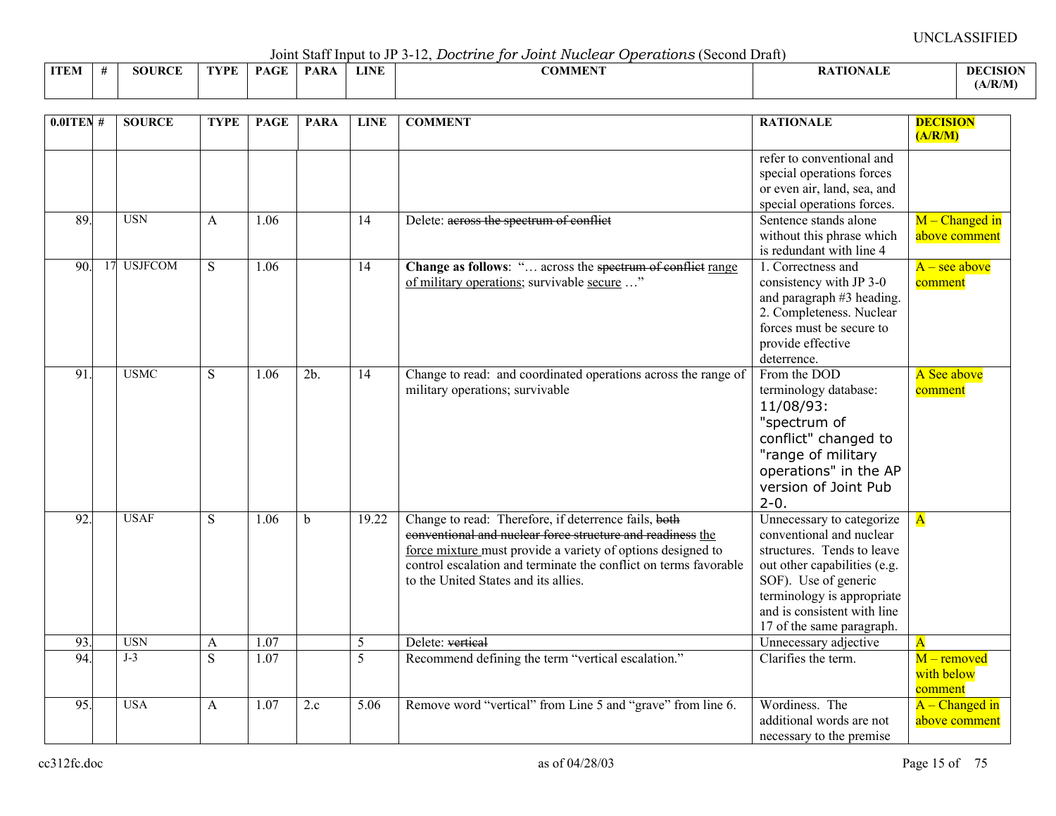Joint Staff Input to JP 3-12, *Doctrine for Joint Nuclear Operations* (Second Draft)

|             |               |      |      |             |             | $\sim$ 0.111. $\sim$ 0.001.1 111. $\sim$ 0.000 0.1 0.1 111. $\sim$ 0.000 0.000 0.000 0.000 0.000 0.000 0.000 0.000 0.000 0.000 0.000 0.000 0.000 0.000 0.000 0.000 0.000 0.000 0.000 0.000 0.000 0.000 0.000 0.000 0.000 0.000 0.000<br>.<br>--------------- |                  |                 |
|-------------|---------------|------|------|-------------|-------------|--------------------------------------------------------------------------------------------------------------------------------------------------------------------------------------------------------------------------------------------------------------|------------------|-----------------|
| <b>ITEM</b> | <b>SOURCE</b> | TYPE | PAGE | <b>PARA</b> | <b>LINE</b> | COMMENT                                                                                                                                                                                                                                                      | <b>RATIONALE</b> | <b>DECISION</b> |
|             |               |      |      |             |             |                                                                                                                                                                                                                                                              |                  | A/R/M           |

| $0.01$ TEN #    |    | <b>SOURCE</b>  | <b>TYPE</b> | <b>PAGE</b>       | <b>PARA</b>       | <b>LINE</b> | <b>COMMENT</b>                                                                                                                                                                                                                                                                                | <b>RATIONALE</b>                                                                                                                                                                                                                      | <b>DECISION</b><br>(A/R/M)           |
|-----------------|----|----------------|-------------|-------------------|-------------------|-------------|-----------------------------------------------------------------------------------------------------------------------------------------------------------------------------------------------------------------------------------------------------------------------------------------------|---------------------------------------------------------------------------------------------------------------------------------------------------------------------------------------------------------------------------------------|--------------------------------------|
|                 |    |                |             |                   |                   |             |                                                                                                                                                                                                                                                                                               | refer to conventional and<br>special operations forces<br>or even air, land, sea, and<br>special operations forces.                                                                                                                   |                                      |
| 89              |    | <b>USN</b>     | A           | 1.06              |                   | 14          | Delete: across the spectrum of conflict                                                                                                                                                                                                                                                       | Sentence stands alone<br>without this phrase which<br>is redundant with line 4                                                                                                                                                        | $M$ – Changed in<br>above comment    |
| 90.             | 17 | <b>USJFCOM</b> | ${\bf S}$   | 1.06              |                   | 14          | Change as follows: " across the spectrum of conflict range<br>of military operations; survivable secure "                                                                                                                                                                                     | 1. Correctness and<br>consistency with JP 3-0<br>and paragraph #3 heading.<br>2. Completeness. Nuclear<br>forces must be secure to<br>provide effective<br>deterrence.                                                                | $A - \text{see above}$<br>comment    |
| $\overline{91}$ |    | <b>USMC</b>    | S           | 1.06              | $\overline{2b}$ . | 14          | Change to read: and coordinated operations across the range of<br>military operations; survivable                                                                                                                                                                                             | From the DOD<br>terminology database:<br>11/08/93:<br>"spectrum of<br>conflict" changed to<br>"range of military<br>operations" in the AP<br>version of Joint Pub<br>$2 - 0.$                                                         | A See above<br>comment               |
| $\overline{92}$ |    | <b>USAF</b>    | S           | 1.06              | $\mathbf b$       | 19.22       | Change to read: Therefore, if deterrence fails, both<br>conventional and nuclear force structure and readiness the<br>force mixture must provide a variety of options designed to<br>control escalation and terminate the conflict on terms favorable<br>to the United States and its allies. | Unnecessary to categorize<br>conventional and nuclear<br>structures. Tends to leave<br>out other capabilities (e.g.<br>SOF). Use of generic<br>terminology is appropriate<br>and is consistent with line<br>17 of the same paragraph. | $\mathbf{A}$                         |
| 93.             |    | <b>USN</b>     | A           | 1.07              |                   | 5           | Delete: vertical                                                                                                                                                                                                                                                                              | Unnecessary adjective                                                                                                                                                                                                                 | $\overline{A}$                       |
| 94.             |    | $J-3$          | S           | $\overline{1.07}$ |                   | 5           | Recommend defining the term "vertical escalation."                                                                                                                                                                                                                                            | Clarifies the term.                                                                                                                                                                                                                   | M - removed<br>with below<br>comment |
| $\overline{95}$ |    | <b>USA</b>     | A           | 1.07              | 2.c               | 5.06        | Remove word "vertical" from Line 5 and "grave" from line 6.                                                                                                                                                                                                                                   | Wordiness. The<br>additional words are not<br>necessary to the premise                                                                                                                                                                | $A - Changed$ in<br>above comment    |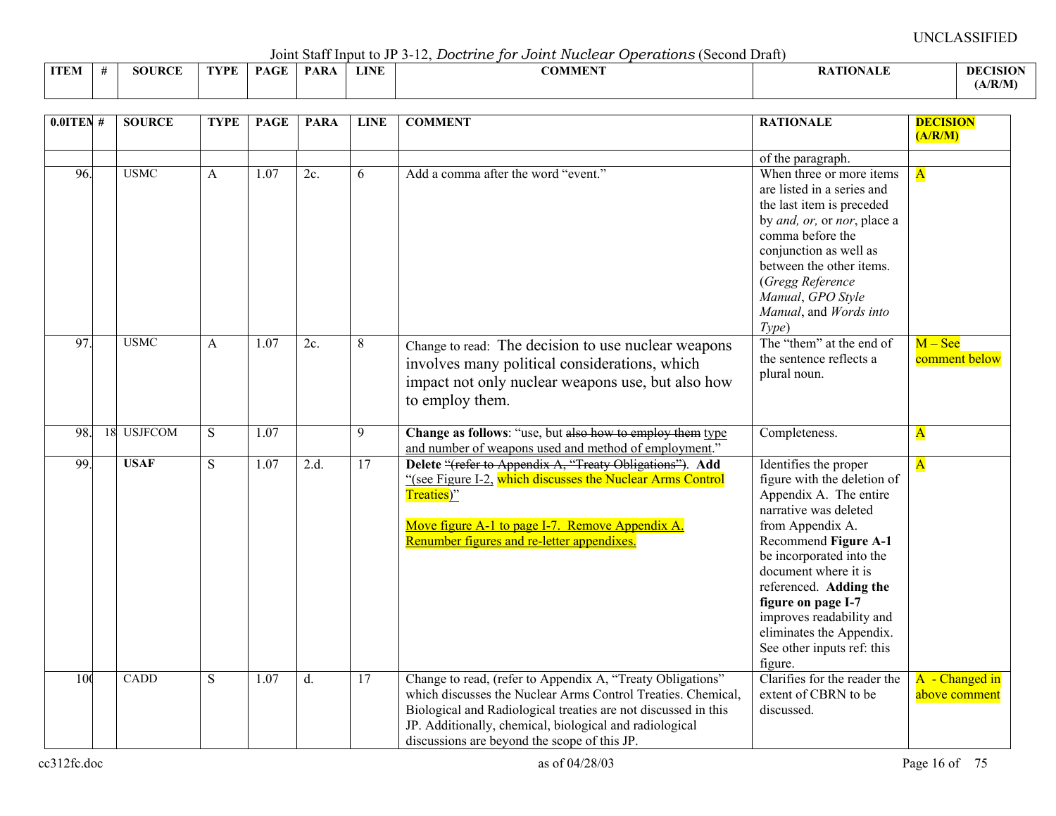Joint Staff Input to JP 3-12, *Doctrine for Joint Nuclear Operations* (Second Draft)

|             | voint baar nipat to vi b is, boot the for bother received |               |      |             |            |             |         |          |                |  |  |  |  |
|-------------|-----------------------------------------------------------|---------------|------|-------------|------------|-------------|---------|----------|----------------|--|--|--|--|
| <b>ITEM</b> |                                                           | <b>SOURCE</b> | TVDF | <b>DACE</b> | <b>PAR</b> | <b>LINE</b> | COMMENT | $\cdots$ | <b>DECISIO</b> |  |  |  |  |
|             |                                                           |               |      |             |            |             |         |          | (A/R/M)        |  |  |  |  |

| $0.01$ TEN #    |    | <b>SOURCE</b>  | <b>TYPE</b> | <b>PAGE</b>       | <b>PARA</b> | <b>LINE</b>     | <b>COMMENT</b>                                                                                                                                                                                                                                                                                          | <b>RATIONALE</b>                                                                                                                                                                                                                                                                                                                                         | <b>DECISION</b><br>(A/R/M)      |
|-----------------|----|----------------|-------------|-------------------|-------------|-----------------|---------------------------------------------------------------------------------------------------------------------------------------------------------------------------------------------------------------------------------------------------------------------------------------------------------|----------------------------------------------------------------------------------------------------------------------------------------------------------------------------------------------------------------------------------------------------------------------------------------------------------------------------------------------------------|---------------------------------|
|                 |    |                |             |                   |             |                 |                                                                                                                                                                                                                                                                                                         | of the paragraph.                                                                                                                                                                                                                                                                                                                                        |                                 |
| 96.             |    | <b>USMC</b>    | A           | 1.07              | 2c.         | 6               | Add a comma after the word "event."                                                                                                                                                                                                                                                                     | When three or more items<br>are listed in a series and<br>the last item is preceded<br>by and, or, or nor, place a<br>comma before the<br>conjunction as well as<br>between the other items.<br>(Gregg Reference<br>Manual, GPO Style<br>Manual, and Words into<br>Type)                                                                                 | $\overline{\mathbf{A}}$         |
| $\overline{97}$ |    | <b>USMC</b>    | A           | 1.07              | 2c.         | 8               | Change to read: The decision to use nuclear weapons<br>involves many political considerations, which<br>impact not only nuclear weapons use, but also how<br>to employ them.                                                                                                                            | The "them" at the end of<br>the sentence reflects a<br>plural noun.                                                                                                                                                                                                                                                                                      | $M -$ See<br>comment below      |
| 98.             | 18 | <b>USJFCOM</b> | S           | $\overline{1.07}$ |             | 9               | Change as follows: "use, but also how to employ them type<br>and number of weapons used and method of employment."                                                                                                                                                                                      | Completeness.                                                                                                                                                                                                                                                                                                                                            | $\overline{\mathbf{A}}$         |
| 99.             |    | <b>USAF</b>    | S.          | 1.07              | 2.d.        | 17              | Delete "(refer to Appendix A, "Treaty Obligations"). Add<br>"(see Figure I-2, which discusses the Nuclear Arms Control<br>Treaties)"<br>Move figure A-1 to page I-7. Remove Appendix A.<br>Renumber figures and re-letter appendixes.                                                                   | Identifies the proper<br>figure with the deletion of<br>Appendix A. The entire<br>narrative was deleted<br>from Appendix A.<br>Recommend Figure A-1<br>be incorporated into the<br>document where it is<br>referenced. Adding the<br>figure on page I-7<br>improves readability and<br>eliminates the Appendix.<br>See other inputs ref: this<br>figure. | $\overline{\mathbf{A}}$         |
| 100             |    | CADD           | S           | 1.07              | d.          | $\overline{17}$ | Change to read, (refer to Appendix A, "Treaty Obligations"<br>which discusses the Nuclear Arms Control Treaties. Chemical,<br>Biological and Radiological treaties are not discussed in this<br>JP. Additionally, chemical, biological and radiological<br>discussions are beyond the scope of this JP. | Clarifies for the reader the<br>extent of CBRN to be<br>discussed.                                                                                                                                                                                                                                                                                       | A - Changed in<br>above comment |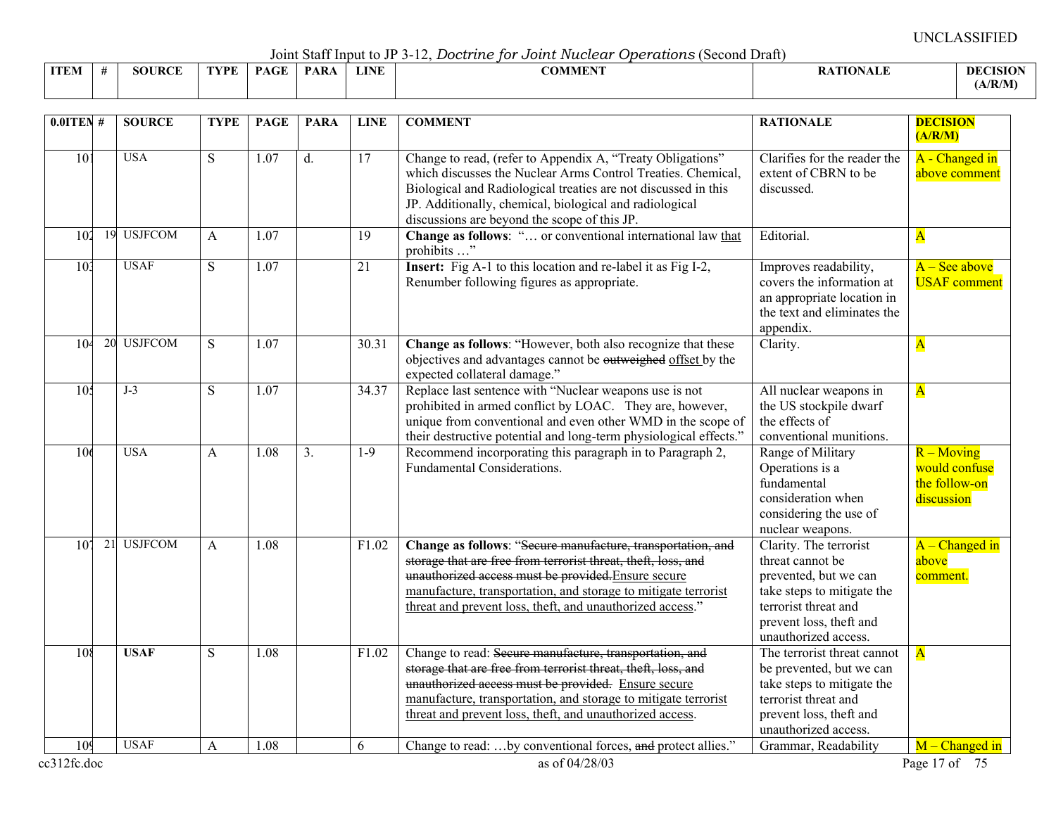Joint Staff Input to JP 3-12, *Doctrine for Joint Nuclear Operations* (Second Draft)

|             | voint built mpat to view the bood and for o oater radioan operation to to conta bruit |               |      |                                         |      |             |                               |                 |                 |  |  |  |  |
|-------------|---------------------------------------------------------------------------------------|---------------|------|-----------------------------------------|------|-------------|-------------------------------|-----------------|-----------------|--|--|--|--|
| <b>ITEM</b> |                                                                                       | <b>SOURCE</b> | TVPF | $\mathbf{P}\Lambda\mathbf{C}\mathbf{F}$ | PARA | <b>LINE</b> | <b>^^********</b><br>_OMMEN J | <b>ATIONALE</b> | <b>DECISION</b> |  |  |  |  |
|             |                                                                                       |               |      |                                         |      |             |                               |                 | (A/R/M)         |  |  |  |  |

| $0.01$ TEN#     |    | <b>SOURCE</b>              | <b>TYPE</b>    | <b>PAGE</b>       | <b>PARA</b> | <b>LINE</b> | <b>COMMENT</b>                                                                                                                                                                                                                                                                                                     | <b>RATIONALE</b>                                                                                                                                                             | <b>DECISION</b><br>(A/R/M)                                   |
|-----------------|----|----------------------------|----------------|-------------------|-------------|-------------|--------------------------------------------------------------------------------------------------------------------------------------------------------------------------------------------------------------------------------------------------------------------------------------------------------------------|------------------------------------------------------------------------------------------------------------------------------------------------------------------------------|--------------------------------------------------------------|
| $\overline{10}$ |    | <b>USA</b>                 | S              | $\overline{1.07}$ | d.          | 17          | Change to read, (refer to Appendix A, "Treaty Obligations"<br>which discusses the Nuclear Arms Control Treaties. Chemical,<br>Biological and Radiological treaties are not discussed in this<br>JP. Additionally, chemical, biological and radiological<br>discussions are beyond the scope of this JP.            | Clarifies for the reader the<br>extent of CBRN to be<br>discussed.                                                                                                           | A - Changed in<br>above comment                              |
| 102             | 19 | <b>USJFCOM</b>             | A              | 1.07              |             | 19          | Change as follows: " or conventional international law that<br>prohibits "                                                                                                                                                                                                                                         | Editorial.                                                                                                                                                                   | $\mathbf{A}$                                                 |
| 10 <sup>3</sup> |    | <b>USAF</b>                | S              | 1.07              |             | 21          | <b>Insert:</b> Fig A-1 to this location and re-label it as Fig I-2,<br>Renumber following figures as appropriate.                                                                                                                                                                                                  | Improves readability,<br>covers the information at<br>an appropriate location in<br>the text and eliminates the<br>appendix.                                                 | $A - See above$<br><b>USAF</b> comment                       |
| 10 <sup>2</sup> |    | 20 USJFCOM                 | $\overline{S}$ | $\overline{1.07}$ |             | 30.31       | Change as follows: "However, both also recognize that these<br>objectives and advantages cannot be outweighed offset by the<br>expected collateral damage."                                                                                                                                                        | Clarity.                                                                                                                                                                     | $\mathbf{A}$                                                 |
| 10 <sup>4</sup> |    | $J-3$                      | S              | 1.07              |             | 34.37       | Replace last sentence with "Nuclear weapons use is not<br>prohibited in armed conflict by LOAC. They are, however,<br>unique from conventional and even other WMD in the scope of<br>their destructive potential and long-term physiological effects."                                                             | All nuclear weapons in<br>the US stockpile dwarf<br>the effects of<br>conventional munitions.                                                                                | $\overline{\mathbf{A}}$                                      |
| 10 <sub>6</sub> |    | <b>USA</b>                 | $\mathbf{A}$   | 1.08              | 3.          | $1-9$       | Recommend incorporating this paragraph in to Paragraph 2,<br>Fundamental Considerations.                                                                                                                                                                                                                           | Range of Military<br>Operations is a<br>fundamental<br>consideration when<br>considering the use of<br>nuclear weapons.                                                      | $R - Moving$<br>would confuse<br>the follow-on<br>discussion |
| $10^{\circ}$    | 21 | <b>USJFCOM</b>             | $\mathsf{A}$   | 1.08              |             | F1.02       | Change as follows: "Secure manufacture, transportation, and<br>storage that are free from terrorist threat, theft, loss, and<br>unauthorized access must be provided. Ensure secure<br>manufacture, transportation, and storage to mitigate terrorist<br>threat and prevent loss, theft, and unauthorized access." | Clarity. The terrorist<br>threat cannot be<br>prevented, but we can<br>take steps to mitigate the<br>terrorist threat and<br>prevent loss, theft and<br>unauthorized access. | $A - Changed$ in<br>above<br>comment.                        |
| 108             |    | <b>USAF</b><br><b>USAF</b> | S              | 1.08              |             | F1.02       | Change to read: Secure manufacture, transportation, and<br>storage that are free from terrorist threat, theft, loss, and<br>unauthorized access must be provided. Ensure secure<br>manufacture, transportation, and storage to mitigate terrorist<br>threat and prevent loss, theft, and unauthorized access.      | The terrorist threat cannot<br>be prevented, but we can<br>take steps to mitigate the<br>terrorist threat and<br>prevent loss, theft and<br>unauthorized access.             | $\overline{\mathbf{A}}$                                      |
| 10 <sup>0</sup> |    |                            | A              | 1.08              |             | 6           | Change to read: by conventional forces, and protect allies."                                                                                                                                                                                                                                                       | Grammar, Readability                                                                                                                                                         | $M$ – Changed in                                             |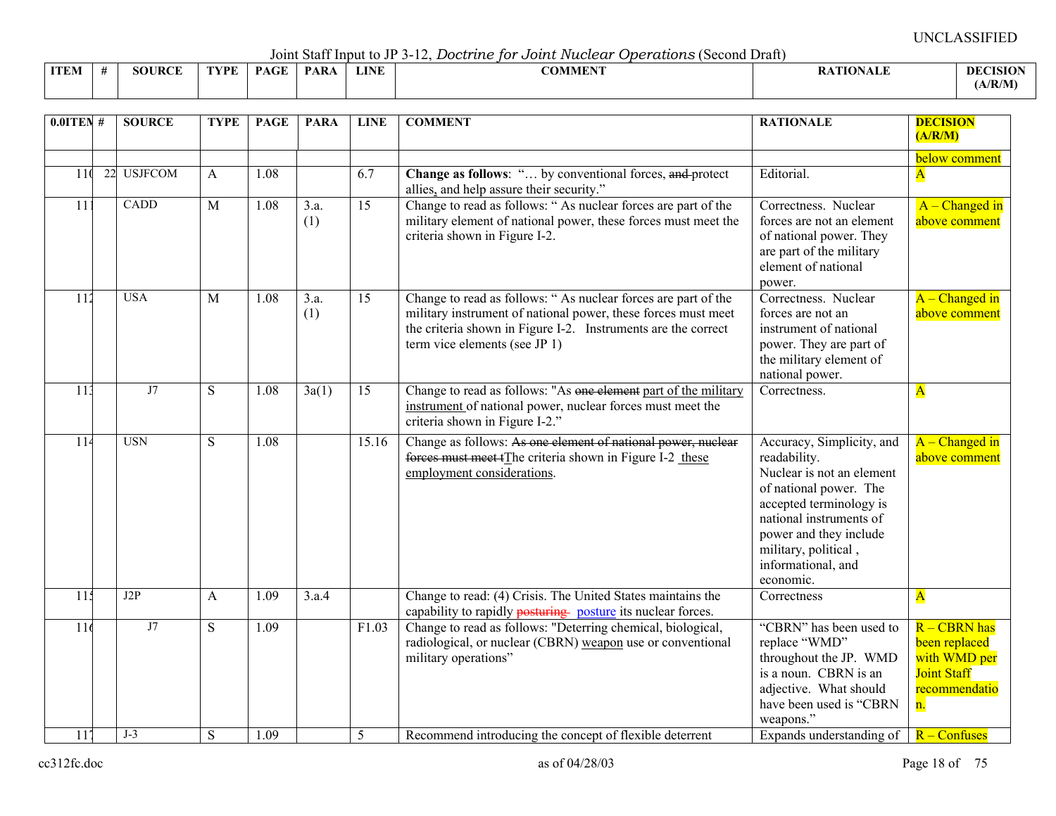Joint Staff Input to JP 3-12, *Doctrine for Joint Nuclear Operations* (Second Draft)

|             |               |      |             | $\sim$ 0.11.0 $\sim$ 0.00 11.1 $\sim$ 0.000 0.100 0.11 |             | $\sim$ $\sim$ $\sim$ $\sim$ $\sim$ $\sim$<br>. |               |                 |
|-------------|---------------|------|-------------|--------------------------------------------------------|-------------|------------------------------------------------|---------------|-----------------|
| <b>ITEM</b> | <b>SOURCE</b> | TVDF | $P_{\rm A}$ | <b>PARA</b>                                            | <b>LINE</b> | <b>COMMENT</b>                                 | ATION<br>™AL∟ | <b>DECISION</b> |
|             |               |      |             |                                                        |             |                                                |               | (A/R/M)         |

| $0.01$ TEN #    | <b>SOURCE</b> | <b>TYPE</b>    | <b>PAGE</b> | <b>PARA</b>                          | <b>LINE</b>     | <b>COMMENT</b>                                                                                                                                                                                                                   | <b>RATIONALE</b>                                                                                                                                                                                                                            | <b>DECISION</b><br>(A/R/M)                                                                   |
|-----------------|---------------|----------------|-------------|--------------------------------------|-----------------|----------------------------------------------------------------------------------------------------------------------------------------------------------------------------------------------------------------------------------|---------------------------------------------------------------------------------------------------------------------------------------------------------------------------------------------------------------------------------------------|----------------------------------------------------------------------------------------------|
| 11 <sup>0</sup> | 22 USJFCOM    | $\mathsf{A}$   | 1.08        |                                      | 6.7             | <b>Change as follows:</b> " by conventional forces, and protect<br>allies, and help assure their security."                                                                                                                      | Editorial.                                                                                                                                                                                                                                  | below comment<br>$\overline{\mathbf{A}}$                                                     |
| 111             | CADD          | $\overline{M}$ | 1.08        | $\overline{3}.\overline{a}$ .<br>(1) | $\overline{15}$ | Change to read as follows: "As nuclear forces are part of the<br>military element of national power, these forces must meet the<br>criteria shown in Figure I-2.                                                                 | Correctness. Nuclear<br>forces are not an element<br>of national power. They<br>are part of the military<br>element of national<br>power.                                                                                                   | $A$ – Changed in<br>above comment                                                            |
| 112             | <b>USA</b>    | M              | 1.08        | 3.a.<br>(1)                          | 15              | Change to read as follows: "As nuclear forces are part of the<br>military instrument of national power, these forces must meet<br>the criteria shown in Figure I-2. Instruments are the correct<br>term vice elements (see JP 1) | Correctness. Nuclear<br>forces are not an<br>instrument of national<br>power. They are part of<br>the military element of<br>national power.                                                                                                | $\overline{A -$ Changed in<br>above comment                                                  |
| 113             | J7            | S              | 1.08        | 3a(1)                                | 15              | Change to read as follows: "As one element part of the military<br>instrument of national power, nuclear forces must meet the<br>criteria shown in Figure I-2."                                                                  | Correctness.                                                                                                                                                                                                                                | $\mathbf{A}$                                                                                 |
| 11 <sup>2</sup> | <b>USN</b>    | S              | 1.08        |                                      | 15.16           | Change as follows: As one element of national power, nuclear<br>forces must meet tThe criteria shown in Figure I-2 these<br>employment considerations.                                                                           | Accuracy, Simplicity, and<br>readability.<br>Nuclear is not an element<br>of national power. The<br>accepted terminology is<br>national instruments of<br>power and they include<br>military, political,<br>informational, and<br>economic. | $A - Change$ d in<br>above comment                                                           |
| 11 <sub>3</sub> | J2P           | A              | 1.09        | 3.a.4                                |                 | Change to read: (4) Crisis. The United States maintains the<br>capability to rapidly posturing posture its nuclear forces.                                                                                                       | Correctness                                                                                                                                                                                                                                 | $\mathbf{A}$                                                                                 |
| 116             | J7            | S              | 1.09        |                                      | F1.03           | Change to read as follows: "Deterring chemical, biological,<br>radiological, or nuclear (CBRN) weapon use or conventional<br>military operations"                                                                                | "CBRN" has been used to<br>replace "WMD"<br>throughout the JP. WMD<br>is a noun. CBRN is an<br>adjective. What should<br>have been used is "CBRN<br>weapons."                                                                               | $R - CBRN$ has<br>been replaced<br>with WMD per<br><b>Joint Staff</b><br>recommendatio<br>n. |
| 117             | $J-3$         | S              | 1.09        |                                      | 5               | Recommend introducing the concept of flexible deterrent                                                                                                                                                                          | Expands understanding of                                                                                                                                                                                                                    | R – Confuses                                                                                 |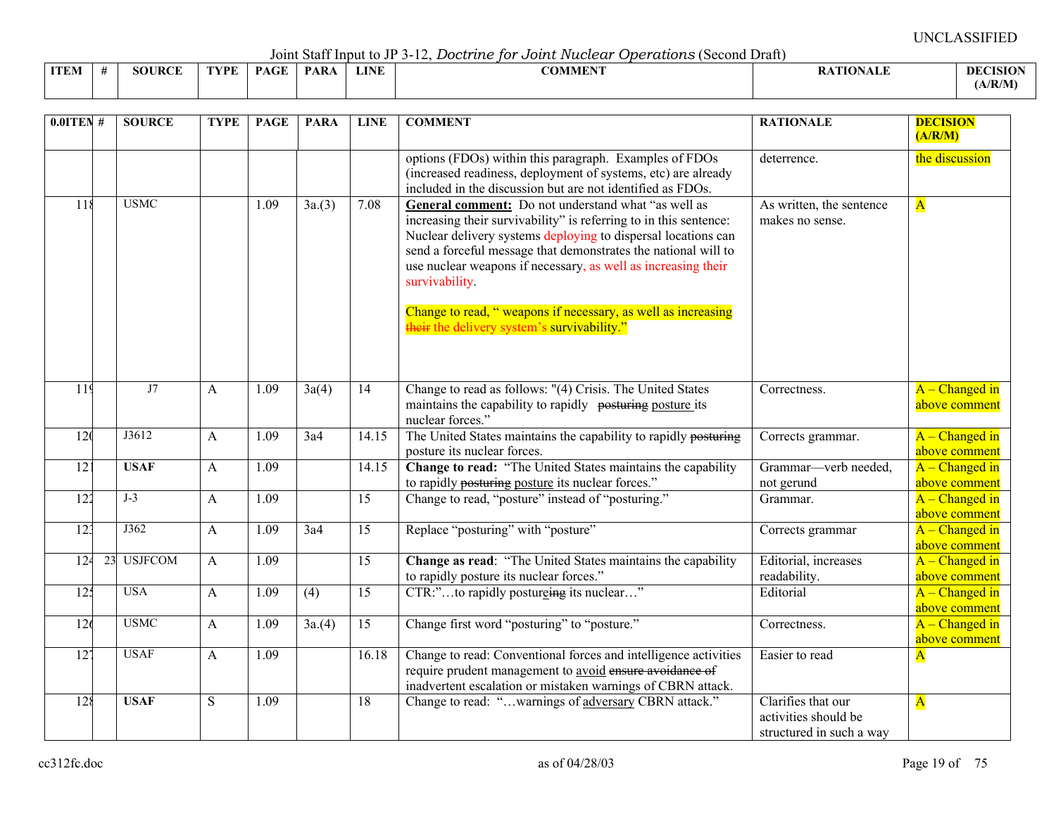Joint Staff Input to JP 3-12, *Doctrine for Joint Nuclear Operations* (Second Draft)

|             | voint built mpat to view later bood dito for o odder interested operational powerful bianty |               |      |             |             |             |         |                 |                 |  |  |  |  |  |
|-------------|---------------------------------------------------------------------------------------------|---------------|------|-------------|-------------|-------------|---------|-----------------|-----------------|--|--|--|--|--|
| <b>ITEM</b> | -                                                                                           | <b>SOURCE</b> | TVPF | <b>PAGE</b> | <b>PARA</b> | <b>LINE</b> | COMMENT | <b>ATIONALE</b> | <b>DECISION</b> |  |  |  |  |  |
|             |                                                                                             |               |      |             |             |             |         |                 | (A/R/M)         |  |  |  |  |  |

| $0.0$ ITEN#      | <b>SOURCE</b>  | <b>TYPE</b>  | <b>PAGE</b> | <b>PARA</b> | <b>LINE</b>     | <b>COMMENT</b>                                                                                                                                                                                                                                                                                                                                                                                                 | <b>RATIONALE</b>                                                       | <b>DECISION</b><br>(A/R/M)         |
|------------------|----------------|--------------|-------------|-------------|-----------------|----------------------------------------------------------------------------------------------------------------------------------------------------------------------------------------------------------------------------------------------------------------------------------------------------------------------------------------------------------------------------------------------------------------|------------------------------------------------------------------------|------------------------------------|
|                  |                |              |             |             |                 | options (FDOs) within this paragraph. Examples of FDOs<br>(increased readiness, deployment of systems, etc) are already<br>included in the discussion but are not identified as FDOs.                                                                                                                                                                                                                          | deterrence.                                                            | the discussion                     |
| 118              | <b>USMC</b>    |              | 1.09        | 3a(3)       | 7.08            | General comment: Do not understand what "as well as<br>increasing their survivability" is referring to in this sentence:<br>Nuclear delivery systems deploying to dispersal locations can<br>send a forceful message that demonstrates the national will to<br>use nuclear weapons if necessary, as well as increasing their<br>survivability.<br>Change to read, "weapons if necessary, as well as increasing | As written, the sentence<br>makes no sense.                            | $\overline{\mathbf{A}}$            |
|                  |                |              |             |             |                 | their the delivery system's survivability."                                                                                                                                                                                                                                                                                                                                                                    |                                                                        |                                    |
| $\overline{119}$ | J7             | A            | 1.09        | 3a(4)       | 14              | Change to read as follows: "(4) Crisis. The United States<br>maintains the capability to rapidly posturing posture its<br>nuclear forces."                                                                                                                                                                                                                                                                     | Correctness.                                                           | $A$ – Changed in<br>above comment  |
| 120              | J3612          | A            | 1.09        | 3a4         | 14.15           | The United States maintains the capability to rapidly posturing<br>posture its nuclear forces.                                                                                                                                                                                                                                                                                                                 | Corrects grammar.                                                      | $A - Change$ d in<br>above comment |
| 12 <sub>1</sub>  | <b>USAF</b>    | A            | 1.09        |             | 14.15           | Change to read: "The United States maintains the capability<br>to rapidly posturing posture its nuclear forces."                                                                                                                                                                                                                                                                                               | Grammar-verb needed,<br>not gerund                                     | $A - Change$ d in<br>above comment |
| $\overline{122}$ | $J-3$          | A            | 1.09        |             | 15              | Change to read, "posture" instead of "posturing."                                                                                                                                                                                                                                                                                                                                                              | Grammar.                                                               | $A$ – Changed in<br>above comment  |
| 12 <sup>2</sup>  | J362           | A            | 1.09        | 3a4         | $\overline{15}$ | Replace "posturing" with "posture"                                                                                                                                                                                                                                                                                                                                                                             | Corrects grammar                                                       | $A - Change$ d in<br>above comment |
| 124<br>23        | <b>USJFCOM</b> | A            | 1.09        |             | 15              | Change as read: "The United States maintains the capability<br>to rapidly posture its nuclear forces."                                                                                                                                                                                                                                                                                                         | Editorial, increases<br>readability.                                   | $A - Change$ d in<br>above comment |
| 12 <sup>2</sup>  | <b>USA</b>     | A            | 1.09        | (4)         | 15              | CTR:"to rapidly postureing its nuclear"                                                                                                                                                                                                                                                                                                                                                                        | Editorial                                                              | $A - Change$ d in<br>above comment |
| 126              | <b>USMC</b>    | $\mathsf{A}$ | 1.09        | 3a(4)       | $\overline{15}$ | Change first word "posturing" to "posture."                                                                                                                                                                                                                                                                                                                                                                    | Correctness.                                                           | $A - Change$ d in<br>above comment |
| $\overline{12}$  | <b>USAF</b>    | A            | 1.09        |             | 16.18           | Change to read: Conventional forces and intelligence activities<br>require prudent management to avoid ensure avoidance of<br>inadvertent escalation or mistaken warnings of CBRN attack.                                                                                                                                                                                                                      | Easier to read                                                         | $\overline{\mathbf{A}}$            |
| 128              | <b>USAF</b>    | S            | 1.09        |             | 18              | Change to read: "warnings of adversary CBRN attack."                                                                                                                                                                                                                                                                                                                                                           | Clarifies that our<br>activities should be<br>structured in such a way | $\overline{\mathbf{A}}$            |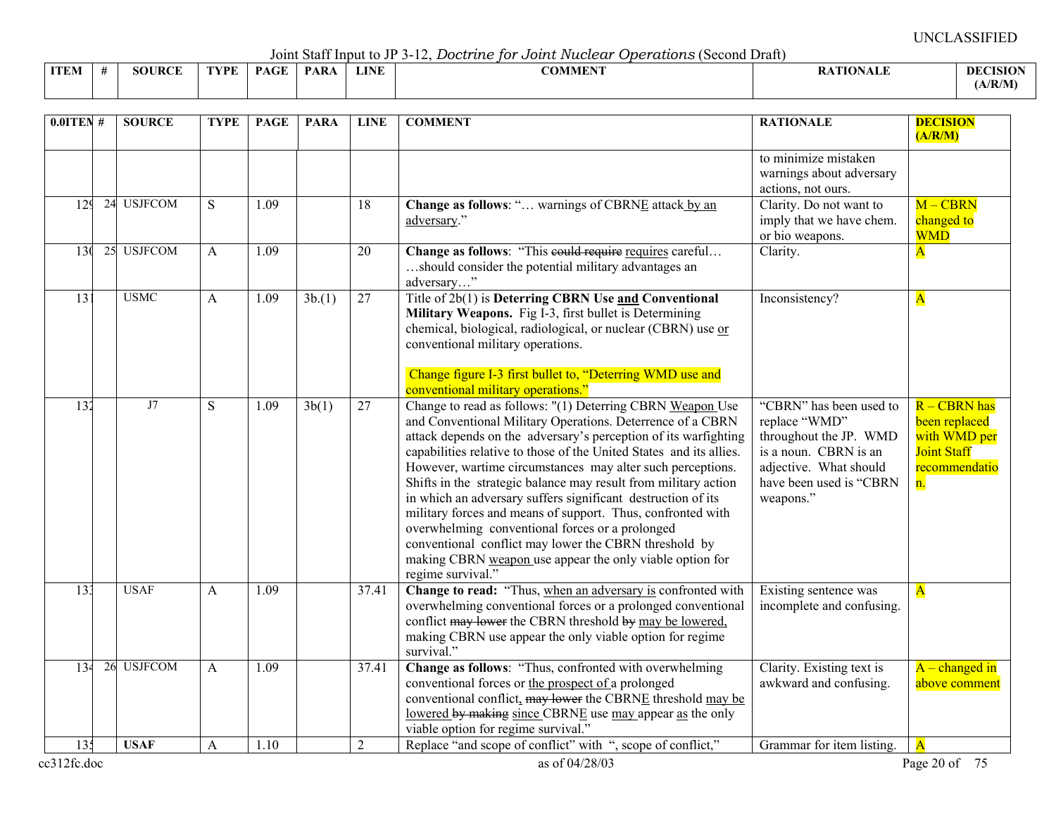Joint Staff Input to JP 3-12, *Doctrine for Joint Nuclear Operations* (Second Draft)

|             |               |      |             | $\sim$ 0.11.0 $\sim$ 0.00 11.1 $\sim$ 0.00 0.10 0.10 $\sim$ |             | $\sim$ $\sim$ $\sim$ $\sim$ $\sim$ $\sim$<br>. |               |                 |
|-------------|---------------|------|-------------|-------------------------------------------------------------|-------------|------------------------------------------------|---------------|-----------------|
| <b>ITEM</b> | <b>SOURCE</b> | TVDF | $P_{\rm A}$ | <b>PARA</b>                                                 | <b>LINE</b> | <b>COMMENT</b>                                 | ATION<br>™AL∟ | <b>DECISION</b> |
|             |               |      |             |                                                             |             |                                                |               | (A/R/M)         |

| $0.01$ TEN#     | <b>SOURCE</b> | <b>TYPE</b> | <b>PAGE</b> | <b>PARA</b> | <b>LINE</b>    | <b>COMMENT</b>                                                                                                                                                                                                                                                                                                                                                                                                                                                                                                                                                                                                                                                                                                                 | <b>RATIONALE</b>                                                                                                                                              | <b>DECISION</b><br>(A/R/M)                                                                 |
|-----------------|---------------|-------------|-------------|-------------|----------------|--------------------------------------------------------------------------------------------------------------------------------------------------------------------------------------------------------------------------------------------------------------------------------------------------------------------------------------------------------------------------------------------------------------------------------------------------------------------------------------------------------------------------------------------------------------------------------------------------------------------------------------------------------------------------------------------------------------------------------|---------------------------------------------------------------------------------------------------------------------------------------------------------------|--------------------------------------------------------------------------------------------|
|                 |               |             |             |             |                |                                                                                                                                                                                                                                                                                                                                                                                                                                                                                                                                                                                                                                                                                                                                | to minimize mistaken<br>warnings about adversary<br>actions, not ours.                                                                                        |                                                                                            |
| 129             | 24 USJFCOM    | S           | 1.09        |             | 18             | Change as follows: " warnings of CBRNE attack by an<br>adversary."                                                                                                                                                                                                                                                                                                                                                                                                                                                                                                                                                                                                                                                             | Clarity. Do not want to<br>imply that we have chem.<br>or bio weapons.                                                                                        | $M - CBRN$<br>changed to<br><b>WMD</b>                                                     |
| 13 <sub>0</sub> | 25 USJFCOM    | A           | 1.09        |             | 20             | Change as follows: "This could require requires careful<br>should consider the potential military advantages an<br>adversary"                                                                                                                                                                                                                                                                                                                                                                                                                                                                                                                                                                                                  | Clarity.                                                                                                                                                      | $\overline{\mathbf{A}}$                                                                    |
| 131             | <b>USMC</b>   | A           | 1.09        | 3b(1)       | 27             | Title of 2b(1) is Deterring CBRN Use and Conventional<br>Military Weapons. Fig I-3, first bullet is Determining<br>chemical, biological, radiological, or nuclear (CBRN) use or<br>conventional military operations.<br>Change figure I-3 first bullet to, "Deterring WMD use and<br>conventional military operations."                                                                                                                                                                                                                                                                                                                                                                                                        | Inconsistency?                                                                                                                                                | $\mathbf{A}$                                                                               |
| 132             | J7            | S           | 1.09        | 3b(1)       | 27             | Change to read as follows: "(1) Deterring CBRN Weapon Use<br>and Conventional Military Operations. Deterrence of a CBRN<br>attack depends on the adversary's perception of its warfighting<br>capabilities relative to those of the United States and its allies.<br>However, wartime circumstances may alter such perceptions.<br>Shifts in the strategic balance may result from military action<br>in which an adversary suffers significant destruction of its<br>military forces and means of support. Thus, confronted with<br>overwhelming conventional forces or a prolonged<br>conventional conflict may lower the CBRN threshold by<br>making CBRN weapon use appear the only viable option for<br>regime survival." | "CBRN" has been used to<br>replace "WMD"<br>throughout the JP. WMD<br>is a noun. CBRN is an<br>adjective. What should<br>have been used is "CBRN<br>weapons." | R - CBRN has<br>been replaced<br>with WMD per<br><b>Joint Staff</b><br>recommendatio<br>n. |
| 133             | <b>USAF</b>   | A           | 1.09        |             | 37.41          | Change to read: "Thus, when an adversary is confronted with<br>overwhelming conventional forces or a prolonged conventional<br>conflict may lower the CBRN threshold by may be lowered,<br>making CBRN use appear the only viable option for regime<br>survival."                                                                                                                                                                                                                                                                                                                                                                                                                                                              | Existing sentence was<br>incomplete and confusing.                                                                                                            | $\overline{\mathbf{A}}$                                                                    |
| 134             | 26 USJFCOM    | A           | 1.09        |             | 37.41          | Change as follows: "Thus, confronted with overwhelming<br>conventional forces or the prospect of a prolonged<br>conventional conflict, may lower the CBRNE threshold may be<br>lowered by making since CBRNE use may appear as the only<br>viable option for regime survival."                                                                                                                                                                                                                                                                                                                                                                                                                                                 | Clarity. Existing text is<br>awkward and confusing.                                                                                                           | $A$ – changed in<br>above comment                                                          |
| 135             | <b>USAF</b>   | A           | 1.10        |             | $\overline{2}$ | Replace "and scope of conflict" with ", scope of conflict,"                                                                                                                                                                                                                                                                                                                                                                                                                                                                                                                                                                                                                                                                    | Grammar for item listing.                                                                                                                                     | $\overline{\mathbf{A}}$                                                                    |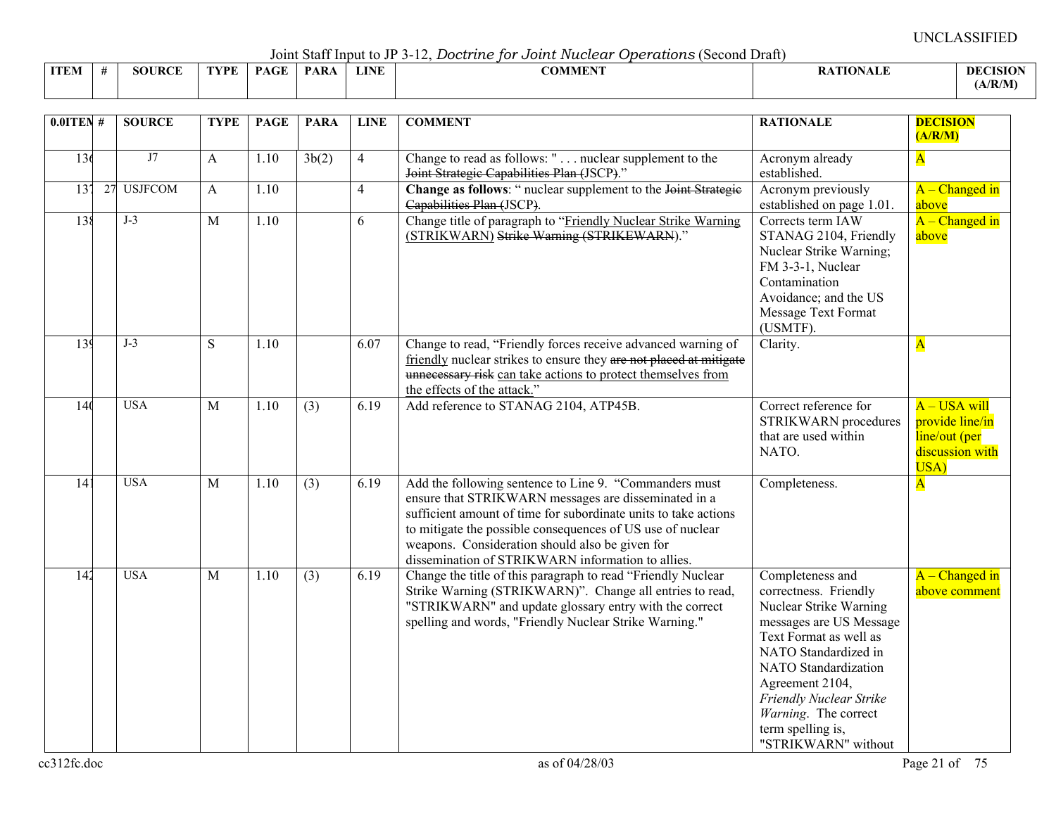Joint Staff Input to JP 3-12, *Doctrine for Joint Nuclear Operations* (Second Draft)

|             | $\sim$ 0.111.0 $\sim$ 0.000 11.1.1.1.0 0.0 0.0 0.1 0.1<br>--------------<br>.<br>--------------<br>----------- |     |      |             |     |      |                             |                 |                 |  |  |  |  |
|-------------|----------------------------------------------------------------------------------------------------------------|-----|------|-------------|-----|------|-----------------------------|-----------------|-----------------|--|--|--|--|
| <b>ITEN</b> |                                                                                                                | DAE | 7DF. | $P_{\rm A}$ | PAR | LINE | 001 <i>515015</i><br>:OMMEN | <b>ATIONALE</b> | <b>DECISION</b> |  |  |  |  |
|             |                                                                                                                |     |      |             |     |      |                             |                 | (A/R/M)         |  |  |  |  |

| $0.01$ TEN #    |    | <b>SOURCE</b>  | <b>TYPE</b>  | <b>PAGE</b>       | <b>PARA</b> | <b>LINE</b>    | <b>COMMENT</b>                                                                                                                                                                                                                                                                                                                                          | <b>RATIONALE</b>                                                                                                                                                                                                                                                                           | <b>DECISION</b><br>(A/R/M)                                                    |
|-----------------|----|----------------|--------------|-------------------|-------------|----------------|---------------------------------------------------------------------------------------------------------------------------------------------------------------------------------------------------------------------------------------------------------------------------------------------------------------------------------------------------------|--------------------------------------------------------------------------------------------------------------------------------------------------------------------------------------------------------------------------------------------------------------------------------------------|-------------------------------------------------------------------------------|
| 136             |    | J7             | A            | 1.10              | 3b(2)       | $\overline{4}$ | Change to read as follows: " nuclear supplement to the<br>Joint Strategie Capabilities Plan (JSCP)."                                                                                                                                                                                                                                                    | Acronym already<br>established.                                                                                                                                                                                                                                                            | $\overline{\mathbf{A}}$                                                       |
| $\overline{13}$ | 27 | <b>USJFCOM</b> | A            | 1.10              |             | $\overline{4}$ | Change as follows: " nuclear supplement to the Joint Strategie<br>Capabilities Plan (JSCP).                                                                                                                                                                                                                                                             | Acronym previously<br>established on page 1.01.                                                                                                                                                                                                                                            | $A - Changed$ in<br>above                                                     |
| 138             |    | $J-3$          | M            | $\overline{1.10}$ |             | 6              | Change title of paragraph to "Friendly Nuclear Strike Warning<br>(STRIKWARN) Strike Warning (STRIKEWARN)."                                                                                                                                                                                                                                              | Corrects term IAW<br>STANAG 2104, Friendly<br>Nuclear Strike Warning;<br>FM 3-3-1, Nuclear<br>Contamination<br>Avoidance; and the US<br>Message Text Format<br>(USMTF).                                                                                                                    | $A - Change$ d in<br>above                                                    |
| 139             |    | $J-3$          | S            | 1.10              |             | 6.07           | Change to read, "Friendly forces receive advanced warning of<br>friendly nuclear strikes to ensure they are not placed at mitigate<br>unnecessary risk can take actions to protect themselves from<br>the effects of the attack."                                                                                                                       | Clarity.                                                                                                                                                                                                                                                                                   | $\mathbf{A}$                                                                  |
| 140             |    | <b>USA</b>     | $\mathbf{M}$ | 1.10              | (3)         | 6.19           | Add reference to STANAG 2104, ATP45B.                                                                                                                                                                                                                                                                                                                   | Correct reference for<br><b>STRIKWARN</b> procedures<br>that are used within<br>NATO.                                                                                                                                                                                                      | $A$ – USA will<br>provide line/in<br>line/out (per<br>discussion with<br>USA) |
| $\overline{14}$ |    | <b>USA</b>     | $\mathbf{M}$ | 1.10              | (3)         | 6.19           | Add the following sentence to Line 9. "Commanders must<br>ensure that STRIKWARN messages are disseminated in a<br>sufficient amount of time for subordinate units to take actions<br>to mitigate the possible consequences of US use of nuclear<br>weapons. Consideration should also be given for<br>dissemination of STRIKWARN information to allies. | Completeness.                                                                                                                                                                                                                                                                              | $\overline{\mathbf{A}}$                                                       |
| 142             |    | <b>USA</b>     | $\mathbf{M}$ | 1.10              | (3)         | 6.19           | Change the title of this paragraph to read "Friendly Nuclear"<br>Strike Warning (STRIKWARN)". Change all entries to read,<br>"STRIKWARN" and update glossary entry with the correct<br>spelling and words, "Friendly Nuclear Strike Warning."                                                                                                           | Completeness and<br>correctness. Friendly<br>Nuclear Strike Warning<br>messages are US Message<br>Text Format as well as<br>NATO Standardized in<br>NATO Standardization<br>Agreement 2104,<br>Friendly Nuclear Strike<br>Warning. The correct<br>term spelling is,<br>"STRIKWARN" without | A – Changed in<br>above comment                                               |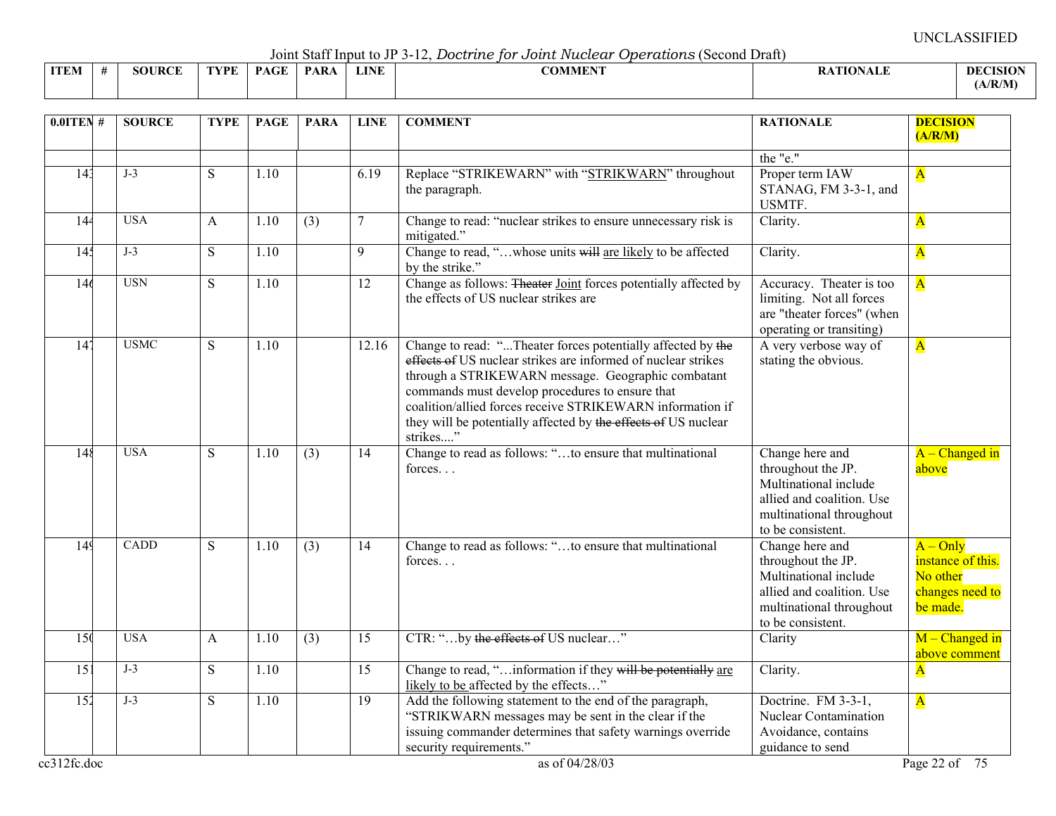Joint Staff Input to JP 3-12, *Doctrine for Joint Nuclear Operations* (Second Draft)

|             |             |      |                                          |             |                 | $\frac{1}{2}$ . The state of $\frac{1}{2}$ is $\frac{1}{2}$ if $\frac{1}{2}$ if $\frac{1}{2}$ if $\frac{1}{2}$ if $\frac{1}{2}$ if $\frac{1}{2}$ if $\frac{1}{2}$ if $\frac{1}{2}$ if $\frac{1}{2}$ if $\frac{1}{2}$ if $\frac{1}{2}$ if $\frac{1}{2}$ if $\frac{1}{2}$ if $\frac{1}{2}$ if<br>.<br>----------- |                 |                 |
|-------------|-------------|------|------------------------------------------|-------------|-----------------|-----------------------------------------------------------------------------------------------------------------------------------------------------------------------------------------------------------------------------------------------------------------------------------------------------------------|-----------------|-----------------|
| <b>ITEM</b> | JRCE<br>SOU | rvde | $\mathbf{D} \land \mathbf{C} \mathbf{E}$ | <b>PARA</b> | LINE<br>LIJ VIT | 001111<br>OMMEN                                                                                                                                                                                                                                                                                                 | <b>\TIONALE</b> | <b>DECISION</b> |
|             |             |      |                                          |             |                 |                                                                                                                                                                                                                                                                                                                 |                 | (A/R/M)         |

| $0.01$ TEN #       | <b>SOURCE</b> | <b>TYPE</b>    | <b>PAGE</b> | <b>PARA</b>      | <b>LINE</b>     | <b>COMMENT</b>                                                                                                                                                                                                                                                                                                                                                                   | <b>RATIONALE</b>                                                                                                                             | <b>DECISION</b><br>(A/R/M)                                                 |
|--------------------|---------------|----------------|-------------|------------------|-----------------|----------------------------------------------------------------------------------------------------------------------------------------------------------------------------------------------------------------------------------------------------------------------------------------------------------------------------------------------------------------------------------|----------------------------------------------------------------------------------------------------------------------------------------------|----------------------------------------------------------------------------|
|                    |               |                |             |                  |                 |                                                                                                                                                                                                                                                                                                                                                                                  | the "e."                                                                                                                                     |                                                                            |
| 14 <sup>3</sup>    | $J-3$         | S              | 1.10        |                  | 6.19            | Replace "STRIKEWARN" with "STRIKWARN" throughout<br>the paragraph.                                                                                                                                                                                                                                                                                                               | Proper term IAW<br>STANAG, FM 3-3-1, and<br>USMTF.                                                                                           | $\mathbf{A}$                                                               |
| 144                | <b>USA</b>    | $\mathsf{A}$   | 1.10        | (3)              | 7               | Change to read: "nuclear strikes to ensure unnecessary risk is<br>mitigated."                                                                                                                                                                                                                                                                                                    | Clarity.                                                                                                                                     | $\overline{\mathbf{A}}$                                                    |
| 14 <sup>2</sup>    | $J-3$         | $\overline{S}$ | 1.10        |                  | $\overline{9}$  | Change to read, "whose units will are likely to be affected<br>by the strike."                                                                                                                                                                                                                                                                                                   | Clarity.                                                                                                                                     | $\mathbf{A}$                                                               |
| 146                | <b>USN</b>    | $\overline{S}$ | 1.10        |                  | $\overline{12}$ | Change as follows: Theater Joint forces potentially affected by<br>the effects of US nuclear strikes are                                                                                                                                                                                                                                                                         | Accuracy. Theater is too<br>limiting. Not all forces<br>are "theater forces" (when<br>operating or transiting)                               | $\overline{\mathbf{A}}$                                                    |
| 14 <sup>7</sup>    | <b>USMC</b>   | S              | 1.10        |                  | 12.16           | Change to read: "Theater forces potentially affected by the<br>effects of US nuclear strikes are informed of nuclear strikes<br>through a STRIKEWARN message. Geographic combatant<br>commands must develop procedures to ensure that<br>coalition/allied forces receive STRIKEWARN information if<br>they will be potentially affected by the effects of US nuclear<br>strikes" | A very verbose way of<br>stating the obvious.                                                                                                | $\overline{\mathbf{A}}$                                                    |
| 148                | <b>USA</b>    | S              | 1.10        | $\overline{(3)}$ | 14              | Change to read as follows: "to ensure that multinational<br>forces                                                                                                                                                                                                                                                                                                               | Change here and<br>throughout the JP.<br>Multinational include<br>allied and coalition. Use<br>multinational throughout<br>to be consistent. | $A$ – Changed in<br>above                                                  |
| 149                | <b>CADD</b>   | S              | 1.10        | (3)              | 14              | Change to read as follows: "to ensure that multinational<br>forces                                                                                                                                                                                                                                                                                                               | Change here and<br>throughout the JP.<br>Multinational include<br>allied and coalition. Use<br>multinational throughout<br>to be consistent. | $A - Only$<br>instance of this.<br>No other<br>changes need to<br>be made. |
| 150                | <b>USA</b>    | $\mathbf{A}$   | 1.10        | $\overline{(3)}$ | $\overline{15}$ | CTR: "by the effects of US nuclear"                                                                                                                                                                                                                                                                                                                                              | Clarity                                                                                                                                      | $M$ – Changed in<br>above comment                                          |
| $\overline{15}$    | $J-3$         | S.             | 1.10        |                  | 15              | Change to read, " information if they will be potentially are<br>likely to be affected by the effects"                                                                                                                                                                                                                                                                           | Clarity.                                                                                                                                     | $\overline{\mathbf{A}}$                                                    |
| 152<br>cc312fc.doc | $J-3$         | S              | 1.10        |                  | $\overline{19}$ | Add the following statement to the end of the paragraph,<br>"STRIKWARN messages may be sent in the clear if the<br>issuing commander determines that safety warnings override<br>security requirements."<br>as of 04/28/03                                                                                                                                                       | Doctrine. FM 3-3-1,<br>Nuclear Contamination<br>Avoidance, contains<br>guidance to send                                                      | $\overline{\mathbf{A}}$<br>Page 22 of 75                                   |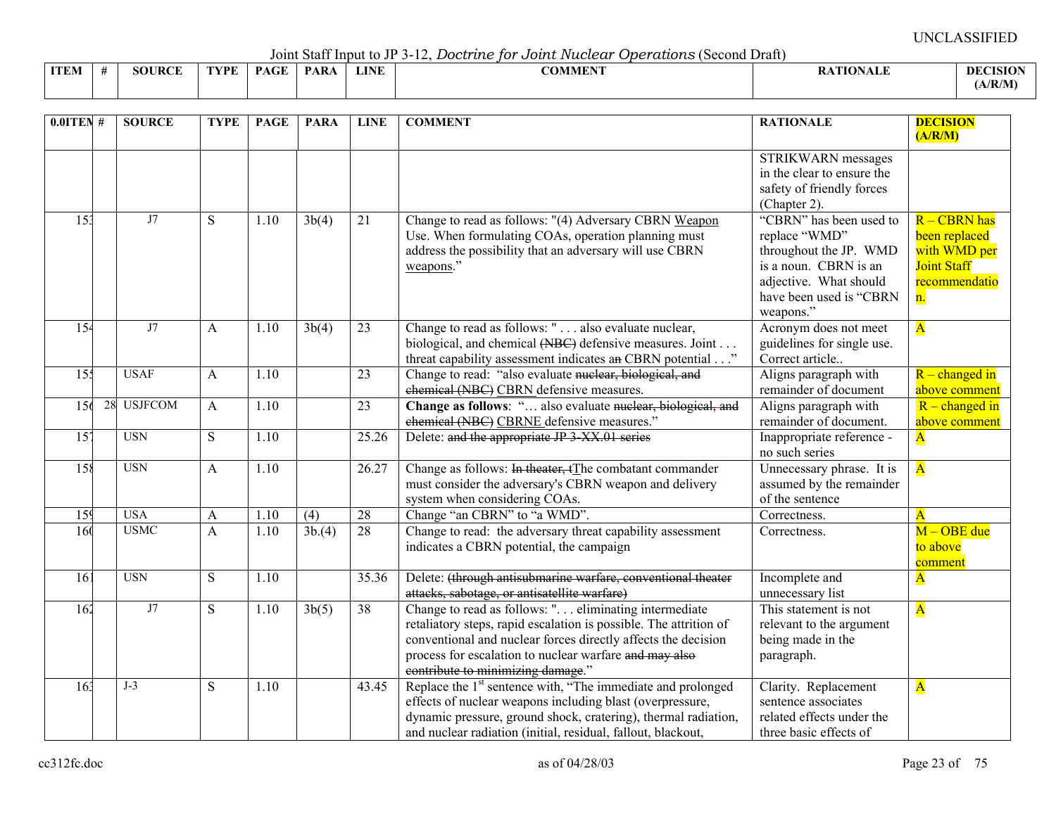Joint Staff Input to JP 3-12, *Doctrine for Joint Nuclear Operations* (Second Draft)

|             |              |     |      |            |      | . <del>.</del><br>- - - - - - - - - - - - -<br>. |                       |                 |
|-------------|--------------|-----|------|------------|------|--------------------------------------------------|-----------------------|-----------------|
| <b>ITEM</b> | JRCE<br>80 F | WDE | PAGE | <b>PAR</b> | LINE | COMMENT                                          | <b>TIONALE</b><br>ALL | <b>DECISION</b> |
|             |              |     |      |            |      |                                                  |                       | (A/R/M)         |

| $0.0$ ITEN#      | <b>SOURCE</b> | <b>TYPE</b> | <b>PAGE</b>       | <b>PARA</b>        | <b>LINE</b> | <b>COMMENT</b>                                                                                                                                                                                                                                                                             | <b>RATIONALE</b>                                                                                                                                              | <b>DECISION</b><br>(A/R/M)                                                                 |
|------------------|---------------|-------------|-------------------|--------------------|-------------|--------------------------------------------------------------------------------------------------------------------------------------------------------------------------------------------------------------------------------------------------------------------------------------------|---------------------------------------------------------------------------------------------------------------------------------------------------------------|--------------------------------------------------------------------------------------------|
|                  |               |             |                   |                    |             |                                                                                                                                                                                                                                                                                            | STRIKWARN messages<br>in the clear to ensure the<br>safety of friendly forces<br>(Chapter 2).                                                                 |                                                                                            |
| 15 <sub>3</sub>  | J7            | S           | 1.10              | 3b(4)              | 21          | Change to read as follows: "(4) Adversary CBRN Weapon<br>Use. When formulating COAs, operation planning must<br>address the possibility that an adversary will use CBRN<br>weapons."                                                                                                       | "CBRN" has been used to<br>replace "WMD"<br>throughout the JP. WMD<br>is a noun. CBRN is an<br>adjective. What should<br>have been used is "CBRN<br>weapons." | R - CBRN has<br>been replaced<br>with WMD per<br><b>Joint Staff</b><br>recommendatio<br>n. |
| $\overline{15}$  | J7            | A           | 1.10              | 3b(4)              | 23          | Change to read as follows: " also evaluate nuclear,<br>biological, and chemical (NBC) defensive measures. Joint<br>threat capability assessment indicates an CBRN potential"                                                                                                               | Acronym does not meet<br>guidelines for single use.<br>Correct article                                                                                        | $\overline{\mathbf{A}}$                                                                    |
| 155              | <b>USAF</b>   | A           | 1.10              |                    | 23          | Change to read: "also evaluate nuclear, biological, and<br>chemical (NBC) CBRN defensive measures.                                                                                                                                                                                         | Aligns paragraph with<br>remainder of document                                                                                                                | $R$ – changed in<br>above comment                                                          |
| 156              | 28 USJFCOM    | A           | 1.10              |                    | 23          | Change as follows: " also evaluate nuclear, biological, and<br>chemical (NBC) CBRNE defensive measures."                                                                                                                                                                                   | Aligns paragraph with<br>remainder of document.                                                                                                               | $R$ – changed in<br>above comment                                                          |
| $\overline{157}$ | <b>USN</b>    | S           | 1.10              |                    | 25.26       | Delete: and the appropriate JP 3 XX.01 series                                                                                                                                                                                                                                              | Inappropriate reference -<br>no such series                                                                                                                   | $\overline{\mathbf{A}}$                                                                    |
| 158              | <b>USN</b>    | A           | 1.10              |                    | 26.27       | Change as follows: In theater, tThe combatant commander<br>must consider the adversary's CBRN weapon and delivery<br>system when considering COAs.                                                                                                                                         | Unnecessary phrase. It is<br>assumed by the remainder<br>of the sentence                                                                                      | $\overline{\mathbf{A}}$                                                                    |
| 159              | <b>USA</b>    | A           | 1.10              | (4)                | 28          | Change "an CBRN" to "a WMD".                                                                                                                                                                                                                                                               | Correctness.                                                                                                                                                  | $\overline{\mathbf{A}}$                                                                    |
| $\overline{160}$ | <b>USMC</b>   | A           | $\overline{1.10}$ | 3b(4)              | 28          | Change to read: the adversary threat capability assessment<br>indicates a CBRN potential, the campaign                                                                                                                                                                                     | Correctness.                                                                                                                                                  | $M - OBE$ due<br>to above<br>comment                                                       |
| $\overline{161}$ | <b>USN</b>    | S           | 1.10              |                    | 35.36       | Delete: (through antisubmarine warfare, conventional theater<br>attacks, sabotage, or antisatellite warfare)                                                                                                                                                                               | Incomplete and<br>unnecessary list                                                                                                                            | $\overline{\mathbf{A}}$                                                                    |
| 162              | J7            | S           | 1.10              | $\overline{3b(5)}$ | 38          | Change to read as follows: " eliminating intermediate<br>retaliatory steps, rapid escalation is possible. The attrition of<br>conventional and nuclear forces directly affects the decision<br>process for escalation to nuclear warfare and may also<br>contribute to minimizing damage." | This statement is not<br>relevant to the argument<br>being made in the<br>paragraph.                                                                          | $\overline{\mathbf{A}}$                                                                    |
| 16 <sup>3</sup>  | $J-3$         | ${\bf S}$   | 1.10              |                    | 43.45       | Replace the 1 <sup>st</sup> sentence with, "The immediate and prolonged<br>effects of nuclear weapons including blast (overpressure,<br>dynamic pressure, ground shock, cratering), thermal radiation,<br>and nuclear radiation (initial, residual, fallout, blackout,                     | Clarity. Replacement<br>sentence associates<br>related effects under the<br>three basic effects of                                                            | $\mathbf{A}$                                                                               |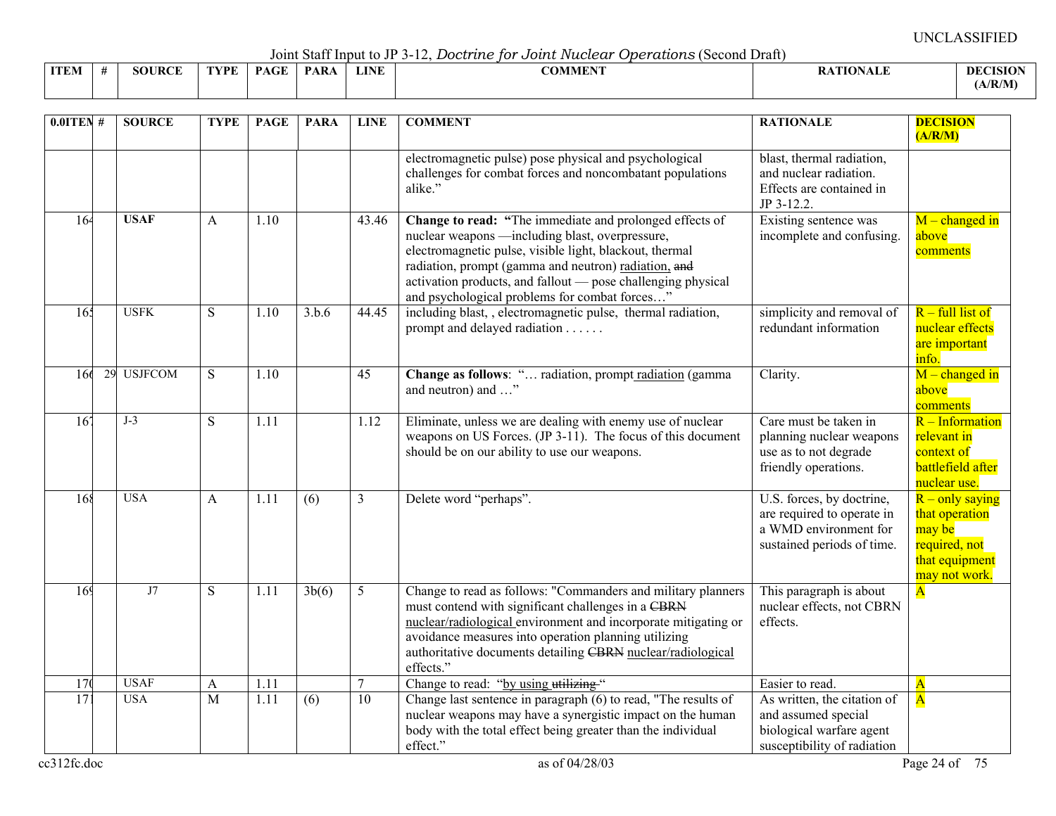Joint Staff Input to JP 3-12, *Doctrine for Joint Nuclear Operations* (Second Draft)

|             | --------------<br>----------- |                    |      |                                          |             |             |                                                |                 |                 |  |  |  |  |
|-------------|-------------------------------|--------------------|------|------------------------------------------|-------------|-------------|------------------------------------------------|-----------------|-----------------|--|--|--|--|
| <b>ITEM</b> |                               | <b>JRCE</b><br>5OU | TVDF | $\sim$ $\sim$ $\sim$ $\sim$ $\sim$<br>DА | <b>PARA</b> | <b>LINE</b> | $\alpha$ and $\alpha$ and $\alpha$<br>ADMMEN : | <b>\TIONALF</b> | <b>DECISION</b> |  |  |  |  |
|             |                               |                    |      |                                          |             |             |                                                |                 | A/R/M           |  |  |  |  |

| $0.01$ TEN #          | <b>SOURCE</b>             | <b>TYPE</b>         | <b>PAGE</b>  | <b>PARA</b> | <b>LINE</b>     | <b>COMMENT</b>                                                                                                                                                                                                                                                                                                                                 | <b>RATIONALE</b>                                                                                               | <b>DECISION</b><br>(A/R/M)                                                                        |
|-----------------------|---------------------------|---------------------|--------------|-------------|-----------------|------------------------------------------------------------------------------------------------------------------------------------------------------------------------------------------------------------------------------------------------------------------------------------------------------------------------------------------------|----------------------------------------------------------------------------------------------------------------|---------------------------------------------------------------------------------------------------|
|                       |                           |                     |              |             |                 | electromagnetic pulse) pose physical and psychological<br>challenges for combat forces and noncombatant populations<br>alike."                                                                                                                                                                                                                 | blast, thermal radiation,<br>and nuclear radiation.<br>Effects are contained in<br>JP 3-12.2.                  |                                                                                                   |
| 164                   | <b>USAF</b>               | A                   | 1.10         |             | 43.46           | Change to read: "The immediate and prolonged effects of<br>nuclear weapons —including blast, overpressure,<br>electromagnetic pulse, visible light, blackout, thermal<br>radiation, prompt (gamma and neutron) radiation, and<br>activation products, and fallout - pose challenging physical<br>and psychological problems for combat forces" | Existing sentence was<br>incomplete and confusing.                                                             | $M$ – changed in<br>above<br>comments                                                             |
| 165                   | <b>USFK</b>               | S                   | 1.10         | 3.b.6       | 44.45           | including blast, , electromagnetic pulse, thermal radiation,<br>prompt and delayed radiation                                                                                                                                                                                                                                                   | simplicity and removal of<br>redundant information                                                             | $R$ – full list of<br>nuclear effects<br>are important<br>info.                                   |
| 166                   | 29 USJFCOM                | S                   | 1.10         |             | 45              | Change as follows: " radiation, prompt radiation (gamma<br>and neutron) and "                                                                                                                                                                                                                                                                  | Clarity.                                                                                                       | $M$ – changed in<br>above<br>comments                                                             |
| 16 <sup>7</sup>       | $J-3$                     | S                   | 1.11         |             | 1.12            | Eliminate, unless we are dealing with enemy use of nuclear<br>weapons on US Forces. (JP 3-11). The focus of this document<br>should be on our ability to use our weapons.                                                                                                                                                                      | Care must be taken in<br>planning nuclear weapons<br>use as to not degrade<br>friendly operations.             | $R$ – Information<br>relevant in<br>context of<br>battlefield after<br>nuclear use.               |
| 168                   | <b>USA</b>                | $\mathbf{A}$        | 1.11         | (6)         | 3               | Delete word "perhaps".                                                                                                                                                                                                                                                                                                                         | U.S. forces, by doctrine,<br>are required to operate in<br>a WMD environment for<br>sustained periods of time. | $R$ – only saying<br>that operation<br>may be<br>required, not<br>that equipment<br>may not work. |
| 169                   | J7                        | S                   | 1.11         | 3b(6)       | 5               | Change to read as follows: "Commanders and military planners<br>must contend with significant challenges in a CBRN<br>nuclear/radiological environment and incorporate mitigating or<br>avoidance measures into operation planning utilizing<br>authoritative documents detailing CBRN nuclear/radiological<br>effects."                       | This paragraph is about<br>nuclear effects, not CBRN<br>effects.                                               | $\overline{\mathbf{A}}$                                                                           |
| 17 <sup>0</sup><br>17 | <b>USAF</b><br><b>USA</b> | A<br>$\overline{M}$ | 1.11<br>1.11 | (6)         | $\overline{10}$ | Change to read: "by using utilizing."<br>Change last sentence in paragraph (6) to read, "The results of                                                                                                                                                                                                                                        | Easier to read.<br>As written, the citation of                                                                 | $\overline{\mathbf{A}}$<br>$\overline{\mathbf{A}}$                                                |
|                       |                           |                     |              |             |                 | nuclear weapons may have a synergistic impact on the human<br>body with the total effect being greater than the individual<br>effect."                                                                                                                                                                                                         | and assumed special<br>biological warfare agent<br>susceptibility of radiation                                 |                                                                                                   |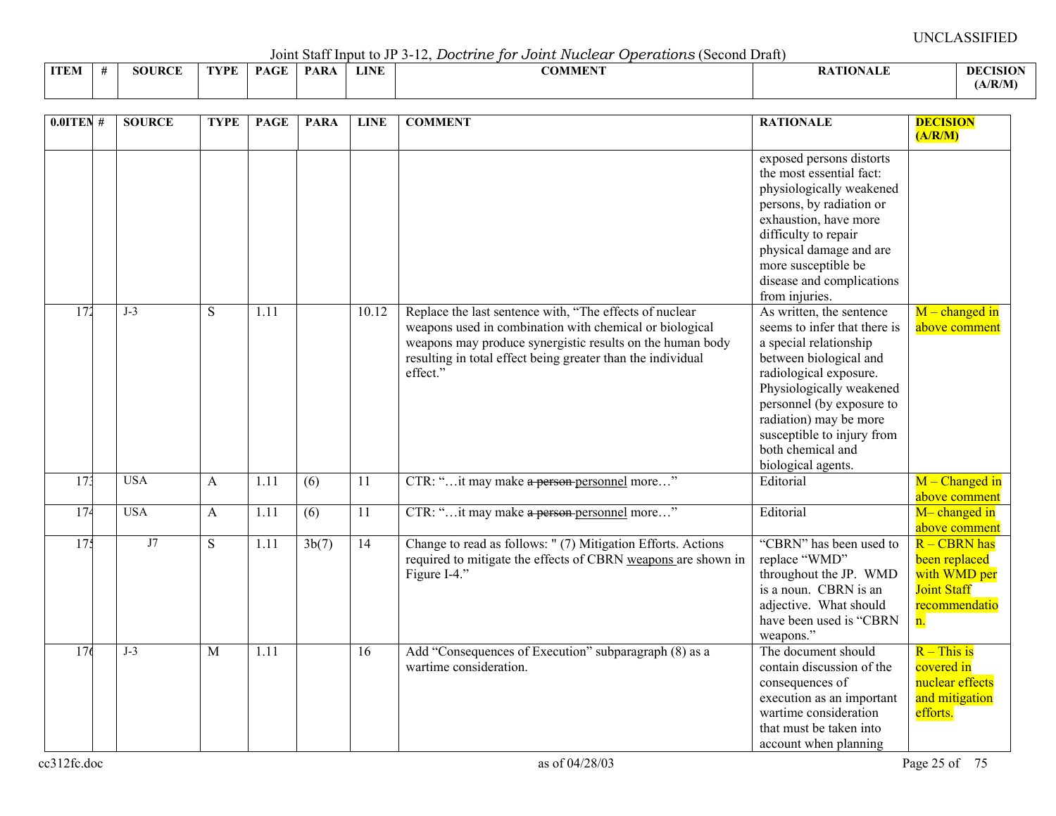Joint Staff Input to JP 3-12, *Doctrine for Joint Nuclear Operations* (Second Draft)

|             | $\sqrt{2}$ $\sqrt{2}$ $\sqrt{2}$ $\sqrt{2}$ $\sqrt{2}$ $\sqrt{2}$ $\sqrt{2}$ $\sqrt{2}$ $\sqrt{2}$ $\sqrt{2}$ $\sqrt{2}$ $\sqrt{2}$ $\sqrt{2}$ $\sqrt{2}$ $\sqrt{2}$ $\sqrt{2}$ $\sqrt{2}$ $\sqrt{2}$ $\sqrt{2}$ $\sqrt{2}$ $\sqrt{2}$ $\sqrt{2}$ $\sqrt{2}$ $\sqrt{2}$ $\sqrt{2}$ $\sqrt{2}$ $\sqrt{2}$ $\sqrt{2$<br>-------------- |        |      |             |             |             |                                 |                |                 |  |  |  |  |  |
|-------------|--------------------------------------------------------------------------------------------------------------------------------------------------------------------------------------------------------------------------------------------------------------------------------------------------------------------------------------|--------|------|-------------|-------------|-------------|---------------------------------|----------------|-----------------|--|--|--|--|--|
| <b>ITEM</b> |                                                                                                                                                                                                                                                                                                                                      | SOURCE | TVDF | <b>PAGE</b> | <b>PARA</b> | <b>LINE</b> | $\alpha$ atitum<br>AD MINI PART | <b>TIONALL</b> | <b>DECISION</b> |  |  |  |  |  |
|             |                                                                                                                                                                                                                                                                                                                                      |        |      |             |             |             |                                 |                | (A/R/M)         |  |  |  |  |  |

| $0.01$ TEN#     | <b>SOURCE</b> | <b>TYPE</b>    | <b>PAGE</b> | <b>PARA</b> | <b>LINE</b> | <b>COMMENT</b>                                                                                                                                                                                                                                             | <b>RATIONALE</b>                                                                                                                                                                                                                                                                                   | <b>DECISION</b><br>(A/R/M)                                                                    |
|-----------------|---------------|----------------|-------------|-------------|-------------|------------------------------------------------------------------------------------------------------------------------------------------------------------------------------------------------------------------------------------------------------------|----------------------------------------------------------------------------------------------------------------------------------------------------------------------------------------------------------------------------------------------------------------------------------------------------|-----------------------------------------------------------------------------------------------|
|                 |               |                |             |             |             |                                                                                                                                                                                                                                                            | exposed persons distorts<br>the most essential fact:<br>physiologically weakened<br>persons, by radiation or<br>exhaustion, have more<br>difficulty to repair<br>physical damage and are<br>more susceptible be<br>disease and complications<br>from injuries.                                     |                                                                                               |
| 172             | $J-3$         | ${\bf S}$      | 1.11        |             | 10.12       | Replace the last sentence with, "The effects of nuclear<br>weapons used in combination with chemical or biological<br>weapons may produce synergistic results on the human body<br>resulting in total effect being greater than the individual<br>effect." | As written, the sentence<br>seems to infer that there is<br>a special relationship<br>between biological and<br>radiological exposure.<br>Physiologically weakened<br>personnel (by exposure to<br>radiation) may be more<br>susceptible to injury from<br>both chemical and<br>biological agents. | $M$ – changed in<br>above comment                                                             |
| 17 <sup>3</sup> | <b>USA</b>    | A              | 1.11        | (6)         | 11          | CTR: "it may make a person personnel more"                                                                                                                                                                                                                 | Editorial                                                                                                                                                                                                                                                                                          | $M$ – Changed in<br>above comment                                                             |
| 174             | <b>USA</b>    | $\mathbf{A}$   | 1.11        | (6)         | 11          | CTR: "it may make a person-personnel more"                                                                                                                                                                                                                 | Editorial                                                                                                                                                                                                                                                                                          | M-changed in<br>above comment                                                                 |
| 17 <sup>4</sup> | J7            | ${\bf S}$      | 1.11        | 3b(7)       | 14          | Change to read as follows: "(7) Mitigation Efforts. Actions<br>required to mitigate the effects of CBRN weapons are shown in<br>Figure I-4."                                                                                                               | "CBRN" has been used to<br>replace "WMD"<br>throughout the JP. WMD<br>is a noun. CBRN is an<br>adjective. What should<br>have been used is "CBRN<br>weapons."                                                                                                                                      | R – CBRN has<br>been replaced<br>with WMD per<br><b>Joint Staff</b><br>recommendatio<br>$n$ . |
| 176             | $J-3$         | $\overline{M}$ | 1.11        |             | 16          | Add "Consequences of Execution" subparagraph (8) as a<br>wartime consideration.                                                                                                                                                                            | The document should<br>contain discussion of the<br>consequences of<br>execution as an important<br>wartime consideration<br>that must be taken into<br>account when planning                                                                                                                      | $R -$ This is<br>covered in<br>nuclear effects<br>and mitigation<br>efforts.                  |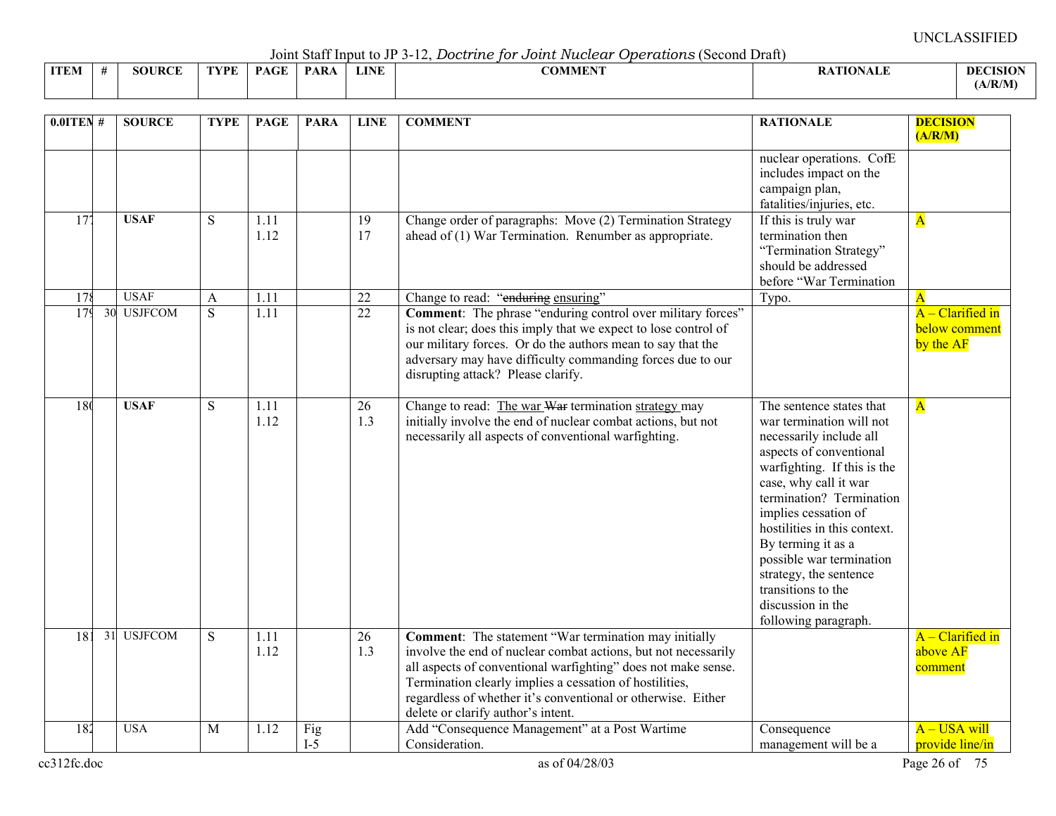Joint Staff Input to JP 3-12, *Doctrine for Joint Nuclear Operations* (Second Draft)

|      |               |      |      |             |      | voint baan mpat to vi b is, boott the for bother interested<br>. O D OI WWW I WO I D O O HU DI MITI |                 |                 |
|------|---------------|------|------|-------------|------|-----------------------------------------------------------------------------------------------------|-----------------|-----------------|
| ITEM | <b>SOURCE</b> | TYPE | PAGE | <b>PARA</b> | LINE | <b>COMMENT</b>                                                                                      | <b>ATIONALE</b> | <b>DECISION</b> |
|      |               |      |      |             |      |                                                                                                     |                 | (A/R/M)         |

| $0.0$ ITEN# | <b>SOURCE</b> | <b>TYPE</b>    | <b>PAGE</b>       | <b>PARA</b>  | <b>LINE</b>           | <b>COMMENT</b>                                                                                                                                                                                                                                                                                                                                                   | <b>RATIONALE</b>                                                                                                                                                                                                                                                                                                                                                                                      | <b>DECISION</b><br>(A/R/M)                       |
|-------------|---------------|----------------|-------------------|--------------|-----------------------|------------------------------------------------------------------------------------------------------------------------------------------------------------------------------------------------------------------------------------------------------------------------------------------------------------------------------------------------------------------|-------------------------------------------------------------------------------------------------------------------------------------------------------------------------------------------------------------------------------------------------------------------------------------------------------------------------------------------------------------------------------------------------------|--------------------------------------------------|
|             |               |                |                   |              |                       |                                                                                                                                                                                                                                                                                                                                                                  | nuclear operations. CofE<br>includes impact on the<br>campaign plan,<br>fatalities/injuries, etc.                                                                                                                                                                                                                                                                                                     |                                                  |
| 177         | <b>USAF</b>   | S              | 1.11<br>1.12      |              | $\overline{19}$<br>17 | Change order of paragraphs: Move (2) Termination Strategy<br>ahead of (1) War Termination. Renumber as appropriate.                                                                                                                                                                                                                                              | If this is truly war<br>termination then<br>"Termination Strategy"<br>should be addressed<br>before "War Termination                                                                                                                                                                                                                                                                                  | $\mathbf{A}$                                     |
| 178         | <b>USAF</b>   | A              | $\overline{1.11}$ |              | $\overline{22}$       | Change to read: "enduring ensuring"                                                                                                                                                                                                                                                                                                                              | Typo.                                                                                                                                                                                                                                                                                                                                                                                                 | A                                                |
| 179         | 30 USJFCOM    | $\overline{S}$ | $\overline{1.11}$ |              | 22                    | <b>Comment:</b> The phrase "enduring control over military forces"<br>is not clear; does this imply that we expect to lose control of<br>our military forces. Or do the authors mean to say that the<br>adversary may have difficulty commanding forces due to our<br>disrupting attack? Please clarify.                                                         |                                                                                                                                                                                                                                                                                                                                                                                                       | $A - Clarified in$<br>below comment<br>by the AF |
| 180         | <b>USAF</b>   | S              | 1.11<br>1.12      |              | 26<br>1.3             | Change to read: The war War termination strategy may<br>initially involve the end of nuclear combat actions, but not<br>necessarily all aspects of conventional warfighting.                                                                                                                                                                                     | The sentence states that<br>war termination will not<br>necessarily include all<br>aspects of conventional<br>warfighting. If this is the<br>case, why call it war<br>termination? Termination<br>implies cessation of<br>hostilities in this context.<br>By terming it as a<br>possible war termination<br>strategy, the sentence<br>transitions to the<br>discussion in the<br>following paragraph. | $\overline{\mathbf{A}}$                          |
| 181         | 31 USJFCOM    | S              | 1.11<br>1.12      |              | 26<br>1.3             | <b>Comment:</b> The statement "War termination may initially<br>involve the end of nuclear combat actions, but not necessarily<br>all aspects of conventional warfighting" does not make sense.<br>Termination clearly implies a cessation of hostilities,<br>regardless of whether it's conventional or otherwise. Either<br>delete or clarify author's intent. |                                                                                                                                                                                                                                                                                                                                                                                                       | $A - Clarified in$<br>above AF<br>comment        |
| 182         | <b>USA</b>    | M              | 1.12              | Fig<br>$I-5$ |                       | Add "Consequence Management" at a Post Wartime<br>Consideration.                                                                                                                                                                                                                                                                                                 | Consequence<br>management will be a                                                                                                                                                                                                                                                                                                                                                                   | A - USA will<br>provide line/in                  |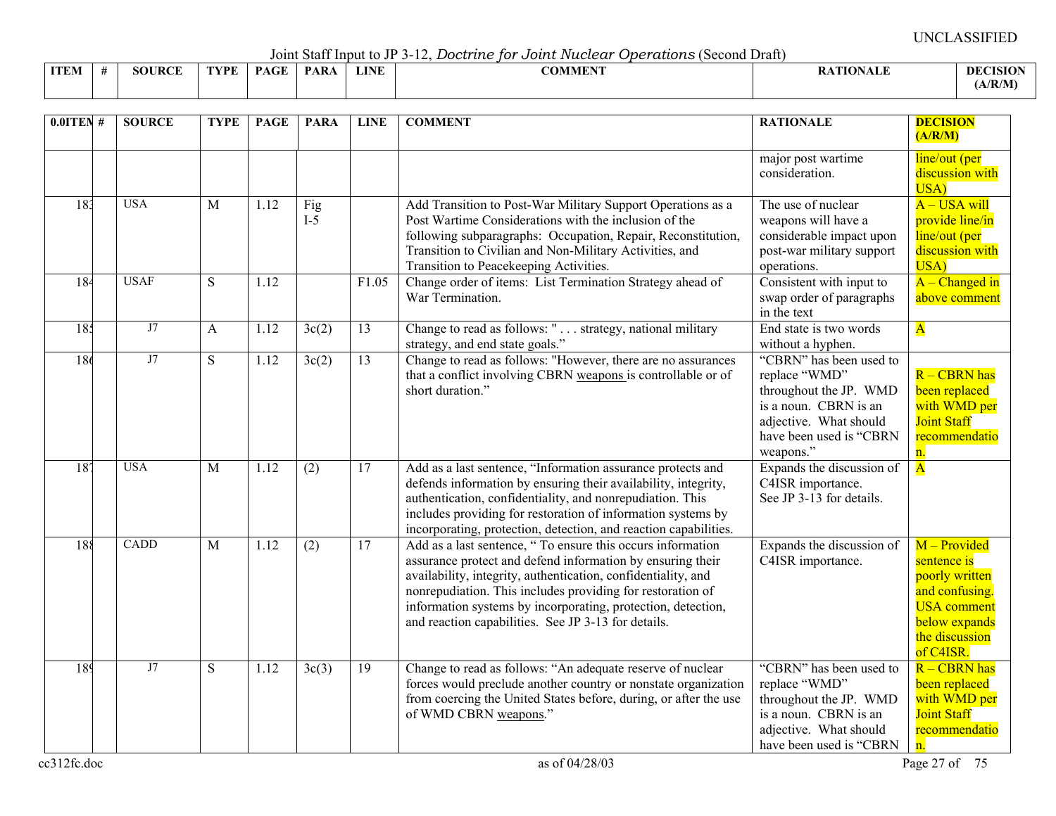Joint Staff Input to JP 3-12, *Doctrine for Joint Nuclear Operations* (Second Draft)

|             |              |     |                      |                  |             |                                        | -----------   |              |
|-------------|--------------|-----|----------------------|------------------|-------------|----------------------------------------|---------------|--------------|
| <b>ITEM</b> | JRCE<br>.,OF | VDE | $\sim$ $\sim$ $\sim$ | PAR <sub>4</sub> | <b>LINE</b> | $\alpha$ a that the $\alpha$<br>ADMMEN | . .<br>`*'ALL | DEC.<br>NSIO |
|             |              |     |                      |                  |             |                                        |               | (A/R/M)      |

| $0.01$ TEN#      |             | <b>SOURCE</b> | <b>TYPE</b>    | <b>PAGE</b> | <b>PARA</b>        | <b>LINE</b>     | <b>COMMENT</b>                                                                                                                                                                                                                                                                                                                                                                  | <b>RATIONALE</b>                                                                                                                                              | <b>DECISION</b><br>(A/R/M)                                                                                                            |
|------------------|-------------|---------------|----------------|-------------|--------------------|-----------------|---------------------------------------------------------------------------------------------------------------------------------------------------------------------------------------------------------------------------------------------------------------------------------------------------------------------------------------------------------------------------------|---------------------------------------------------------------------------------------------------------------------------------------------------------------|---------------------------------------------------------------------------------------------------------------------------------------|
|                  |             |               |                |             |                    |                 |                                                                                                                                                                                                                                                                                                                                                                                 | major post wartime<br>consideration.                                                                                                                          | line/out (per<br>discussion with<br>USA)                                                                                              |
| 183              | <b>USA</b>  |               | M              | 1.12        | Fig<br>$I-5$       |                 | Add Transition to Post-War Military Support Operations as a<br>Post Wartime Considerations with the inclusion of the<br>following subparagraphs: Occupation, Repair, Reconstitution,<br>Transition to Civilian and Non-Military Activities, and<br>Transition to Peacekeeping Activities.                                                                                       | The use of nuclear<br>weapons will have a<br>considerable impact upon<br>post-war military support<br>operations.                                             | A - USA will<br>provide line/in<br>line/out (per<br>discussion with<br>USA)                                                           |
| 184              | <b>USAF</b> |               | S              | 1.12        |                    | F1.05           | Change order of items: List Termination Strategy ahead of<br>War Termination.                                                                                                                                                                                                                                                                                                   | Consistent with input to<br>swap order of paragraphs<br>in the text                                                                                           | $A - Changed$ in<br>above comment                                                                                                     |
| 185              |             | J7            | A              | 1.12        | 3c(2)              | 13              | Change to read as follows: " strategy, national military<br>strategy, and end state goals."                                                                                                                                                                                                                                                                                     | End state is two words<br>without a hyphen.                                                                                                                   | $\overline{\mathbf{A}}$                                                                                                               |
| 186              |             | J7            | $\overline{S}$ | 1.12        | $\overline{3c(2)}$ | 13              | Change to read as follows: "However, there are no assurances<br>that a conflict involving CBRN weapons is controllable or of<br>short duration."                                                                                                                                                                                                                                | "CBRN" has been used to<br>replace "WMD"<br>throughout the JP. WMD<br>is a noun. CBRN is an<br>adjective. What should<br>have been used is "CBRN<br>weapons." | $R - CBRN$ has<br>been replaced<br>with WMD per<br><b>Joint Staff</b><br>recommendatio<br>n.                                          |
| $\overline{187}$ | <b>USA</b>  |               | M              | 1.12        | (2)                | 17              | Add as a last sentence, "Information assurance protects and<br>defends information by ensuring their availability, integrity,<br>authentication, confidentiality, and nonrepudiation. This<br>includes providing for restoration of information systems by<br>incorporating, protection, detection, and reaction capabilities.                                                  | Expands the discussion of<br>C4ISR importance.<br>See JP 3-13 for details.                                                                                    | $\overline{\mathbf{A}}$                                                                                                               |
| 188              |             | <b>CADD</b>   | M              | 1.12        | (2)                | 17              | Add as a last sentence, " To ensure this occurs information<br>assurance protect and defend information by ensuring their<br>availability, integrity, authentication, confidentiality, and<br>nonrepudiation. This includes providing for restoration of<br>information systems by incorporating, protection, detection,<br>and reaction capabilities. See JP 3-13 for details. | Expands the discussion of<br>C4ISR importance.                                                                                                                | M – Provided<br>sentence is<br>poorly written<br>and confusing.<br><b>USA</b> comment<br>below expands<br>the discussion<br>of C4ISR. |
| 189              |             | J7            | S              | 1.12        | 3c(3)              | $\overline{19}$ | Change to read as follows: "An adequate reserve of nuclear<br>forces would preclude another country or nonstate organization<br>from coercing the United States before, during, or after the use<br>of WMD CBRN weapons."                                                                                                                                                       | "CBRN" has been used to<br>replace "WMD"<br>throughout the JP. WMD<br>is a noun. CBRN is an<br>adjective. What should<br>have been used is "CBRN              | R - CBRN has<br>been replaced<br>with WMD per<br><b>Joint Staff</b><br>recommendatio<br>n.                                            |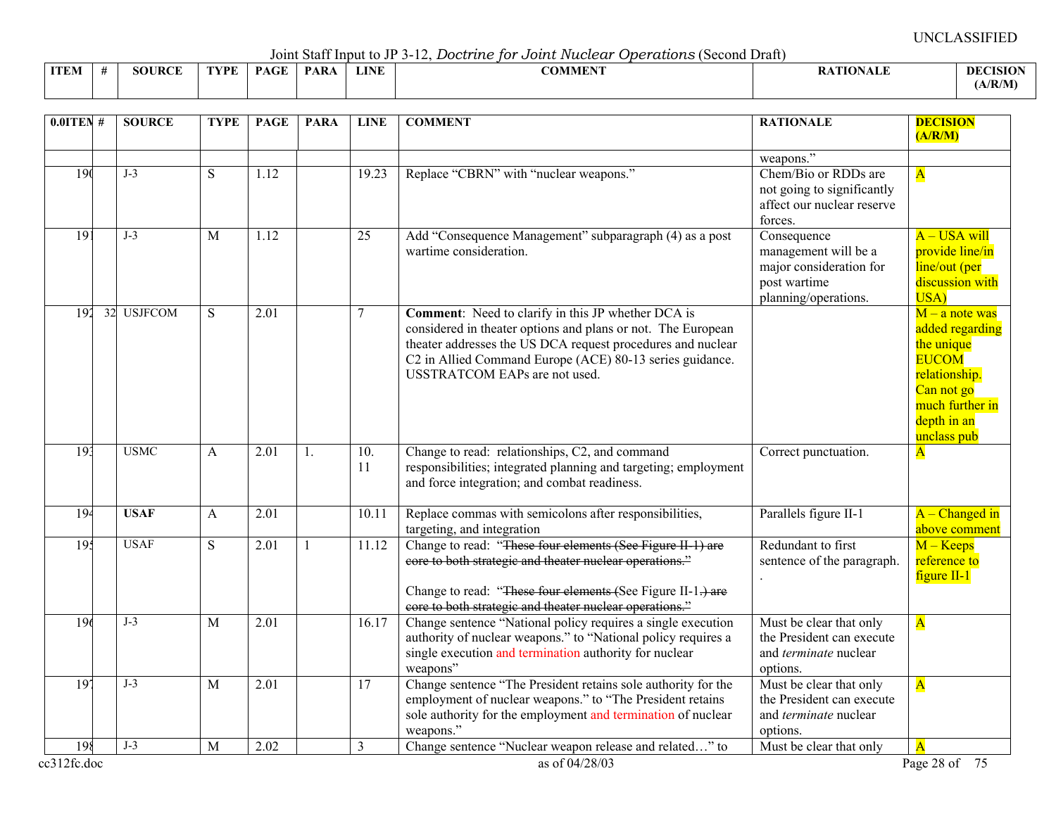Joint Staff Input to JP 3-12, *Doctrine for Joint Nuclear Operations* (Second Draft)

|             |               |      |             |             |             | -------------- |                |                 |
|-------------|---------------|------|-------------|-------------|-------------|----------------|----------------|-----------------|
| <b>ITEM</b> | <b>SOURCE</b> | TVDF | <b>PAGE</b> | <b>PARA</b> | <b>LINE</b> | <b>COMMENT</b> | <b>TIONALE</b> | <b>DECISION</b> |
|             |               |      |             |             |             |                |                | (A/R/M)         |

| weapons."<br>Chem/Bio or RDDs are<br>190<br>$J-3$<br>1.12<br>19.23<br>Replace "CBRN" with "nuclear weapons."<br>S<br>${\bf A}$<br>not going to significantly<br>affect our nuclear reserve<br>forces.<br>Add "Consequence Management" subparagraph (4) as a post<br>$\overline{19}$<br>$J-3$<br>1.12<br>$\overline{25}$<br>Consequence<br>M<br>wartime consideration.<br>management will be a<br>major consideration for<br>post wartime<br>planning/operations.<br>USA)<br>32 USJFCOM<br>192<br>S<br>$\overline{2.01}$<br>7<br><b>Comment:</b> Need to clarify in this JP whether DCA is<br>considered in theater options and plans or not. The European<br>theater addresses the US DCA request procedures and nuclear<br>the unique<br>C2 in Allied Command Europe (ACE) 80-13 series guidance.<br><b>EUCOM</b><br><b>USSTRATCOM EAPs are not used.</b><br>Can not go<br>depth in an<br>unclass pub<br>193<br><b>USMC</b><br>Change to read: relationships, C2, and command<br>$\overline{2.01}$<br>$\overline{10}$ .<br>Correct punctuation.<br>A<br>$\mathbf{1}$ .<br>$\mathbf{A}$<br>11<br>responsibilities; integrated planning and targeting; employment<br>and force integration; and combat readiness.<br>Replace commas with semicolons after responsibilities,<br>Parallels figure II-1<br>194<br><b>USAF</b><br>2.01<br>A<br>10.11<br>targeting, and integration<br>Change to read: "These four elements (See Figure II 1) are<br>$M - Keeps$<br>195<br><b>USAF</b><br>S<br>11.12<br>Redundant to first<br>2.01<br>$\mathbf{1}$<br>core to both strategic and theater nuclear operations."<br>sentence of the paragraph.<br>$figure II-1$<br>Change to read: "These four elements (See Figure II-1.) are<br>core to both strategic and theater nuclear operations."<br>196<br>$J-3$<br>$\overline{2.01}$<br>Change sentence "National policy requires a single execution<br>Must be clear that only<br>$\overline{\mathbf{A}}$<br>M<br>16.17<br>authority of nuclear weapons." to "National policy requires a<br>the President can execute<br>single execution and termination authority for nuclear<br>and terminate nuclear<br>weapons"<br>options.<br>Change sentence "The President retains sole authority for the<br>197<br>$J-3$<br>Must be clear that only<br>M<br>2.01<br>17<br>$\overline{\mathbf{A}}$<br>employment of nuclear weapons." to "The President retains<br>the President can execute<br>sole authority for the employment and termination of nuclear<br>and terminate nuclear<br>weapons."<br>options.<br>$J-3$<br>198<br>2.02<br>$\overline{3}$<br>Change sentence "Nuclear weapon release and related" to<br>Must be clear that only<br>M | $0.01$ TEN # | <b>SOURCE</b> | <b>TYPE</b> | <b>PAGE</b> | <b>PARA</b> | <b>LINE</b> | <b>COMMENT</b> | <b>RATIONALE</b> | <b>DECISION</b><br>(A/R/M)                                              |
|-------------------------------------------------------------------------------------------------------------------------------------------------------------------------------------------------------------------------------------------------------------------------------------------------------------------------------------------------------------------------------------------------------------------------------------------------------------------------------------------------------------------------------------------------------------------------------------------------------------------------------------------------------------------------------------------------------------------------------------------------------------------------------------------------------------------------------------------------------------------------------------------------------------------------------------------------------------------------------------------------------------------------------------------------------------------------------------------------------------------------------------------------------------------------------------------------------------------------------------------------------------------------------------------------------------------------------------------------------------------------------------------------------------------------------------------------------------------------------------------------------------------------------------------------------------------------------------------------------------------------------------------------------------------------------------------------------------------------------------------------------------------------------------------------------------------------------------------------------------------------------------------------------------------------------------------------------------------------------------------------------------------------------------------------------------------------------------------------------------------------------------------------------------------------------------------------------------------------------------------------------------------------------------------------------------------------------------------------------------------------------------------------------------------------------------------------------------------------------------------------------------------------------------------------------------------------------------------------------------------------------------------------------------------------------|--------------|---------------|-------------|-------------|-------------|-------------|----------------|------------------|-------------------------------------------------------------------------|
|                                                                                                                                                                                                                                                                                                                                                                                                                                                                                                                                                                                                                                                                                                                                                                                                                                                                                                                                                                                                                                                                                                                                                                                                                                                                                                                                                                                                                                                                                                                                                                                                                                                                                                                                                                                                                                                                                                                                                                                                                                                                                                                                                                                                                                                                                                                                                                                                                                                                                                                                                                                                                                                                               |              |               |             |             |             |             |                |                  |                                                                         |
|                                                                                                                                                                                                                                                                                                                                                                                                                                                                                                                                                                                                                                                                                                                                                                                                                                                                                                                                                                                                                                                                                                                                                                                                                                                                                                                                                                                                                                                                                                                                                                                                                                                                                                                                                                                                                                                                                                                                                                                                                                                                                                                                                                                                                                                                                                                                                                                                                                                                                                                                                                                                                                                                               |              |               |             |             |             |             |                |                  | $A$ – USA will<br>provide line/in<br>line/out (per<br>discussion with   |
|                                                                                                                                                                                                                                                                                                                                                                                                                                                                                                                                                                                                                                                                                                                                                                                                                                                                                                                                                                                                                                                                                                                                                                                                                                                                                                                                                                                                                                                                                                                                                                                                                                                                                                                                                                                                                                                                                                                                                                                                                                                                                                                                                                                                                                                                                                                                                                                                                                                                                                                                                                                                                                                                               |              |               |             |             |             |             |                |                  | $M - a$ note was<br>added regarding<br>relationship.<br>much further in |
|                                                                                                                                                                                                                                                                                                                                                                                                                                                                                                                                                                                                                                                                                                                                                                                                                                                                                                                                                                                                                                                                                                                                                                                                                                                                                                                                                                                                                                                                                                                                                                                                                                                                                                                                                                                                                                                                                                                                                                                                                                                                                                                                                                                                                                                                                                                                                                                                                                                                                                                                                                                                                                                                               |              |               |             |             |             |             |                |                  |                                                                         |
|                                                                                                                                                                                                                                                                                                                                                                                                                                                                                                                                                                                                                                                                                                                                                                                                                                                                                                                                                                                                                                                                                                                                                                                                                                                                                                                                                                                                                                                                                                                                                                                                                                                                                                                                                                                                                                                                                                                                                                                                                                                                                                                                                                                                                                                                                                                                                                                                                                                                                                                                                                                                                                                                               |              |               |             |             |             |             |                |                  | $A - Change$ d in<br>above comment                                      |
|                                                                                                                                                                                                                                                                                                                                                                                                                                                                                                                                                                                                                                                                                                                                                                                                                                                                                                                                                                                                                                                                                                                                                                                                                                                                                                                                                                                                                                                                                                                                                                                                                                                                                                                                                                                                                                                                                                                                                                                                                                                                                                                                                                                                                                                                                                                                                                                                                                                                                                                                                                                                                                                                               |              |               |             |             |             |             |                |                  | reference to                                                            |
|                                                                                                                                                                                                                                                                                                                                                                                                                                                                                                                                                                                                                                                                                                                                                                                                                                                                                                                                                                                                                                                                                                                                                                                                                                                                                                                                                                                                                                                                                                                                                                                                                                                                                                                                                                                                                                                                                                                                                                                                                                                                                                                                                                                                                                                                                                                                                                                                                                                                                                                                                                                                                                                                               |              |               |             |             |             |             |                |                  |                                                                         |
|                                                                                                                                                                                                                                                                                                                                                                                                                                                                                                                                                                                                                                                                                                                                                                                                                                                                                                                                                                                                                                                                                                                                                                                                                                                                                                                                                                                                                                                                                                                                                                                                                                                                                                                                                                                                                                                                                                                                                                                                                                                                                                                                                                                                                                                                                                                                                                                                                                                                                                                                                                                                                                                                               |              |               |             |             |             |             |                |                  |                                                                         |
| cc312fc.doc<br>as of 04/28/03                                                                                                                                                                                                                                                                                                                                                                                                                                                                                                                                                                                                                                                                                                                                                                                                                                                                                                                                                                                                                                                                                                                                                                                                                                                                                                                                                                                                                                                                                                                                                                                                                                                                                                                                                                                                                                                                                                                                                                                                                                                                                                                                                                                                                                                                                                                                                                                                                                                                                                                                                                                                                                                 |              |               |             |             |             |             |                |                  | Page 28 of 75                                                           |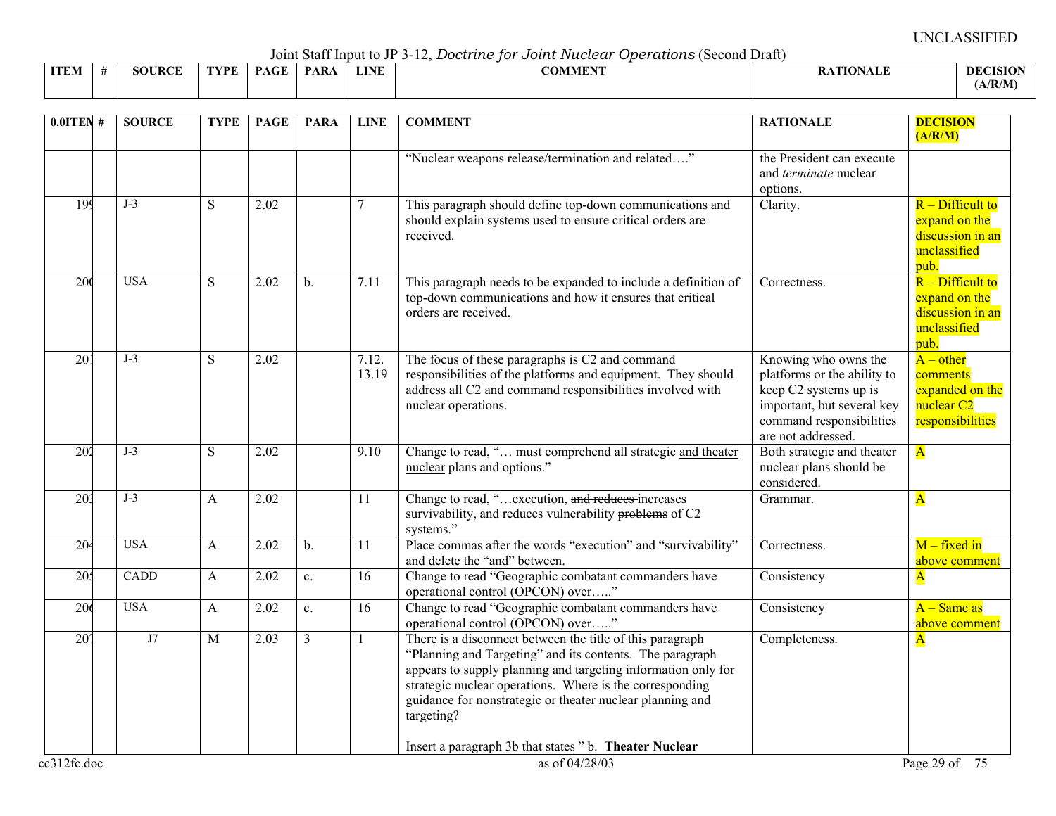Joint Staff Input to JP 3-12, *Doctrine for Joint Nuclear Operations* (Second Draft)

|             |               |      |             |             |             | voint baan mpat to vi b is, boott the for bother racetour<br><u>odon www.condecenter.</u> |                  |                            |
|-------------|---------------|------|-------------|-------------|-------------|-------------------------------------------------------------------------------------------|------------------|----------------------------|
| <b>ITEM</b> | <b>SOURCE</b> | TYPE | <b>PAGE</b> | <b>PARA</b> | <b>LINE</b> | COMMENT                                                                                   | <b>RATIONALE</b> | <b>DECISION</b><br>(A/R/M) |
|             |               |      |             |             |             |                                                                                           |                  |                            |

| $0.0$ ITEN#      | <b>SOURCE</b> | <b>TYPE</b> | <b>PAGE</b> | <b>PARA</b>    | <b>LINE</b>    | <b>COMMENT</b>                                                                                                                                                                                                                                                                                                                | <b>RATIONALE</b>                                                                                                                                             | <b>DECISION</b><br>(A/R/M)                                                              |
|------------------|---------------|-------------|-------------|----------------|----------------|-------------------------------------------------------------------------------------------------------------------------------------------------------------------------------------------------------------------------------------------------------------------------------------------------------------------------------|--------------------------------------------------------------------------------------------------------------------------------------------------------------|-----------------------------------------------------------------------------------------|
|                  |               |             |             |                |                | "Nuclear weapons release/termination and related"                                                                                                                                                                                                                                                                             | the President can execute<br>and terminate nuclear<br>options.                                                                                               |                                                                                         |
| 199              | $J-3$         | S           | 2.02        |                | 7              | This paragraph should define top-down communications and<br>should explain systems used to ensure critical orders are<br>received.                                                                                                                                                                                            | Clarity.                                                                                                                                                     | $R$ – Difficult to<br>expand on the<br>discussion in an<br>unclassified<br>pub.         |
| 200              | <b>USA</b>    | S           | 2.02        | $\mathbf b$ .  | 7.11           | This paragraph needs to be expanded to include a definition of<br>top-down communications and how it ensures that critical<br>orders are received.                                                                                                                                                                            | Correctness.                                                                                                                                                 | $R$ – Difficult to<br>expand on the<br>discussion in an<br>unclassified<br>pub.         |
| 20 <sub>1</sub>  | $J-3$         | S           | 2.02        |                | 7.12.<br>13.19 | The focus of these paragraphs is C2 and command<br>responsibilities of the platforms and equipment. They should<br>address all C2 and command responsibilities involved with<br>nuclear operations.                                                                                                                           | Knowing who owns the<br>platforms or the ability to<br>keep C2 systems up is<br>important, but several key<br>command responsibilities<br>are not addressed. | $A - other$<br>comments<br>expanded on the<br>nuclear <sub>C2</sub><br>responsibilities |
| $\overline{202}$ | $J-3$         | S           | 2.02        |                | 9.10           | Change to read, " must comprehend all strategic and theater<br>nuclear plans and options."                                                                                                                                                                                                                                    | Both strategic and theater<br>nuclear plans should be<br>considered.                                                                                         | $\overline{\mathbf{A}}$                                                                 |
| 20 <sup>3</sup>  | $J-3$         | A           | 2.02        |                | 11             | Change to read, "execution, and reduces increases<br>survivability, and reduces vulnerability problems of C2<br>systems."                                                                                                                                                                                                     | Grammar.                                                                                                                                                     | $\overline{\mathbf{A}}$                                                                 |
| 20 <sup>2</sup>  | <b>USA</b>    | A           | 2.02        | $\mathbf{b}$ . | 11             | Place commas after the words "execution" and "survivability"<br>and delete the "and" between.                                                                                                                                                                                                                                 | Correctness.                                                                                                                                                 | $M$ – fixed in<br>above comment                                                         |
| 205              | CADD          | A           | 2.02        | $\mathbf{c}$ . | 16             | Change to read "Geographic combatant commanders have<br>operational control (OPCON) over"                                                                                                                                                                                                                                     | Consistency                                                                                                                                                  | $\mathbf{A}$                                                                            |
| 206              | <b>USA</b>    | A           | 2.02        | $\mathbf{c}$ . | 16             | Change to read "Geographic combatant commanders have<br>operational control (OPCON) over"                                                                                                                                                                                                                                     | Consistency                                                                                                                                                  | $A - Same$ as<br>above comment                                                          |
| 207              | J7            | M           | 2.03        | $\overline{3}$ |                | There is a disconnect between the title of this paragraph<br>"Planning and Targeting" and its contents. The paragraph<br>appears to supply planning and targeting information only for<br>strategic nuclear operations. Where is the corresponding<br>guidance for nonstrategic or theater nuclear planning and<br>targeting? | Completeness.                                                                                                                                                | $\mathbf{A}$                                                                            |
| ec312fc.doc      |               |             |             |                |                | Insert a paragraph 3b that states "b. Theater Nuclear<br>as of 04/28/03                                                                                                                                                                                                                                                       |                                                                                                                                                              | Page 29 of 75                                                                           |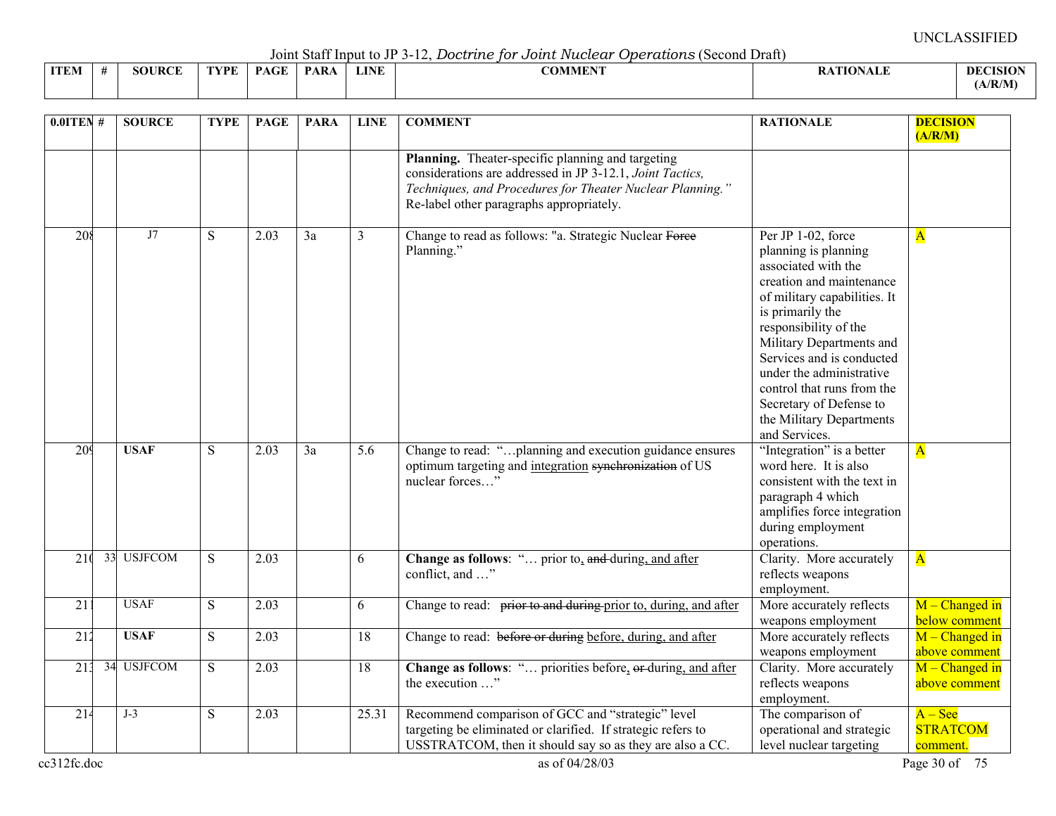Joint Staff Input to JP 3-12, *Doctrine for Joint Nuclear Operations* (Second Draft)

| <b>ITEN</b><br>-IVI | <b>JRCE</b><br>. . | "VDE | $\sim$ $\sim$ | <b>PAR</b> | LINE | * ININE. | <b>CA CURATE</b> | . тіл<br> | <b>DECI</b><br>TSIO |
|---------------------|--------------------|------|---------------|------------|------|----------|------------------|-----------|---------------------|
|                     |                    |      |               |            |      |          |                  |           | /R/M                |

| $0.0$ ITEN#     | <b>SOURCE</b> | <b>TYPE</b> | <b>PAGE</b>       | <b>PARA</b> | <b>LINE</b>     | <b>COMMENT</b>                                                                                                                                                                                                          | <b>RATIONALE</b>                                                                                                                                                                                                                                                                                                                                                      | <b>DECISION</b><br>(A/R/M)               |
|-----------------|---------------|-------------|-------------------|-------------|-----------------|-------------------------------------------------------------------------------------------------------------------------------------------------------------------------------------------------------------------------|-----------------------------------------------------------------------------------------------------------------------------------------------------------------------------------------------------------------------------------------------------------------------------------------------------------------------------------------------------------------------|------------------------------------------|
|                 |               |             |                   |             |                 | Planning. Theater-specific planning and targeting<br>considerations are addressed in JP 3-12.1, Joint Tactics,<br>Techniques, and Procedures for Theater Nuclear Planning."<br>Re-label other paragraphs appropriately. |                                                                                                                                                                                                                                                                                                                                                                       |                                          |
| 208             | J7            | ${\bf S}$   | $\overline{2.03}$ | 3a          | 3               | Change to read as follows: "a. Strategic Nuclear Force<br>Planning."                                                                                                                                                    | Per JP 1-02, force<br>planning is planning<br>associated with the<br>creation and maintenance<br>of military capabilities. It<br>is primarily the<br>responsibility of the<br>Military Departments and<br>Services and is conducted<br>under the administrative<br>control that runs from the<br>Secretary of Defense to<br>the Military Departments<br>and Services. | $\overline{\mathbf{A}}$                  |
| 209             | <b>USAF</b>   | S           | 2.03              | 3a          | 5.6             | Change to read: "planning and execution guidance ensures<br>optimum targeting and integration synchronization of US<br>nuclear forces"                                                                                  | "Integration" is a better<br>word here. It is also<br>consistent with the text in<br>paragraph 4 which<br>amplifies force integration<br>during employment<br>operations.                                                                                                                                                                                             | $\overline{\mathbf{A}}$                  |
| 210             | 33 USJFCOM    | S           | 2.03              |             | 6               | Change as follows: " prior to, and during, and after<br>conflict, and "                                                                                                                                                 | Clarity. More accurately<br>reflects weapons<br>employment.                                                                                                                                                                                                                                                                                                           | $\overline{\mathbf{A}}$                  |
| $\overline{21}$ | <b>USAF</b>   | S           | $\overline{2.03}$ |             | 6               | Change to read: prior to and during prior to, during, and after                                                                                                                                                         | More accurately reflects<br>weapons employment                                                                                                                                                                                                                                                                                                                        | $M$ – Changed in<br>below comment        |
| 212             | <b>USAF</b>   | ${\bf S}$   | 2.03              |             | 18              | Change to read: before or during before, during, and after                                                                                                                                                              | More accurately reflects<br>weapons employment                                                                                                                                                                                                                                                                                                                        | $M$ – Changed in<br>above comment        |
| 213             | 34 USJFCOM    | S           | 2.03              |             | $\overline{18}$ | Change as follows: " priorities before, or-during, and after<br>the execution "                                                                                                                                         | Clarity. More accurately<br>reflects weapons<br>employment.                                                                                                                                                                                                                                                                                                           | $M$ – Changed in<br>above comment        |
| 214             | $J-3$         | S           | 2.03              |             | 25.31           | Recommend comparison of GCC and "strategic" level<br>targeting be eliminated or clarified. If strategic refers to<br>USSTRATCOM, then it should say so as they are also a CC.                                           | The comparison of<br>operational and strategic<br>level nuclear targeting                                                                                                                                                                                                                                                                                             | $A - See$<br><b>STRATCOM</b><br>comment. |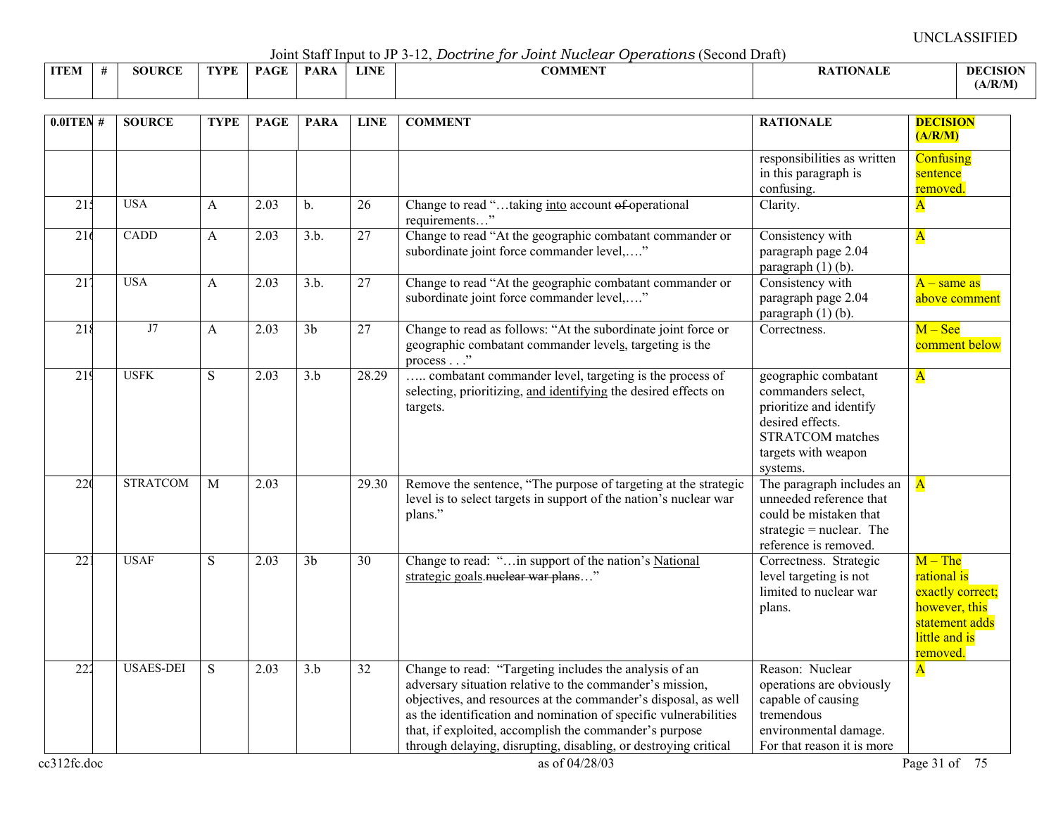Joint Staff Input to JP 3-12, *Doctrine for Joint Nuclear Operations* (Second Draft)

|             |               |      |             | $\sim$ 0.11.0 $\sim$ 0.00 11.1 $\sim$ 0.00 0.10 0.10 $\sim$ |             | $\sim$ $\sim$ $\sim$ $\sim$ $\sim$ $\sim$<br>. |               |                 |
|-------------|---------------|------|-------------|-------------------------------------------------------------|-------------|------------------------------------------------|---------------|-----------------|
| <b>ITEM</b> | <b>SOURCE</b> | TVDF | $P_{\rm A}$ | <b>PARA</b>                                                 | <b>LINE</b> | <b>COMMENT</b>                                 | ATION<br>™AL∟ | <b>DECISION</b> |
|             |               |      |             |                                                             |             |                                                |               | (A/R/M)         |

| $0.01$ TEN#      | <b>SOURCE</b>    | <b>TYPE</b>    | <b>PAGE</b>       | <b>PARA</b>      | <b>LINE</b>     | <b>COMMENT</b>                                                                                                                                                                                                                                                                                                                                                                        | <b>RATIONALE</b>                                                                                                                                        | <b>DECISION</b><br>(A/R/M)                                                                                   |
|------------------|------------------|----------------|-------------------|------------------|-----------------|---------------------------------------------------------------------------------------------------------------------------------------------------------------------------------------------------------------------------------------------------------------------------------------------------------------------------------------------------------------------------------------|---------------------------------------------------------------------------------------------------------------------------------------------------------|--------------------------------------------------------------------------------------------------------------|
|                  |                  |                |                   |                  |                 |                                                                                                                                                                                                                                                                                                                                                                                       | responsibilities as written<br>in this paragraph is<br>confusing.                                                                                       | <b>Confusing</b><br>sentence<br>removed.                                                                     |
| 21 <sub>3</sub>  | <b>USA</b>       | A              | $\overline{2.03}$ | $\mathbf{b}$ .   | 26              | Change to read "taking into account of operational<br>requirements"                                                                                                                                                                                                                                                                                                                   | Clarity.                                                                                                                                                | $\overline{\mathbf{A}}$                                                                                      |
| 216              | CADD             | A              | 2.03              | 3.b.             | 27              | Change to read "At the geographic combatant commander or<br>subordinate joint force commander level,"                                                                                                                                                                                                                                                                                 | Consistency with<br>paragraph page 2.04<br>paragraph (1) (b).                                                                                           | $\overline{\mathbf{A}}$                                                                                      |
| 21 <sup>7</sup>  | <b>USA</b>       | A              | 2.03              | 3.b.             | 27              | Change to read "At the geographic combatant commander or<br>subordinate joint force commander level,"                                                                                                                                                                                                                                                                                 | Consistency with<br>paragraph page 2.04<br>paragraph (1) (b).                                                                                           | $A$ – same as<br>above comment                                                                               |
| $\overline{218}$ | J7               | A              | 2.03              | $\overline{3b}$  | $\overline{27}$ | Change to read as follows: "At the subordinate joint force or<br>geographic combatant commander levels, targeting is the<br>process"                                                                                                                                                                                                                                                  | Correctness.                                                                                                                                            | $M - \text{See}$<br>comment below                                                                            |
| 219              | <b>USFK</b>      | S              | 2.03              | $\overline{3.b}$ | 28.29           | combatant commander level, targeting is the process of<br>selecting, prioritizing, and identifying the desired effects on<br>targets.                                                                                                                                                                                                                                                 | geographic combatant<br>commanders select,<br>prioritize and identify<br>desired effects.<br><b>STRATCOM</b> matches<br>targets with weapon<br>systems. | $\overline{\mathbf{A}}$                                                                                      |
| 220              | <b>STRATCOM</b>  | $\overline{M}$ | 2.03              |                  | 29.30           | Remove the sentence, "The purpose of targeting at the strategic<br>level is to select targets in support of the nation's nuclear war<br>plans."                                                                                                                                                                                                                                       | The paragraph includes an<br>unneeded reference that<br>could be mistaken that<br>strategic = $nuclear$ . The<br>reference is removed.                  | $\overline{\mathbf{A}}$                                                                                      |
| 221              | <b>USAF</b>      | S              | 2.03              | 3 <sub>b</sub>   | 30              | Change to read: "in support of the nation's National<br>strategic goals. nuclear war plans"                                                                                                                                                                                                                                                                                           | Correctness. Strategic<br>level targeting is not<br>limited to nuclear war<br>plans.                                                                    | $M$ – The<br>rational is<br>exactly correct;<br>however, this<br>statement adds<br>little and is<br>removed. |
| $\overline{222}$ | <b>USAES-DEI</b> | S              | 2.03              | 3.b              | 32              | Change to read: "Targeting includes the analysis of an<br>adversary situation relative to the commander's mission,<br>objectives, and resources at the commander's disposal, as well<br>as the identification and nomination of specific vulnerabilities<br>that, if exploited, accomplish the commander's purpose<br>through delaying, disrupting, disabling, or destroying critical | Reason: Nuclear<br>operations are obviously<br>capable of causing<br>tremendous<br>environmental damage.<br>For that reason it is more                  | $\overline{\mathbf{A}}$                                                                                      |

cc312fc.doc  $\cos 12$  Page 31 of 75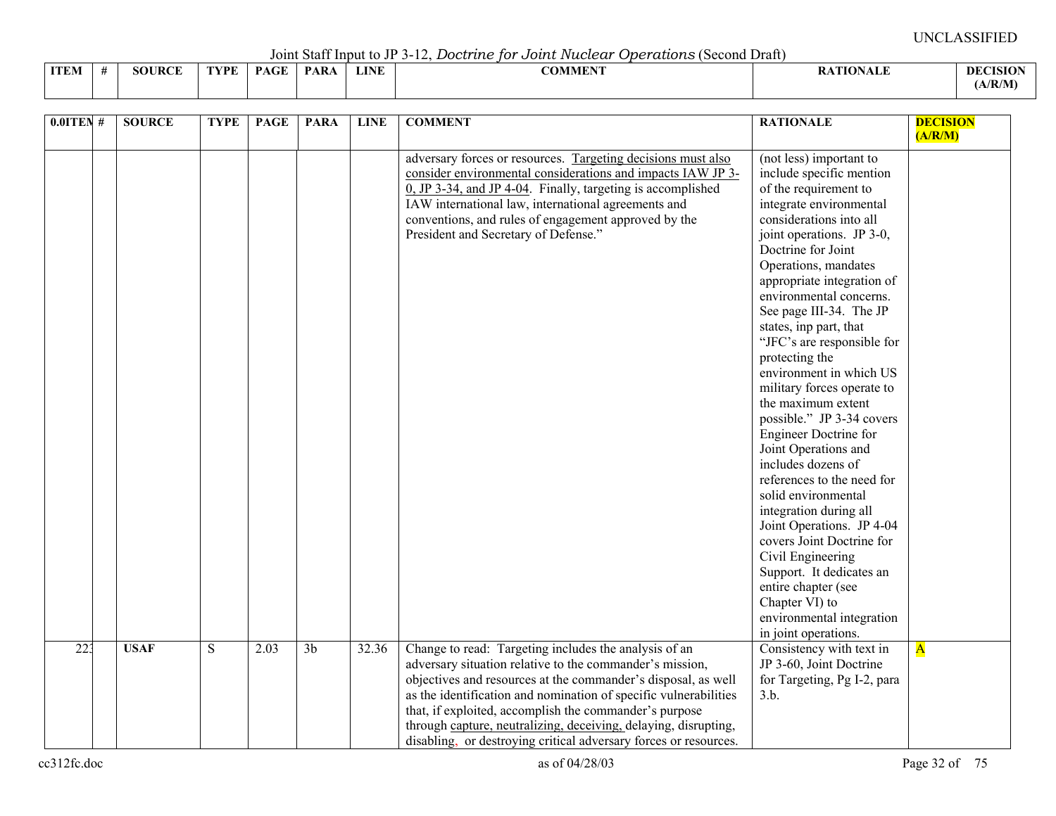Joint Staff Input to JP 3-12, *Doctrine for Joint Nuclear Operations* (Second Draft)

| <b>ITEM</b> | <b>SOURCE</b> | 'VPF | <b>PAGE</b> | <b>PAR</b> | <b>LINE</b> | COMMENT |  | TISIOI<br>- DEC |
|-------------|---------------|------|-------------|------------|-------------|---------|--|-----------------|
|             |               |      |             |            |             |         |  | (A/R/M)         |

| $0.01$ TEN # | <b>SOURCE</b> | <b>TYPE</b> | <b>PAGE</b> | <b>PARA</b>    | <b>LINE</b> | <b>COMMENT</b>                                                                                                                                                                                                                                                                                                                                                                                                                                          | <b>RATIONALE</b>                                                                                                                                                                                                                                                                                                                                                                                                                                                                                                                                                                                                                                                                                                                                                                                                                                       | <b>DECISION</b><br>(A/R/M) |
|--------------|---------------|-------------|-------------|----------------|-------------|---------------------------------------------------------------------------------------------------------------------------------------------------------------------------------------------------------------------------------------------------------------------------------------------------------------------------------------------------------------------------------------------------------------------------------------------------------|--------------------------------------------------------------------------------------------------------------------------------------------------------------------------------------------------------------------------------------------------------------------------------------------------------------------------------------------------------------------------------------------------------------------------------------------------------------------------------------------------------------------------------------------------------------------------------------------------------------------------------------------------------------------------------------------------------------------------------------------------------------------------------------------------------------------------------------------------------|----------------------------|
|              |               |             |             |                |             | adversary forces or resources. Targeting decisions must also<br>consider environmental considerations and impacts IAW JP 3-<br>$0$ , JP 3-34, and JP 4-04. Finally, targeting is accomplished<br>IAW international law, international agreements and<br>conventions, and rules of engagement approved by the<br>President and Secretary of Defense."                                                                                                    | (not less) important to<br>include specific mention<br>of the requirement to<br>integrate environmental<br>considerations into all<br>joint operations. JP 3-0,<br>Doctrine for Joint<br>Operations, mandates<br>appropriate integration of<br>environmental concerns.<br>See page III-34. The JP<br>states, inp part, that<br>"JFC's are responsible for<br>protecting the<br>environment in which US<br>military forces operate to<br>the maximum extent<br>possible." JP 3-34 covers<br>Engineer Doctrine for<br>Joint Operations and<br>includes dozens of<br>references to the need for<br>solid environmental<br>integration during all<br>Joint Operations. JP 4-04<br>covers Joint Doctrine for<br>Civil Engineering<br>Support. It dedicates an<br>entire chapter (see<br>Chapter VI) to<br>environmental integration<br>in joint operations. |                            |
| 223          | <b>USAF</b>   | ${\bf S}$   | 2.03        | 3 <sub>b</sub> | 32.36       | Change to read: Targeting includes the analysis of an<br>adversary situation relative to the commander's mission,<br>objectives and resources at the commander's disposal, as well<br>as the identification and nomination of specific vulnerabilities<br>that, if exploited, accomplish the commander's purpose<br>through capture, neutralizing, deceiving, delaying, disrupting,<br>disabling, or destroying critical adversary forces or resources. | Consistency with text in<br>JP 3-60, Joint Doctrine<br>for Targeting, Pg I-2, para<br>3.b.                                                                                                                                                                                                                                                                                                                                                                                                                                                                                                                                                                                                                                                                                                                                                             | $\overline{\mathbf{A}}$    |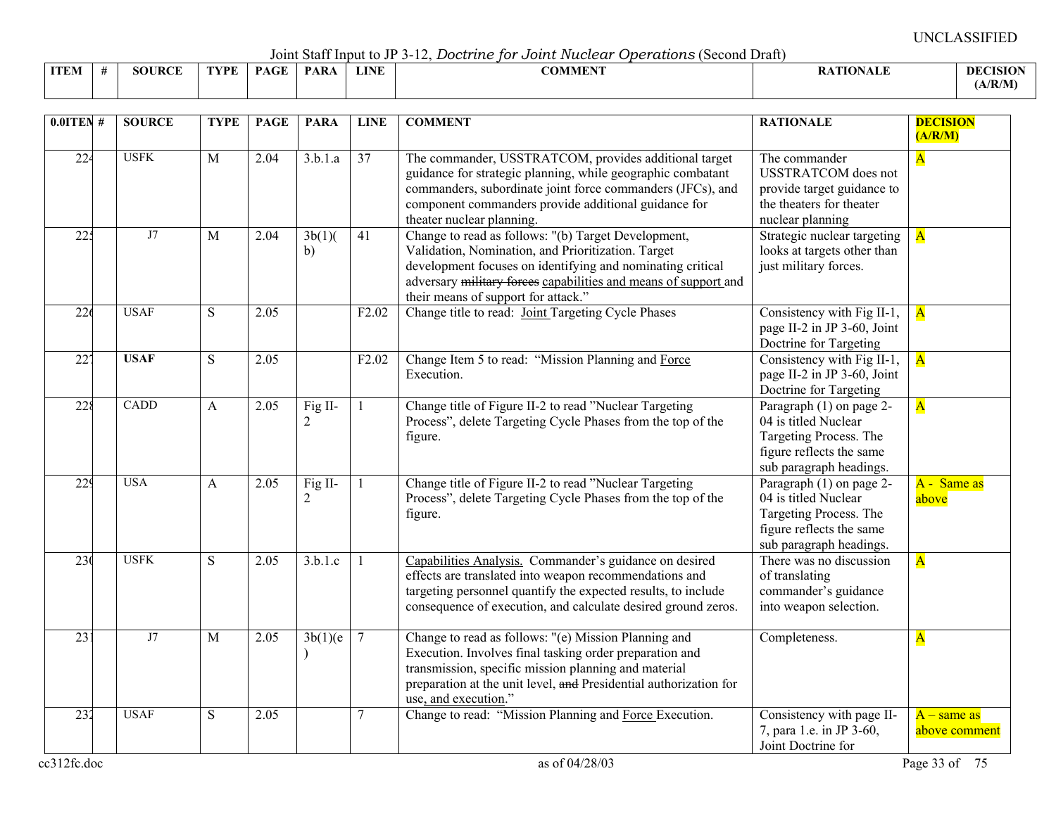Joint Staff Input to JP 3-12, *Doctrine for Joint Nuclear Operations* (Second Draft)

|             | voint bant mpat to vi bullet bood dito for o odder tracecour oportadored to voint biant |               |      |             |      |             |         |                 |                 |  |  |  |  |
|-------------|-----------------------------------------------------------------------------------------|---------------|------|-------------|------|-------------|---------|-----------------|-----------------|--|--|--|--|
| <b>ITEM</b> |                                                                                         | <b>SOURCE</b> | FYPE | <b>PAGE</b> | PARA | <b>LINE</b> | COMMENT | <b>ATIONALE</b> | <b>DECISION</b> |  |  |  |  |
|             |                                                                                         |               |      |             |      |             |         |                 | (A/R/M)         |  |  |  |  |

| $0.0$ ITEN#      | <b>SOURCE</b> | <b>TYPE</b>  | <b>PAGE</b> | <b>PARA</b>               | <b>LINE</b>       | <b>COMMENT</b>                                                                                                                                                                                                                                                                    | <b>RATIONALE</b>                                                                                                                  | <b>DECISION</b><br>(A/R/M)     |
|------------------|---------------|--------------|-------------|---------------------------|-------------------|-----------------------------------------------------------------------------------------------------------------------------------------------------------------------------------------------------------------------------------------------------------------------------------|-----------------------------------------------------------------------------------------------------------------------------------|--------------------------------|
| $\overline{22}$  | <b>USFK</b>   | M            | 2.04        | 3.b.1.a                   | $\overline{37}$   | The commander, USSTRATCOM, provides additional target<br>guidance for strategic planning, while geographic combatant<br>commanders, subordinate joint force commanders (JFCs), and<br>component commanders provide additional guidance for<br>theater nuclear planning.           | The commander<br><b>USSTRATCOM</b> does not<br>provide target guidance to<br>the theaters for theater<br>nuclear planning         | $\overline{A}$                 |
| 225              | J7            | $\mathbf{M}$ | 2.04        | 3b(1)<br>b)               | 41                | Change to read as follows: "(b) Target Development,<br>Validation, Nomination, and Prioritization. Target<br>development focuses on identifying and nominating critical<br>adversary military forces capabilities and means of support and<br>their means of support for attack." | Strategic nuclear targeting<br>looks at targets other than<br>just military forces.                                               | $\overline{\mathbf{A}}$        |
| 226              | <b>USAF</b>   | S            | 2.05        |                           | F <sub>2.02</sub> | Change title to read: Joint Targeting Cycle Phases                                                                                                                                                                                                                                | Consistency with Fig II-1,<br>page II-2 in JP 3-60, Joint<br>Doctrine for Targeting                                               | $\overline{\mathbf{A}}$        |
| $\overline{227}$ | <b>USAF</b>   | S            | 2.05        |                           | F <sub>2.02</sub> | Change Item 5 to read: "Mission Planning and Force<br>Execution.                                                                                                                                                                                                                  | Consistency with Fig II-1,<br>page II-2 in JP 3-60, Joint<br>Doctrine for Targeting                                               | $\overline{\mathbf{A}}$        |
| $\overline{228}$ | CADD          | A            | 2.05        | Fig II-<br>$\overline{2}$ |                   | Change title of Figure II-2 to read "Nuclear Targeting<br>Process", delete Targeting Cycle Phases from the top of the<br>figure.                                                                                                                                                  | Paragraph (1) on page 2-<br>04 is titled Nuclear<br>Targeting Process. The<br>figure reflects the same<br>sub paragraph headings. | $\overline{\mathbf{A}}$        |
| 229              | <b>USA</b>    | A            | 2.05        | Fig II-<br>2              |                   | Change title of Figure II-2 to read "Nuclear Targeting<br>Process", delete Targeting Cycle Phases from the top of the<br>figure.                                                                                                                                                  | Paragraph (1) on page 2-<br>04 is titled Nuclear<br>Targeting Process. The<br>figure reflects the same<br>sub paragraph headings. | A - Same as<br>above           |
| 23 <sub>0</sub>  | <b>USFK</b>   | S            | 2.05        | 3.b.1.c                   |                   | Capabilities Analysis. Commander's guidance on desired<br>effects are translated into weapon recommendations and<br>targeting personnel quantify the expected results, to include<br>consequence of execution, and calculate desired ground zeros.                                | There was no discussion<br>of translating<br>commander's guidance<br>into weapon selection.                                       | $\overline{\mathbf{A}}$        |
| 23 <sup>2</sup>  | J7            | $\mathbf{M}$ | 2.05        | 3b(1)(e)                  | $\overline{7}$    | Change to read as follows: "(e) Mission Planning and<br>Execution. Involves final tasking order preparation and<br>transmission, specific mission planning and material<br>preparation at the unit level, and Presidential authorization for<br>use, and execution."              | Completeness.                                                                                                                     | $\overline{\mathbf{A}}$        |
| 232              | <b>USAF</b>   | S            | 2.05        |                           | 7                 | Change to read: "Mission Planning and Force Execution.                                                                                                                                                                                                                            | Consistency with page II-<br>7, para 1.e. in JP 3-60,<br>Joint Doctrine for                                                       | $A$ – same as<br>above comment |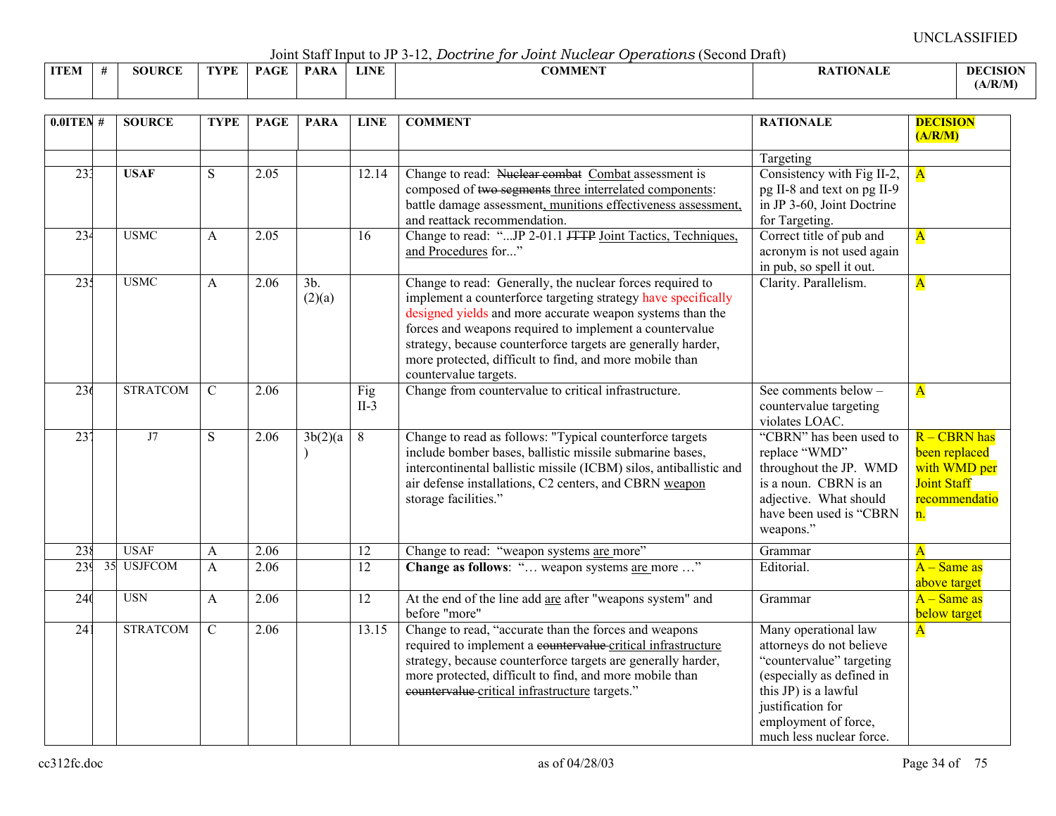Joint Staff Input to JP 3-12, *Doctrine for Joint Nuclear Operations* (Second Draft)

|             | --------------<br>----------- |                    |      |                                          |             |             |                                                |                 |                 |  |  |  |  |
|-------------|-------------------------------|--------------------|------|------------------------------------------|-------------|-------------|------------------------------------------------|-----------------|-----------------|--|--|--|--|
| <b>ITEM</b> |                               | <b>JRCE</b><br>5OU | TVDF | $\sim$ $\sim$ $\sim$ $\sim$ $\sim$<br>DА | <b>PARA</b> | <b>LINE</b> | $\alpha$ and $\alpha$ and $\alpha$<br>ADMMEN : | <b>\TIONALF</b> | <b>DECISION</b> |  |  |  |  |
|             |                               |                    |      |                                          |             |             |                                                |                 | A/R/M           |  |  |  |  |

| $0.01$ TEN # | <b>SOURCE</b>   | <b>TYPE</b>    | <b>PAGE</b> | <b>PARA</b>      | <b>LINE</b>     | <b>COMMENT</b>                                                                                                                                                                                                                                                                                                                                                                                         | <b>RATIONALE</b>                                                                                                                                                                                           | <b>DECISION</b><br>(A/R/M)                                                                 |
|--------------|-----------------|----------------|-------------|------------------|-----------------|--------------------------------------------------------------------------------------------------------------------------------------------------------------------------------------------------------------------------------------------------------------------------------------------------------------------------------------------------------------------------------------------------------|------------------------------------------------------------------------------------------------------------------------------------------------------------------------------------------------------------|--------------------------------------------------------------------------------------------|
|              |                 |                |             |                  |                 |                                                                                                                                                                                                                                                                                                                                                                                                        | Targeting                                                                                                                                                                                                  |                                                                                            |
| 233          | <b>USAF</b>     | ${\bf S}$      | 2.05        |                  | 12.14           | Change to read: Nuclear combat Combat assessment is<br>composed of two segments three interrelated components:<br>battle damage assessment, munitions effectiveness assessment,<br>and reattack recommendation.                                                                                                                                                                                        | Consistency with Fig II-2,<br>pg II-8 and text on pg II-9<br>in JP 3-60, Joint Doctrine<br>for Targeting.                                                                                                  | $\overline{\mathbf{A}}$                                                                    |
| 234          | <b>USMC</b>     | $\mathsf{A}$   | 2.05        |                  | 16              | Change to read: "JP 2-01.1 JTTP Joint Tactics, Techniques,<br>and Procedures for"                                                                                                                                                                                                                                                                                                                      | Correct title of pub and<br>acronym is not used again<br>in pub, so spell it out.                                                                                                                          | $\overline{\mathbf{A}}$                                                                    |
| 235          | <b>USMC</b>     | $\mathbf{A}$   | 2.06        | $3b$ .<br>(2)(a) |                 | Change to read: Generally, the nuclear forces required to<br>implement a counterforce targeting strategy have specifically<br>designed yields and more accurate weapon systems than the<br>forces and weapons required to implement a countervalue<br>strategy, because counterforce targets are generally harder,<br>more protected, difficult to find, and more mobile than<br>countervalue targets. | Clarity. Parallelism.                                                                                                                                                                                      | $\overline{\mathbf{A}}$                                                                    |
| 236          | <b>STRATCOM</b> | $\mathcal{C}$  | 2.06        |                  | Fig<br>$II-3$   | Change from countervalue to critical infrastructure.                                                                                                                                                                                                                                                                                                                                                   | See comments below -<br>countervalue targeting<br>violates LOAC.                                                                                                                                           | $\overline{\mathbf{A}}$                                                                    |
| 237          | J7              | S              | 2.06        | 3b(2)(a)         | 8               | Change to read as follows: "Typical counterforce targets<br>include bomber bases, ballistic missile submarine bases,<br>intercontinental ballistic missile (ICBM) silos, antiballistic and<br>air defense installations, C2 centers, and CBRN weapon<br>storage facilities."                                                                                                                           | "CBRN" has been used to<br>replace "WMD"<br>throughout the JP. WMD<br>is a noun. CBRN is an<br>adjective. What should<br>have been used is "CBRN<br>weapons."                                              | R - CBRN has<br>been replaced<br>with WMD per<br><b>Joint Staff</b><br>recommendatio<br>n. |
| 238          | <b>USAF</b>     | A              | 2.06        |                  | 12              | Change to read: "weapon systems are more"                                                                                                                                                                                                                                                                                                                                                              | Grammar                                                                                                                                                                                                    | $\overline{\mathbf{A}}$                                                                    |
| 239          | 35 USJFCOM      | A              | 2.06        |                  | $\overline{12}$ | Change as follows: " weapon systems are more "                                                                                                                                                                                                                                                                                                                                                         | Editorial.                                                                                                                                                                                                 | $A - Same$ as<br>above target                                                              |
| 240          | <b>USN</b>      | A              | 2.06        |                  | 12              | At the end of the line add are after "weapons system" and<br>before "more"                                                                                                                                                                                                                                                                                                                             | Grammar                                                                                                                                                                                                    | $A - Same$ as<br>below target                                                              |
| 241          | <b>STRATCOM</b> | $\overline{C}$ | 2.06        |                  | 13.15           | Change to read, "accurate than the forces and weapons<br>required to implement a countervalue critical infrastructure<br>strategy, because counterforce targets are generally harder,<br>more protected, difficult to find, and more mobile than<br>countervalue critical infrastructure targets."                                                                                                     | Many operational law<br>attorneys do not believe<br>"countervalue" targeting<br>(especially as defined in<br>this JP) is a lawful<br>justification for<br>employment of force,<br>much less nuclear force. | $\overline{\mathbf{A}}$                                                                    |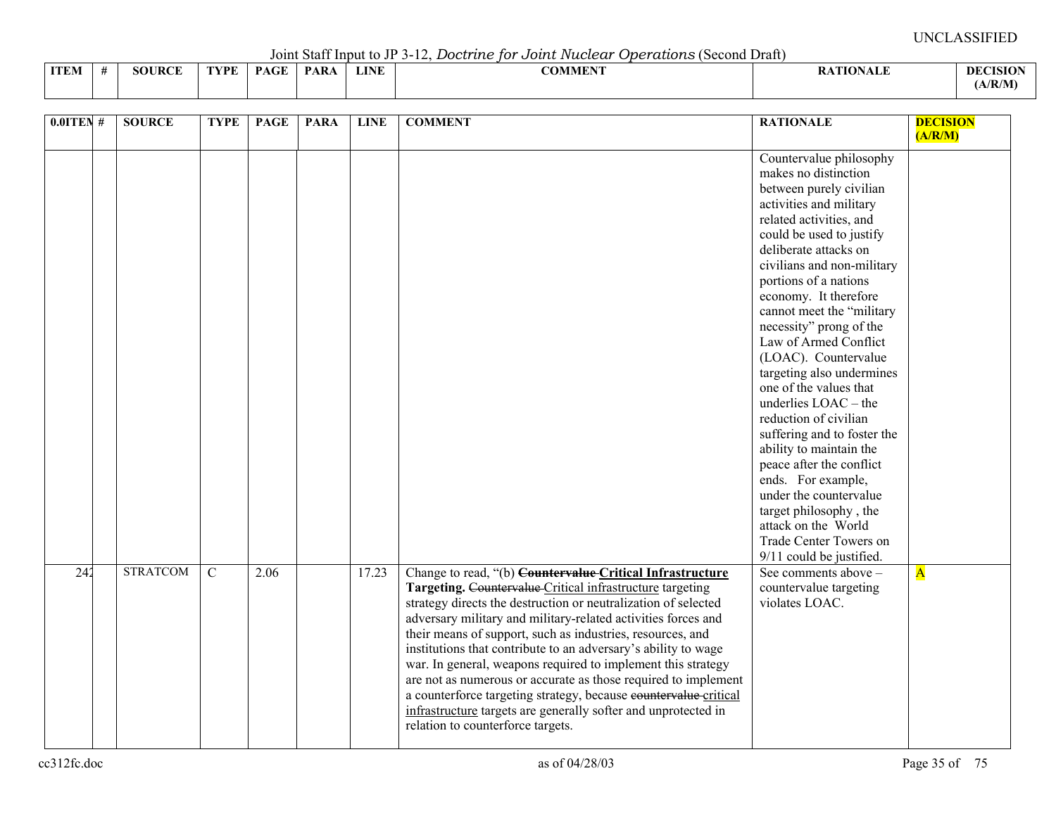Joint Staff Input to JP 3-12, *Doctrine for Joint Nuclear Operations* (Second Draft)

|             |        |      |             | $\sqrt{2}$ $\sqrt{2}$ $\sqrt{2}$ $\sqrt{2}$ $\sqrt{2}$ $\sqrt{2}$ $\sqrt{2}$ $\sqrt{2}$ $\sqrt{2}$ $\sqrt{2}$ $\sqrt{2}$ $\sqrt{2}$ $\sqrt{2}$ $\sqrt{2}$ $\sqrt{2}$ $\sqrt{2}$ $\sqrt{2}$ $\sqrt{2}$ $\sqrt{2}$ $\sqrt{2}$ $\sqrt{2}$ $\sqrt{2}$ $\sqrt{2}$ $\sqrt{2}$ $\sqrt{2}$ $\sqrt{2}$ $\sqrt{2}$ $\sqrt{2$ |             | --------------                  |                |                 |
|-------------|--------|------|-------------|--------------------------------------------------------------------------------------------------------------------------------------------------------------------------------------------------------------------------------------------------------------------------------------------------------------------|-------------|---------------------------------|----------------|-----------------|
| <b>ITEM</b> | SOURCE | TVDF | <b>PAGE</b> | <b>PARA</b>                                                                                                                                                                                                                                                                                                        | <b>LINE</b> | $\alpha$ atitum<br>AD MINI PART | <b>TIONALL</b> | <b>DECISION</b> |
|             |        |      |             |                                                                                                                                                                                                                                                                                                                    |             |                                 |                | (A/R/M)         |

| $0.01$ TEN # | <b>SOURCE</b>   | <b>TYPE</b>   | <b>PAGE</b> | <b>PARA</b> | <b>LINE</b> | <b>COMMENT</b>                                                                                                                                                                                                                                                                                                                                                                                                                                                                                                                                                                                                                                                                                         | <b>RATIONALE</b>                                                                                                                                                                                                                                                                                                                                                                                                                                                                                                                                                                                                                                                                                                                      | <b>DECISION</b><br>(A/R/M) |
|--------------|-----------------|---------------|-------------|-------------|-------------|--------------------------------------------------------------------------------------------------------------------------------------------------------------------------------------------------------------------------------------------------------------------------------------------------------------------------------------------------------------------------------------------------------------------------------------------------------------------------------------------------------------------------------------------------------------------------------------------------------------------------------------------------------------------------------------------------------|---------------------------------------------------------------------------------------------------------------------------------------------------------------------------------------------------------------------------------------------------------------------------------------------------------------------------------------------------------------------------------------------------------------------------------------------------------------------------------------------------------------------------------------------------------------------------------------------------------------------------------------------------------------------------------------------------------------------------------------|----------------------------|
|              |                 |               |             |             |             |                                                                                                                                                                                                                                                                                                                                                                                                                                                                                                                                                                                                                                                                                                        | Countervalue philosophy<br>makes no distinction<br>between purely civilian<br>activities and military<br>related activities, and<br>could be used to justify<br>deliberate attacks on<br>civilians and non-military<br>portions of a nations<br>economy. It therefore<br>cannot meet the "military<br>necessity" prong of the<br>Law of Armed Conflict<br>(LOAC). Countervalue<br>targeting also undermines<br>one of the values that<br>underlies $LOAC - the$<br>reduction of civilian<br>suffering and to foster the<br>ability to maintain the<br>peace after the conflict<br>ends. For example,<br>under the countervalue<br>target philosophy, the<br>attack on the World<br>Trade Center Towers on<br>9/11 could be justified. |                            |
| 242          | <b>STRATCOM</b> | $\mathcal{C}$ | 2.06        |             | 17.23       | Change to read, "(b) Countervalue Critical Infrastructure<br>Targeting. Countervalue Critical infrastructure targeting<br>strategy directs the destruction or neutralization of selected<br>adversary military and military-related activities forces and<br>their means of support, such as industries, resources, and<br>institutions that contribute to an adversary's ability to wage<br>war. In general, weapons required to implement this strategy<br>are not as numerous or accurate as those required to implement<br>a counterforce targeting strategy, because countervalue critical<br>infrastructure targets are generally softer and unprotected in<br>relation to counterforce targets. | See comments above -<br>countervalue targeting<br>violates LOAC.                                                                                                                                                                                                                                                                                                                                                                                                                                                                                                                                                                                                                                                                      | $\overline{\mathbf{A}}$    |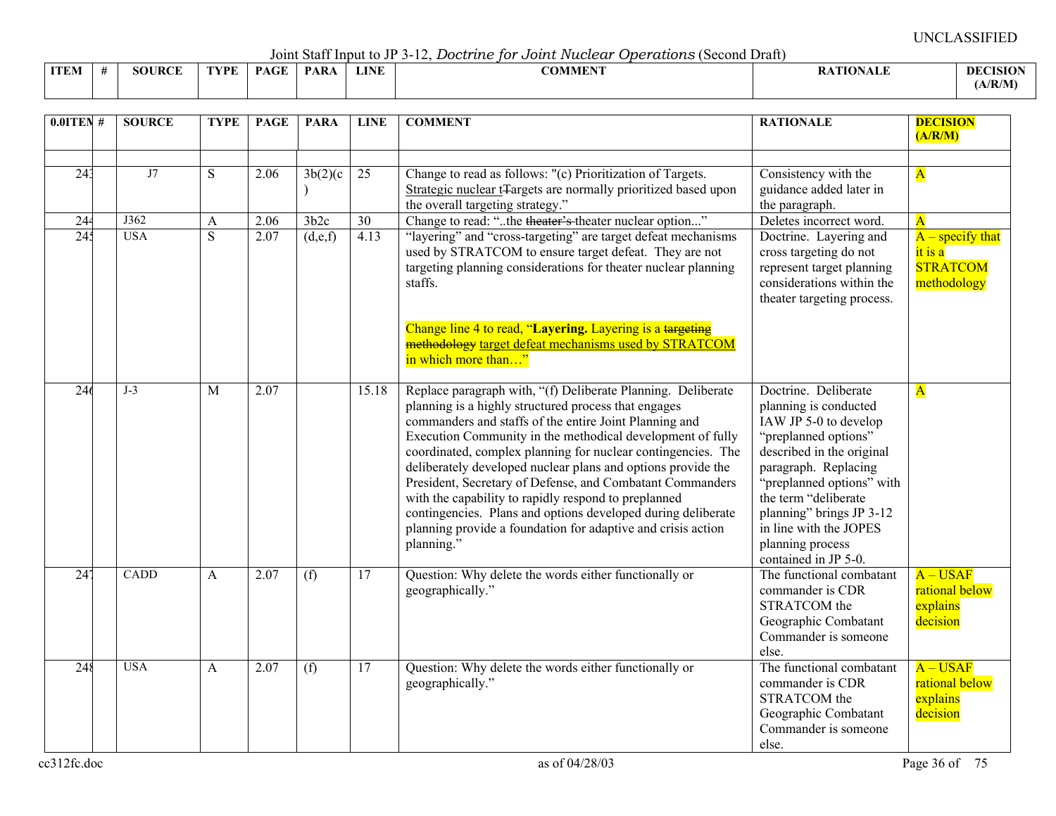Joint Staff Input to JP 3-12, *Doctrine for Joint Nuclear Operations* (Second Draft)

|             |        |      |             |            |             | .<br>---------------<br>. |                |                 |
|-------------|--------|------|-------------|------------|-------------|---------------------------|----------------|-----------------|
| <b>ITEM</b> | SOURCF | TVDE | <b>PAGE</b> | <b>PAR</b> | <b>LINE</b> | COMMUNIT<br>'')MME.       | <b>TIONALL</b> | <b>DECISION</b> |
|             |        |      |             |            |             |                           |                | (A/R/M)         |

| $0.01$ TEN#     | <b>SOURCE</b> | <b>TYPE</b>    | <b>PAGE</b> | <b>PARA</b> | <b>LINE</b>     | <b>COMMENT</b>                                                                                                                                                                                                                                                                                                                                                                                                                                                                                                                                                                                                                                  | <b>RATIONALE</b>                                                                                                                                                                                                                                                                                           | <b>DECISION</b><br>(A/R/M)                                        |
|-----------------|---------------|----------------|-------------|-------------|-----------------|-------------------------------------------------------------------------------------------------------------------------------------------------------------------------------------------------------------------------------------------------------------------------------------------------------------------------------------------------------------------------------------------------------------------------------------------------------------------------------------------------------------------------------------------------------------------------------------------------------------------------------------------------|------------------------------------------------------------------------------------------------------------------------------------------------------------------------------------------------------------------------------------------------------------------------------------------------------------|-------------------------------------------------------------------|
| 243             | J7            | ${\bf S}$      | 2.06        | 3b(2)(c)    | 25              | Change to read as follows: "(c) Prioritization of Targets.<br>Strategic nuclear t <sub>T</sub> argets are normally prioritized based upon<br>the overall targeting strategy."                                                                                                                                                                                                                                                                                                                                                                                                                                                                   | Consistency with the<br>guidance added later in<br>the paragraph.                                                                                                                                                                                                                                          | $\overline{\mathbf{A}}$                                           |
| 244             | J362          | A              | 2.06        | 3b2c        | 30              | Change to read: "the theater's theater nuclear option"                                                                                                                                                                                                                                                                                                                                                                                                                                                                                                                                                                                          | Deletes incorrect word.                                                                                                                                                                                                                                                                                    | $\overline{\mathbf{A}}$                                           |
| 245             | <b>USA</b>    | $\overline{S}$ | 2.07        | (d,e,f)     | 4.13            | "layering" and "cross-targeting" are target defeat mechanisms<br>used by STRATCOM to ensure target defeat. They are not<br>targeting planning considerations for theater nuclear planning<br>staffs.                                                                                                                                                                                                                                                                                                                                                                                                                                            | Doctrine. Layering and<br>cross targeting do not<br>represent target planning<br>considerations within the<br>theater targeting process.                                                                                                                                                                   | $A$ – specify that<br>$it$ is a<br><b>STRATCOM</b><br>methodology |
|                 |               |                |             |             |                 | Change line 4 to read, "Layering. Layering is a targeting<br>methodology target defeat mechanisms used by STRATCOM<br>in which more than"                                                                                                                                                                                                                                                                                                                                                                                                                                                                                                       |                                                                                                                                                                                                                                                                                                            |                                                                   |
| 246             | $J-3$         | M              | 2.07        |             | 15.18           | Replace paragraph with, "(f) Deliberate Planning. Deliberate<br>planning is a highly structured process that engages<br>commanders and staffs of the entire Joint Planning and<br>Execution Community in the methodical development of fully<br>coordinated, complex planning for nuclear contingencies. The<br>deliberately developed nuclear plans and options provide the<br>President, Secretary of Defense, and Combatant Commanders<br>with the capability to rapidly respond to preplanned<br>contingencies. Plans and options developed during deliberate<br>planning provide a foundation for adaptive and crisis action<br>planning." | Doctrine. Deliberate<br>planning is conducted<br>IAW JP 5-0 to develop<br>"preplanned options"<br>described in the original<br>paragraph. Replacing<br>"preplanned options" with<br>the term "deliberate<br>planning" brings JP 3-12<br>in line with the JOPES<br>planning process<br>contained in JP 5-0. | $\overline{\mathbf{A}}$                                           |
| 24 <sup>7</sup> | <b>CADD</b>   | $\mathbf{A}$   | 2.07        | (f)         | 17              | Question: Why delete the words either functionally or<br>geographically."                                                                                                                                                                                                                                                                                                                                                                                                                                                                                                                                                                       | The functional combatant<br>commander is CDR<br>STRATCOM the<br>Geographic Combatant<br>Commander is someone<br>else.                                                                                                                                                                                      | $A - USAF$<br>rational below<br>explains<br>decision              |
| 248             | <b>USA</b>    | A              | 2.07        | (f)         | $\overline{17}$ | Question: Why delete the words either functionally or<br>geographically."                                                                                                                                                                                                                                                                                                                                                                                                                                                                                                                                                                       | The functional combatant<br>commander is CDR<br>STRATCOM the<br>Geographic Combatant<br>Commander is someone<br>else.                                                                                                                                                                                      | $A - USAF$<br>rational below<br>explains<br>decision              |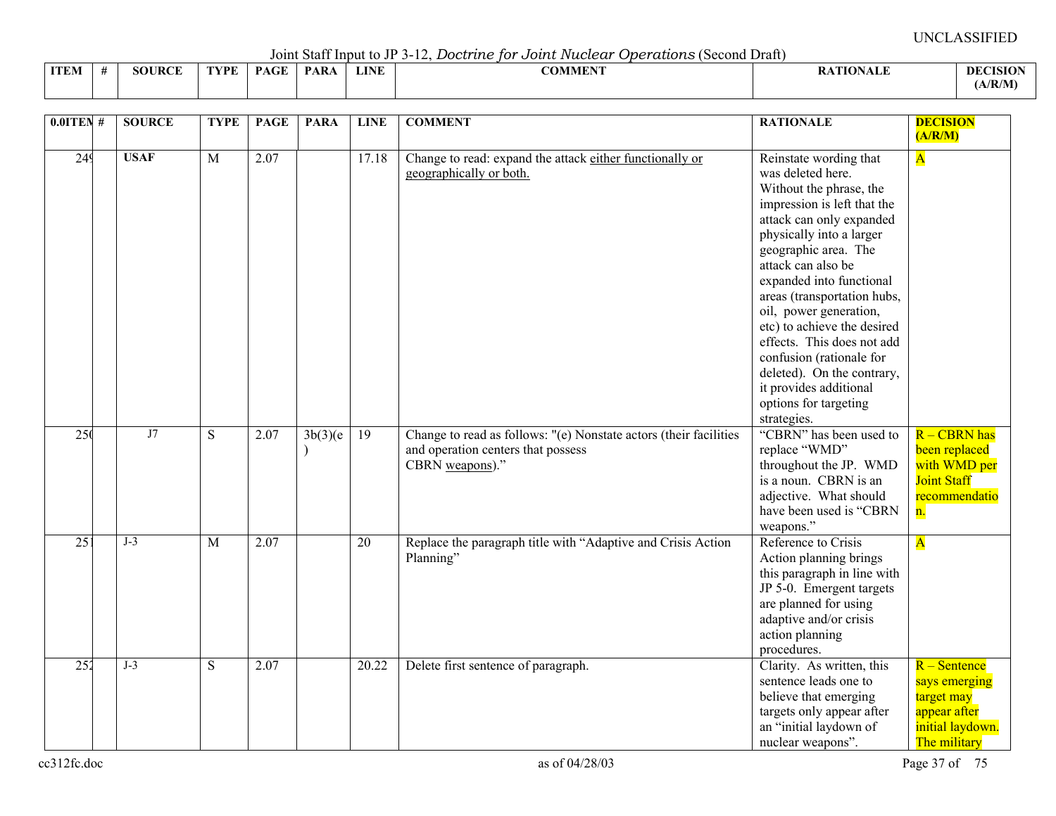Joint Staff Input to JP 3-12, *Doctrine for Joint Nuclear Operations* (Second Draft)

|             |      |               |      |             | .           |             | .              |                 |                 |
|-------------|------|---------------|------|-------------|-------------|-------------|----------------|-----------------|-----------------|
| <b>ITEM</b> | - 44 | <b>SOURCE</b> | TVPF | <b>PAGE</b> | <b>PARA</b> | <b>LINE</b> | <b>COMMENT</b> | <b>ATIONALE</b> | <b>DECISION</b> |
|             |      |               |      |             |             |             |                |                 | (A/R/M)         |

| $0.0$ ITEN#     | <b>SOURCE</b> | <b>TYPE</b>    | <b>PAGE</b>       | <b>PARA</b> | <b>LINE</b> | <b>COMMENT</b>                                                    | <b>RATIONALE</b>                           | <b>DECISION</b>         |
|-----------------|---------------|----------------|-------------------|-------------|-------------|-------------------------------------------------------------------|--------------------------------------------|-------------------------|
|                 |               |                |                   |             |             |                                                                   |                                            | (A/R/M)                 |
| 249             | <b>USAF</b>   | $\overline{M}$ | 2.07              |             | 17.18       | Change to read: expand the attack either functionally or          | Reinstate wording that                     | $\overline{\mathbf{A}}$ |
|                 |               |                |                   |             |             | geographically or both.                                           | was deleted here.                          |                         |
|                 |               |                |                   |             |             |                                                                   | Without the phrase, the                    |                         |
|                 |               |                |                   |             |             |                                                                   | impression is left that the                |                         |
|                 |               |                |                   |             |             |                                                                   | attack can only expanded                   |                         |
|                 |               |                |                   |             |             |                                                                   | physically into a larger                   |                         |
|                 |               |                |                   |             |             |                                                                   | geographic area. The<br>attack can also be |                         |
|                 |               |                |                   |             |             |                                                                   | expanded into functional                   |                         |
|                 |               |                |                   |             |             |                                                                   | areas (transportation hubs,                |                         |
|                 |               |                |                   |             |             |                                                                   | oil, power generation,                     |                         |
|                 |               |                |                   |             |             |                                                                   | etc) to achieve the desired                |                         |
|                 |               |                |                   |             |             |                                                                   | effects. This does not add                 |                         |
|                 |               |                |                   |             |             |                                                                   | confusion (rationale for                   |                         |
|                 |               |                |                   |             |             |                                                                   | deleted). On the contrary,                 |                         |
|                 |               |                |                   |             |             |                                                                   | it provides additional                     |                         |
|                 |               |                |                   |             |             |                                                                   | options for targeting                      |                         |
|                 |               |                |                   |             |             |                                                                   | strategies.                                |                         |
| 25(             | J7            | S              | 2.07              | 3b(3)(e)    | 19          | Change to read as follows: "(e) Nonstate actors (their facilities | "CBRN" has been used to                    | $R - CBRN$ has          |
|                 |               |                |                   | $\lambda$   |             | and operation centers that possess                                | replace "WMD"                              | been replaced           |
|                 |               |                |                   |             |             | CBRN weapons)."                                                   | throughout the JP. WMD                     | with WMD per            |
|                 |               |                |                   |             |             |                                                                   | is a noun. CBRN is an                      | <b>Joint Staff</b>      |
|                 |               |                |                   |             |             |                                                                   | adjective. What should                     | recommendatio           |
|                 |               |                |                   |             |             |                                                                   | have been used is "CBRN                    | n.                      |
|                 |               |                |                   |             |             |                                                                   | weapons."                                  |                         |
| $\overline{25}$ | $J-3$         | $\mathbf{M}$   | 2.07              |             | 20          | Replace the paragraph title with "Adaptive and Crisis Action      | Reference to Crisis                        | $\overline{\mathbf{A}}$ |
|                 |               |                |                   |             |             | Planning"                                                         | Action planning brings                     |                         |
|                 |               |                |                   |             |             |                                                                   | this paragraph in line with                |                         |
|                 |               |                |                   |             |             |                                                                   | JP 5-0. Emergent targets                   |                         |
|                 |               |                |                   |             |             |                                                                   | are planned for using                      |                         |
|                 |               |                |                   |             |             |                                                                   | adaptive and/or crisis                     |                         |
|                 |               |                |                   |             |             |                                                                   | action planning                            |                         |
|                 |               |                |                   |             |             |                                                                   | procedures.                                |                         |
| 252             | $J-3$         | $\overline{S}$ | $\overline{2.07}$ |             | 20.22       | Delete first sentence of paragraph.                               | Clarity. As written, this                  | $R -$ Sentence          |
|                 |               |                |                   |             |             |                                                                   | sentence leads one to                      | says emerging           |
|                 |               |                |                   |             |             |                                                                   | believe that emerging                      | target may              |
|                 |               |                |                   |             |             |                                                                   | targets only appear after                  | appear after            |
|                 |               |                |                   |             |             |                                                                   | an "initial laydown of                     | initial laydown.        |
|                 |               |                |                   |             |             |                                                                   | nuclear weapons".                          | The military            |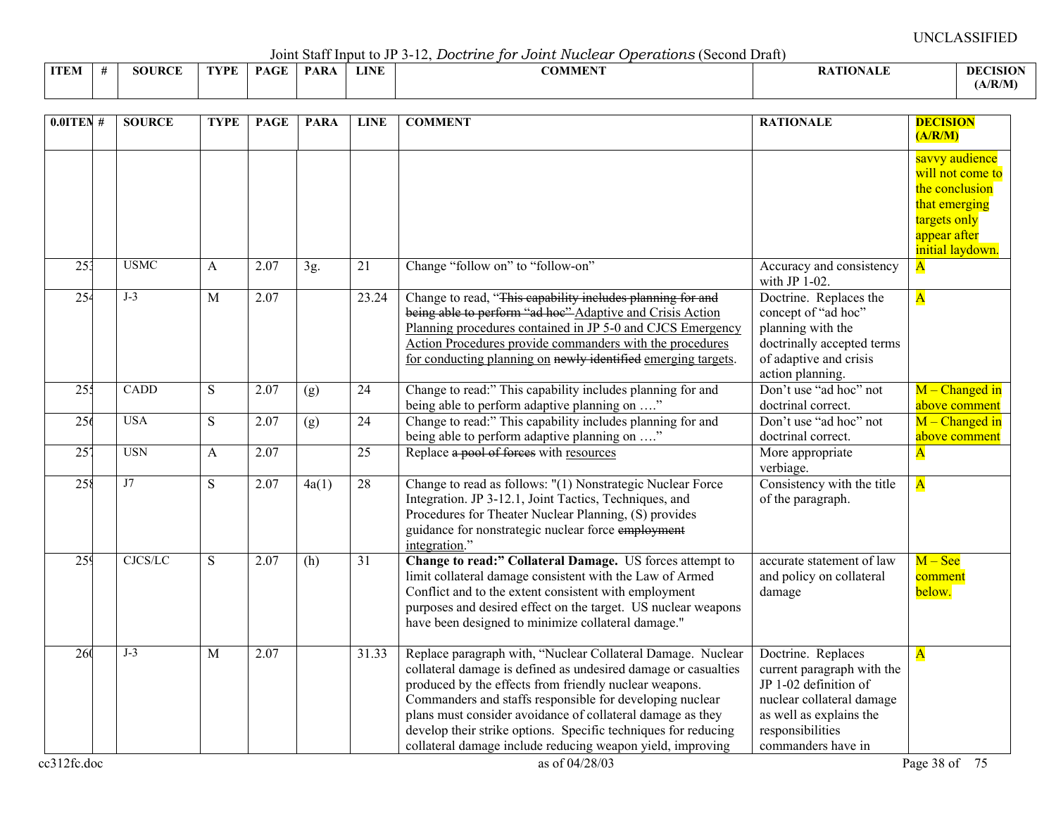Joint Staff Input to JP 3-12, *Doctrine for Joint Nuclear Operations* (Second Draft)

|             | voint built mpat to view later bood dito for o odder interested operational powerful bianty |               |      |             |             |      |         |                |                |  |  |  |  |  |
|-------------|---------------------------------------------------------------------------------------------|---------------|------|-------------|-------------|------|---------|----------------|----------------|--|--|--|--|--|
| <b>ITEM</b> |                                                                                             | <b>SOURCE</b> | FVPF | <b>PAGE</b> | <b>PARA</b> | LINE | -OMMENT | <b>TIONALL</b> | <b>DECISIO</b> |  |  |  |  |  |
|             |                                                                                             |               |      |             |             |      |         |                | (A/R/M)        |  |  |  |  |  |

| $0.0$ ITEN#      | <b>SOURCE</b> | <b>TYPE</b>    | <b>PAGE</b> | <b>PARA</b> | <b>LINE</b> | <b>COMMENT</b>                                                                                                                                                                                                                                                                                                                                                                                                                                    | <b>RATIONALE</b>                                                                                                                                                            | <b>DECISION</b><br>(A/R/M)                                                                                                |
|------------------|---------------|----------------|-------------|-------------|-------------|---------------------------------------------------------------------------------------------------------------------------------------------------------------------------------------------------------------------------------------------------------------------------------------------------------------------------------------------------------------------------------------------------------------------------------------------------|-----------------------------------------------------------------------------------------------------------------------------------------------------------------------------|---------------------------------------------------------------------------------------------------------------------------|
|                  |               |                |             |             |             |                                                                                                                                                                                                                                                                                                                                                                                                                                                   |                                                                                                                                                                             | savvy audience<br>will not come to<br>the conclusion<br>that emerging<br>targets only<br>appear after<br>initial laydown. |
| $\overline{253}$ | <b>USMC</b>   | A              | 2.07        | 3g.         | 21          | Change "follow on" to "follow-on"                                                                                                                                                                                                                                                                                                                                                                                                                 | Accuracy and consistency<br>with JP $1-02$ .                                                                                                                                | $\mathbf{A}$                                                                                                              |
| 254              | $J-3$         | $\mathbf{M}$   | 2.07        |             | 23.24       | Change to read, "This capability includes planning for and<br>being able to perform "ad hoe" Adaptive and Crisis Action<br>Planning procedures contained in JP 5-0 and CJCS Emergency<br>Action Procedures provide commanders with the procedures<br>for conducting planning on newly identified emerging targets.                                                                                                                                | Doctrine. Replaces the<br>concept of "ad hoc"<br>planning with the<br>doctrinally accepted terms<br>of adaptive and crisis<br>action planning.                              | $\overline{\mathbf{A}}$                                                                                                   |
| 25 <sup>2</sup>  | <b>CADD</b>   | ${\bf S}$      | 2.07        | (g)         | 24          | Change to read:" This capability includes planning for and<br>being able to perform adaptive planning on "                                                                                                                                                                                                                                                                                                                                        | Don't use "ad hoc" not<br>doctrinal correct.                                                                                                                                | $M$ – Changed in<br>above comment                                                                                         |
| 256              | <b>USA</b>    | S              | 2.07        | (g)         | 24          | Change to read:" This capability includes planning for and<br>being able to perform adaptive planning on "                                                                                                                                                                                                                                                                                                                                        | Don't use "ad hoc" not<br>doctrinal correct.                                                                                                                                | $M$ – Changed in<br>above comment                                                                                         |
| 25'              | <b>USN</b>    | A              | 2.07        |             | 25          | Replace a pool of forces with resources                                                                                                                                                                                                                                                                                                                                                                                                           | More appropriate<br>verbiage.                                                                                                                                               | $\overline{\mathbf{A}}$                                                                                                   |
| 258              | J7            | ${\bf S}$      | 2.07        | 4a(1)       | 28          | Change to read as follows: "(1) Nonstrategic Nuclear Force<br>Integration. JP 3-12.1, Joint Tactics, Techniques, and<br>Procedures for Theater Nuclear Planning, (S) provides<br>guidance for nonstrategic nuclear force employment<br>integration."                                                                                                                                                                                              | Consistency with the title<br>of the paragraph.                                                                                                                             | $\overline{\mathbf{A}}$                                                                                                   |
| 259              | CJCS/LC       | S              | 2.07        | (h)         | 31          | Change to read:" Collateral Damage. US forces attempt to<br>limit collateral damage consistent with the Law of Armed<br>Conflict and to the extent consistent with employment<br>purposes and desired effect on the target. US nuclear weapons<br>have been designed to minimize collateral damage."                                                                                                                                              | accurate statement of law<br>and policy on collateral<br>damage                                                                                                             | $M - See$<br>comment<br>below.                                                                                            |
| 260              | $J-3$         | $\overline{M}$ | 2.07        |             | 31.33       | Replace paragraph with, "Nuclear Collateral Damage. Nuclear<br>collateral damage is defined as undesired damage or casualties<br>produced by the effects from friendly nuclear weapons.<br>Commanders and staffs responsible for developing nuclear<br>plans must consider avoidance of collateral damage as they<br>develop their strike options. Specific techniques for reducing<br>collateral damage include reducing weapon yield, improving | Doctrine. Replaces<br>current paragraph with the<br>JP 1-02 definition of<br>nuclear collateral damage<br>as well as explains the<br>responsibilities<br>commanders have in | $\overline{\mathbf{A}}$                                                                                                   |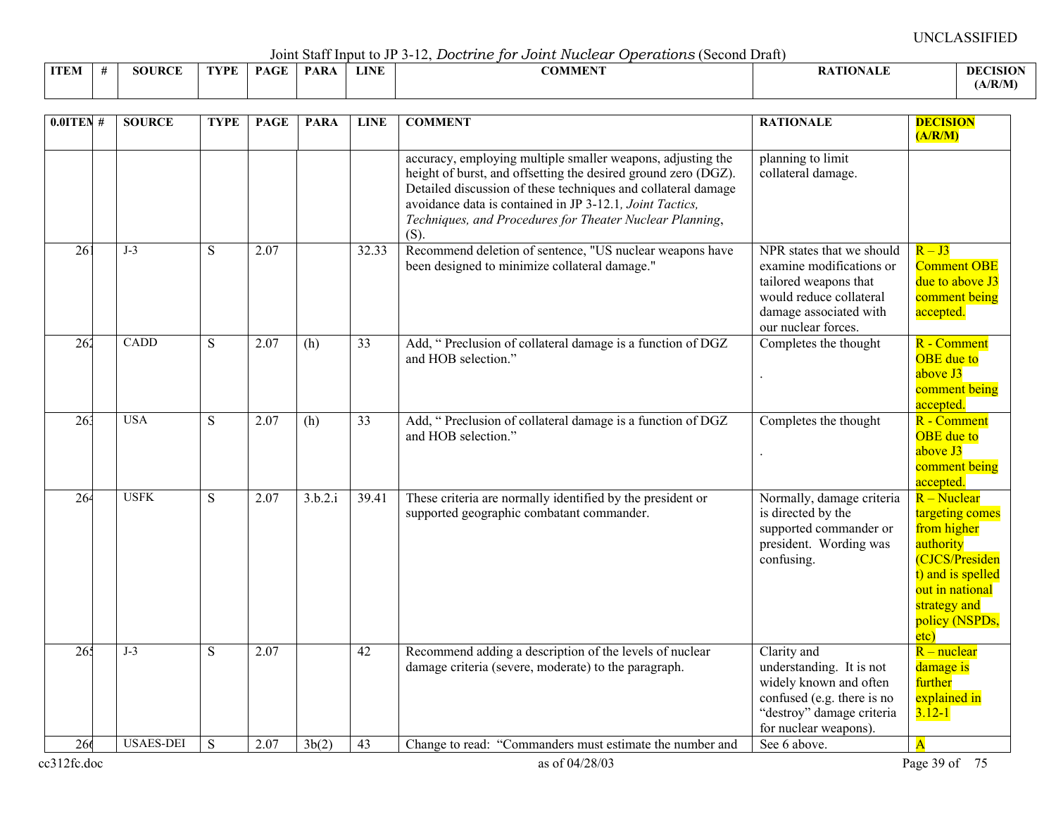Joint Staff Input to JP 3-12, *Doctrine for Joint Nuclear Operations* (Second Draft)

| --------------<br>----------- |  |                    |      |                                          |             |             |                                                |                 |                 |  |  |  |  |
|-------------------------------|--|--------------------|------|------------------------------------------|-------------|-------------|------------------------------------------------|-----------------|-----------------|--|--|--|--|
| <b>ITEM</b>                   |  | <b>JRCE</b><br>5OU | TVDF | $\sim$ $\sim$ $\sim$ $\sim$ $\sim$<br>DА | <b>PARA</b> | <b>LINE</b> | $\alpha$ and $\alpha$ and $\alpha$<br>ADMMEN : | <b>\TIONALF</b> | <b>DECISION</b> |  |  |  |  |
|                               |  |                    |      |                                          |             |             |                                                |                 | A/R/M           |  |  |  |  |

| $0.01$ TEN#     | <b>SOURCE</b>    | <b>TYPE</b>    | <b>PAGE</b> | <b>PARA</b> | <b>LINE</b> | <b>COMMENT</b>                                                                                                                                                                                                                                                                                                                    | <b>RATIONALE</b>                                                                                                                                           | <b>DECISION</b><br>(A/R/M)                                                                                                                                     |
|-----------------|------------------|----------------|-------------|-------------|-------------|-----------------------------------------------------------------------------------------------------------------------------------------------------------------------------------------------------------------------------------------------------------------------------------------------------------------------------------|------------------------------------------------------------------------------------------------------------------------------------------------------------|----------------------------------------------------------------------------------------------------------------------------------------------------------------|
|                 |                  |                |             |             |             | accuracy, employing multiple smaller weapons, adjusting the<br>height of burst, and offsetting the desired ground zero (DGZ).<br>Detailed discussion of these techniques and collateral damage<br>avoidance data is contained in JP 3-12.1, Joint Tactics,<br>Techniques, and Procedures for Theater Nuclear Planning,<br>$(S)$ . | planning to limit<br>collateral damage.                                                                                                                    |                                                                                                                                                                |
| 26 <sup>2</sup> | $J-3$            | S              | 2.07        |             | 32.33       | Recommend deletion of sentence, "US nuclear weapons have<br>been designed to minimize collateral damage."                                                                                                                                                                                                                         | NPR states that we should<br>examine modifications or<br>tailored weapons that<br>would reduce collateral<br>damage associated with<br>our nuclear forces. | $R - J3$<br><b>Comment OBE</b><br>due to above J3<br>comment being<br>accepted.                                                                                |
| 262             | CADD             | S              | 2.07        | (h)         | 33          | Add, "Preclusion of collateral damage is a function of DGZ<br>and HOB selection."                                                                                                                                                                                                                                                 | Completes the thought                                                                                                                                      | R - Comment<br><b>OBE</b> due to<br>above J3<br>comment being<br>accepted.                                                                                     |
| 26 <sup>3</sup> | <b>USA</b>       | S              | 2.07        | (h)         | 33          | Add, "Preclusion of collateral damage is a function of DGZ<br>and HOB selection."                                                                                                                                                                                                                                                 | Completes the thought                                                                                                                                      | R - Comment<br><b>OBE</b> due to<br>above J3<br>comment being<br>accepted.                                                                                     |
| 264             | <b>USFK</b>      | $\overline{S}$ | 2.07        | 3.b.2.i     | 39.41       | These criteria are normally identified by the president or<br>supported geographic combatant commander.                                                                                                                                                                                                                           | Normally, damage criteria<br>is directed by the<br>supported commander or<br>president. Wording was<br>confusing.                                          | R – Nuclear<br>targeting comes<br>from higher<br>authority<br>(CJCS/Presiden<br>t) and is spelled<br>out in national<br>strategy and<br>policy (NSPDs,<br>etc) |
| 265             | $J-3$            | S              | 2.07        |             | 42          | Recommend adding a description of the levels of nuclear<br>damage criteria (severe, moderate) to the paragraph.                                                                                                                                                                                                                   | Clarity and<br>understanding. It is not<br>widely known and often<br>confused (e.g. there is no<br>"destroy" damage criteria<br>for nuclear weapons).      | $R$ – nuclear<br>damage is<br>further<br>explained in<br>$3.12 - 1$                                                                                            |
| 266             | <b>USAES-DEI</b> | S              | 2.07        | 3b(2)       | 43          | Change to read: "Commanders must estimate the number and                                                                                                                                                                                                                                                                          | See 6 above.                                                                                                                                               | $\overline{\mathbf{A}}$                                                                                                                                        |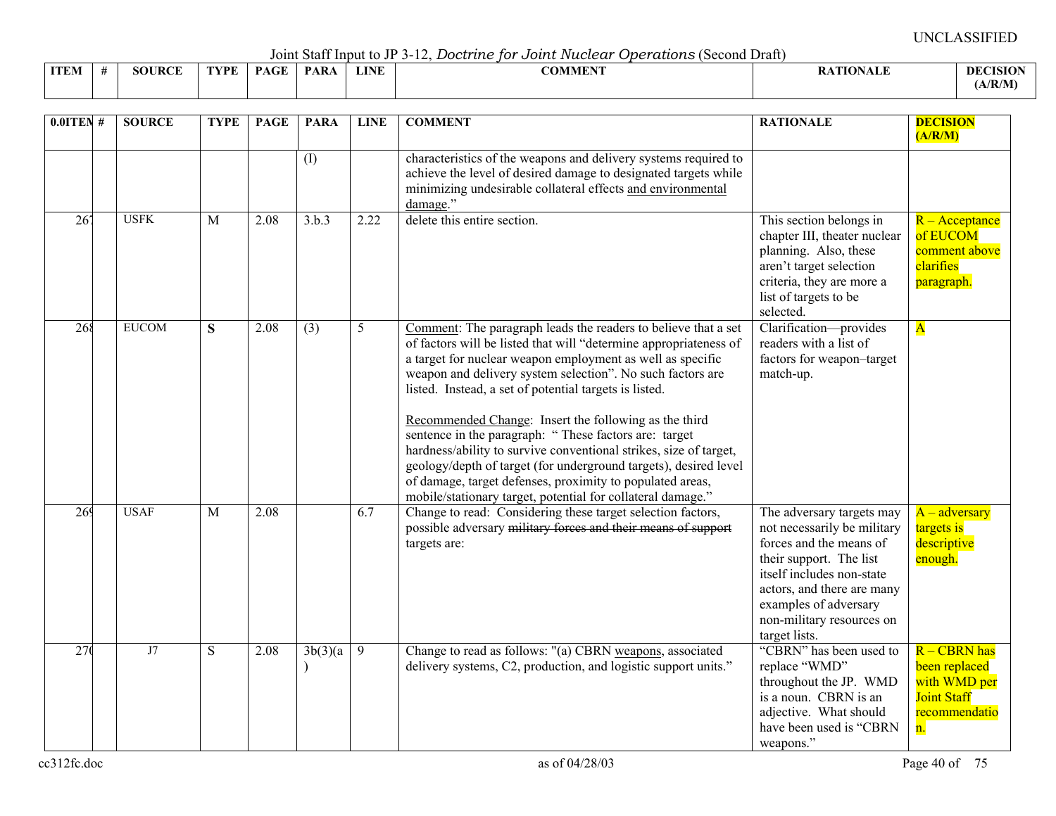Joint Staff Input to JP 3-12, *Doctrine for Joint Nuclear Operations* (Second Draft)

|             |               |             |          |             |             | .              |                  |                 |
|-------------|---------------|-------------|----------|-------------|-------------|----------------|------------------|-----------------|
| <b>ITEM</b> | <b>SOURCE</b> | <b>TYPE</b> | $PAGE +$ | <b>PARA</b> | <b>LINE</b> | <b>COMMENT</b> | <b>RATIONALE</b> | <b>DECISION</b> |
|             |               |             |          |             |             |                |                  | (A/R/M)         |

| $0.01$ TEN #    | <b>SOURCE</b> | <b>TYPE</b>    | <b>PAGE</b> | <b>PARA</b>      | <b>LINE</b> | <b>COMMENT</b>                                                                                                                                                                                                                                                                                                                                                                                                                                                                                                                                                                                                                                                                                                   | <b>RATIONALE</b>                                                                                                                                                                                                                                 | <b>DECISION</b><br>(A/R/M)                                                                 |
|-----------------|---------------|----------------|-------------|------------------|-------------|------------------------------------------------------------------------------------------------------------------------------------------------------------------------------------------------------------------------------------------------------------------------------------------------------------------------------------------------------------------------------------------------------------------------------------------------------------------------------------------------------------------------------------------------------------------------------------------------------------------------------------------------------------------------------------------------------------------|--------------------------------------------------------------------------------------------------------------------------------------------------------------------------------------------------------------------------------------------------|--------------------------------------------------------------------------------------------|
|                 |               |                |             | (I)              |             | characteristics of the weapons and delivery systems required to<br>achieve the level of desired damage to designated targets while<br>minimizing undesirable collateral effects and environmental<br>damage."                                                                                                                                                                                                                                                                                                                                                                                                                                                                                                    |                                                                                                                                                                                                                                                  |                                                                                            |
| 26 <sup>7</sup> | <b>USFK</b>   | $\overline{M}$ | 2.08        | 3.b.3            | 2.22        | delete this entire section.                                                                                                                                                                                                                                                                                                                                                                                                                                                                                                                                                                                                                                                                                      | This section belongs in<br>chapter III, theater nuclear<br>planning. Also, these<br>aren't target selection<br>criteria, they are more a<br>list of targets to be<br>selected.                                                                   | $R -$ Acceptance<br>of EUCOM<br>comment above<br>clarifies<br>paragraph.                   |
| 268             | <b>EUCOM</b>  | S              | 2.08        | $\overline{(3)}$ | 5           | Comment: The paragraph leads the readers to believe that a set<br>of factors will be listed that will "determine appropriateness of<br>a target for nuclear weapon employment as well as specific<br>weapon and delivery system selection". No such factors are<br>listed. Instead, a set of potential targets is listed.<br>Recommended Change: Insert the following as the third<br>sentence in the paragraph: "These factors are: target<br>hardness/ability to survive conventional strikes, size of target,<br>geology/depth of target (for underground targets), desired level<br>of damage, target defenses, proximity to populated areas,<br>mobile/stationary target, potential for collateral damage." | Clarification-provides<br>readers with a list of<br>factors for weapon-target<br>match-up.                                                                                                                                                       | $\overline{\mathbf{A}}$                                                                    |
| 269             | <b>USAF</b>   | M              | 2.08        |                  | 6.7         | Change to read: Considering these target selection factors,<br>possible adversary military forces and their means of support<br>targets are:                                                                                                                                                                                                                                                                                                                                                                                                                                                                                                                                                                     | The adversary targets may<br>not necessarily be military<br>forces and the means of<br>their support. The list<br>itself includes non-state<br>actors, and there are many<br>examples of adversary<br>non-military resources on<br>target lists. | $A - adversary$<br>targets is<br>descriptive<br>enough.                                    |
| 27(             | $\rm J7$      | S              | 2.08        | 3b(3)(a)         | 9           | Change to read as follows: "(a) CBRN weapons, associated<br>delivery systems, C2, production, and logistic support units."                                                                                                                                                                                                                                                                                                                                                                                                                                                                                                                                                                                       | "CBRN" has been used to<br>replace "WMD"<br>throughout the JP. WMD<br>is a noun. CBRN is an<br>adjective. What should<br>have been used is "CBRN<br>weapons."                                                                                    | R - CBRN has<br>been replaced<br>with WMD per<br><b>Joint Staff</b><br>recommendatio<br>n. |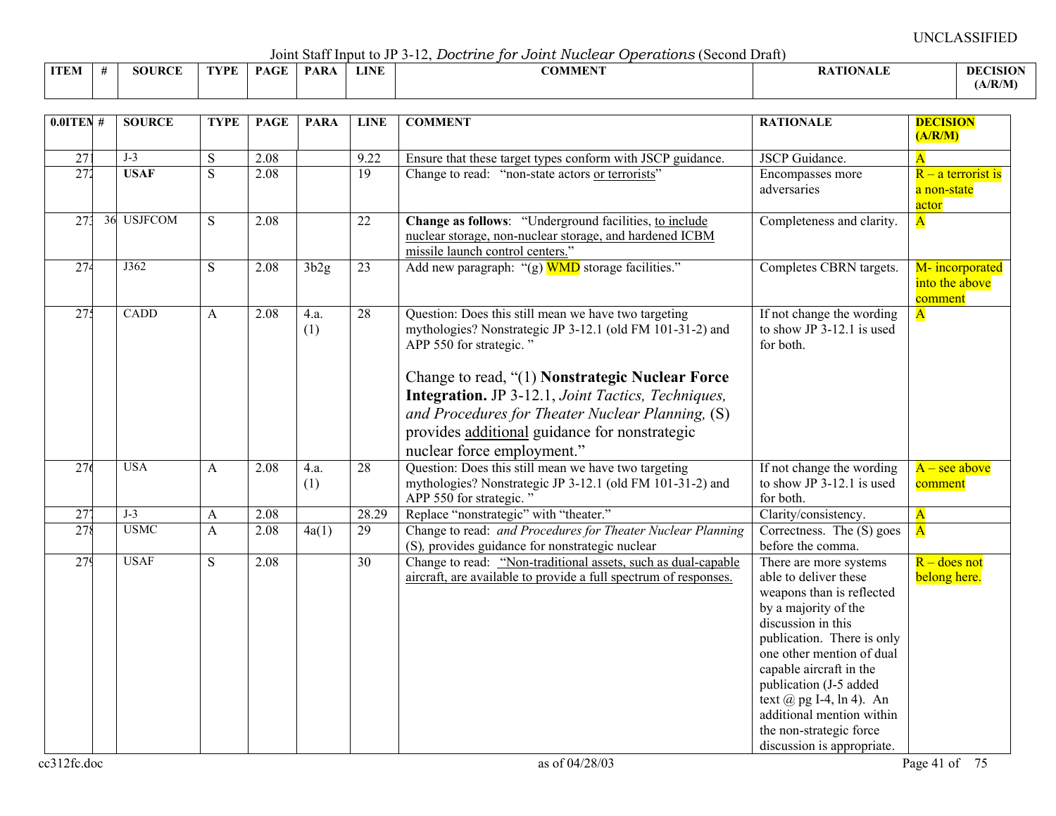Joint Staff Input to JP 3-12, *Doctrine for Joint Nuclear Operations* (Second Draft)

|      | voint built mpat to view later bood dito for o oddet indeceded to be receive the protective |               |      |             |             |      |         |                 |                 |  |  |  |  |  |
|------|---------------------------------------------------------------------------------------------|---------------|------|-------------|-------------|------|---------|-----------------|-----------------|--|--|--|--|--|
| ITEM |                                                                                             | <b>SOURCE</b> | TYPE | <b>PAGE</b> | <b>PARA</b> | LINE | COMMENT | <b>ATIONALE</b> | <b>DECISION</b> |  |  |  |  |  |
|      |                                                                                             |               |      |             |             |      |         |                 | (A/R/M)         |  |  |  |  |  |

| $0.01$ TEN #    | <b>SOURCE</b> | <b>TYPE</b>    | <b>PAGE</b> | <b>PARA</b> | <b>LINE</b>     | <b>COMMENT</b>                                                                                                                                                                                                                                  | <b>RATIONALE</b>                                                                                                                                                                                                                                                                                                                                                 | <b>DECISION</b><br>(A/R/M)                   |
|-----------------|---------------|----------------|-------------|-------------|-----------------|-------------------------------------------------------------------------------------------------------------------------------------------------------------------------------------------------------------------------------------------------|------------------------------------------------------------------------------------------------------------------------------------------------------------------------------------------------------------------------------------------------------------------------------------------------------------------------------------------------------------------|----------------------------------------------|
| $\overline{27}$ | $J-3$         | S              | 2.08        |             | 9.22            | Ensure that these target types conform with JSCP guidance.                                                                                                                                                                                      | <b>JSCP</b> Guidance.                                                                                                                                                                                                                                                                                                                                            | $\overline{\mathbf{A}}$                      |
| 272             | <b>USAF</b>   | $\overline{S}$ | 2.08        |             | $\overline{19}$ | Change to read: "non-state actors or terrorists"                                                                                                                                                                                                | Encompasses more<br>adversaries                                                                                                                                                                                                                                                                                                                                  | $R - a$ terrorist is<br>a non-state<br>actor |
| 27 <sup>2</sup> | 36 USJFCOM    | S              | 2.08        |             | 22              | Change as follows: "Underground facilities, to include<br>nuclear storage, non-nuclear storage, and hardened ICBM<br>missile launch control centers."                                                                                           | Completeness and clarity.                                                                                                                                                                                                                                                                                                                                        | $\overline{\mathbf{A}}$                      |
| 274             | J362          | S              | 2.08        | 3b2g        | 23              | Add new paragraph: " $(g)$ WMD storage facilities."                                                                                                                                                                                             | Completes CBRN targets.                                                                                                                                                                                                                                                                                                                                          | M-incorporated<br>into the above<br>comment  |
| 27 <sup>2</sup> | CADD          | A              | 2.08        | 4.a.<br>(1) | $\overline{28}$ | Question: Does this still mean we have two targeting<br>mythologies? Nonstrategic JP 3-12.1 (old FM 101-31-2) and<br>APP 550 for strategic."                                                                                                    | If not change the wording<br>to show JP 3-12.1 is used<br>for both.                                                                                                                                                                                                                                                                                              | $\overline{\mathbf{A}}$                      |
|                 |               |                |             |             |                 | Change to read, "(1) Nonstrategic Nuclear Force<br><b>Integration.</b> JP 3-12.1, Joint Tactics, Techniques,<br>and Procedures for Theater Nuclear Planning, (S)<br>provides additional guidance for nonstrategic<br>nuclear force employment." |                                                                                                                                                                                                                                                                                                                                                                  |                                              |
| 276             | <b>USA</b>    | A              | 2.08        | 4.a.<br>(1) | $\overline{28}$ | Question: Does this still mean we have two targeting<br>mythologies? Nonstrategic JP 3-12.1 (old FM 101-31-2) and<br>APP 550 for strategic."                                                                                                    | If not change the wording<br>to show JP 3-12.1 is used<br>for both.                                                                                                                                                                                                                                                                                              | $A - \text{see above}$<br>comment            |
| $\overline{27}$ | $J-3$         | A              | 2.08        |             | 28.29           | Replace "nonstrategic" with "theater."                                                                                                                                                                                                          | Clarity/consistency.                                                                                                                                                                                                                                                                                                                                             | $\overline{\mathbf{A}}$                      |
| 278             | <b>USMC</b>   | A              | 2.08        | 4a(1)       | 29              | Change to read: and Procedures for Theater Nuclear Planning<br>(S), provides guidance for nonstrategic nuclear                                                                                                                                  | Correctness. The $(S)$ goes<br>before the comma.                                                                                                                                                                                                                                                                                                                 | $\overline{\mathbf{A}}$                      |
| 279             | <b>USAF</b>   | S              | 2.08        |             | $\overline{30}$ | Change to read: "Non-traditional assets, such as dual-capable<br>aircraft, are available to provide a full spectrum of responses.                                                                                                               | There are more systems<br>able to deliver these<br>weapons than is reflected<br>by a majority of the<br>discussion in this<br>publication. There is only<br>one other mention of dual<br>capable aircraft in the<br>publication (J-5 added<br>text $(a)$ pg I-4, ln 4). An<br>additional mention within<br>the non-strategic force<br>discussion is appropriate. | $R -$ does not<br>belong here.               |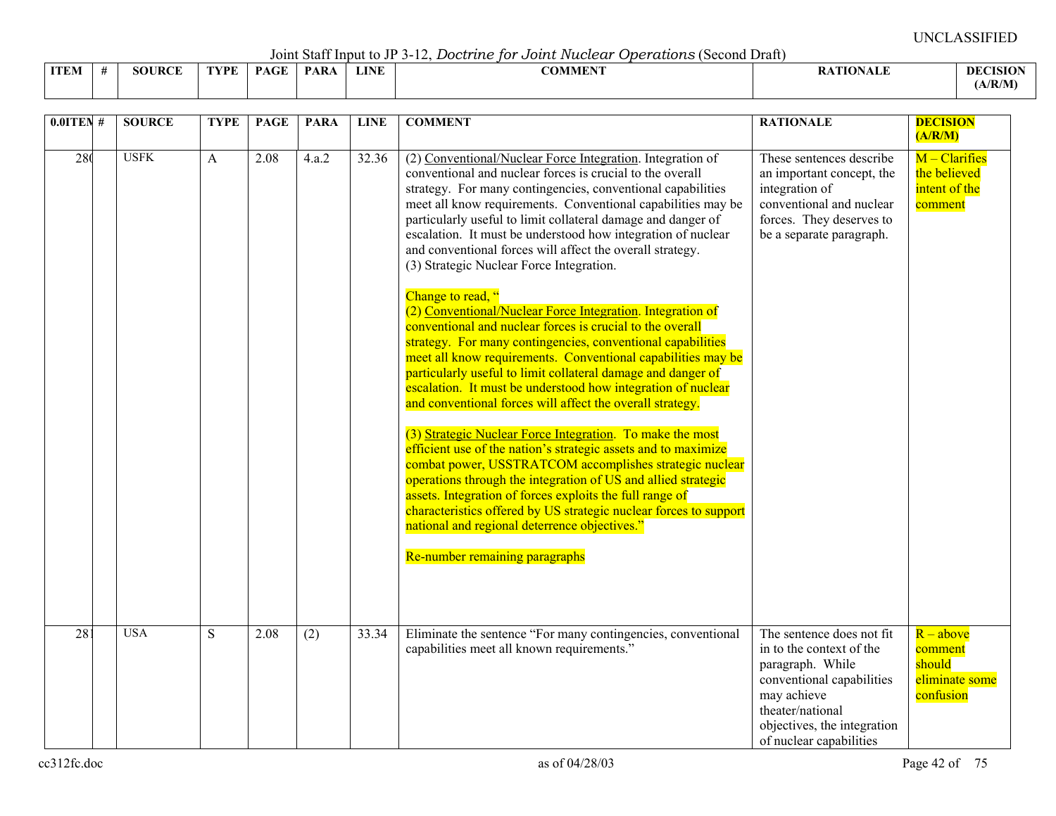Joint Staff Input to JP 3-12, *Doctrine for Joint Nuclear Operations* (Second Draft)

|             | . |               |      |             |             |             |                |                  |                |
|-------------|---|---------------|------|-------------|-------------|-------------|----------------|------------------|----------------|
| <b>ITEM</b> |   | <b>SOURCE</b> | TVDE | <b>PAGE</b> | <b>PARA</b> | <b>LINE</b> | <b>COMMENT</b> | TTANTA<br>'''ALL | <b>DECISIO</b> |
|             |   |               |      |             |             |             |                |                  | (A/R/M)        |

| $0.0$ ITEN #    | <b>SOURCE</b> | <b>TYPE</b> | <b>PAGE</b> | <b>PARA</b>        | <b>LINE</b> | <b>COMMENT</b>                                                                                                                                                                                                                                                                                                                                                                                                                                                                                                                                                                                                                                                                                                                                                                                                                                                                                                                                                                                                                                                                                                                                                                                                                                                                                                                                                                                                                                             | <b>RATIONALE</b>                                                                                                                                                                                    | <b>DECISION</b><br>(A/R/M)                                      |
|-----------------|---------------|-------------|-------------|--------------------|-------------|------------------------------------------------------------------------------------------------------------------------------------------------------------------------------------------------------------------------------------------------------------------------------------------------------------------------------------------------------------------------------------------------------------------------------------------------------------------------------------------------------------------------------------------------------------------------------------------------------------------------------------------------------------------------------------------------------------------------------------------------------------------------------------------------------------------------------------------------------------------------------------------------------------------------------------------------------------------------------------------------------------------------------------------------------------------------------------------------------------------------------------------------------------------------------------------------------------------------------------------------------------------------------------------------------------------------------------------------------------------------------------------------------------------------------------------------------------|-----------------------------------------------------------------------------------------------------------------------------------------------------------------------------------------------------|-----------------------------------------------------------------|
| 280             | <b>USFK</b>   | A           | 2.08        | $\overline{4.a.2}$ | 32.36       | (2) Conventional/Nuclear Force Integration. Integration of<br>conventional and nuclear forces is crucial to the overall<br>strategy. For many contingencies, conventional capabilities<br>meet all know requirements. Conventional capabilities may be<br>particularly useful to limit collateral damage and danger of<br>escalation. It must be understood how integration of nuclear<br>and conventional forces will affect the overall strategy.<br>(3) Strategic Nuclear Force Integration.<br>Change to read, "<br>(2) Conventional/Nuclear Force Integration. Integration of<br>conventional and nuclear forces is crucial to the overall<br>strategy. For many contingencies, conventional capabilities<br>meet all know requirements. Conventional capabilities may be<br>particularly useful to limit collateral damage and danger of<br>escalation. It must be understood how integration of nuclear<br>and conventional forces will affect the overall strategy.<br>(3) Strategic Nuclear Force Integration. To make the most<br>efficient use of the nation's strategic assets and to maximize<br>combat power, USSTRATCOM accomplishes strategic nuclear<br>operations through the integration of US and allied strategic<br>assets. Integration of forces exploits the full range of<br>characteristics offered by US strategic nuclear forces to support<br>national and regional deterrence objectives."<br>Re-number remaining paragraphs | These sentences describe<br>an important concept, the<br>integration of<br>conventional and nuclear<br>forces. They deserves to<br>be a separate paragraph.                                         | $M - Clarifies$<br>the believed<br>intent of the<br>comment     |
| $\overline{28}$ | <b>USA</b>    | S           | 2.08        | (2)                | 33.34       | Eliminate the sentence "For many contingencies, conventional<br>capabilities meet all known requirements."                                                                                                                                                                                                                                                                                                                                                                                                                                                                                                                                                                                                                                                                                                                                                                                                                                                                                                                                                                                                                                                                                                                                                                                                                                                                                                                                                 | The sentence does not fit<br>in to the context of the<br>paragraph. While<br>conventional capabilities<br>may achieve<br>theater/national<br>objectives, the integration<br>of nuclear capabilities | $R - above$<br>comment<br>should<br>eliminate some<br>confusion |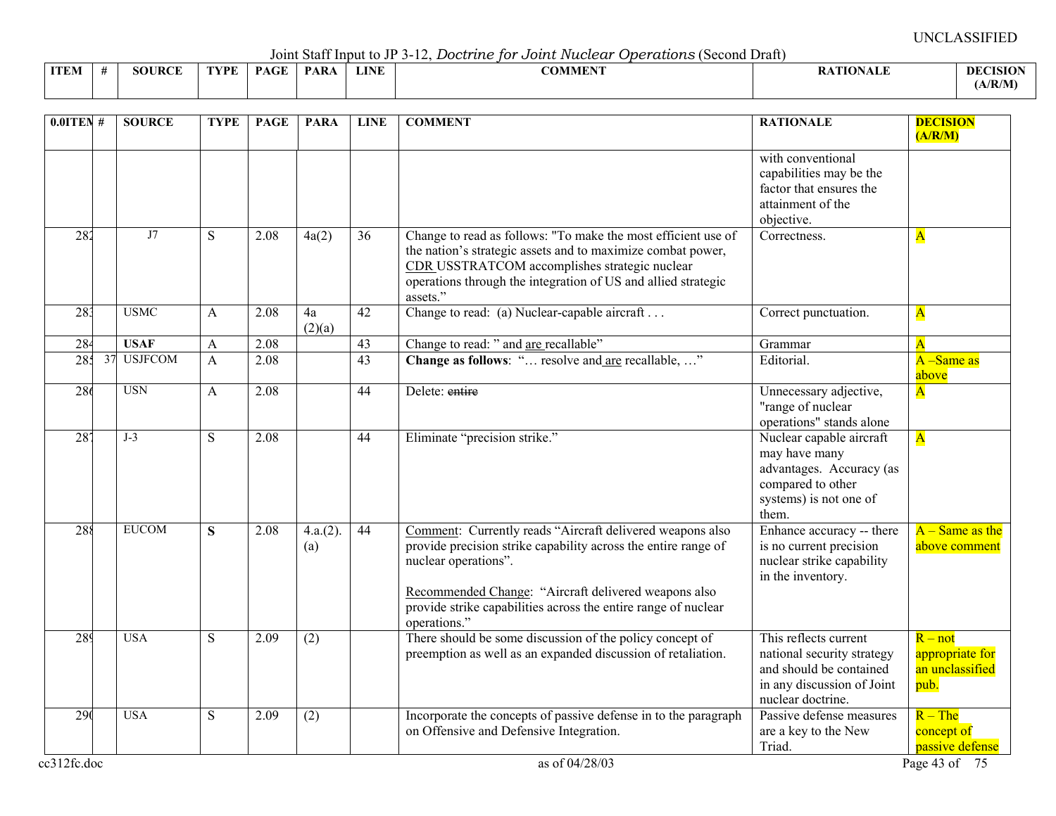Joint Staff Input to JP 3-12, *Doctrine for Joint Nuclear Operations* (Second Draft)

|             |               |      |             |             |             | -------------- |                |                 |
|-------------|---------------|------|-------------|-------------|-------------|----------------|----------------|-----------------|
| <b>ITEM</b> | <b>SOURCE</b> | TVDF | <b>PAGE</b> | <b>PARA</b> | <b>LINE</b> | <b>COMMENT</b> | <b>TIONALE</b> | <b>DECISION</b> |
|             |               |      |             |             |             |                |                | (A/R/M)         |

| $0.01$ TEN #    | <b>SOURCE</b>        | <b>TYPE</b> | <b>PAGE</b> | <b>PARA</b>        | <b>LINE</b>     | <b>COMMENT</b>                                                                                                                                                                                                                                                                                | <b>RATIONALE</b>                                                                                                                  | <b>DECISION</b><br>(A/R/M)                              |
|-----------------|----------------------|-------------|-------------|--------------------|-----------------|-----------------------------------------------------------------------------------------------------------------------------------------------------------------------------------------------------------------------------------------------------------------------------------------------|-----------------------------------------------------------------------------------------------------------------------------------|---------------------------------------------------------|
|                 |                      |             |             |                    |                 |                                                                                                                                                                                                                                                                                               | with conventional<br>capabilities may be the<br>factor that ensures the<br>attainment of the<br>objective.                        |                                                         |
| 282             | J7                   | S           | 2.08        | 4a(2)              | 36              | Change to read as follows: "To make the most efficient use of<br>the nation's strategic assets and to maximize combat power,<br>CDR USSTRATCOM accomplishes strategic nuclear<br>operations through the integration of US and allied strategic<br>assets."                                    | Correctness.                                                                                                                      | $\mathbf{A}$                                            |
| 283             | <b>USMC</b>          | A           | 2.08        | 4a<br>(2)(a)       | 42              | Change to read: (a) Nuclear-capable aircraft                                                                                                                                                                                                                                                  | Correct punctuation.                                                                                                              | $\overline{\mathbf{A}}$                                 |
| 284             | <b>USAF</b>          | A           | 2.08        |                    | $\overline{43}$ | Change to read: " and are recallable"                                                                                                                                                                                                                                                         | Grammar                                                                                                                           | $\overline{\mathbf{A}}$                                 |
| 285             | <b>USJFCOM</b><br>37 | A           | 2.08        |                    | 43              | Change as follows: " resolve and are recallable, "                                                                                                                                                                                                                                            | Editorial.                                                                                                                        | A -Same as<br>above                                     |
| 286             | <b>USN</b>           | A           | 2.08        |                    | 44              | Delete: entire                                                                                                                                                                                                                                                                                | Unnecessary adjective,<br>"range of nuclear<br>operations" stands alone                                                           | $\mathbf{A}$                                            |
| 28 <sup>7</sup> | $J-3$                | S           | 2.08        |                    | $\overline{44}$ | Eliminate "precision strike."                                                                                                                                                                                                                                                                 | Nuclear capable aircraft<br>may have many<br>advantages. Accuracy (as<br>compared to other<br>systems) is not one of<br>them.     | $\overline{\mathbf{A}}$                                 |
| 288             | <b>EUCOM</b>         | S           | 2.08        | $4.a.(2)$ .<br>(a) | 44              | Comment: Currently reads "Aircraft delivered weapons also<br>provide precision strike capability across the entire range of<br>nuclear operations".<br>Recommended Change: "Aircraft delivered weapons also<br>provide strike capabilities across the entire range of nuclear<br>operations." | Enhance accuracy -- there<br>is no current precision<br>nuclear strike capability<br>in the inventory.                            | $A - Same$ as the<br>above comment                      |
| 289             | <b>USA</b>           | S           | 2.09        | (2)                |                 | There should be some discussion of the policy concept of<br>preemption as well as an expanded discussion of retaliation.                                                                                                                                                                      | This reflects current<br>national security strategy<br>and should be contained<br>in any discussion of Joint<br>nuclear doctrine. | $R - not$<br>appropriate for<br>an unclassified<br>pub. |
| 290             | <b>USA</b>           | S           | 2.09        | $\overline{(2)}$   |                 | Incorporate the concepts of passive defense in to the paragraph<br>on Offensive and Defensive Integration.                                                                                                                                                                                    | Passive defense measures<br>are a key to the New<br>Triad.                                                                        | $R - The$<br>concept of<br>passive defense              |
| cc312fc.doc     |                      |             |             |                    |                 | as of 04/28/03                                                                                                                                                                                                                                                                                |                                                                                                                                   | Page 43 of 75                                           |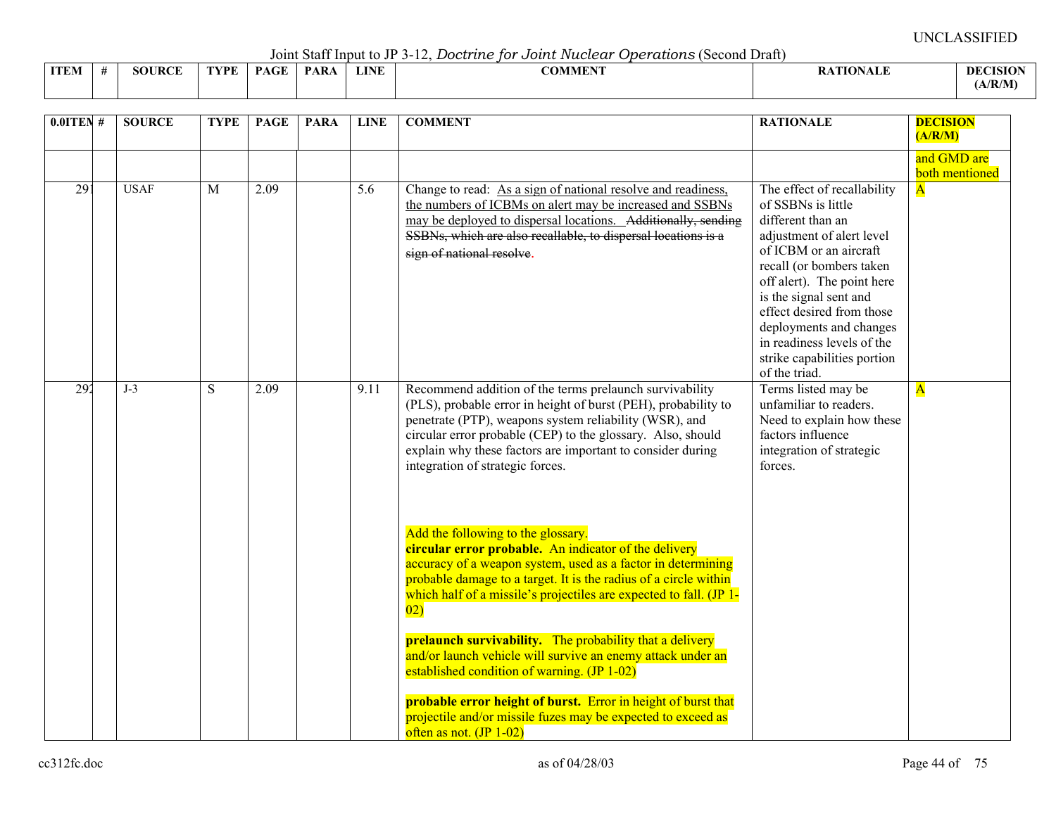Joint Staff Input to JP 3-12, *Doctrine for Joint Nuclear Operations* (Second Draft)

|             |                  |      |              | $\sim$ 0.111. $\sim$ 0.000 11 11. $\sim$ 0.000 0.1000 0.11 |             | ------<br>--------------<br>. |              |
|-------------|------------------|------|--------------|------------------------------------------------------------|-------------|-------------------------------|--------------|
| <b>ITEM</b> | ID $\cap$<br>ЮI. | TVPF | $\sim$<br>DА | <b>PAR</b>                                                 | <b>LINE</b> | $\alpha$ annent<br>:OMMER     | -DEC<br>ASIO |
|             |                  |      |              |                                                            |             |                               | (A/R/M)      |

| $0.01$ TEN #    | <b>SOURCE</b> | <b>TYPE</b> | <b>PAGE</b> | <b>PARA</b> | <b>LINE</b> | <b>COMMENT</b>                                                                                                                                                                                                                                                                                                                                       | <b>RATIONALE</b>                                                                                                                                                                                                                                                                                                                                        | <b>DECISION</b><br>(A/R/M)    |
|-----------------|---------------|-------------|-------------|-------------|-------------|------------------------------------------------------------------------------------------------------------------------------------------------------------------------------------------------------------------------------------------------------------------------------------------------------------------------------------------------------|---------------------------------------------------------------------------------------------------------------------------------------------------------------------------------------------------------------------------------------------------------------------------------------------------------------------------------------------------------|-------------------------------|
|                 |               |             |             |             |             |                                                                                                                                                                                                                                                                                                                                                      |                                                                                                                                                                                                                                                                                                                                                         | and GMD are<br>both mentioned |
| $\overline{29}$ | <b>USAF</b>   | M           | 2.09        |             | 5.6         | Change to read: As a sign of national resolve and readiness,<br>the numbers of ICBMs on alert may be increased and SSBNs<br>may be deployed to dispersal locations. Additionally, sending<br>SSBNs, which are also recallable, to dispersal locations is a<br>sign of national resolve.                                                              | The effect of recallability<br>of SSBNs is little<br>different than an<br>adjustment of alert level<br>of ICBM or an aircraft<br>recall (or bombers taken<br>off alert). The point here<br>is the signal sent and<br>effect desired from those<br>deployments and changes<br>in readiness levels of the<br>strike capabilities portion<br>of the triad. | $\overline{\mathbf{A}}$       |
| 292             | $J-3$         | S           | 2.09        |             | 9.11        | Recommend addition of the terms prelaunch survivability<br>(PLS), probable error in height of burst (PEH), probability to<br>penetrate (PTP), weapons system reliability (WSR), and<br>circular error probable (CEP) to the glossary. Also, should<br>explain why these factors are important to consider during<br>integration of strategic forces. | Terms listed may be<br>unfamiliar to readers.<br>Need to explain how these<br>factors influence<br>integration of strategic<br>forces.                                                                                                                                                                                                                  | $\overline{\mathbf{A}}$       |
|                 |               |             |             |             |             | Add the following to the glossary.<br>circular error probable. An indicator of the delivery<br>accuracy of a weapon system, used as a factor in determining<br>probable damage to a target. It is the radius of a circle within<br>which half of a missile's projectiles are expected to fall. (JP 1-<br>$\overline{02}$                             |                                                                                                                                                                                                                                                                                                                                                         |                               |
|                 |               |             |             |             |             | <b>prelaunch survivability.</b> The probability that a delivery<br>and/or launch vehicle will survive an enemy attack under an<br>established condition of warning. (JP 1-02)                                                                                                                                                                        |                                                                                                                                                                                                                                                                                                                                                         |                               |
|                 |               |             |             |             |             | probable error height of burst. Error in height of burst that<br>projectile and/or missile fuzes may be expected to exceed as<br>often as not. $($ JP 1-02 $)$                                                                                                                                                                                       |                                                                                                                                                                                                                                                                                                                                                         |                               |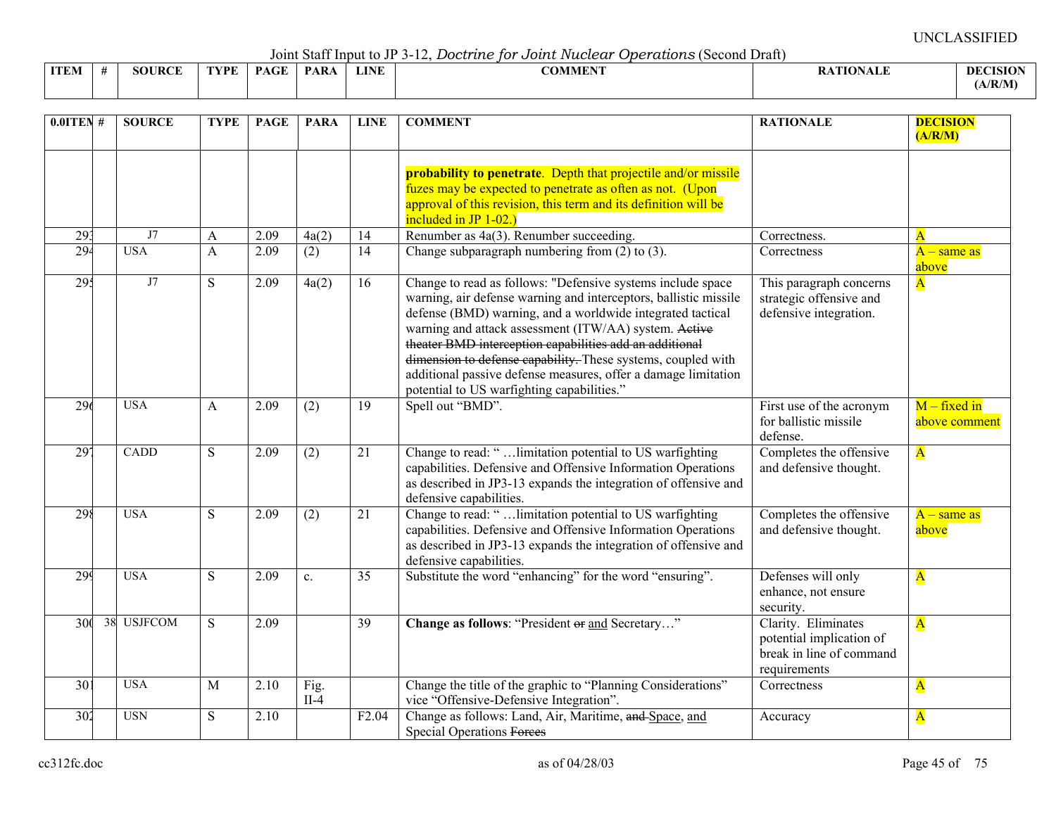Joint Staff Input to JP 3-12, *Doctrine for Joint Nuclear Operations* (Second Draft)

|             |      |               |      |             |             |             | .              |                  |                 |
|-------------|------|---------------|------|-------------|-------------|-------------|----------------|------------------|-----------------|
| <b>ITEM</b> | - 44 | <b>SOURCE</b> | TYPE | <b>PAGE</b> | <b>PARA</b> | <b>LINE</b> | <b>COMMENT</b> | <b>RATIONALE</b> | <b>DECISION</b> |
|             |      |               |      |             |             |             |                |                  | (A/R/M)         |

| $0.01$ TEN #    | <b>SOURCE</b> | <b>TYPE</b> | <b>PAGE</b> | <b>PARA</b>      | <b>LINE</b>       | <b>COMMENT</b>                                                                                                                                                                                                                                                                                                                                                                                                                                                                                    | <b>RATIONALE</b>                                                                            | <b>DECISION</b><br>(A/R/M)      |
|-----------------|---------------|-------------|-------------|------------------|-------------------|---------------------------------------------------------------------------------------------------------------------------------------------------------------------------------------------------------------------------------------------------------------------------------------------------------------------------------------------------------------------------------------------------------------------------------------------------------------------------------------------------|---------------------------------------------------------------------------------------------|---------------------------------|
|                 |               |             |             |                  |                   | probability to penetrate. Depth that projectile and/or missile<br>fuzes may be expected to penetrate as often as not. (Upon<br>approval of this revision, this term and its definition will be<br>included in JP 1-02.)                                                                                                                                                                                                                                                                           |                                                                                             |                                 |
| 293             | J7            | A           | 2.09        | 4a(2)            | 14                | Renumber as 4a(3). Renumber succeeding.                                                                                                                                                                                                                                                                                                                                                                                                                                                           | Correctness.                                                                                | $\overline{\mathbf{A}}$         |
| 294             | <b>USA</b>    | A           | 2.09        | (2)              | 14                | Change subparagraph numbering from $(2)$ to $(3)$ .                                                                                                                                                                                                                                                                                                                                                                                                                                               | Correctness                                                                                 | $A$ – same as<br>above          |
| 295             | J7            | S           | 2.09        | 4a(2)            | 16                | Change to read as follows: "Defensive systems include space<br>warning, air defense warning and interceptors, ballistic missile<br>defense (BMD) warning, and a worldwide integrated tactical<br>warning and attack assessment (ITW/AA) system. Active<br>theater BMD interception capabilities add an additional<br>dimension to defense capability. These systems, coupled with<br>additional passive defense measures, offer a damage limitation<br>potential to US warfighting capabilities." | This paragraph concerns<br>strategic offensive and<br>defensive integration.                | $\overline{\mathbf{A}}$         |
| 296             | <b>USA</b>    | A           | 2.09        | (2)              | 19                | Spell out "BMD".                                                                                                                                                                                                                                                                                                                                                                                                                                                                                  | First use of the acronym<br>for ballistic missile<br>defense.                               | $M - fixed$ in<br>above comment |
| $\overline{29}$ | CADD          | S           | 2.09        | $\overline{(2)}$ | 21                | Change to read: " limitation potential to US warfighting<br>capabilities. Defensive and Offensive Information Operations<br>as described in JP3-13 expands the integration of offensive and<br>defensive capabilities.                                                                                                                                                                                                                                                                            | Completes the offensive<br>and defensive thought.                                           | $\overline{\mathbf{A}}$         |
| 298             | <b>USA</b>    | S           | 2.09        | (2)              | 21                | Change to read: " limitation potential to US warfighting<br>capabilities. Defensive and Offensive Information Operations<br>as described in JP3-13 expands the integration of offensive and<br>defensive capabilities.                                                                                                                                                                                                                                                                            | Completes the offensive<br>and defensive thought.                                           | $A$ – same as<br>above          |
| 299             | <b>USA</b>    | S           | 2.09        | $\mathbf{c}$ .   | 35                | Substitute the word "enhancing" for the word "ensuring".                                                                                                                                                                                                                                                                                                                                                                                                                                          | Defenses will only<br>enhance, not ensure<br>security.                                      | $\overline{\mathbf{A}}$         |
| 300             | 38 USJFCOM    | S           | 2.09        |                  | 39                | Change as follows: "President or and Secretary"                                                                                                                                                                                                                                                                                                                                                                                                                                                   | Clarity. Eliminates<br>potential implication of<br>break in line of command<br>requirements | $\overline{\mathbf{A}}$         |
| 30 <sup>2</sup> | <b>USA</b>    | M           | 2.10        | Fig.<br>$II-4$   |                   | Change the title of the graphic to "Planning Considerations"<br>vice "Offensive-Defensive Integration".                                                                                                                                                                                                                                                                                                                                                                                           | Correctness                                                                                 | $\mathbf{A}$                    |
| 302             | <b>USN</b>    | S           | 2.10        |                  | F <sub>2.04</sub> | Change as follows: Land, Air, Maritime, and Space, and<br><b>Special Operations Forces</b>                                                                                                                                                                                                                                                                                                                                                                                                        | Accuracy                                                                                    | $\mathbf{A}$                    |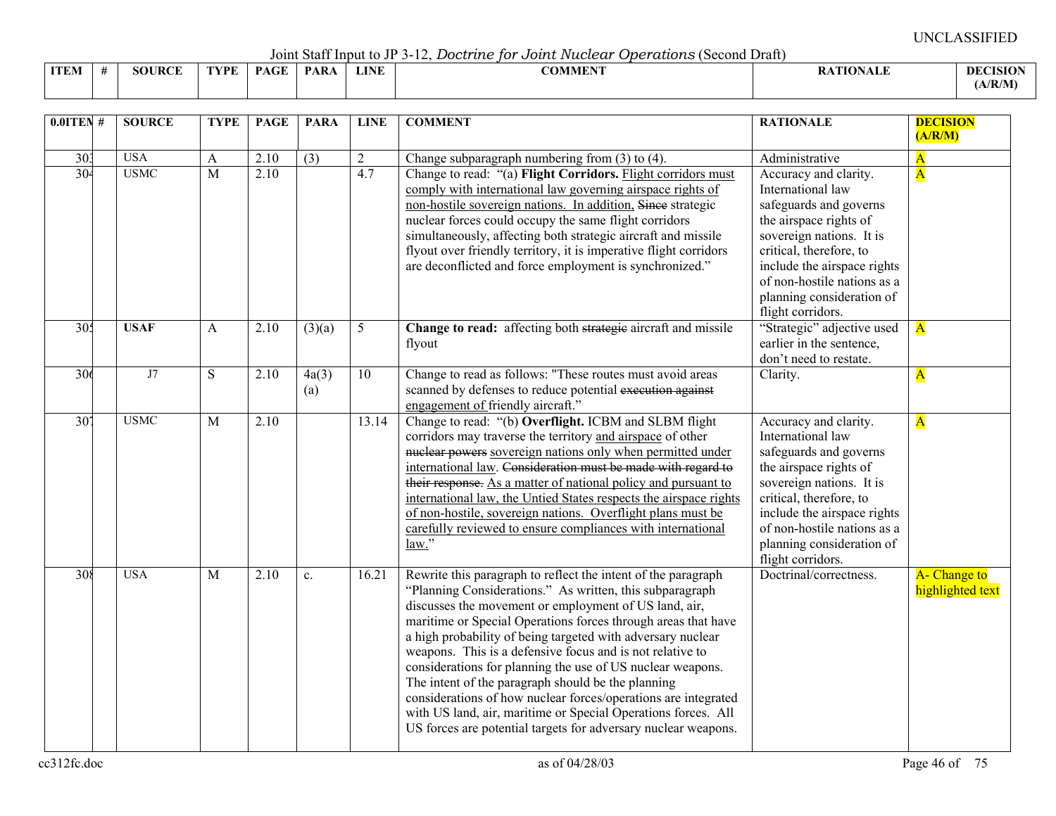Joint Staff Input to JP 3-12, *Doctrine for Joint Nuclear Operations* (Second Draft)

|             |               |      |      |      |             | ----------------<br>_________________________ |                       |                 |
|-------------|---------------|------|------|------|-------------|-----------------------------------------------|-----------------------|-----------------|
| <b>ITEM</b> | <b>SOURCE</b> | TYPE | PAGE | PARA | <b>LINE</b> | COMMENT                                       | <b>RATIONALE</b><br>. | <b>DECISION</b> |
|             |               |      |      |      |             |                                               |                       | A/R/M           |

| $0.0$ ITEN#                        | <b>SOURCE</b>             | <b>TYPE</b>         | <b>PAGE</b>  | <b>PARA</b>      | <b>LINE</b>           | <b>COMMENT</b>                                                                                                                                                                                                                                                                                                                                                                                                                                                                                                                                                                                                                                                                                           | <b>RATIONALE</b>                                                                                                                                                                                                                                                                        | <b>DECISION</b><br>(A/R/M)                         |
|------------------------------------|---------------------------|---------------------|--------------|------------------|-----------------------|----------------------------------------------------------------------------------------------------------------------------------------------------------------------------------------------------------------------------------------------------------------------------------------------------------------------------------------------------------------------------------------------------------------------------------------------------------------------------------------------------------------------------------------------------------------------------------------------------------------------------------------------------------------------------------------------------------|-----------------------------------------------------------------------------------------------------------------------------------------------------------------------------------------------------------------------------------------------------------------------------------------|----------------------------------------------------|
| 30 <sub>3</sub><br>30 <sup>2</sup> | <b>USA</b><br><b>USMC</b> | A<br>$\overline{M}$ | 2.10<br>2.10 | $\overline{(3)}$ | $\overline{2}$<br>4.7 | Change subparagraph numbering from $(3)$ to $(4)$ .<br>Change to read: "(a) Flight Corridors. Flight corridors must<br>comply with international law governing airspace rights of<br>non-hostile sovereign nations. In addition, Since strategic<br>nuclear forces could occupy the same flight corridors<br>simultaneously, affecting both strategic aircraft and missile<br>flyout over friendly territory, it is imperative flight corridors<br>are deconflicted and force employment is synchronized."                                                                                                                                                                                               | Administrative<br>Accuracy and clarity.<br>International law<br>safeguards and governs<br>the airspace rights of<br>sovereign nations. It is<br>critical, therefore, to<br>include the airspace rights<br>of non-hostile nations as a<br>planning consideration of<br>flight corridors. | $\overline{\mathbf{A}}$<br>$\overline{\mathbf{A}}$ |
| 305                                | <b>USAF</b>               | A                   | 2.10         | (3)(a)           | 5                     | Change to read: affecting both strategie aircraft and missile<br>flyout                                                                                                                                                                                                                                                                                                                                                                                                                                                                                                                                                                                                                                  | "Strategic" adjective used<br>earlier in the sentence,<br>don't need to restate.                                                                                                                                                                                                        | $\overline{\mathbf{A}}$                            |
| 306                                | J7                        | $\overline{S}$      | 2.10         | 4a(3)<br>(a)     | $\overline{10}$       | Change to read as follows: "These routes must avoid areas<br>scanned by defenses to reduce potential execution against<br>engagement of friendly aircraft."                                                                                                                                                                                                                                                                                                                                                                                                                                                                                                                                              | Clarity.                                                                                                                                                                                                                                                                                | $\overline{\mathbf{A}}$                            |
| $\overline{30}$                    | <b>USMC</b>               | $\mathbf M$         | 2.10         |                  | 13.14                 | Change to read: "(b) Overflight. ICBM and SLBM flight<br>corridors may traverse the territory and airspace of other<br>nuclear powers sovereign nations only when permitted under<br>international law. Consideration must be made with regard to<br>their response. As a matter of national policy and pursuant to<br>international law, the Untied States respects the airspace rights<br>of non-hostile, sovereign nations. Overflight plans must be<br>carefully reviewed to ensure compliances with international<br>law."                                                                                                                                                                          | Accuracy and clarity.<br>International law<br>safeguards and governs<br>the airspace rights of<br>sovereign nations. It is<br>critical, therefore, to<br>include the airspace rights<br>of non-hostile nations as a<br>planning consideration of<br>flight corridors.                   | $\overline{\mathbf{A}}$                            |
| 308                                | <b>USA</b>                | $\mathbf M$         | 2.10         | $\mathbf{c}$ .   | 16.21                 | Rewrite this paragraph to reflect the intent of the paragraph<br>"Planning Considerations." As written, this subparagraph<br>discusses the movement or employment of US land, air,<br>maritime or Special Operations forces through areas that have<br>a high probability of being targeted with adversary nuclear<br>weapons. This is a defensive focus and is not relative to<br>considerations for planning the use of US nuclear weapons.<br>The intent of the paragraph should be the planning<br>considerations of how nuclear forces/operations are integrated<br>with US land, air, maritime or Special Operations forces. All<br>US forces are potential targets for adversary nuclear weapons. | Doctrinal/correctness.                                                                                                                                                                                                                                                                  | A- Change to<br>highlighted text                   |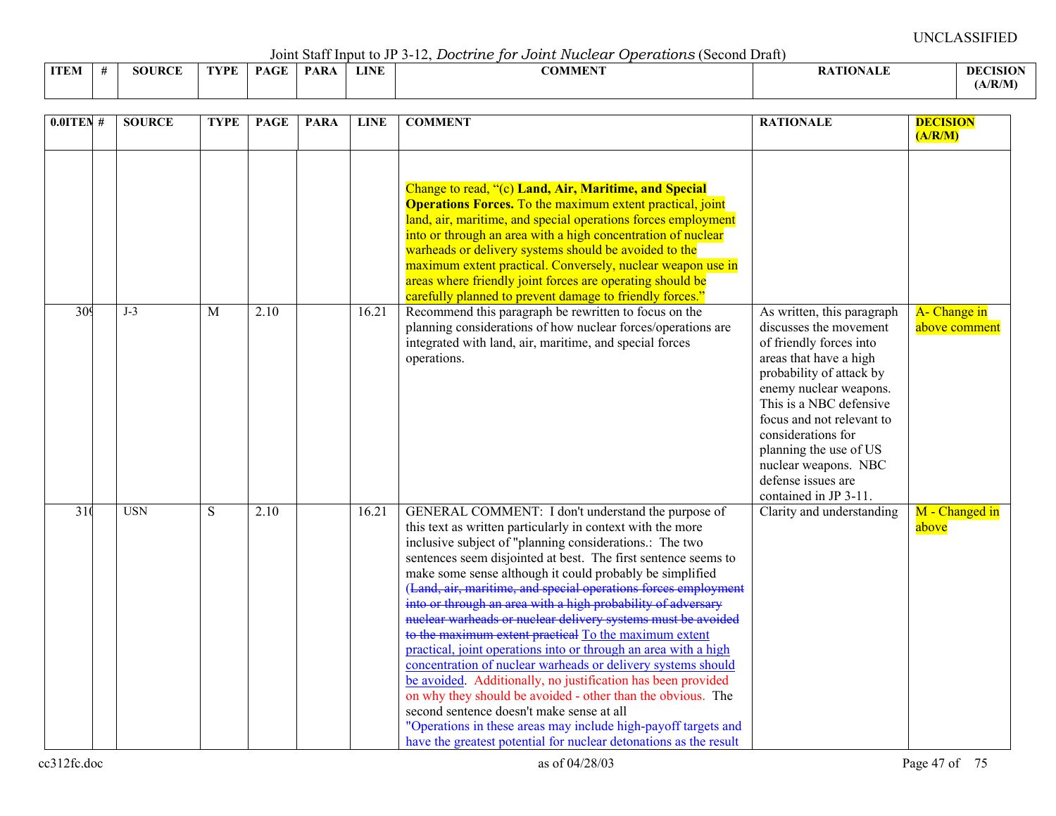Joint Staff Input to JP 3-12, *Doctrine for Joint Nuclear Operations* (Second Draft)

| <b>ITEM</b><br>IV. | SOURC<br>$T \rightarrow T$<br>$\mathbf{D}$ | 'VDE | <b>PAGE</b> | PAR <sub>t</sub> | <b>LINE</b> | <b>The State of Contract Contract Contract Contract Contract Contract Contract Contract Contract Contract Contract Contract Contract Contract Contract Contract Contract Contract Contract Contract Contract Contract Contract C</b><br>A J VI<br>VENEET | ா<br>$\sim$ | Dł    |
|--------------------|--------------------------------------------|------|-------------|------------------|-------------|----------------------------------------------------------------------------------------------------------------------------------------------------------------------------------------------------------------------------------------------------------|-------------|-------|
|                    |                                            |      |             |                  |             |                                                                                                                                                                                                                                                          |             | ./R/M |

| $0.0$ ITEN#      | <b>SOURCE</b> | <b>TYPE</b>    | <b>PAGE</b> | <b>PARA</b> | <b>LINE</b> | <b>COMMENT</b>                                                                                                                                                                                                                                                                                                                                                                                                                                                                                                                                                                                                                                                                                                                                                                                                                                                                                                                                                                                                      | <b>RATIONALE</b>                                                                                                                                                                                                                                                                                                                               | <b>DECISION</b><br>(A/R/M)    |
|------------------|---------------|----------------|-------------|-------------|-------------|---------------------------------------------------------------------------------------------------------------------------------------------------------------------------------------------------------------------------------------------------------------------------------------------------------------------------------------------------------------------------------------------------------------------------------------------------------------------------------------------------------------------------------------------------------------------------------------------------------------------------------------------------------------------------------------------------------------------------------------------------------------------------------------------------------------------------------------------------------------------------------------------------------------------------------------------------------------------------------------------------------------------|------------------------------------------------------------------------------------------------------------------------------------------------------------------------------------------------------------------------------------------------------------------------------------------------------------------------------------------------|-------------------------------|
|                  |               |                |             |             |             | Change to read, "(c) Land, Air, Maritime, and Special<br><b>Operations Forces.</b> To the maximum extent practical, joint<br>land, air, maritime, and special operations forces employment<br>into or through an area with a high concentration of nuclear<br>warheads or delivery systems should be avoided to the<br>maximum extent practical. Conversely, nuclear weapon use in<br>areas where friendly joint forces are operating should be<br>carefully planned to prevent damage to friendly forces."                                                                                                                                                                                                                                                                                                                                                                                                                                                                                                         |                                                                                                                                                                                                                                                                                                                                                |                               |
| 309              | $J-3$         | M              | 2.10        |             | 16.21       | Recommend this paragraph be rewritten to focus on the<br>planning considerations of how nuclear forces/operations are<br>integrated with land, air, maritime, and special forces<br>operations.                                                                                                                                                                                                                                                                                                                                                                                                                                                                                                                                                                                                                                                                                                                                                                                                                     | As written, this paragraph<br>discusses the movement<br>of friendly forces into<br>areas that have a high<br>probability of attack by<br>enemy nuclear weapons.<br>This is a NBC defensive<br>focus and not relevant to<br>considerations for<br>planning the use of US<br>nuclear weapons. NBC<br>defense issues are<br>contained in JP 3-11. | A- Change in<br>above comment |
| $\overline{310}$ | <b>USN</b>    | $\overline{S}$ | 2.10        |             | 16.21       | GENERAL COMMENT: I don't understand the purpose of<br>this text as written particularly in context with the more<br>inclusive subject of "planning considerations.: The two<br>sentences seem disjointed at best. The first sentence seems to<br>make some sense although it could probably be simplified<br>(Land, air, maritime, and special operations forces employment into or through an area with a high probability of adversary<br>mider marked or nuclear delivery systems must be avoided<br>to the maximum extent practical To the maximum extent<br>practical, joint operations into or through an area with a high<br>concentration of nuclear warheads or delivery systems should<br>be avoided. Additionally, no justification has been provided<br>on why they should be avoided - other than the obvious. The<br>second sentence doesn't make sense at all<br>"Operations in these areas may include high-payoff targets and<br>have the greatest potential for nuclear detonations as the result | Clarity and understanding                                                                                                                                                                                                                                                                                                                      | M - Changed in<br>above       |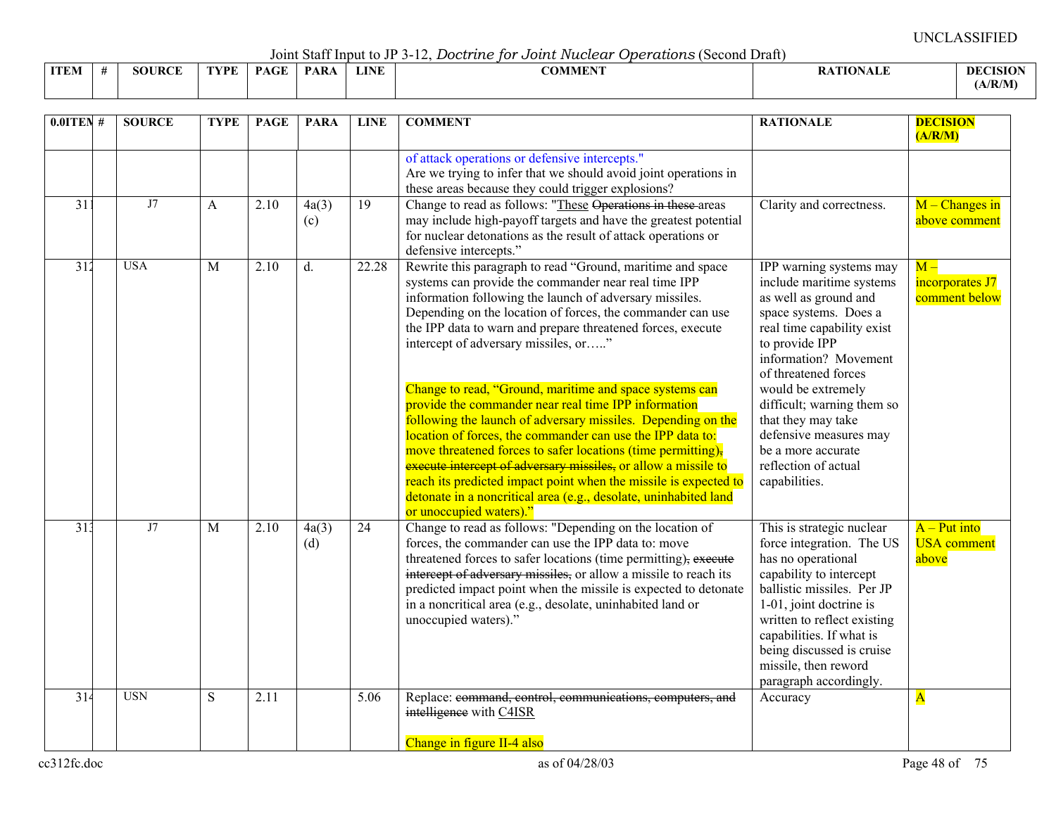Joint Staff Input to JP 3-12, *Doctrine for Joint Nuclear Operations* (Second Draft)

|             |               |             |             | .           |             |         |                  |                                                |
|-------------|---------------|-------------|-------------|-------------|-------------|---------|------------------|------------------------------------------------|
| <b>ITEM</b> | <b>SOURCE</b> | <b>TYPE</b> | <b>PAGE</b> | <b>PARA</b> | <b>LINE</b> | COMMENT | <b>RATIONALE</b> | <b>DECISION</b>                                |
|             |               |             |             |             |             |         |                  | (A/R/M)<br>the contract of the contract of the |

| $0.0$ ITEN#      | <b>SOURCE</b> | <b>TYPE</b> | <b>PAGE</b> | <b>PARA</b>  | <b>LINE</b>     | <b>COMMENT</b>                                                                                                                                                                                                                                                                                                                                                                                                                                                                                                                                                                                                                                                                                                                                                                                                                                                                | <b>RATIONALE</b>                                                                                                                                                                                                                                                                                                                                                          | <b>DECISION</b><br>(A/R/M)                    |
|------------------|---------------|-------------|-------------|--------------|-----------------|-------------------------------------------------------------------------------------------------------------------------------------------------------------------------------------------------------------------------------------------------------------------------------------------------------------------------------------------------------------------------------------------------------------------------------------------------------------------------------------------------------------------------------------------------------------------------------------------------------------------------------------------------------------------------------------------------------------------------------------------------------------------------------------------------------------------------------------------------------------------------------|---------------------------------------------------------------------------------------------------------------------------------------------------------------------------------------------------------------------------------------------------------------------------------------------------------------------------------------------------------------------------|-----------------------------------------------|
|                  |               |             |             |              |                 | of attack operations or defensive intercepts."<br>Are we trying to infer that we should avoid joint operations in<br>these areas because they could trigger explosions?                                                                                                                                                                                                                                                                                                                                                                                                                                                                                                                                                                                                                                                                                                       |                                                                                                                                                                                                                                                                                                                                                                           |                                               |
| 31               | J7            | A           | 2.10        | 4a(3)<br>(c) | 19              | Change to read as follows: "These Operations in these areas<br>may include high-payoff targets and have the greatest potential<br>for nuclear detonations as the result of attack operations or<br>defensive intercepts."                                                                                                                                                                                                                                                                                                                                                                                                                                                                                                                                                                                                                                                     | Clarity and correctness.                                                                                                                                                                                                                                                                                                                                                  | $M -$ Changes in<br>above comment             |
| 312              | <b>USA</b>    | M           | 2.10        | d.           | 22.28           | Rewrite this paragraph to read "Ground, maritime and space<br>systems can provide the commander near real time IPP<br>information following the launch of adversary missiles.<br>Depending on the location of forces, the commander can use<br>the IPP data to warn and prepare threatened forces, execute<br>intercept of adversary missiles, or"<br>Change to read, "Ground, maritime and space systems can<br>provide the commander near real time IPP information<br>following the launch of adversary missiles. Depending on the<br>location of forces, the commander can use the IPP data to:<br>move threatened forces to safer locations (time permitting),<br>execute intercept of adversary missiles, or allow a missile to<br>reach its predicted impact point when the missile is expected to<br>detonate in a noncritical area (e.g., desolate, uninhabited land | IPP warning systems may<br>include maritime systems<br>as well as ground and<br>space systems. Does a<br>real time capability exist<br>to provide IPP<br>information? Movement<br>of threatened forces<br>would be extremely<br>difficult; warning them so<br>that they may take<br>defensive measures may<br>be a more accurate<br>reflection of actual<br>capabilities. | $M -$<br>incorporates J7<br>comment below     |
| 313              | J7            | M           | 2.10        | 4a(3)<br>(d) | $\overline{24}$ | or unoccupied waters)."<br>Change to read as follows: "Depending on the location of<br>forces, the commander can use the IPP data to: move<br>threatened forces to safer locations (time permitting), execute<br>intercept of adversary missiles, or allow a missile to reach its<br>predicted impact point when the missile is expected to detonate<br>in a noncritical area (e.g., desolate, uninhabited land or<br>unoccupied waters)."                                                                                                                                                                                                                                                                                                                                                                                                                                    | This is strategic nuclear<br>force integration. The US<br>has no operational<br>capability to intercept<br>ballistic missiles. Per JP<br>1-01, joint doctrine is<br>written to reflect existing<br>capabilities. If what is<br>being discussed is cruise<br>missile, then reword<br>paragraph accordingly.                                                                | $A - Put$ into<br><b>USA</b> comment<br>above |
| $\overline{314}$ | <b>USN</b>    | S           | 2.11        |              | 5.06            | Replace: command, control, communications, computers, and<br>intelligence with C4ISR<br>Change in figure II-4 also                                                                                                                                                                                                                                                                                                                                                                                                                                                                                                                                                                                                                                                                                                                                                            | Accuracy                                                                                                                                                                                                                                                                                                                                                                  | ${\bf A}$                                     |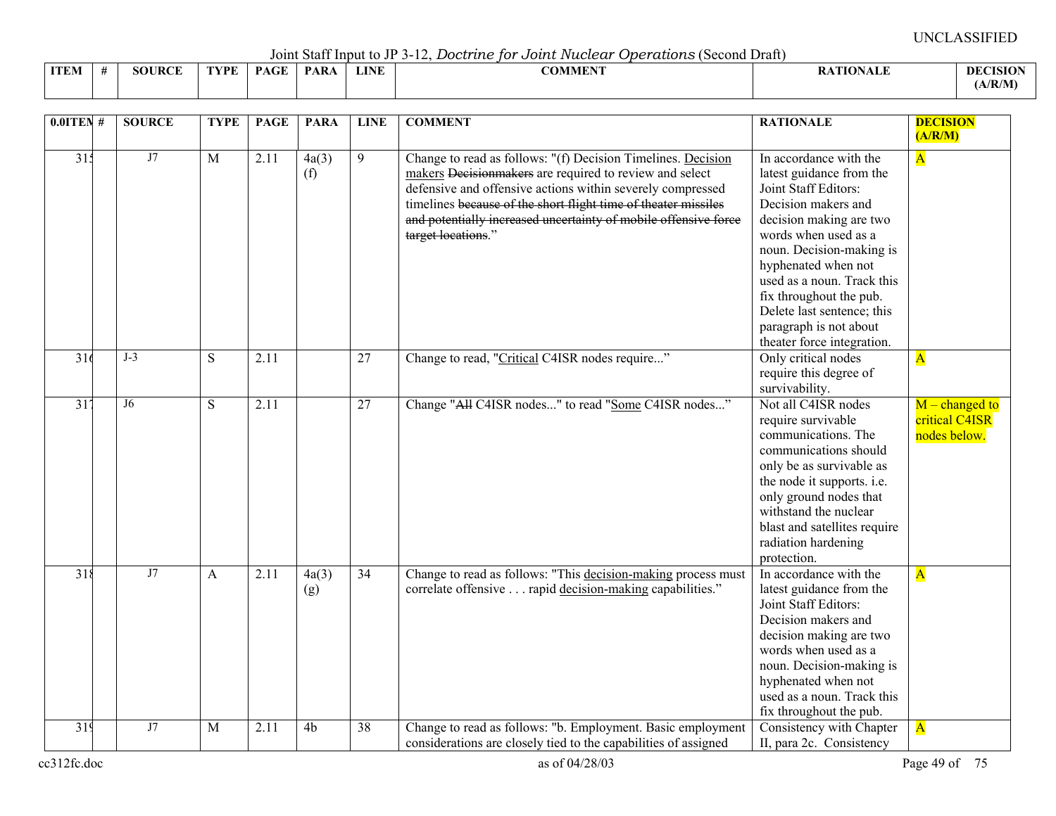Joint Staff Input to JP 3-12, *Doctrine for Joint Nuclear Operations* (Second Draft)

|             |                    |      |                                    |                                       |             | _ _ _ _ _ . _ . _ . _<br>.                                       |                         |                 |
|-------------|--------------------|------|------------------------------------|---------------------------------------|-------------|------------------------------------------------------------------|-------------------------|-----------------|
| <b>ITEM</b> | <b>JRCE</b><br>3OT | TVPF | $\sim$ $\sim$ $\sim$ $\sim$<br>D A | <b>DAD</b><br>$\mathbf{A} \mathbf{A}$ | <b>LINE</b> | $C\bigcap\mathbf{M}$ of $\mathbf{M}$ is $\mathbf{M}$<br>-OMMEN : | <b>\TIONALF</b><br>VALL | <b>DECISION</b> |
|             |                    |      |                                    |                                       |             |                                                                  |                         | (A/R/M)         |

| $0.0$ ITEN#     | <b>SOURCE</b> | <b>TYPE</b>    | <b>PAGE</b> | <b>PARA</b>    | <b>LINE</b>     | <b>COMMENT</b>                                                                                                                                                                                                                                                                                                                                   | <b>RATIONALE</b>                                                                                                                                                                                                                                                                                                         | <b>DECISION</b>                                    |
|-----------------|---------------|----------------|-------------|----------------|-----------------|--------------------------------------------------------------------------------------------------------------------------------------------------------------------------------------------------------------------------------------------------------------------------------------------------------------------------------------------------|--------------------------------------------------------------------------------------------------------------------------------------------------------------------------------------------------------------------------------------------------------------------------------------------------------------------------|----------------------------------------------------|
|                 |               |                |             |                |                 |                                                                                                                                                                                                                                                                                                                                                  |                                                                                                                                                                                                                                                                                                                          | (A/R/M)                                            |
| 31 <sup>2</sup> | J7            | $\overline{M}$ | 2.11        | 4a(3)<br>(f)   | 9               | Change to read as follows: "(f) Decision Timelines. Decision<br>makers Decisionmakers are required to review and select<br>defensive and offensive actions within severely compressed<br>timelines because of the short flight time of theater missiles<br>and potentially increased uncertainty of mobile offensive force<br>target locations." | In accordance with the<br>latest guidance from the<br>Joint Staff Editors:<br>Decision makers and<br>decision making are two<br>words when used as a<br>noun. Decision-making is<br>hyphenated when not<br>used as a noun. Track this<br>fix throughout the pub.<br>Delete last sentence; this<br>paragraph is not about | $\overline{\mathbf{A}}$                            |
| 316             | $J-3$         | S              | 2.11        |                | 27              | Change to read, "Critical C4ISR nodes require"                                                                                                                                                                                                                                                                                                   | theater force integration.<br>Only critical nodes<br>require this degree of<br>survivability.                                                                                                                                                                                                                            | $\overline{\mathbf{A}}$                            |
| $\overline{31}$ | J6            | S              | 2.11        |                | 27              | Change "All C4ISR nodes" to read "Some C4ISR nodes"                                                                                                                                                                                                                                                                                              | Not all C4ISR nodes<br>require survivable<br>communications. The<br>communications should<br>only be as survivable as<br>the node it supports. i.e.<br>only ground nodes that<br>withstand the nuclear<br>blast and satellites require<br>radiation hardening<br>protection.                                             | $M$ – changed to<br>critical C4ISR<br>nodes below. |
| 318             | J7            | A              | 2.11        | 4a(3)<br>(g)   | $\overline{34}$ | Change to read as follows: "This decision-making process must<br>correlate offensive rapid decision-making capabilities."                                                                                                                                                                                                                        | In accordance with the<br>latest guidance from the<br>Joint Staff Editors:<br>Decision makers and<br>decision making are two<br>words when used as a<br>noun. Decision-making is<br>hyphenated when not<br>used as a noun. Track this<br>fix throughout the pub.                                                         | $\overline{\mathbf{A}}$                            |
| 319             | J7            | M              | 2.11        | 4 <sub>b</sub> | $\overline{38}$ | Change to read as follows: "b. Employment. Basic employment<br>considerations are closely tied to the capabilities of assigned                                                                                                                                                                                                                   | Consistency with Chapter<br>II, para 2c. Consistency                                                                                                                                                                                                                                                                     | $\overline{\mathbf{A}}$                            |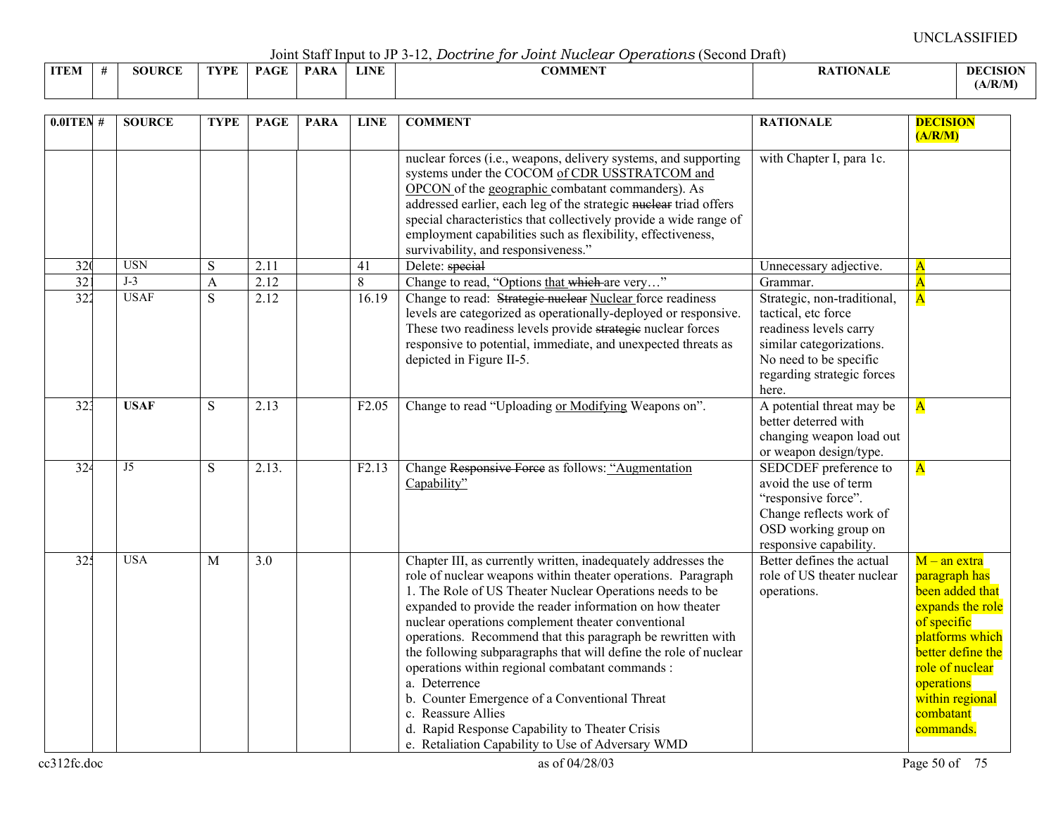Joint Staff Input to JP 3-12, *Doctrine for Joint Nuclear Operations* (Second Draft)

|             |                |               |      |             |      |             | --------------- |                 |                |
|-------------|----------------|---------------|------|-------------|------|-------------|-----------------|-----------------|----------------|
| <b>ITEM</b> | $\overline{u}$ | <b>SOURCE</b> | TYPE | <b>PAGE</b> | PARA | <b>LINE</b> | COMMENT         | <b>ATIONALE</b> | <b>DECISIO</b> |
|             |                |               |      |             |      |             |                 |                 | A/R/M          |

| $0.01$ TEN #    | <b>SOURCE</b> | <b>TYPE</b>             | <b>PAGE</b> | <b>PARA</b> | <b>LINE</b>       | <b>COMMENT</b>                                                                                                                                                                                                                                                                                                                                                                                                                                                                                                                                                                                                                                                                                    | <b>RATIONALE</b>                                                                                                                                                          | <b>DECISION</b><br>(A/R/M)                                                                                                                                                                                  |
|-----------------|---------------|-------------------------|-------------|-------------|-------------------|---------------------------------------------------------------------------------------------------------------------------------------------------------------------------------------------------------------------------------------------------------------------------------------------------------------------------------------------------------------------------------------------------------------------------------------------------------------------------------------------------------------------------------------------------------------------------------------------------------------------------------------------------------------------------------------------------|---------------------------------------------------------------------------------------------------------------------------------------------------------------------------|-------------------------------------------------------------------------------------------------------------------------------------------------------------------------------------------------------------|
|                 |               |                         |             |             |                   | nuclear forces (i.e., weapons, delivery systems, and supporting<br>systems under the COCOM of CDR USSTRATCOM and<br>OPCON of the geographic combatant commanders). As<br>addressed earlier, each leg of the strategic nuclear triad offers<br>special characteristics that collectively provide a wide range of<br>employment capabilities such as flexibility, effectiveness,<br>survivability, and responsiveness."                                                                                                                                                                                                                                                                             | with Chapter I, para 1c.                                                                                                                                                  |                                                                                                                                                                                                             |
| 320             | <b>USN</b>    | S                       | 2.11        |             | 41                | Delete: special                                                                                                                                                                                                                                                                                                                                                                                                                                                                                                                                                                                                                                                                                   | Unnecessary adjective.                                                                                                                                                    | $\mathbf{A}$                                                                                                                                                                                                |
| 32 <sup>2</sup> | $J-3$         | $\overline{\mathbf{A}}$ | 2.12        |             | $8\,$             | Change to read, "Options that which are very"                                                                                                                                                                                                                                                                                                                                                                                                                                                                                                                                                                                                                                                     | Grammar.                                                                                                                                                                  | $\overline{\mathbf{A}}$                                                                                                                                                                                     |
| 322             | <b>USAF</b>   | $\overline{S}$          | 2.12        |             | 16.19             | Change to read: Strategie nuclear Nuclear force readiness<br>levels are categorized as operationally-deployed or responsive.<br>These two readiness levels provide strategie nuclear forces<br>responsive to potential, immediate, and unexpected threats as<br>depicted in Figure II-5.                                                                                                                                                                                                                                                                                                                                                                                                          | Strategic, non-traditional,<br>tactical, etc force<br>readiness levels carry<br>similar categorizations.<br>No need to be specific<br>regarding strategic forces<br>here. | $\overline{\mathbf{A}}$                                                                                                                                                                                     |
| 32 <sup>3</sup> | <b>USAF</b>   | S                       | 2.13        |             | F <sub>2.05</sub> | Change to read "Uploading or Modifying Weapons on".                                                                                                                                                                                                                                                                                                                                                                                                                                                                                                                                                                                                                                               | A potential threat may be<br>better deterred with<br>changing weapon load out<br>or weapon design/type.                                                                   | $\overline{\mathbf{A}}$                                                                                                                                                                                     |
| 324             | J5            | S                       | 2.13.       |             | F2.13             | Change Responsive Force as follows: "Augmentation<br>Capability"                                                                                                                                                                                                                                                                                                                                                                                                                                                                                                                                                                                                                                  | SEDCDEF preference to<br>avoid the use of term<br>"responsive force".<br>Change reflects work of<br>OSD working group on<br>responsive capability.                        | $\overline{\mathbf{A}}$                                                                                                                                                                                     |
| 325             | <b>USA</b>    | M                       | 3.0         |             |                   | Chapter III, as currently written, inadequately addresses the<br>role of nuclear weapons within theater operations. Paragraph<br>1. The Role of US Theater Nuclear Operations needs to be<br>expanded to provide the reader information on how theater<br>nuclear operations complement theater conventional<br>operations. Recommend that this paragraph be rewritten with<br>the following subparagraphs that will define the role of nuclear<br>operations within regional combatant commands :<br>a. Deterrence<br>b. Counter Emergence of a Conventional Threat<br>c. Reassure Allies<br>d. Rapid Response Capability to Theater Crisis<br>e. Retaliation Capability to Use of Adversary WMD | Better defines the actual<br>role of US theater nuclear<br>operations.                                                                                                    | $M - an$ extra<br>paragraph has<br>been added that<br>expands the role<br>of specific<br>platforms which<br>better define the<br>role of nuclear<br>operations<br>within regional<br>combatant<br>commands. |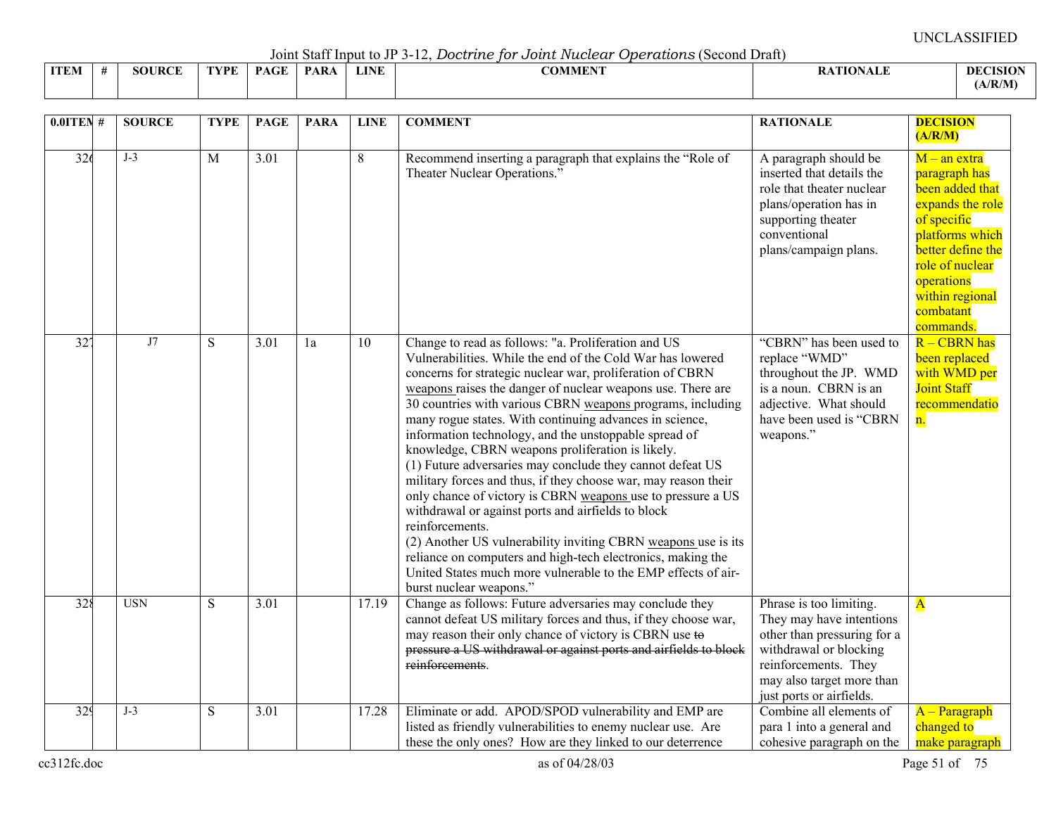Joint Staff Input to JP 3-12, *Doctrine for Joint Nuclear Operations* (Second Draft)

| <b>ITEM</b> |  | <b>JRCE</b><br>5OU | <b>VDE</b> | $P_{\rm{max}}$ | <b>PAR</b> | <b>LINE</b> |  | <b>COMMENT</b> |  |  | R | DEC<br>'ISIO<br>(A/R/M) |
|-------------|--|--------------------|------------|----------------|------------|-------------|--|----------------|--|--|---|-------------------------|
|-------------|--|--------------------|------------|----------------|------------|-------------|--|----------------|--|--|---|-------------------------|

| $0.01$ TEN #     | <b>SOURCE</b> | <b>TYPE</b>  | <b>PAGE</b>       | <b>PARA</b> | <b>LINE</b> | <b>COMMENT</b>                                                                                                                                                                                                                                                                                                                                                                                                                                                                                                                                                                                                                                                                                                                                                                                                                                                                                                                                                                         | <b>RATIONALE</b>                                                                                                                                                                              | <b>DECISION</b><br>(A/R/M)                                                                                                                                                                                  |
|------------------|---------------|--------------|-------------------|-------------|-------------|----------------------------------------------------------------------------------------------------------------------------------------------------------------------------------------------------------------------------------------------------------------------------------------------------------------------------------------------------------------------------------------------------------------------------------------------------------------------------------------------------------------------------------------------------------------------------------------------------------------------------------------------------------------------------------------------------------------------------------------------------------------------------------------------------------------------------------------------------------------------------------------------------------------------------------------------------------------------------------------|-----------------------------------------------------------------------------------------------------------------------------------------------------------------------------------------------|-------------------------------------------------------------------------------------------------------------------------------------------------------------------------------------------------------------|
| 326              | $J-3$         | $\mathbf{M}$ | 3.01              |             | 8           | Recommend inserting a paragraph that explains the "Role of<br>Theater Nuclear Operations."                                                                                                                                                                                                                                                                                                                                                                                                                                                                                                                                                                                                                                                                                                                                                                                                                                                                                             | A paragraph should be<br>inserted that details the<br>role that theater nuclear<br>plans/operation has in<br>supporting theater<br>conventional<br>plans/campaign plans.                      | $M$ – an extra<br>paragraph has<br>been added that<br>expands the role<br>of specific<br>platforms which<br>better define the<br>role of nuclear<br>operations<br>within regional<br>combatant<br>commands. |
| $\overline{32'}$ | J7            | S            | $\overline{3.01}$ | 1a          | 10          | Change to read as follows: "a. Proliferation and US<br>Vulnerabilities. While the end of the Cold War has lowered<br>concerns for strategic nuclear war, proliferation of CBRN<br>weapons raises the danger of nuclear weapons use. There are<br>30 countries with various CBRN weapons programs, including<br>many rogue states. With continuing advances in science,<br>information technology, and the unstoppable spread of<br>knowledge, CBRN weapons proliferation is likely.<br>(1) Future adversaries may conclude they cannot defeat US<br>military forces and thus, if they choose war, may reason their<br>only chance of victory is CBRN weapons use to pressure a US<br>withdrawal or against ports and airfields to block<br>reinforcements.<br>(2) Another US vulnerability inviting CBRN weapons use is its<br>reliance on computers and high-tech electronics, making the<br>United States much more vulnerable to the EMP effects of air-<br>burst nuclear weapons." | "CBRN" has been used to<br>replace "WMD"<br>throughout the JP. WMD<br>is a noun. CBRN is an<br>adjective. What should<br>have been used is "CBRN<br>weapons."                                 | $R - CBRN$ has<br>been replaced<br>with WMD per<br><b>Joint Staff</b><br>recommendatio<br>n.                                                                                                                |
| 328              | <b>USN</b>    | S            | 3.01              |             | 17.19       | Change as follows: Future adversaries may conclude they<br>cannot defeat US military forces and thus, if they choose war,<br>may reason their only chance of victory is CBRN use to<br>pressure a US withdrawal or against ports and airfields to block<br>reinforcements.                                                                                                                                                                                                                                                                                                                                                                                                                                                                                                                                                                                                                                                                                                             | Phrase is too limiting.<br>They may have intentions<br>other than pressuring for a<br>withdrawal or blocking<br>reinforcements. They<br>may also target more than<br>just ports or airfields. | $\overline{\mathbf{A}}$                                                                                                                                                                                     |
| 329              | $J-3$         | S            | $\overline{3.01}$ |             | 17.28       | Eliminate or add. APOD/SPOD vulnerability and EMP are<br>listed as friendly vulnerabilities to enemy nuclear use. Are<br>these the only ones? How are they linked to our deterrence                                                                                                                                                                                                                                                                                                                                                                                                                                                                                                                                                                                                                                                                                                                                                                                                    | Combine all elements of<br>para 1 into a general and<br>cohesive paragraph on the                                                                                                             | A - Paragraph<br>changed to<br>make paragraph                                                                                                                                                               |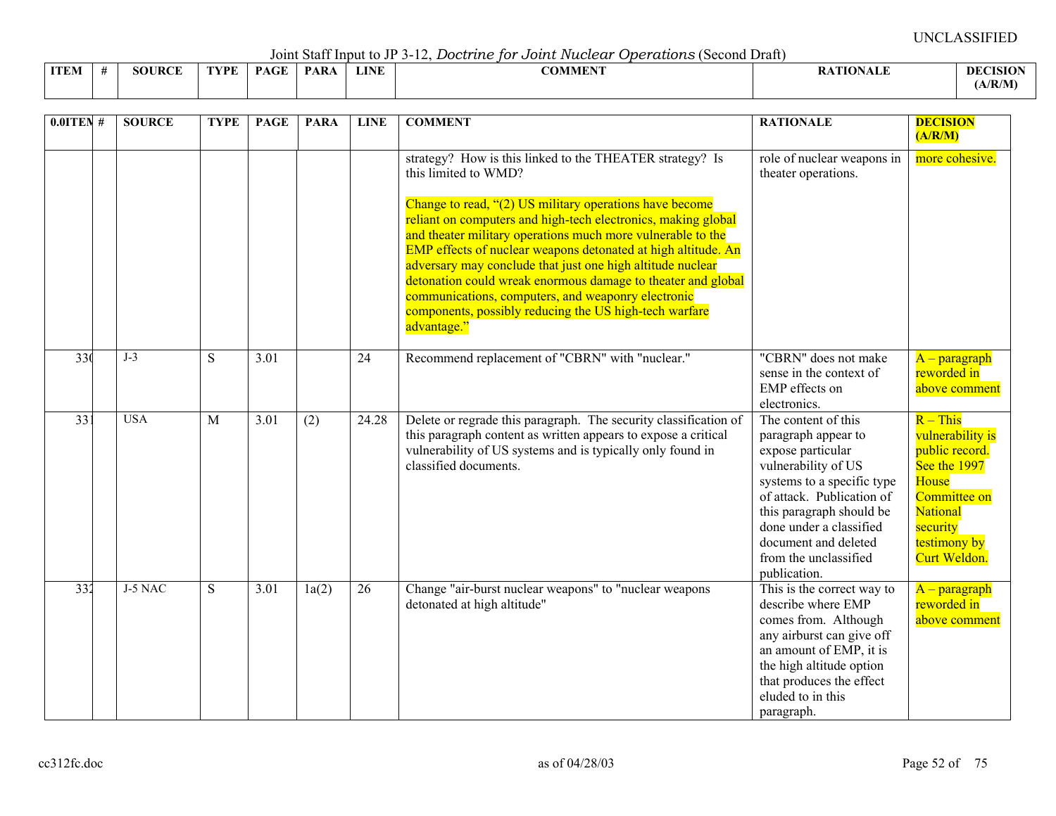Joint Staff Input to JP 3-12, *Doctrine for Joint Nuclear Operations* (Second Draft)

|             |                    |      |                                    |                                       |             | _ _ _ _ _ . _ . _ . _<br>.                                       |                         |                 |
|-------------|--------------------|------|------------------------------------|---------------------------------------|-------------|------------------------------------------------------------------|-------------------------|-----------------|
| <b>ITEM</b> | <b>JRCE</b><br>3OT | TVPF | $\sim$ $\sim$ $\sim$ $\sim$<br>D A | <b>DAD</b><br>$\mathbf{A} \mathbf{A}$ | <b>LINE</b> | $C\bigcap\mathbf{M}$ of $\mathbf{M}$ is $\mathbf{M}$<br>-OMMEN : | <b>\TIONALF</b><br>VALL | <b>DECISION</b> |
|             |                    |      |                                    |                                       |             |                                                                  |                         | (A/R/M)         |

| $0.01$ TEN #    | <b>SOURCE</b> | <b>TYPE</b> | <b>PAGE</b> | <b>PARA</b> | <b>LINE</b> | <b>COMMENT</b>                                                                                                                                                                                                                                                                                                                                                                                                                                                                                                                                                                             | <b>RATIONALE</b>                                                                                                                                                                                                                                                          | <b>DECISION</b><br>(A/R/M)                                                                                                                               |
|-----------------|---------------|-------------|-------------|-------------|-------------|--------------------------------------------------------------------------------------------------------------------------------------------------------------------------------------------------------------------------------------------------------------------------------------------------------------------------------------------------------------------------------------------------------------------------------------------------------------------------------------------------------------------------------------------------------------------------------------------|---------------------------------------------------------------------------------------------------------------------------------------------------------------------------------------------------------------------------------------------------------------------------|----------------------------------------------------------------------------------------------------------------------------------------------------------|
|                 |               |             |             |             |             | strategy? How is this linked to the THEATER strategy? Is<br>this limited to WMD?<br>Change to read, "(2) US military operations have become<br>reliant on computers and high-tech electronics, making global<br>and theater military operations much more vulnerable to the<br>EMP effects of nuclear weapons detonated at high altitude. An<br>adversary may conclude that just one high altitude nuclear<br>detonation could wreak enormous damage to theater and global<br>communications, computers, and weaponry electronic<br>components, possibly reducing the US high-tech warfare | role of nuclear weapons in<br>theater operations.                                                                                                                                                                                                                         | more cohesive.                                                                                                                                           |
| 33 <sup>0</sup> | $J-3$         | S           | 3.01        |             | 24          | advantage."<br>Recommend replacement of "CBRN" with "nuclear."                                                                                                                                                                                                                                                                                                                                                                                                                                                                                                                             | "CBRN" does not make<br>sense in the context of<br>EMP effects on<br>electronics.                                                                                                                                                                                         | $A$ – paragraph<br>reworded in<br>above comment                                                                                                          |
| 33 <sup>2</sup> | <b>USA</b>    | M           | 3.01        | (2)         | 24.28       | Delete or regrade this paragraph. The security classification of<br>this paragraph content as written appears to expose a critical<br>vulnerability of US systems and is typically only found in<br>classified documents.                                                                                                                                                                                                                                                                                                                                                                  | The content of this<br>paragraph appear to<br>expose particular<br>vulnerability of US<br>systems to a specific type<br>of attack. Publication of<br>this paragraph should be<br>done under a classified<br>document and deleted<br>from the unclassified<br>publication. | $R - This$<br>vulnerability is<br>public record.<br>See the 1997<br>House<br>Committee on<br><b>National</b><br>security<br>testimony by<br>Curt Weldon. |
| 332             | J-5 NAC       | S.          | 3.01        | 1a(2)       | 26          | Change "air-burst nuclear weapons" to "nuclear weapons<br>detonated at high altitude"                                                                                                                                                                                                                                                                                                                                                                                                                                                                                                      | This is the correct way to<br>describe where EMP<br>comes from. Although<br>any airburst can give off<br>an amount of EMP, it is<br>the high altitude option<br>that produces the effect<br>eluded to in this<br>paragraph.                                               | $A$ – paragraph<br>reworded in<br>above comment                                                                                                          |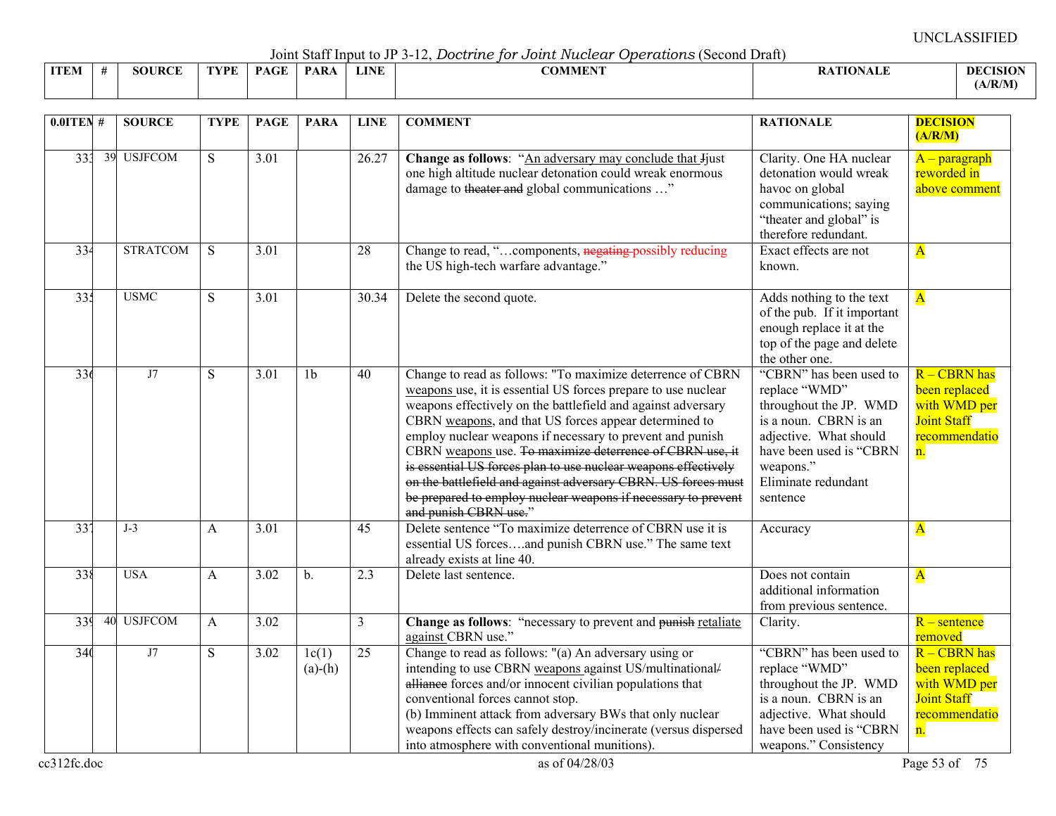Joint Staff Input to JP 3-12, *Doctrine for Joint Nuclear Operations* (Second Draft)

|             |                  |      |              | $\sim$ 0.111. $\sim$ 0.000 11 11. $\sim$ 0.000 0.1000 0.11 |             | ------<br>--------------<br>. |              |
|-------------|------------------|------|--------------|------------------------------------------------------------|-------------|-------------------------------|--------------|
| <b>ITEM</b> | ID $\cap$<br>ЮI. | TVPF | $\sim$<br>DА | <b>PAR</b>                                                 | <b>LINE</b> | $\alpha$ annent<br>:OMMER     | -DEC<br>ASIO |
|             |                  |      |              |                                                            |             |                               | (A/R/M)      |

| $0.01$ TEN # |    | <b>SOURCE</b>   | <b>TYPE</b>  | <b>PAGE</b>       | <b>PARA</b>        | <b>LINE</b>     | <b>COMMENT</b>                                                                                                                                                                                                                                                                                                                                                                                                                                                                                                                                                                                             | <b>RATIONALE</b>                                                                                                                                                                                 | <b>DECISION</b>                                                                              |
|--------------|----|-----------------|--------------|-------------------|--------------------|-----------------|------------------------------------------------------------------------------------------------------------------------------------------------------------------------------------------------------------------------------------------------------------------------------------------------------------------------------------------------------------------------------------------------------------------------------------------------------------------------------------------------------------------------------------------------------------------------------------------------------------|--------------------------------------------------------------------------------------------------------------------------------------------------------------------------------------------------|----------------------------------------------------------------------------------------------|
| 333          | 39 | <b>USJFCOM</b>  | S            | 3.01              |                    | 26.27           | Change as follows: "An adversary may conclude that Jjust<br>one high altitude nuclear detonation could wreak enormous<br>damage to theater and global communications "                                                                                                                                                                                                                                                                                                                                                                                                                                     | Clarity. One HA nuclear<br>detonation would wreak<br>havoc on global<br>communications; saying<br>"theater and global" is<br>therefore redundant.                                                | (A/R/M)<br>$A$ – paragraph<br>reworded in<br>above comment                                   |
| 334          |    | <b>STRATCOM</b> | S            | 3.01              |                    | 28              | Change to read, "components, negating possibly reducing<br>the US high-tech warfare advantage."                                                                                                                                                                                                                                                                                                                                                                                                                                                                                                            | Exact effects are not<br>known.                                                                                                                                                                  | $\overline{\mathbf{A}}$                                                                      |
| 335          |    | <b>USMC</b>     | S            | $\overline{3.01}$ |                    | 30.34           | Delete the second quote.                                                                                                                                                                                                                                                                                                                                                                                                                                                                                                                                                                                   | Adds nothing to the text<br>of the pub. If it important<br>enough replace it at the<br>top of the page and delete<br>the other one.                                                              | $\overline{\mathbf{A}}$                                                                      |
| 336          |    | J7              | S            | $\overline{3.01}$ | 1 <sub>b</sub>     | 40              | Change to read as follows: "To maximize deterrence of CBRN<br>weapons use, it is essential US forces prepare to use nuclear<br>weapons effectively on the battlefield and against adversary<br>CBRN weapons, and that US forces appear determined to<br>employ nuclear weapons if necessary to prevent and punish<br>CBRN weapons use. To maximize deterrence of CBRN use, it<br>is essential US forces plan to use nuclear weapons effectively<br>on the battlefield and against adversary CBRN. US forces must<br>be prepared to employ nuclear weapons if necessary to prevent<br>and punish CBRN use." | "CBRN" has been used to<br>replace "WMD"<br>throughout the JP. WMD<br>is a noun. CBRN is an<br>adjective. What should<br>have been used is "CBRN<br>weapons."<br>Eliminate redundant<br>sentence | R - CBRN has<br>been replaced<br>with WMD per<br><b>Joint Staff</b><br>recommendatio<br>n.   |
| 337          |    | $J-3$           | $\mathsf{A}$ | 3.01              |                    | 45              | Delete sentence "To maximize deterrence of CBRN use it is<br>essential US forcesand punish CBRN use." The same text<br>already exists at line 40.                                                                                                                                                                                                                                                                                                                                                                                                                                                          | Accuracy                                                                                                                                                                                         | $\overline{\mathbf{A}}$                                                                      |
| 338          |    | <b>USA</b>      | $\mathbf{A}$ | 3.02              | $b$ .              | 2.3             | Delete last sentence.                                                                                                                                                                                                                                                                                                                                                                                                                                                                                                                                                                                      | Does not contain<br>additional information<br>from previous sentence.                                                                                                                            | $\overline{\mathbf{A}}$                                                                      |
| 339          | 40 | <b>USJFCOM</b>  | A            | 3.02              |                    | $\overline{3}$  | Change as follows: "necessary to prevent and punish retaliate<br>against CBRN use."                                                                                                                                                                                                                                                                                                                                                                                                                                                                                                                        | Clarity.                                                                                                                                                                                         | $R$ – sentence<br>removed                                                                    |
| 340          |    | J7              | S            | 3.02              | 1c(1)<br>$(a)-(h)$ | $\overline{25}$ | Change to read as follows: "(a) An adversary using or<br>intending to use CBRN weapons against US/multinational/<br>alliance forces and/or innocent civilian populations that<br>conventional forces cannot stop.<br>(b) Imminent attack from adversary BWs that only nuclear<br>weapons effects can safely destroy/incinerate (versus dispersed<br>into atmosphere with conventional munitions).                                                                                                                                                                                                          | "CBRN" has been used to<br>replace "WMD"<br>throughout the JP. WMD<br>is a noun. CBRN is an<br>adjective. What should<br>have been used is "CBRN<br>weapons." Consistency                        | $R - CBRN$ has<br>been replaced<br>with WMD per<br><b>Joint Staff</b><br>recommendatio<br>n. |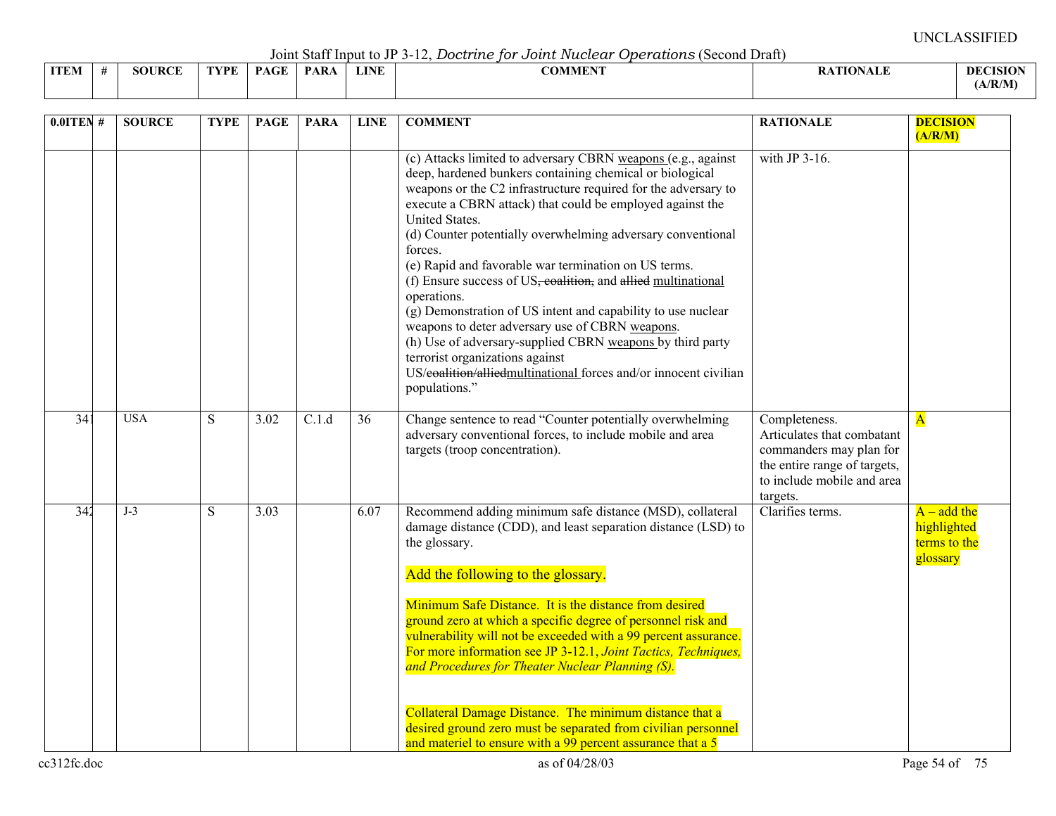Joint Staff Input to JP 3-12, *Doctrine for Joint Nuclear Operations* (Second Draft)

| ITEM | SOURCE | TYPE | <b>PAGE</b> | <b>PARA</b> | <b>LINE</b> | <b>COMMENT</b> | <b>RATIONALE</b> | <b>DECISIO</b> |
|------|--------|------|-------------|-------------|-------------|----------------|------------------|----------------|
|      |        |      |             |             |             |                |                  | A/R/M          |

| $0.0$ ITEN #    | <b>SOURCE</b> | <b>TYPE</b> | <b>PAGE</b> | <b>PARA</b> | <b>LINE</b> | <b>COMMENT</b>                                                                                                                                                                                                                                                                                                                                                                                                                                                                                                                                                                                                                                                                                                                                                                                      | <b>RATIONALE</b>                                                                                                                                 | <b>DECISION</b><br>(A/R/M)                               |
|-----------------|---------------|-------------|-------------|-------------|-------------|-----------------------------------------------------------------------------------------------------------------------------------------------------------------------------------------------------------------------------------------------------------------------------------------------------------------------------------------------------------------------------------------------------------------------------------------------------------------------------------------------------------------------------------------------------------------------------------------------------------------------------------------------------------------------------------------------------------------------------------------------------------------------------------------------------|--------------------------------------------------------------------------------------------------------------------------------------------------|----------------------------------------------------------|
|                 |               |             |             |             |             | (c) Attacks limited to adversary CBRN weapons (e.g., against<br>deep, hardened bunkers containing chemical or biological<br>weapons or the C2 infrastructure required for the adversary to<br>execute a CBRN attack) that could be employed against the<br>United States.<br>(d) Counter potentially overwhelming adversary conventional<br>forces.<br>(e) Rapid and favorable war termination on US terms.<br>(f) Ensure success of US, coalition, and allied multinational<br>operations.<br>(g) Demonstration of US intent and capability to use nuclear<br>weapons to deter adversary use of CBRN weapons.<br>(h) Use of adversary-supplied CBRN weapons by third party<br>terrorist organizations against<br>US/eoalition/alliedmultinational forces and/or innocent civilian<br>populations." | with JP $3-16$ .                                                                                                                                 |                                                          |
| 34 <sup>2</sup> | <b>USA</b>    | S           | 3.02        | C.1.d       | 36          | Change sentence to read "Counter potentially overwhelming<br>adversary conventional forces, to include mobile and area<br>targets (troop concentration).                                                                                                                                                                                                                                                                                                                                                                                                                                                                                                                                                                                                                                            | Completeness.<br>Articulates that combatant<br>commanders may plan for<br>the entire range of targets,<br>to include mobile and area<br>targets. | $\overline{\mathbf{A}}$                                  |
| 342             | $J-3$         | S           | 3.03        |             | 6.07        | Recommend adding minimum safe distance (MSD), collateral<br>damage distance (CDD), and least separation distance (LSD) to<br>the glossary.<br>Add the following to the glossary.<br>Minimum Safe Distance. It is the distance from desired<br>ground zero at which a specific degree of personnel risk and<br>vulnerability will not be exceeded with a 99 percent assurance.<br>For more information see JP 3-12.1, Joint Tactics, Techniques,<br>and Procedures for Theater Nuclear Planning (S).                                                                                                                                                                                                                                                                                                 | Clarifies terms.                                                                                                                                 | $A - add the$<br>highlighted<br>terms to the<br>glossary |
|                 |               |             |             |             |             | Collateral Damage Distance. The minimum distance that a<br>desired ground zero must be separated from civilian personnel<br>and materiel to ensure with a 99 percent assurance that a 5                                                                                                                                                                                                                                                                                                                                                                                                                                                                                                                                                                                                             |                                                                                                                                                  |                                                          |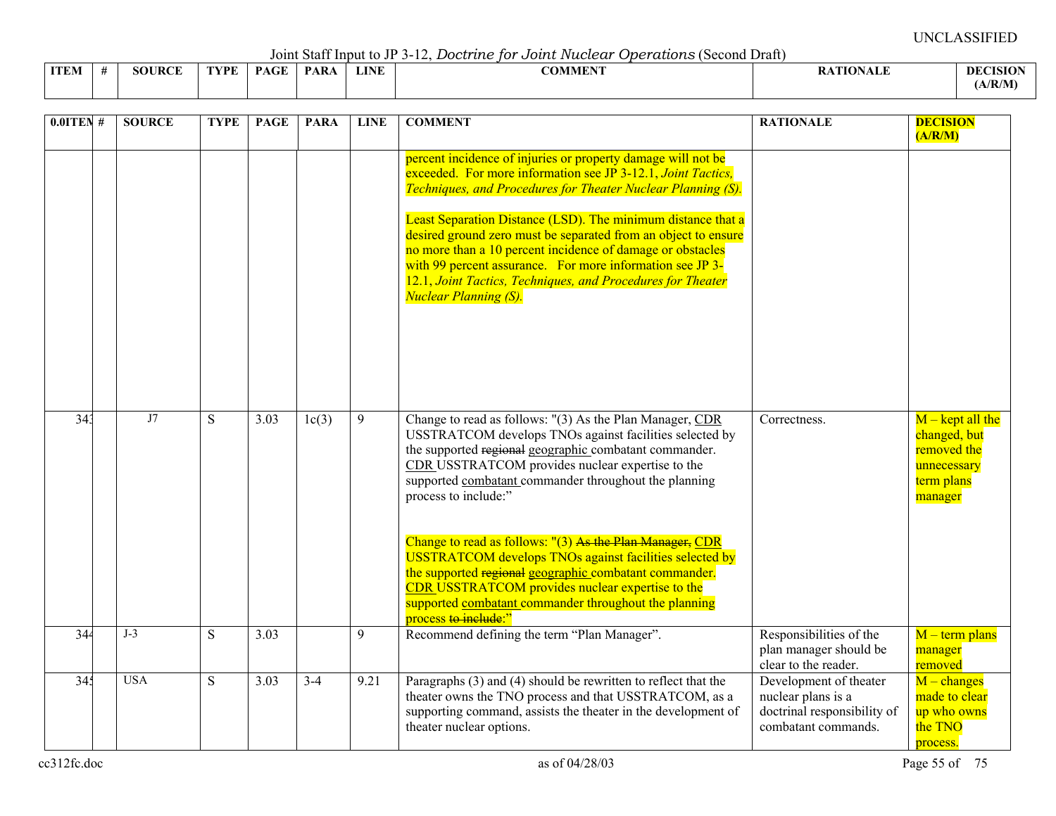Joint Staff Input to JP 3-12, *Doctrine for Joint Nuclear Operations* (Second Draft)

| <b>ITEM</b><br>IV. | SOURC<br>$T \rightarrow T$<br>$\mathbf{D}$ | 'VDE | <b>PAGE</b> | PAR <sub>t</sub> | <b>LINE</b> | <b>The State of Contract Contract Contract Contract Contract Contract Contract Contract Contract Contract Contract Contract Contract Contract Contract Contract Contract Contract Contract Contract Contract Contract Contract C</b><br>A J VI<br>VENEET | ா<br>$\sim$ | Dł    |
|--------------------|--------------------------------------------|------|-------------|------------------|-------------|----------------------------------------------------------------------------------------------------------------------------------------------------------------------------------------------------------------------------------------------------------|-------------|-------|
|                    |                                            |      |             |                  |             |                                                                                                                                                                                                                                                          |             | ./R/M |

| $0.0$ ITEN# | <b>SOURCE</b> | <b>TYPE</b> | <b>PAGE</b> | <b>PARA</b> | <b>LINE</b> | <b>COMMENT</b>                                                                                                                                                                                                                                                                                                                                                                                                                                                                                                                                           | <b>RATIONALE</b>                                                                                   | <b>DECISION</b><br>(A/R/M)                                                                |
|-------------|---------------|-------------|-------------|-------------|-------------|----------------------------------------------------------------------------------------------------------------------------------------------------------------------------------------------------------------------------------------------------------------------------------------------------------------------------------------------------------------------------------------------------------------------------------------------------------------------------------------------------------------------------------------------------------|----------------------------------------------------------------------------------------------------|-------------------------------------------------------------------------------------------|
|             |               |             |             |             |             | percent incidence of injuries or property damage will not be<br>exceeded. For more information see JP 3-12.1, Joint Tactics,<br>Techniques, and Procedures for Theater Nuclear Planning (S).<br>Least Separation Distance (LSD). The minimum distance that a<br>desired ground zero must be separated from an object to ensure<br>no more than a 10 percent incidence of damage or obstacles<br>with 99 percent assurance. For more information see JP 3-<br>12.1, Joint Tactics, Techniques, and Procedures for Theater<br><b>Nuclear Planning (S).</b> |                                                                                                    |                                                                                           |
| 343         | J7            | S           | 3.03        | 1c(3)       | 9           | Change to read as follows: "(3) As the Plan Manager, CDR<br>USSTRATCOM develops TNOs against facilities selected by<br>the supported regional geographic combatant commander.<br>CDR USSTRATCOM provides nuclear expertise to the<br>supported combatant commander throughout the planning<br>process to include:"                                                                                                                                                                                                                                       | Correctness.                                                                                       | $M$ – kept all the<br>changed, but<br>removed the<br>unnecessary<br>term plans<br>manager |
|             |               |             |             |             |             | Change to read as follows: "(3) As the Plan Manager, CDR<br><b>USSTRATCOM</b> develops TNOs against facilities selected by<br>the supported regional geographic combatant commander.<br><b>CDR USSTRATCOM</b> provides nuclear expertise to the<br>supported combatant commander throughout the planning<br>process to include:"                                                                                                                                                                                                                         |                                                                                                    |                                                                                           |
| 344         | $J-3$         | S           | 3.03        |             | 9           | Recommend defining the term "Plan Manager".                                                                                                                                                                                                                                                                                                                                                                                                                                                                                                              | Responsibilities of the<br>plan manager should be<br>clear to the reader.                          | $M$ – term plans<br>manager<br>removed                                                    |
| 345         | <b>USA</b>    | S           | 3.03        | $3-4$       | 9.21        | Paragraphs (3) and (4) should be rewritten to reflect that the<br>theater owns the TNO process and that USSTRATCOM, as a<br>supporting command, assists the theater in the development of<br>theater nuclear options.                                                                                                                                                                                                                                                                                                                                    | Development of theater<br>nuclear plans is a<br>doctrinal responsibility of<br>combatant commands. | $M$ – changes<br>made to clear<br>up who owns<br>the TNO<br>process.                      |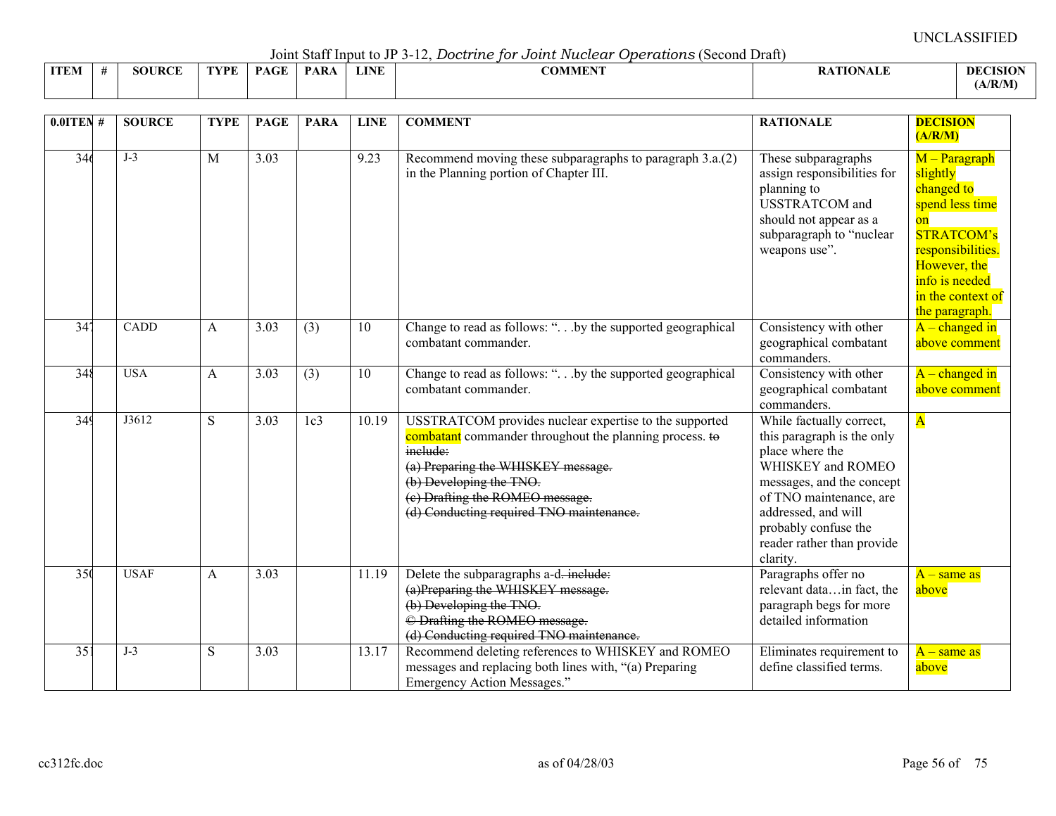Joint Staff Input to JP 3-12, *Doctrine for Joint Nuclear Operations* (Second Draft)

|             |                    |     |            |     |             | ---------------<br>.<br>------------ |                       |                    |
|-------------|--------------------|-----|------------|-----|-------------|--------------------------------------|-----------------------|--------------------|
| <b>ITEM</b> | <b>JRCE</b><br>šОt | VDE | $\sqrt{ }$ | PAR | <b>LINE</b> | <b>COMMENT</b>                       | <b>TARTA</b><br>"NALL | DEC<br><b>ISIO</b> |
|             |                    |     |            |     |             |                                      |                       | (A/R/M)            |

| $0.0$ ITEN #    | <b>SOURCE</b> | <b>TYPE</b>  | <b>PAGE</b> | <b>PARA</b>     | <b>LINE</b> | <b>COMMENT</b>                                                                                                                                                                                                                                                                | <b>RATIONALE</b>                                                                                                                                                                                                                                | <b>DECISION</b><br>(A/R/M)                                                                                                                                                          |
|-----------------|---------------|--------------|-------------|-----------------|-------------|-------------------------------------------------------------------------------------------------------------------------------------------------------------------------------------------------------------------------------------------------------------------------------|-------------------------------------------------------------------------------------------------------------------------------------------------------------------------------------------------------------------------------------------------|-------------------------------------------------------------------------------------------------------------------------------------------------------------------------------------|
| 346             | $J-3$         | M            | 3.03        |                 | 9.23        | Recommend moving these subparagraphs to paragraph 3.a.(2)<br>in the Planning portion of Chapter III.                                                                                                                                                                          | These subparagraphs<br>assign responsibilities for<br>planning to<br><b>USSTRATCOM</b> and<br>should not appear as a<br>subparagraph to "nuclear<br>weapons use".                                                                               | M - Paragraph<br>slightly<br>changed to<br>spend less time<br>on<br><b>STRATCOM's</b><br>responsibilities.<br>However, the<br>info is needed<br>in the context of<br>the paragraph. |
| 34 <sup>7</sup> | <b>CADD</b>   | A            | 3.03        | (3)             | 10          | Change to read as follows: " by the supported geographical<br>combatant commander.                                                                                                                                                                                            | Consistency with other<br>geographical combatant<br>commanders.                                                                                                                                                                                 | $A$ – changed in<br>above comment                                                                                                                                                   |
| 348             | <b>USA</b>    | $\mathbf{A}$ | 3.03        | (3)             | 10          | Change to read as follows: " by the supported geographical<br>combatant commander.                                                                                                                                                                                            | Consistency with other<br>geographical combatant<br>commanders.                                                                                                                                                                                 | $A$ – changed in<br>above comment                                                                                                                                                   |
| 349             | J3612         | ${\bf S}$    | 3.03        | 1c <sub>3</sub> | 10.19       | USSTRATCOM provides nuclear expertise to the supported<br>combatant commander throughout the planning process. to<br>include:<br>(a) Preparing the WHISKEY message.<br>(b) Developing the TNO.<br>(e) Drafting the ROMEO message.<br>(d) Conducting required TNO maintenance. | While factually correct,<br>this paragraph is the only<br>place where the<br>WHISKEY and ROMEO<br>messages, and the concept<br>of TNO maintenance, are<br>addressed, and will<br>probably confuse the<br>reader rather than provide<br>clarity. | $\overline{\mathbf{A}}$                                                                                                                                                             |
| 35 <sub>0</sub> | <b>USAF</b>   | A            | 3.03        |                 | 11.19       | Delete the subparagraphs a-d-include:<br>(a)Preparing the WHISKEY message.<br>(b) Developing the TNO.<br>© Drafting the ROMEO message.<br>(d) Conducting required TNO maintenance.                                                                                            | Paragraphs offer no<br>relevant datain fact, the<br>paragraph begs for more<br>detailed information                                                                                                                                             | $A$ – same as<br>above                                                                                                                                                              |
| $\overline{35}$ | $J-3$         | S            | 3.03        |                 | 13.17       | Recommend deleting references to WHISKEY and ROMEO<br>messages and replacing both lines with, "(a) Preparing<br>Emergency Action Messages."                                                                                                                                   | Eliminates requirement to<br>define classified terms.                                                                                                                                                                                           | $A$ – same as<br>above                                                                                                                                                              |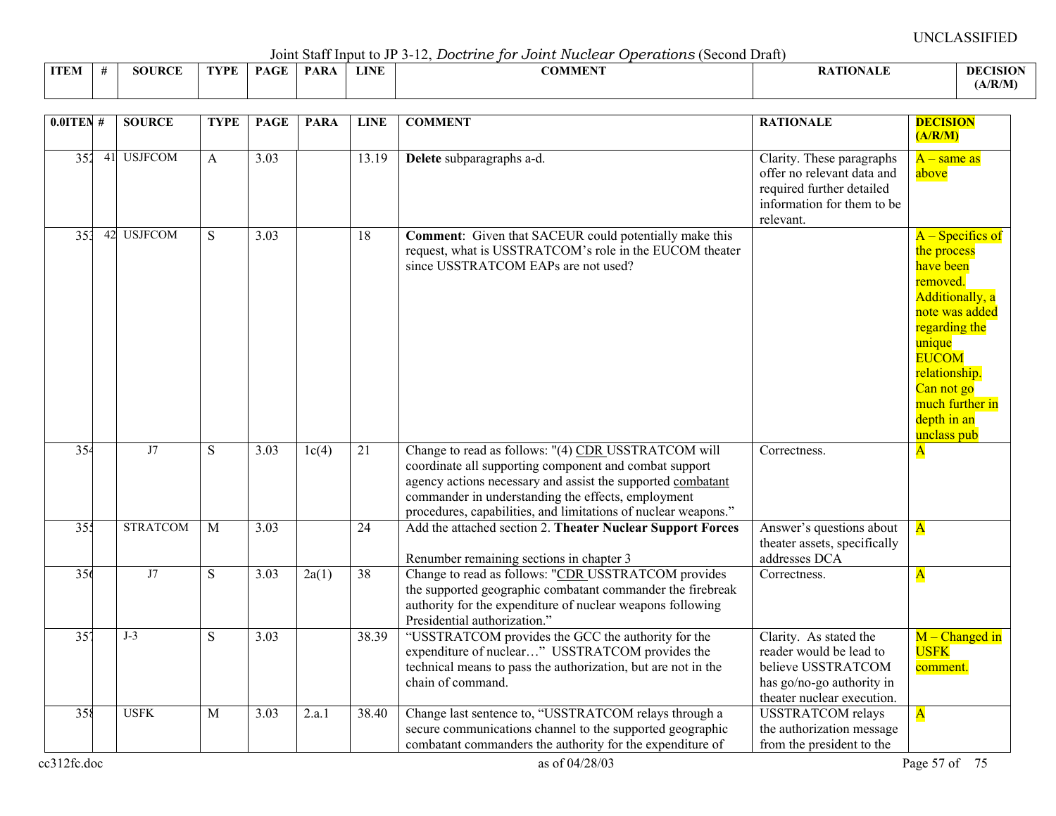Joint Staff Input to JP 3-12, *Doctrine for Joint Nuclear Operations* (Second Draft)

|             |               |      |             | $\sim$ 0.11.0 $\sim$ 0.00 11.1 $\sim$ 0.00 0.10 0.10 $\sim$ |             | $\sim$ $\sim$ $\sim$ $\sim$ $\sim$ $\sim$<br>. |                |                 |
|-------------|---------------|------|-------------|-------------------------------------------------------------|-------------|------------------------------------------------|----------------|-----------------|
| <b>ITEM</b> | <b>SOURCE</b> | TVDF | $P_{\rm A}$ | <b>PARA</b>                                                 | <b>LINE</b> | <b>COMMENT</b>                                 | ATION1<br>™AL∟ | <b>DECISION</b> |
|             |               |      |             |                                                             |             |                                                |                | (A/R/M)         |

| $0.0$ ITEN#     |    | <b>SOURCE</b>   | <b>TYPE</b>  | <b>PAGE</b> | <b>PARA</b> | <b>LINE</b>        | <b>COMMENT</b>                                                                                                                                                                                                                                                                                       | <b>RATIONALE</b>                                                                                                                   | <b>DECISION</b>                                                                                                                                                                                                            |
|-----------------|----|-----------------|--------------|-------------|-------------|--------------------|------------------------------------------------------------------------------------------------------------------------------------------------------------------------------------------------------------------------------------------------------------------------------------------------------|------------------------------------------------------------------------------------------------------------------------------------|----------------------------------------------------------------------------------------------------------------------------------------------------------------------------------------------------------------------------|
| 352             |    | 41 USJFCOM      | A            | 3.03        |             | 13.19              | Delete subparagraphs a-d.                                                                                                                                                                                                                                                                            | Clarity. These paragraphs<br>offer no relevant data and<br>required further detailed<br>information for them to be<br>relevant.    | (A/R/M)<br>$A$ – same as<br>above                                                                                                                                                                                          |
| 35 <sup>3</sup> | 42 | <b>USJFCOM</b>  | S            | 3.03        |             | 18                 | <b>Comment:</b> Given that SACEUR could potentially make this<br>request, what is USSTRATCOM's role in the EUCOM theater<br>since USSTRATCOM EAPs are not used?                                                                                                                                      |                                                                                                                                    | $A -$ Specifics of<br>the process<br>have been<br>removed.<br>Additionally, a<br>note was added<br>regarding the<br>unique<br><b>EUCOM</b><br>relationship.<br>Can not go<br>much further in<br>depth in an<br>unclass pub |
| 354             |    | J7              | S            | 3.03        | 1c(4)       | $\overline{21}$    | Change to read as follows: "(4) CDR USSTRATCOM will<br>coordinate all supporting component and combat support<br>agency actions necessary and assist the supported combatant<br>commander in understanding the effects, employment<br>procedures, capabilities, and limitations of nuclear weapons." | Correctness.                                                                                                                       | ${\bf A}$                                                                                                                                                                                                                  |
| 355             |    | <b>STRATCOM</b> | $\mathbf{M}$ | 3.03        |             | 24                 | Add the attached section 2. Theater Nuclear Support Forces<br>Renumber remaining sections in chapter 3                                                                                                                                                                                               | Answer's questions about<br>theater assets, specifically<br>addresses DCA                                                          | $\overline{\mathbf{A}}$                                                                                                                                                                                                    |
| 356             |    | J7              | S            | 3.03        | 2a(1)       | $\overline{38}$    | Change to read as follows: "CDR USSTRATCOM provides<br>the supported geographic combatant commander the firebreak<br>authority for the expenditure of nuclear weapons following<br>Presidential authorization."                                                                                      | Correctness.                                                                                                                       | $\overline{\mathbf{A}}$                                                                                                                                                                                                    |
| 35'             |    | $J-3$           | S            | 3.03        |             | 38.39              | "USSTRATCOM provides the GCC the authority for the<br>expenditure of nuclear" USSTRATCOM provides the<br>technical means to pass the authorization, but are not in the<br>chain of command.                                                                                                          | Clarity. As stated the<br>reader would be lead to<br>believe USSTRATCOM<br>has go/no-go authority in<br>theater nuclear execution. | $M$ – Changed in<br><b>USFK</b><br>comment.                                                                                                                                                                                |
| 358             |    | <b>USFK</b>     | M            | 3.03        | 2.a.1       | $\overline{38.40}$ | Change last sentence to, "USSTRATCOM relays through a<br>secure communications channel to the supported geographic<br>combatant commanders the authority for the expenditure of                                                                                                                      | <b>USSTRATCOM</b> relays<br>the authorization message<br>from the president to the                                                 | $\overline{\mathbf{A}}$                                                                                                                                                                                                    |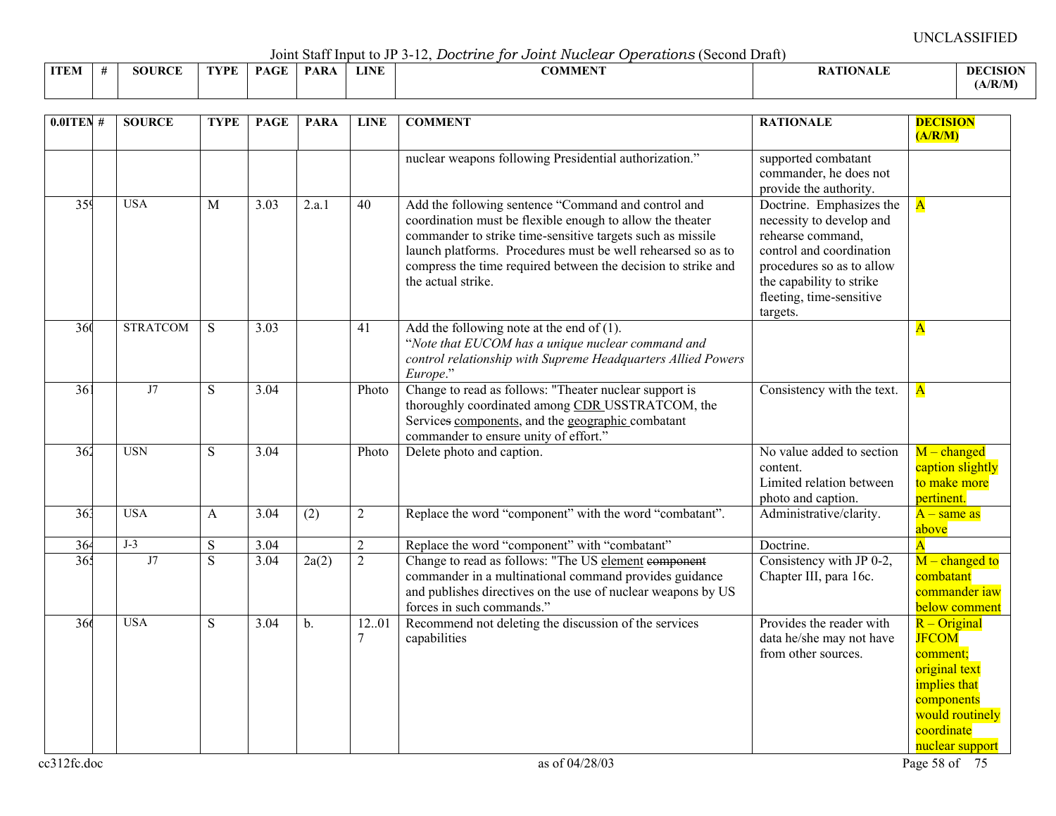Joint Staff Input to JP 3-12, *Doctrine for Joint Nuclear Operations* (Second Draft)

|             |               |      |             | $\sim$ 0.11.0 $\sim$ 0.00 11.1 $\sim$ 0.00 0.10 0.10 $\sim$ |             | $\sim$ $\sim$ $\sim$ $\sim$ $\sim$ $\sim$<br>. |                |                 |
|-------------|---------------|------|-------------|-------------------------------------------------------------|-------------|------------------------------------------------|----------------|-----------------|
| <b>ITEM</b> | <b>SOURCE</b> | TVDF | $P_{\rm A}$ | <b>PARA</b>                                                 | <b>LINE</b> | <b>COMMENT</b>                                 | ATION1<br>™AL∟ | <b>DECISION</b> |
|             |               |      |             |                                                             |             |                                                |                | (A/R/M)         |

| $0.01$ TEN #    | <b>SOURCE</b>   | <b>TYPE</b>    | <b>PAGE</b> | <b>PARA</b>        | <b>LINE</b>             | <b>COMMENT</b>                                                                                                                                                                                                                                                                                                                        | <b>RATIONALE</b>                                                                                                                                                                                       | <b>DECISION</b><br>(A/R/M)                                                                                                                           |
|-----------------|-----------------|----------------|-------------|--------------------|-------------------------|---------------------------------------------------------------------------------------------------------------------------------------------------------------------------------------------------------------------------------------------------------------------------------------------------------------------------------------|--------------------------------------------------------------------------------------------------------------------------------------------------------------------------------------------------------|------------------------------------------------------------------------------------------------------------------------------------------------------|
|                 |                 |                |             |                    |                         | nuclear weapons following Presidential authorization."                                                                                                                                                                                                                                                                                | supported combatant<br>commander, he does not<br>provide the authority.                                                                                                                                |                                                                                                                                                      |
| 359             | <b>USA</b>      | M              | 3.03        | $\overline{2.a.1}$ | 40                      | Add the following sentence "Command and control and<br>coordination must be flexible enough to allow the theater<br>commander to strike time-sensitive targets such as missile<br>launch platforms. Procedures must be well rehearsed so as to<br>compress the time required between the decision to strike and<br>the actual strike. | Doctrine. Emphasizes the<br>necessity to develop and<br>rehearse command,<br>control and coordination<br>procedures so as to allow<br>the capability to strike<br>fleeting, time-sensitive<br>targets. | $\overline{\mathbf{A}}$                                                                                                                              |
| 360             | <b>STRATCOM</b> | S              | 3.03        |                    | 41                      | Add the following note at the end of $(1)$ .<br>"Note that EUCOM has a unique nuclear command and<br>control relationship with Supreme Headquarters Allied Powers<br>Europe."                                                                                                                                                         |                                                                                                                                                                                                        | $\mathbf{A}$                                                                                                                                         |
| $\overline{36}$ | J7              | S              | 3.04        |                    | Photo                   | Change to read as follows: "Theater nuclear support is<br>thoroughly coordinated among CDR USSTRATCOM, the<br>Services components, and the geographic combatant<br>commander to ensure unity of effort."                                                                                                                              | Consistency with the text.                                                                                                                                                                             | $\overline{\mathbf{A}}$                                                                                                                              |
| 362             | <b>USN</b>      | S              | 3.04        |                    | Photo                   | Delete photo and caption.                                                                                                                                                                                                                                                                                                             | No value added to section<br>content.<br>Limited relation between<br>photo and caption.                                                                                                                | $M$ – changed<br>caption slightly<br>to make more<br>pertinent.                                                                                      |
| $\overline{36}$ | <b>USA</b>      | A              | 3.04        | $\overline{(2)}$   | $\overline{2}$          | Replace the word "component" with the word "combatant".                                                                                                                                                                                                                                                                               | Administrative/clarity.                                                                                                                                                                                | $\overline{A}$ – same as<br>above                                                                                                                    |
| 364             | $J-3$           | ${\bf S}$      | 3.04        |                    | $\overline{2}$          | Replace the word "component" with "combatant"                                                                                                                                                                                                                                                                                         | Doctrine.                                                                                                                                                                                              | $\overline{\mathbf{A}}$                                                                                                                              |
| 36.             | J7              | $\overline{S}$ | 3.04        | 2a(2)              | $\overline{2}$          | Change to read as follows: "The US element component<br>commander in a multinational command provides guidance<br>and publishes directives on the use of nuclear weapons by US<br>forces in such commands."                                                                                                                           | Consistency with JP 0-2,<br>Chapter III, para 16c.                                                                                                                                                     | $M$ – changed to<br>combatant<br>commander iaw<br>below comment                                                                                      |
| 366             | <b>USA</b>      | S              | 3.04        | $\mathbf b$ .      | 12.01<br>$\overline{7}$ | Recommend not deleting the discussion of the services<br>capabilities                                                                                                                                                                                                                                                                 | Provides the reader with<br>data he/she may not have<br>from other sources.                                                                                                                            | $R$ – Original<br><b>JFCOM</b><br>comment;<br>original text<br><i>implies that</i><br>components<br>would routinely<br>coordinate<br>nuclear support |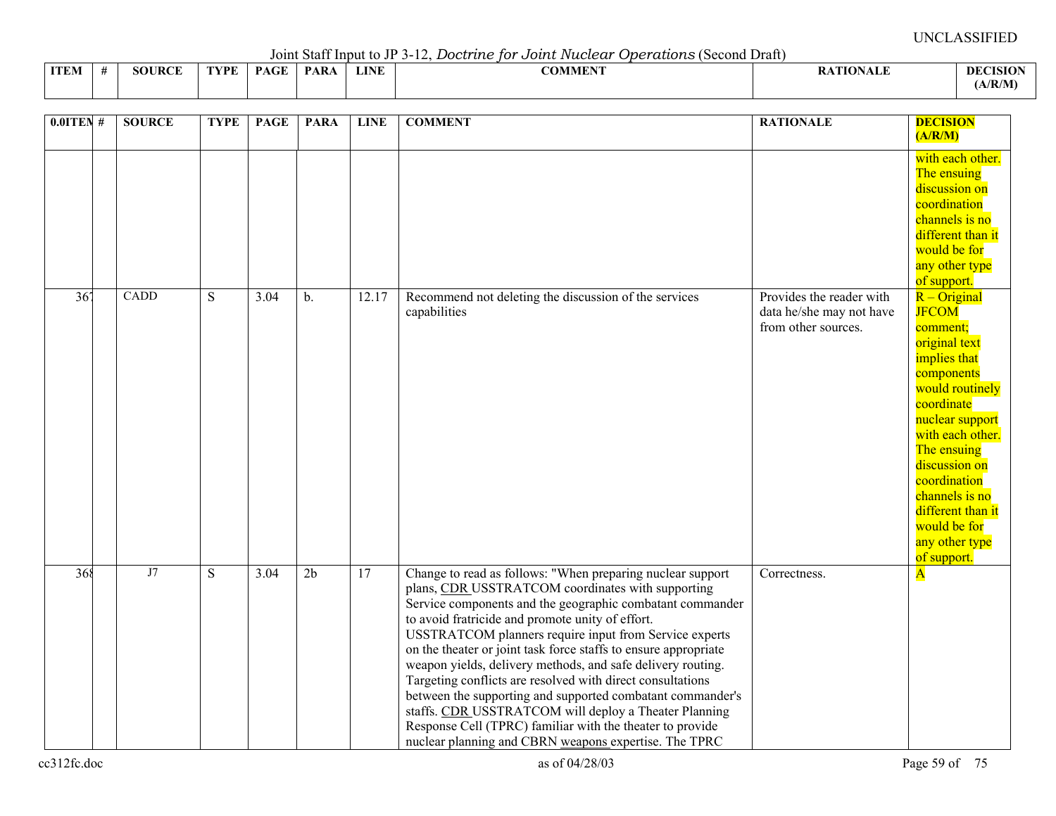Joint Staff Input to JP 3-12, *Doctrine for Joint Nuclear Operations* (Second Draft)

|             | $\frac{1}{2}$ . The contract of $\frac{1}{2}$ is the contract of $\frac{1}{2}$ is the second of $\frac{1}{2}$<br>o o o ciudico i o contra Diani |               |      |             |             |             |         |          |                |  |  |  |  |  |
|-------------|-------------------------------------------------------------------------------------------------------------------------------------------------|---------------|------|-------------|-------------|-------------|---------|----------|----------------|--|--|--|--|--|
| <b>ITEM</b> |                                                                                                                                                 | <b>SOURCE</b> | TVDF | <b>DACE</b> | <b>PARA</b> | <b>LINE</b> | COMMENT | TIANAI E | <b>DECISIO</b> |  |  |  |  |  |
|             |                                                                                                                                                 |               |      |             |             |             |         |          | (A/R/M)        |  |  |  |  |  |

| $0.0$ ITEN# | <b>SOURCE</b> | <b>TYPE</b>  | <b>PAGE</b> | <b>PARA</b>    | <b>LINE</b> | <b>COMMENT</b>                                                                                                                                                                                                                                                                                                                                                                                                                                                                                                                                                                                                                                                                                                                          | <b>RATIONALE</b>                                                            | <b>DECISION</b><br>(A/R/M)                                                                                                                                                                                                                                                                                |
|-------------|---------------|--------------|-------------|----------------|-------------|-----------------------------------------------------------------------------------------------------------------------------------------------------------------------------------------------------------------------------------------------------------------------------------------------------------------------------------------------------------------------------------------------------------------------------------------------------------------------------------------------------------------------------------------------------------------------------------------------------------------------------------------------------------------------------------------------------------------------------------------|-----------------------------------------------------------------------------|-----------------------------------------------------------------------------------------------------------------------------------------------------------------------------------------------------------------------------------------------------------------------------------------------------------|
|             |               |              |             |                |             |                                                                                                                                                                                                                                                                                                                                                                                                                                                                                                                                                                                                                                                                                                                                         |                                                                             | with each other.<br>The ensuing<br>discussion on<br>coordination<br>channels is no<br>different than it<br>would be for<br>any other type<br>of support.                                                                                                                                                  |
| 367         | CADD          | <sub>S</sub> | 3.04        | $b$ .          | 12.17       | Recommend not deleting the discussion of the services<br>capabilities                                                                                                                                                                                                                                                                                                                                                                                                                                                                                                                                                                                                                                                                   | Provides the reader with<br>data he/she may not have<br>from other sources. | $R - Original$<br><b>JFCOM</b><br>comment;<br>original text<br>implies that<br>components<br>would routinely<br>coordinate<br>nuclear support<br>with each other.<br>The ensuing<br>discussion on<br>coordination<br>channels is no<br>different than it<br>would be for<br>any other type<br>of support. |
| 368         | J7            | S            | 3.04        | 2 <sub>b</sub> | 17          | Change to read as follows: "When preparing nuclear support<br>plans, CDR USSTRATCOM coordinates with supporting<br>Service components and the geographic combatant commander<br>to avoid fratricide and promote unity of effort.<br>USSTRATCOM planners require input from Service experts<br>on the theater or joint task force staffs to ensure appropriate<br>weapon yields, delivery methods, and safe delivery routing.<br>Targeting conflicts are resolved with direct consultations<br>between the supporting and supported combatant commander's<br>staffs. CDR USSTRATCOM will deploy a Theater Planning<br>Response Cell (TPRC) familiar with the theater to provide<br>nuclear planning and CBRN weapons expertise. The TPRC | Correctness.                                                                | $\overline{\mathbf{A}}$                                                                                                                                                                                                                                                                                   |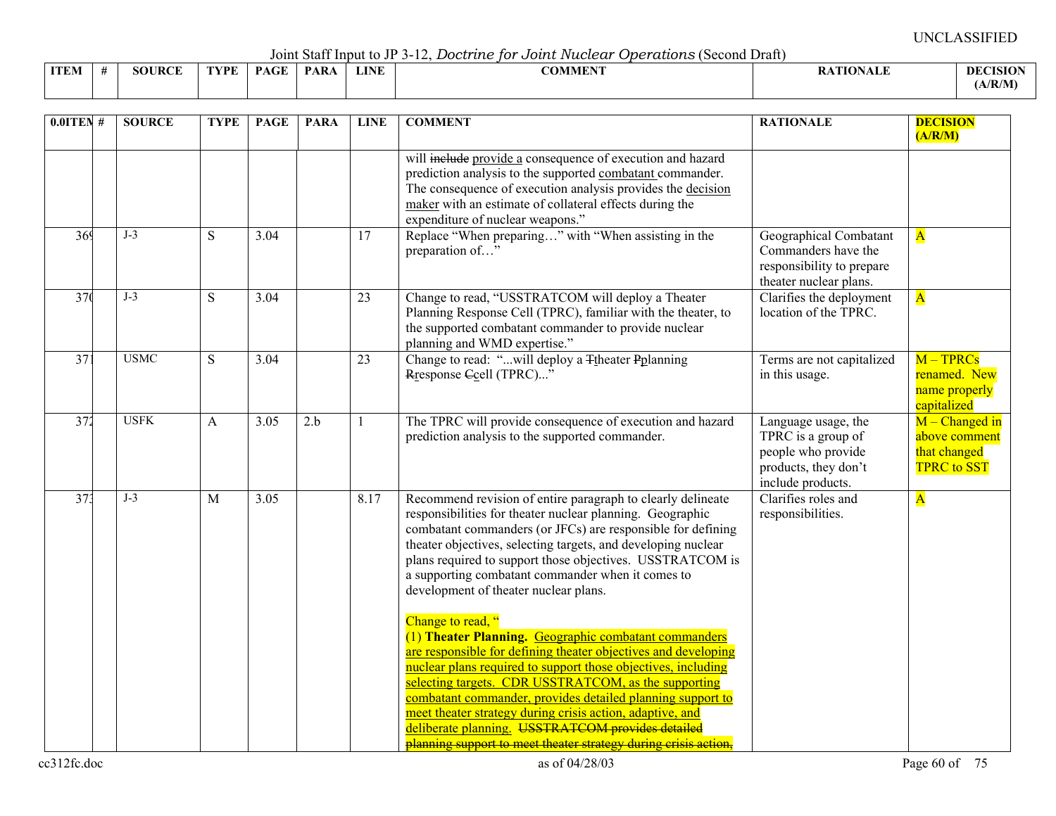Joint Staff Input to JP 3-12, *Doctrine for Joint Nuclear Operations* (Second Draft)

|             |               |      |     |             |             | - - - - - - -<br>---------------<br>--------- |                  |             |
|-------------|---------------|------|-----|-------------|-------------|-----------------------------------------------|------------------|-------------|
| <b>ITEM</b> | IIDCE<br>80 H | TVPF | D A | <b>PARA</b> | <b>LINE</b> | COLEMAN 19<br>OMME                            | TIAN<br>17 L L L | :ISIO<br>Dŀ |
|             |               |      |     |             |             |                                               |                  | √R/M        |

| $0.01$ TEN #    | <b>SOURCE</b> | <b>TYPE</b>  | <b>PAGE</b> | <b>PARA</b> | <b>LINE</b> | <b>COMMENT</b>                                                                                                                                                                                                                                                                                                                                                                                                                                                                                                           | <b>RATIONALE</b>                                                                                             | <b>DECISION</b><br>(A/R/M)                                              |
|-----------------|---------------|--------------|-------------|-------------|-------------|--------------------------------------------------------------------------------------------------------------------------------------------------------------------------------------------------------------------------------------------------------------------------------------------------------------------------------------------------------------------------------------------------------------------------------------------------------------------------------------------------------------------------|--------------------------------------------------------------------------------------------------------------|-------------------------------------------------------------------------|
|                 |               |              |             |             |             | will include provide a consequence of execution and hazard<br>prediction analysis to the supported combatant commander.<br>The consequence of execution analysis provides the decision<br>maker with an estimate of collateral effects during the<br>expenditure of nuclear weapons."                                                                                                                                                                                                                                    |                                                                                                              |                                                                         |
| 369             | $J-3$         | S            | 3.04        |             | 17          | Replace "When preparing" with "When assisting in the<br>preparation of"                                                                                                                                                                                                                                                                                                                                                                                                                                                  | Geographical Combatant<br>Commanders have the<br>responsibility to prepare<br>theater nuclear plans.         | $\overline{\mathbf{A}}$                                                 |
| 37(             | $J-3$         | S            | 3.04        |             | 23          | Change to read, "USSTRATCOM will deploy a Theater<br>Planning Response Cell (TPRC), familiar with the theater, to<br>the supported combatant commander to provide nuclear<br>planning and WMD expertise."                                                                                                                                                                                                                                                                                                                | Clarifies the deployment<br>location of the TPRC.                                                            | $\overline{\mathbf{A}}$                                                 |
| 371             | <b>USMC</b>   | S            | 3.04        |             | 23          | Change to read: "will deploy a Ttheater Pplanning<br>Rresponse Gcell (TPRC)"                                                                                                                                                                                                                                                                                                                                                                                                                                             | Terms are not capitalized<br>in this usage.                                                                  | $M - TPRCs$<br>renamed. New<br>name properly<br>capitalized             |
| 372             | <b>USFK</b>   | $\mathbf{A}$ | 3.05        | 2.b         | -1          | The TPRC will provide consequence of execution and hazard<br>prediction analysis to the supported commander.                                                                                                                                                                                                                                                                                                                                                                                                             | Language usage, the<br>TPRC is a group of<br>people who provide<br>products, they don't<br>include products. | $M$ – Changed in<br>above comment<br>that changed<br><b>TPRC</b> to SST |
| 37 <sup>3</sup> | $J-3$         | M            | 3.05        |             | 8.17        | Recommend revision of entire paragraph to clearly delineate<br>responsibilities for theater nuclear planning. Geographic<br>combatant commanders (or JFCs) are responsible for defining<br>theater objectives, selecting targets, and developing nuclear<br>plans required to support those objectives. USSTRATCOM is<br>a supporting combatant commander when it comes to<br>development of theater nuclear plans.                                                                                                      | Clarifies roles and<br>responsibilities.                                                                     | $\overline{\mathbf{A}}$                                                 |
|                 |               |              |             |             |             | Change to read, "<br>(1) Theater Planning. Geographic combatant commanders<br>are responsible for defining theater objectives and developing<br>nuclear plans required to support those objectives, including<br>selecting targets. CDR USSTRATCOM, as the supporting<br>combatant commander, provides detailed planning support to<br>meet theater strategy during crisis action, adaptive, and<br>deliberate planning. USSTRATCOM provides detailed<br>planning support to meet theater strategy during crisis action. |                                                                                                              |                                                                         |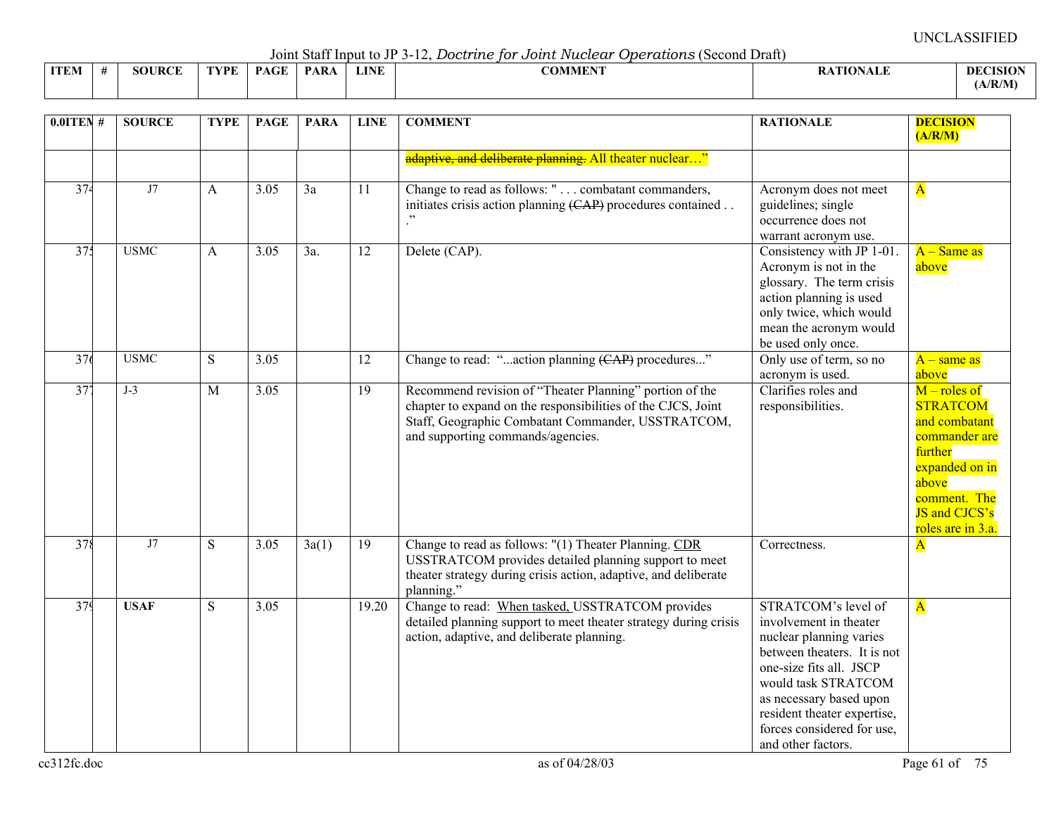Joint Staff Input to JP 3-12, *Doctrine for Joint Nuclear Operations* (Second Draft)

|      |               |            |      | .           |      | .              |                 |                 |
|------|---------------|------------|------|-------------|------|----------------|-----------------|-----------------|
| ITEM | <b>SOURCE</b> | $\neg$ vpf | PAGE | <b>PARA</b> | LINE | <b>COMMENT</b> | <b>ATIONALE</b> | <b>DECISION</b> |
|      |               |            |      |             |      |                |                 | (A/R/M)         |

| $0.01$ TEN #    | <b>SOURCE</b> | <b>TYPE</b> | <b>PAGE</b>       | <b>PARA</b>     | <b>LINE</b>     | <b>COMMENT</b>                                                                                                                                                                                                     | <b>RATIONALE</b>                                                                                                                                                                                                                                                        | <b>DECISION</b><br>(A/R/M)                                                                                                                                             |
|-----------------|---------------|-------------|-------------------|-----------------|-----------------|--------------------------------------------------------------------------------------------------------------------------------------------------------------------------------------------------------------------|-------------------------------------------------------------------------------------------------------------------------------------------------------------------------------------------------------------------------------------------------------------------------|------------------------------------------------------------------------------------------------------------------------------------------------------------------------|
|                 |               |             |                   |                 |                 | adaptive, and deliberate planning. All theater nuclear"                                                                                                                                                            |                                                                                                                                                                                                                                                                         |                                                                                                                                                                        |
| 374             | J7            | A           | $\overline{3.05}$ | $\overline{3a}$ | 11              | Change to read as follows: " combatant commanders,<br>initiates crisis action planning (CAP) procedures contained                                                                                                  | Acronym does not meet<br>guidelines; single<br>occurrence does not<br>warrant acronym use.                                                                                                                                                                              | $\overline{\mathbf{A}}$                                                                                                                                                |
| 375             | <b>USMC</b>   | A           | $\overline{3.05}$ | 3a.             | 12              | Delete (CAP).                                                                                                                                                                                                      | Consistency with JP 1-01.<br>Acronym is not in the<br>glossary. The term crisis<br>action planning is used<br>only twice, which would<br>mean the acronym would<br>be used only once.                                                                                   | $A - Same$ as<br>above                                                                                                                                                 |
| 376             | <b>USMC</b>   | ${\bf S}$   | 3.05              |                 | $\overline{12}$ | Change to read: "action planning (CAP) procedures"                                                                                                                                                                 | Only use of term, so no<br>acronym is used.                                                                                                                                                                                                                             | $A$ – same as<br>above                                                                                                                                                 |
| $\overline{37}$ | $J-3$         | M           | 3.05              |                 | 19              | Recommend revision of "Theater Planning" portion of the<br>chapter to expand on the responsibilities of the CJCS, Joint<br>Staff, Geographic Combatant Commander, USSTRATCOM,<br>and supporting commands/agencies. | Clarifies roles and<br>responsibilities.                                                                                                                                                                                                                                | $M$ – roles of<br><b>STRATCOM</b><br>and combatant<br>commander are<br>further<br>expanded on in<br>above<br>comment. The<br><b>JS</b> and CJCS's<br>roles are in 3.a. |
| 378             | J7            | S           | 3.05              | 3a(1)           | 19              | Change to read as follows: "(1) Theater Planning. CDR<br>USSTRATCOM provides detailed planning support to meet<br>theater strategy during crisis action, adaptive, and deliberate<br>planning."                    | Correctness.                                                                                                                                                                                                                                                            | $\overline{\mathbf{A}}$                                                                                                                                                |
| 379             | <b>USAF</b>   | S           | 3.05              |                 | 19.20           | Change to read: When tasked, USSTRATCOM provides<br>detailed planning support to meet theater strategy during crisis<br>action, adaptive, and deliberate planning.                                                 | STRATCOM's level of<br>involvement in theater<br>nuclear planning varies<br>between theaters. It is not<br>one-size fits all. JSCP<br>would task STRATCOM<br>as necessary based upon<br>resident theater expertise,<br>forces considered for use,<br>and other factors. | $\overline{\mathbf{A}}$                                                                                                                                                |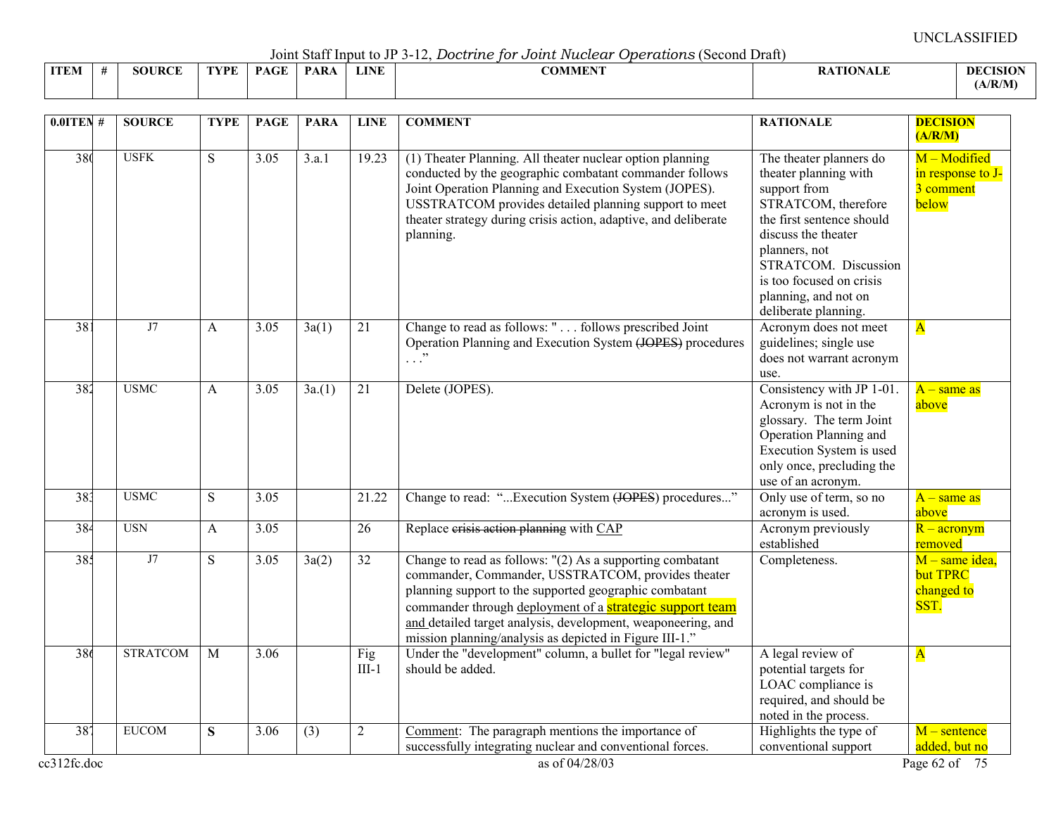Joint Staff Input to JP 3-12, *Doctrine for Joint Nuclear Operations* (Second Draft)

|             | $\sim$ 0.111.0 $\sim$ 0.000 11.1.1.1.0 0.0 0.0 0.1 0.1<br>--------------<br>.<br>---------------<br>----------- |     |      |             |     |      |                             |                 |                 |  |  |  |  |  |
|-------------|-----------------------------------------------------------------------------------------------------------------|-----|------|-------------|-----|------|-----------------------------|-----------------|-----------------|--|--|--|--|--|
| <b>ITEN</b> |                                                                                                                 | DAE | 7DF. | $P_{\rm A}$ | PAR | LINE | 001 <i>515015</i><br>:OMMEN | <b>ATIONALE</b> | <b>DECISION</b> |  |  |  |  |  |
|             |                                                                                                                 |     |      |             |     |      |                             |                 | (A/R/M)         |  |  |  |  |  |

| $0.0$ ITEN#        | <b>SOURCE</b>   | <b>TYPE</b> | <b>PAGE</b>       | <b>PARA</b> | <b>LINE</b>    | <b>COMMENT</b>                                                                                                                                                                                                                                                                                                                                                          | <b>RATIONALE</b>                                                                                                                                                                                                                                                 | <b>DECISION</b><br>(A/R/M)                              |
|--------------------|-----------------|-------------|-------------------|-------------|----------------|-------------------------------------------------------------------------------------------------------------------------------------------------------------------------------------------------------------------------------------------------------------------------------------------------------------------------------------------------------------------------|------------------------------------------------------------------------------------------------------------------------------------------------------------------------------------------------------------------------------------------------------------------|---------------------------------------------------------|
| 380                | <b>USFK</b>     | S           | 3.05              | 3.a.1       | 19.23          | (1) Theater Planning. All theater nuclear option planning<br>conducted by the geographic combatant commander follows<br>Joint Operation Planning and Execution System (JOPES).<br>USSTRATCOM provides detailed planning support to meet<br>theater strategy during crisis action, adaptive, and deliberate<br>planning.                                                 | The theater planners do<br>theater planning with<br>support from<br>STRATCOM, therefore<br>the first sentence should<br>discuss the theater<br>planners, not<br>STRATCOM. Discussion<br>is too focused on crisis<br>planning, and not on<br>deliberate planning. | M - Modified<br>in response to J-<br>3 comment<br>below |
| 38                 | J7              | A           | 3.05              | 3a(1)       | 21             | Change to read as follows: " follows prescribed Joint<br>Operation Planning and Execution System (JOPES) procedures<br>$\cdot$ $\cdot$ $\cdot$                                                                                                                                                                                                                          | Acronym does not meet<br>guidelines; single use<br>does not warrant acronym<br>use.                                                                                                                                                                              | $\overline{\mathbf{A}}$                                 |
| 382                | <b>USMC</b>     | A           | 3.05              | 3a(1)       | 21             | Delete (JOPES).                                                                                                                                                                                                                                                                                                                                                         | Consistency with JP 1-01.<br>Acronym is not in the<br>glossary. The term Joint<br>Operation Planning and<br>Execution System is used<br>only once, precluding the<br>use of an acronym.                                                                          | $A - same$ as<br>above                                  |
| 383                | <b>USMC</b>     | ${\bf S}$   | 3.05              |             | 21.22          | Change to read: "Execution System (JOPES) procedures"                                                                                                                                                                                                                                                                                                                   | Only use of term, so no<br>acronym is used.                                                                                                                                                                                                                      | $A$ – same as<br>above                                  |
| 384                | <b>USN</b>      | A           | 3.05              |             | 26             | Replace erisis action planning with CAP                                                                                                                                                                                                                                                                                                                                 | Acronym previously<br>established                                                                                                                                                                                                                                | $R - \arcsin \sqrt{m}$<br>removed                       |
| 385                | J7              | S           | $\overline{3.05}$ | 3a(2)       | 32             | Change to read as follows: "(2) As a supporting combatant<br>commander, Commander, USSTRATCOM, provides theater<br>planning support to the supported geographic combatant<br>commander through deployment of a <b>strategic support team</b><br>and detailed target analysis, development, weaponeering, and<br>mission planning/analysis as depicted in Figure III-1." | Completeness.                                                                                                                                                                                                                                                    | $M$ – same idea,<br>but TPRC<br>changed to<br>SST.      |
| 386                | <b>STRATCOM</b> | M           | 3.06              |             | Fig<br>$III-1$ | Under the "development" column, a bullet for "legal review"<br>should be added.                                                                                                                                                                                                                                                                                         | A legal review of<br>potential targets for<br>LOAC compliance is<br>required, and should be<br>noted in the process.                                                                                                                                             | $\overline{\mathbf{A}}$                                 |
| 387<br>cc312fc.doc | <b>EUCOM</b>    | ${\bf S}$   | 3.06              | (3)         | $\overline{2}$ | Comment: The paragraph mentions the importance of<br>successfully integrating nuclear and conventional forces.<br>as of 04/28/03                                                                                                                                                                                                                                        | Highlights the type of<br>conventional support                                                                                                                                                                                                                   | $M$ – sentence<br>added, but no<br>Page 62 of 75        |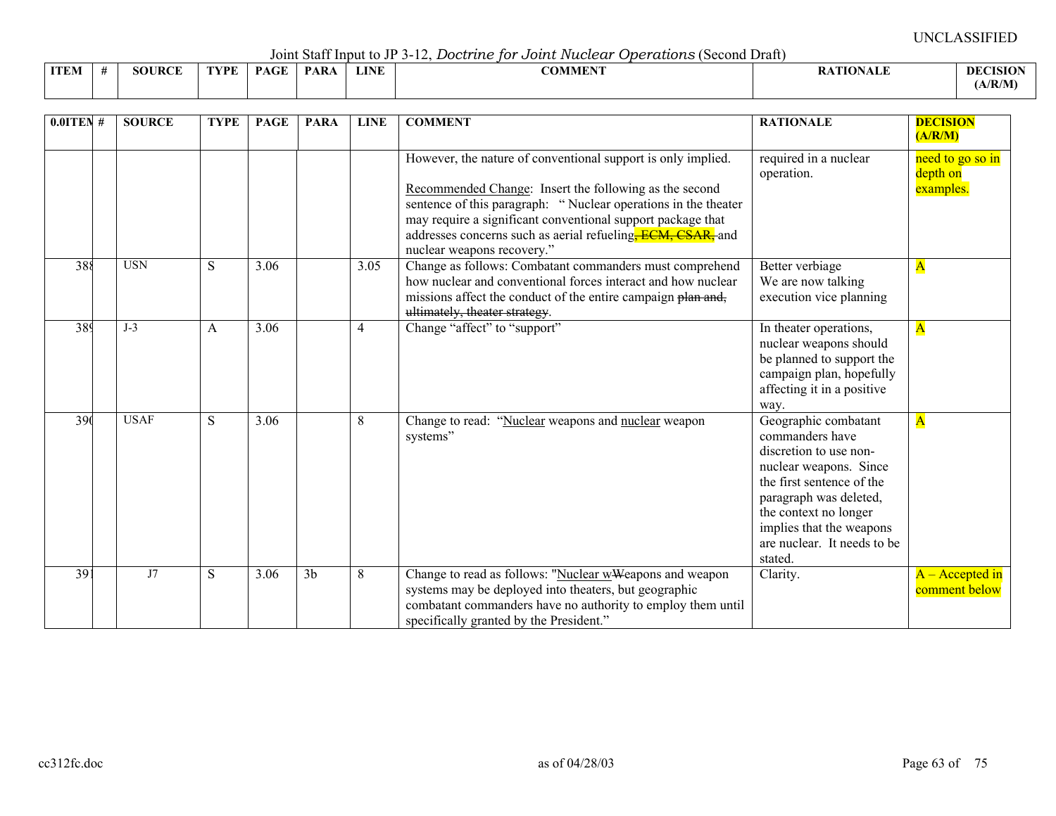Joint Staff Input to JP 3-12, *Doctrine for Joint Nuclear Operations* (Second Draft)

|             |        |      |             |            |             | .<br>---------------<br>. |                |                 |
|-------------|--------|------|-------------|------------|-------------|---------------------------|----------------|-----------------|
| <b>ITEM</b> | SOURCF | TVDE | <b>PAGE</b> | <b>PAR</b> | <b>LINE</b> | COMMUNIT<br>'')MME.       | <b>TIONALL</b> | <b>DECISION</b> |
|             |        |      |             |            |             |                           |                | (A/R/M)         |

| $0.0$ ITEN #    | <b>SOURCE</b> | <b>TYPE</b> | <b>PAGE</b> | <b>PARA</b>    | <b>LINE</b> | <b>COMMENT</b>                                                                                                                                                                                                                                                                                                                                                   | <b>RATIONALE</b>                                                                                                                                                                                                                                  | <b>DECISION</b><br>(A/R/M)                |
|-----------------|---------------|-------------|-------------|----------------|-------------|------------------------------------------------------------------------------------------------------------------------------------------------------------------------------------------------------------------------------------------------------------------------------------------------------------------------------------------------------------------|---------------------------------------------------------------------------------------------------------------------------------------------------------------------------------------------------------------------------------------------------|-------------------------------------------|
|                 |               |             |             |                |             | However, the nature of conventional support is only implied.<br>Recommended Change: Insert the following as the second<br>sentence of this paragraph: "Nuclear operations in the theater<br>may require a significant conventional support package that<br>addresses concerns such as aerial refueling <del>, ECM, CSAR,</del> and<br>nuclear weapons recovery." | required in a nuclear<br>operation.                                                                                                                                                                                                               | need to go so in<br>depth on<br>examples. |
| 388             | <b>USN</b>    | S           | 3.06        |                | 3.05        | Change as follows: Combatant commanders must comprehend<br>how nuclear and conventional forces interact and how nuclear<br>missions affect the conduct of the entire campaign plan and,<br>ultimately, theater strategy.                                                                                                                                         | Better verbiage<br>We are now talking<br>execution vice planning                                                                                                                                                                                  | $\mathbf A$                               |
| 389             | $J-3$         | A           | 3.06        |                | 4           | Change "affect" to "support"                                                                                                                                                                                                                                                                                                                                     | In theater operations,<br>nuclear weapons should<br>be planned to support the<br>campaign plan, hopefully<br>affecting it in a positive<br>way.                                                                                                   | $\mathbf{A}$                              |
| 390             | <b>USAF</b>   | S           | 3.06        |                | 8           | "Nuclear weapons and nuclear weapon<br>Change to read:<br>systems"                                                                                                                                                                                                                                                                                               | Geographic combatant<br>commanders have<br>discretion to use non-<br>nuclear weapons. Since<br>the first sentence of the<br>paragraph was deleted,<br>the context no longer<br>implies that the weapons<br>are nuclear. It needs to be<br>stated. | $\overline{\mathbf{A}}$                   |
| $\overline{39}$ | J7            | S           | 3.06        | 3 <sub>b</sub> | 8           | Change to read as follows: "Nuclear w Weapons and weapon<br>systems may be deployed into theaters, but geographic<br>combatant commanders have no authority to employ them until<br>specifically granted by the President."                                                                                                                                      | Clarity.                                                                                                                                                                                                                                          | $A -$ Accepted in<br>comment below        |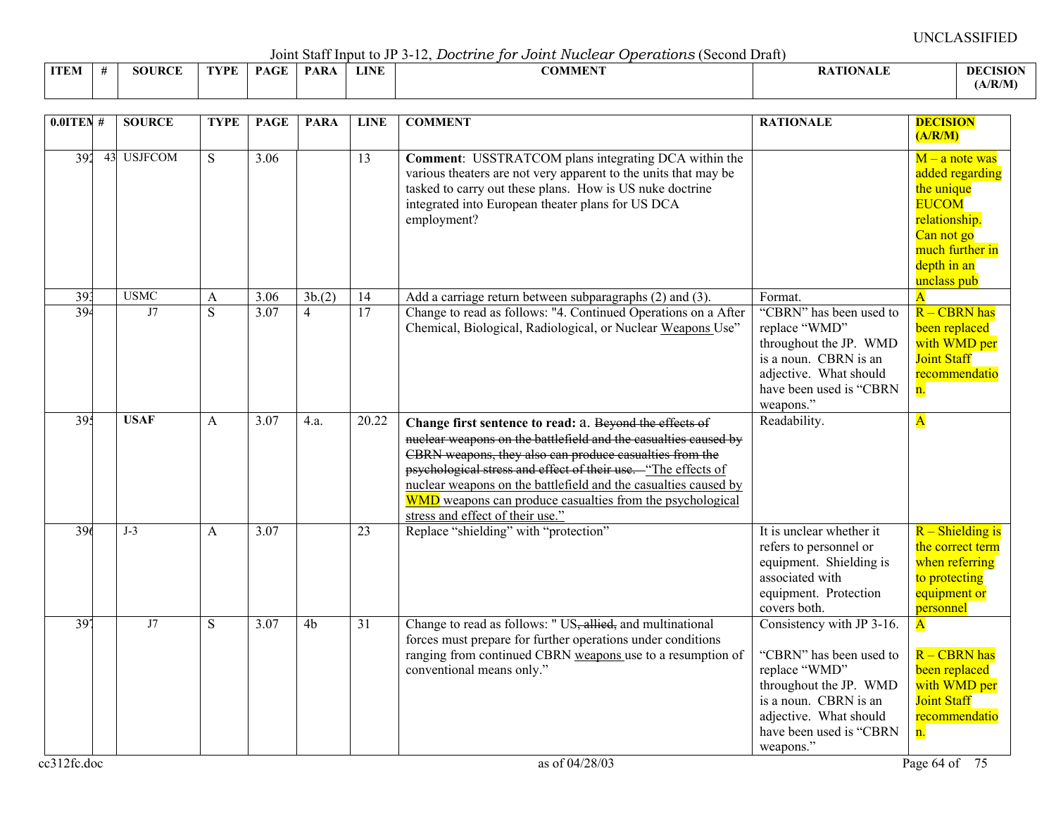Joint Staff Input to JP 3-12, *Doctrine for Joint Nuclear Operations* (Second Draft)

|              |  |     |     |            |             | _ _ _ _ _ . _ . _ . _<br>- - - - - - - - - -    |     |             |
|--------------|--|-----|-----|------------|-------------|-------------------------------------------------|-----|-------------|
| <b>TELEB</b> |  | VPF | D A | <b>PAR</b> | <b>LINE</b> | $\alpha$ $\alpha$ is in the $\alpha$<br>AUNIMEN | ALI | -DEC<br>48W |
|              |  |     |     |            |             |                                                 |     | (A/R/M)     |

| $0.01$ TEN #    | <b>SOURCE</b> | <b>TYPE</b>    | <b>PAGE</b> | <b>PARA</b>    | <b>LINE</b>     | <b>COMMENT</b>                                                                                                                                                                                                                                                                                                                                                                                                             | <b>RATIONALE</b>                                                                                                                                                                           | <b>DECISION</b><br>(A/R/M)                                                                                                                        |
|-----------------|---------------|----------------|-------------|----------------|-----------------|----------------------------------------------------------------------------------------------------------------------------------------------------------------------------------------------------------------------------------------------------------------------------------------------------------------------------------------------------------------------------------------------------------------------------|--------------------------------------------------------------------------------------------------------------------------------------------------------------------------------------------|---------------------------------------------------------------------------------------------------------------------------------------------------|
| 392             | 43 USJFCOM    | S.             | 3.06        |                | 13              | <b>Comment:</b> USSTRATCOM plans integrating DCA within the<br>various theaters are not very apparent to the units that may be<br>tasked to carry out these plans. How is US nuke doctrine<br>integrated into European theater plans for US DCA<br>employment?                                                                                                                                                             |                                                                                                                                                                                            | $M - a$ note was<br>added regarding<br>the unique<br><b>EUCOM</b><br>relationship.<br>Can not go<br>much further in<br>depth in an<br>unclass pub |
| $\overline{39}$ | <b>USMC</b>   | A              | 3.06        | 3b(2)          | 14              | Add a carriage return between subparagraphs (2) and (3).                                                                                                                                                                                                                                                                                                                                                                   | Format.                                                                                                                                                                                    | $\overline{\mathbf{A}}$                                                                                                                           |
| 394             | J7            | $\overline{S}$ | 3.07        | $\overline{4}$ | $\overline{17}$ | Change to read as follows: "4. Continued Operations on a After<br>Chemical, Biological, Radiological, or Nuclear Weapons Use"                                                                                                                                                                                                                                                                                              | "CBRN" has been used to<br>replace "WMD"<br>throughout the JP. WMD<br>is a noun. CBRN is an<br>adjective. What should<br>have been used is "CBRN<br>weapons."                              | R - CBRN has<br>been replaced<br>with WMD per<br><b>Joint Staff</b><br>recommendatio<br>n.                                                        |
| 395             | <b>USAF</b>   | A              | 3.07        | 4.a.           | 20.22           | Change first sentence to read: a. Beyond the effects of<br>nuclear weapons on the battlefield and the casualties caused by<br>CBRN weapons, they also can produce casualties from the<br>psychological stress and effect of their use. "The effects of<br>nuclear weapons on the battlefield and the casualties caused by<br>WMD weapons can produce casualties from the psychological<br>stress and effect of their use." | Readability.                                                                                                                                                                               | $\overline{\mathbf{A}}$                                                                                                                           |
| 396             | $J-3$         | $\mathsf{A}$   | 3.07        |                | $\overline{23}$ | Replace "shielding" with "protection"                                                                                                                                                                                                                                                                                                                                                                                      | It is unclear whether it<br>refers to personnel or<br>equipment. Shielding is<br>associated with<br>equipment. Protection<br>covers both.                                                  | $R$ – Shielding is<br>the correct term<br>when referring<br>to protecting<br>equipment or<br>personnel                                            |
| 397             | J7            | S              | 3.07        | 4 <sub>b</sub> | $\overline{31}$ | Change to read as follows: " US, allied, and multinational<br>forces must prepare for further operations under conditions<br>ranging from continued CBRN weapons use to a resumption of<br>conventional means only."                                                                                                                                                                                                       | Consistency with JP 3-16.<br>"CBRN" has been used to<br>replace "WMD"<br>throughout the JP. WMD<br>is a noun. CBRN is an<br>adjective. What should<br>have been used is "CBRN<br>weapons." | $\overline{\mathbf{A}}$<br>$R - CBRN$ has<br>been replaced<br>with WMD per<br><b>Joint Staff</b><br>recommendatio<br>n.                           |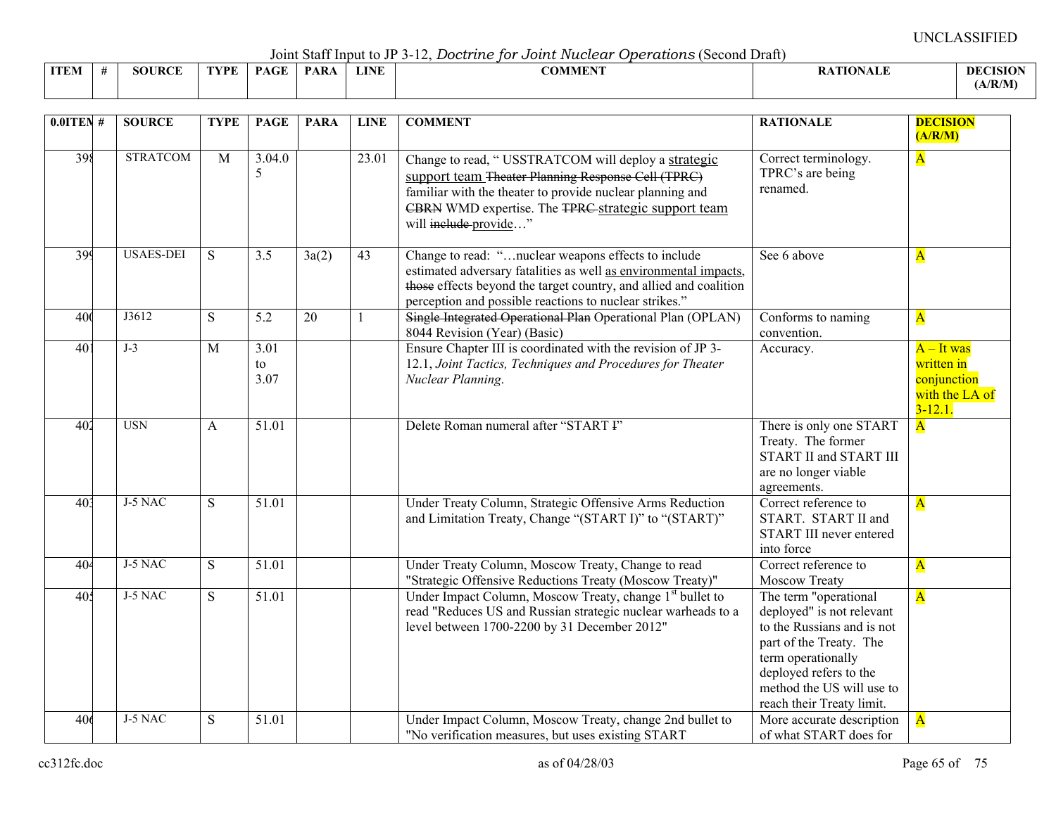Joint Staff Input to JP 3-12, *Doctrine for Joint Nuclear Operations* (Second Draft)

|             | voint bant mpat to vi bullet bood dito for o odder tracecour oportadored to voint biant |               |      |             |      |             |         |                 |                 |  |  |  |  |  |
|-------------|-----------------------------------------------------------------------------------------|---------------|------|-------------|------|-------------|---------|-----------------|-----------------|--|--|--|--|--|
| <b>ITEM</b> |                                                                                         | <b>SOURCE</b> | FYPE | <b>PAGE</b> | PARA | <b>LINE</b> | COMMENT | <b>ATIONALE</b> | <b>DECISION</b> |  |  |  |  |  |
|             |                                                                                         |               |      |             |      |             |         |                 | (A/R/M)         |  |  |  |  |  |

| $0.01$ TEN #    | <b>SOURCE</b>    | <b>TYPE</b>    | <b>PAGE</b>                     | <b>PARA</b> | <b>LINE</b>     | <b>COMMENT</b>                                                                                                                                                                                                                                         | <b>RATIONALE</b>                                                                                                                                                                                                      | <b>DECISION</b><br>(A/R/M)                                                  |
|-----------------|------------------|----------------|---------------------------------|-------------|-----------------|--------------------------------------------------------------------------------------------------------------------------------------------------------------------------------------------------------------------------------------------------------|-----------------------------------------------------------------------------------------------------------------------------------------------------------------------------------------------------------------------|-----------------------------------------------------------------------------|
| 398             | <b>STRATCOM</b>  | $\overline{M}$ | 3.04.0<br>5                     |             | 23.01           | Change to read, "USSTRATCOM will deploy a strategic<br>support team Theater Planning Response Cell (TPRC)<br>familiar with the theater to provide nuclear planning and<br>CBRN WMD expertise. The TPRC strategic support team<br>will include provide" | Correct terminology.<br>TPRC's are being<br>renamed.                                                                                                                                                                  | $\overline{\mathbf{A}}$                                                     |
| 399             | <b>USAES-DEI</b> | S              | $\overline{3.5}$                | 3a(2)       | $\overline{43}$ | Change to read: "nuclear weapons effects to include<br>estimated adversary fatalities as well as environmental impacts,<br>those effects beyond the target country, and allied and coalition<br>perception and possible reactions to nuclear strikes." | See 6 above                                                                                                                                                                                                           | $\overline{\mathbf{A}}$                                                     |
| 400             | J3612            | S              | 5.2                             | 20          | $\mathbf{1}$    | Single Integrated Operational Plan Operational Plan (OPLAN)<br>8044 Revision (Year) (Basic)                                                                                                                                                            | Conforms to naming<br>convention.                                                                                                                                                                                     | $\overline{\mathbf{A}}$                                                     |
| 40 <sup>1</sup> | $J-3$            | M              | $\overline{3.01}$<br>to<br>3.07 |             |                 | Ensure Chapter III is coordinated with the revision of JP 3-<br>12.1, Joint Tactics, Techniques and Procedures for Theater<br>Nuclear Planning.                                                                                                        | Accuracy.                                                                                                                                                                                                             | $A$ – It was<br>written in<br>conjunction<br>with the LA of<br>$3 - 12.1$ . |
| 402             | <b>USN</b>       | A              | 51.01                           |             |                 | Delete Roman numeral after "START I"                                                                                                                                                                                                                   | There is only one START<br>Treaty. The former<br><b>START II and START III</b><br>are no longer viable<br>agreements.                                                                                                 | $\overline{\mathbf{A}}$                                                     |
| 40 <sup>3</sup> | J-5 NAC          | S              | 51.01                           |             |                 | Under Treaty Column, Strategic Offensive Arms Reduction<br>and Limitation Treaty, Change "(START I)" to "(START)"                                                                                                                                      | Correct reference to<br>START. START II and<br>START III never entered<br>into force                                                                                                                                  | $\overline{\mathbf{A}}$                                                     |
| 404             | $J-5$ NAC        | S              | 51.01                           |             |                 | Under Treaty Column, Moscow Treaty, Change to read<br>"Strategic Offensive Reductions Treaty (Moscow Treaty)"                                                                                                                                          | Correct reference to<br>Moscow Treaty                                                                                                                                                                                 | $\overline{\mathbf{A}}$                                                     |
| 405             | J-5 NAC          | S              | 51.01                           |             |                 | Under Impact Column, Moscow Treaty, change 1 <sup>st</sup> bullet to<br>read "Reduces US and Russian strategic nuclear warheads to a<br>level between 1700-2200 by 31 December 2012"                                                                   | The term "operational<br>deployed" is not relevant<br>to the Russians and is not<br>part of the Treaty. The<br>term operationally<br>deployed refers to the<br>method the US will use to<br>reach their Treaty limit. | $\overline{\mathbf{A}}$                                                     |
| 406             | J-5 NAC          | ${\bf S}$      | 51.01                           |             |                 | Under Impact Column, Moscow Treaty, change 2nd bullet to<br>"No verification measures, but uses existing START                                                                                                                                         | More accurate description<br>of what START does for                                                                                                                                                                   | $\overline{\mathbf{A}}$                                                     |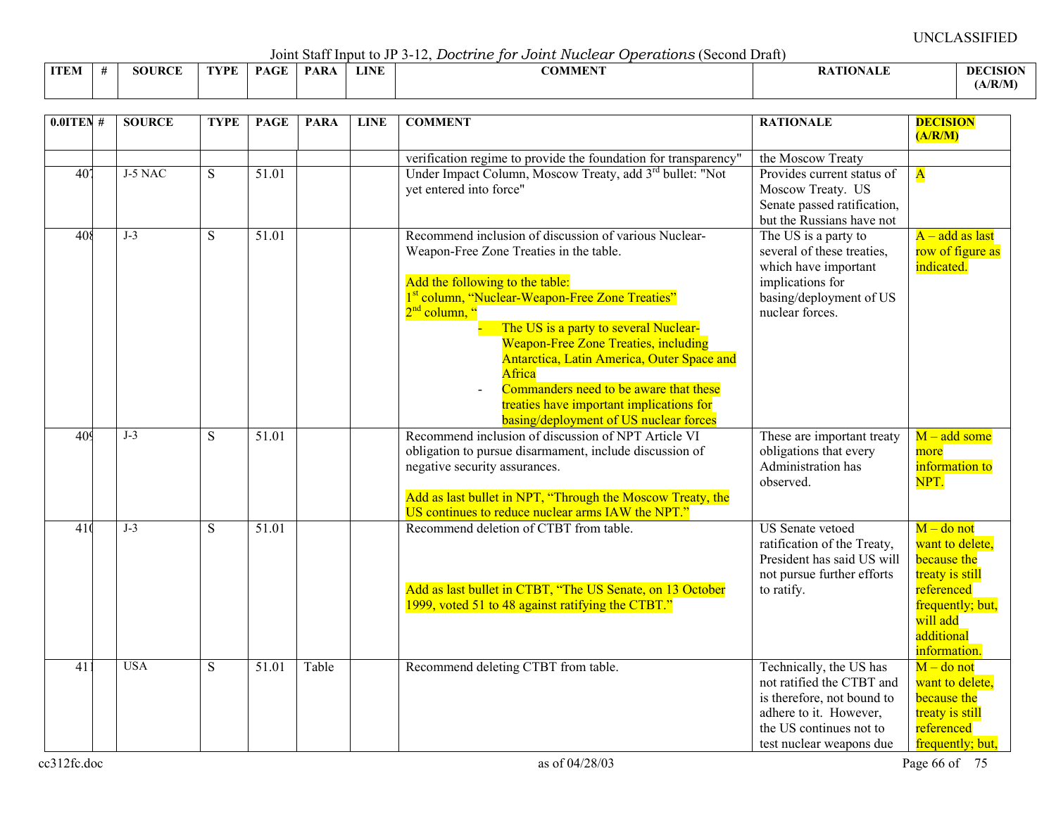Joint Staff Input to JP 3-12, *Doctrine for Joint Nuclear Operations* (Second Draft)

|             | voint built mpat to view the bood and for o oater radioan operation to to conta bruit |               |      |                                         |      |             |                               |                 |                 |  |  |  |  |  |
|-------------|---------------------------------------------------------------------------------------|---------------|------|-----------------------------------------|------|-------------|-------------------------------|-----------------|-----------------|--|--|--|--|--|
| <b>ITEM</b> |                                                                                       | <b>SOURCE</b> | TVPF | $\mathbf{P}\Lambda\mathbf{C}\mathbf{F}$ | PARA | <b>LINE</b> | <b>^^********</b><br>_OMMEN J | <b>ATIONALE</b> | <b>DECISION</b> |  |  |  |  |  |
|             |                                                                                       |               |      |                                         |      |             |                               |                 | (A/R/M)         |  |  |  |  |  |

| $0.0$ ITEN#     | <b>SOURCE</b> | <b>TYPE</b> | <b>PAGE</b>        | <b>PARA</b> | <b>LINE</b> | <b>COMMENT</b>                                                                                                                                                                                                                                                                                                                                                                                                                                                                                                  | <b>RATIONALE</b>                                                                                                                                                    | <b>DECISION</b><br>(A/R/M)                                                                                                                    |
|-----------------|---------------|-------------|--------------------|-------------|-------------|-----------------------------------------------------------------------------------------------------------------------------------------------------------------------------------------------------------------------------------------------------------------------------------------------------------------------------------------------------------------------------------------------------------------------------------------------------------------------------------------------------------------|---------------------------------------------------------------------------------------------------------------------------------------------------------------------|-----------------------------------------------------------------------------------------------------------------------------------------------|
| 40 <sup>7</sup> | J-5 NAC       | S           | 51.01              |             |             | verification regime to provide the foundation for transparency"<br>Under Impact Column, Moscow Treaty, add 3 <sup>rd</sup> bullet: "Not<br>yet entered into force"                                                                                                                                                                                                                                                                                                                                              | the Moscow Treaty<br>Provides current status of<br>Moscow Treaty. US<br>Senate passed ratification,<br>but the Russians have not                                    | $\overline{\mathbf{A}}$                                                                                                                       |
| 408             | $J-3$         | S           | 51.01              |             |             | Recommend inclusion of discussion of various Nuclear-<br>Weapon-Free Zone Treaties in the table.<br>Add the following to the table:<br>1 <sup>st</sup> column, "Nuclear-Weapon-Free Zone Treaties"<br>2 <sup>nd</sup> column, "<br>The US is a party to several Nuclear-<br><b>Weapon-Free Zone Treaties, including</b><br>Antarctica, Latin America, Outer Space and<br>Africa<br>Commanders need to be aware that these<br>treaties have important implications for<br>basing/deployment of US nuclear forces | The US is a party to<br>several of these treaties,<br>which have important<br>implications for<br>basing/deployment of US<br>nuclear forces.                        | $A - add$ as last<br>row of figure as<br>indicated.                                                                                           |
| 409             | $J-3$         | S           | 51.01              |             |             | Recommend inclusion of discussion of NPT Article VI<br>obligation to pursue disarmament, include discussion of<br>negative security assurances.<br>Add as last bullet in NPT, "Through the Moscow Treaty, the<br>US continues to reduce nuclear arms IAW the NPT."                                                                                                                                                                                                                                              | These are important treaty<br>obligations that every<br>Administration has<br>observed.                                                                             | $M - add some$<br>more<br>information to<br>NPT.                                                                                              |
| 41(             | $J-3$         | S           | $\overline{51.01}$ |             |             | Recommend deletion of CTBT from table.<br>Add as last bullet in CTBT, "The US Senate, on 13 October<br>1999, voted 51 to 48 against ratifying the CTBT."                                                                                                                                                                                                                                                                                                                                                        | <b>US</b> Senate vetoed<br>ratification of the Treaty,<br>President has said US will<br>not pursue further efforts<br>to ratify.                                    | $M$ – do not<br>want to delete,<br>because the<br>treaty is still<br>referenced<br>frequently; but,<br>will add<br>additional<br>information. |
| 411             | <b>USA</b>    | S           | 51.01              | Table       |             | Recommend deleting CTBT from table.                                                                                                                                                                                                                                                                                                                                                                                                                                                                             | Technically, the US has<br>not ratified the CTBT and<br>is therefore, not bound to<br>adhere to it. However,<br>the US continues not to<br>test nuclear weapons due | $M$ – do not<br>want to delete,<br>because the<br>treaty is still<br>referenced<br>frequently; but,                                           |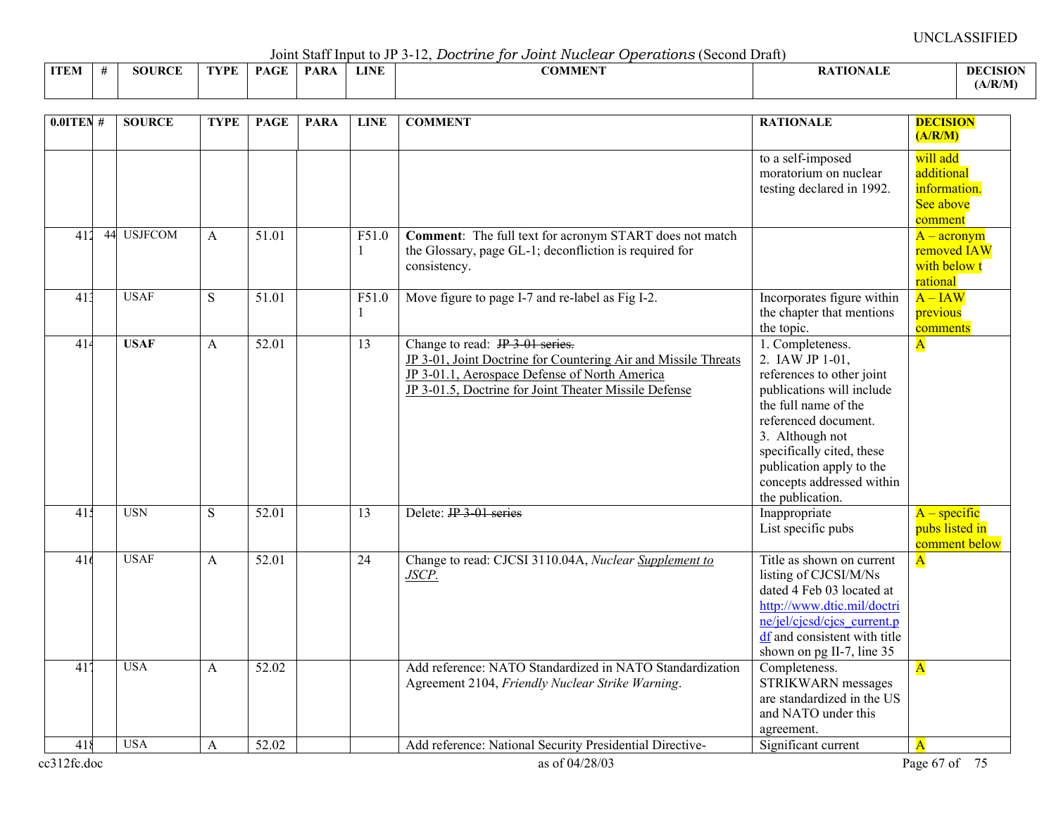Joint Staff Input to JP 3-12, *Doctrine for Joint Nuclear Operations* (Second Draft)

|             |                    |     |            |     |             | ---------------<br>.<br>------------ |                       |                    |
|-------------|--------------------|-----|------------|-----|-------------|--------------------------------------|-----------------------|--------------------|
| <b>ITEM</b> | <b>JRCE</b><br>šОt | VDE | $\sqrt{ }$ | PAR | <b>LINE</b> | <b>COMMENT</b>                       | <b>TARTA</b><br>"NALL | DEC<br><b>ISIO</b> |
|             |                    |     |            |     |             |                                      |                       | (A/R/M)            |

| $0.0$ ITEN#      |    | <b>SOURCE</b>  | <b>TYPE</b>  | <b>PAGE</b>        | <b>PARA</b> | <b>LINE</b>             | <b>COMMENT</b>                                                                                                                                                                                              | <b>RATIONALE</b>                                                                                                                                                                                                                                                           | <b>DECISION</b><br>(A/R/M)                                     |
|------------------|----|----------------|--------------|--------------------|-------------|-------------------------|-------------------------------------------------------------------------------------------------------------------------------------------------------------------------------------------------------------|----------------------------------------------------------------------------------------------------------------------------------------------------------------------------------------------------------------------------------------------------------------------------|----------------------------------------------------------------|
|                  |    |                |              |                    |             |                         |                                                                                                                                                                                                             | to a self-imposed<br>moratorium on nuclear<br>testing declared in 1992.                                                                                                                                                                                                    | will add<br>additional<br>information.<br>See above<br>comment |
| 412              | 44 | <b>USJFCOM</b> | $\mathsf{A}$ | 51.01              |             | F51.0<br>$\mathbf{1}$   | Comment: The full text for acronym START does not match<br>the Glossary, page GL-1; deconfliction is required for<br>consistency.                                                                           |                                                                                                                                                                                                                                                                            | $A - \arcsin(m)$<br>removed IAW<br>with below t<br>rational    |
| 413              |    | <b>USAF</b>    | S            | 51.01              |             | F51.0<br>$\overline{1}$ | Move figure to page I-7 and re-label as Fig I-2.                                                                                                                                                            | Incorporates figure within<br>the chapter that mentions<br>the topic.                                                                                                                                                                                                      | $A - IAW$<br>previous<br>comments                              |
| 414              |    | <b>USAF</b>    | $\mathsf{A}$ | $\overline{52.01}$ |             | 13                      | Change to read: JP 3-01 series.<br>JP 3-01, Joint Doctrine for Countering Air and Missile Threats<br>JP 3-01.1, Aerospace Defense of North America<br>JP 3-01.5, Doctrine for Joint Theater Missile Defense | 1. Completeness.<br>2. IAW JP 1-01,<br>references to other joint<br>publications will include<br>the full name of the<br>referenced document.<br>3. Although not<br>specifically cited, these<br>publication apply to the<br>concepts addressed within<br>the publication. | $\overline{\mathbf{A}}$                                        |
| 41 <sup>4</sup>  |    | <b>USN</b>     | S            | 52.01              |             | 13                      | Delete: IP 3 01 series                                                                                                                                                                                      | Inappropriate<br>List specific pubs                                                                                                                                                                                                                                        | $A - specific$<br>pubs listed in<br>comment below              |
| $\overline{416}$ |    | <b>USAF</b>    | A            | 52.01              |             | $\overline{24}$         | Change to read: CJCSI 3110.04A, Nuclear Supplement to<br>JSCP.                                                                                                                                              | Title as shown on current<br>listing of CJCSI/M/Ns<br>dated 4 Feb 03 located at<br>http://www.dtic.mil/doctri<br>ne/jel/cjcsd/cjcs current.p<br>df and consistent with title<br>shown on pg II-7, line 35                                                                  | $\overline{\mathbf{A}}$                                        |
| $\overline{41}$  |    | <b>USA</b>     | A            | 52.02              |             |                         | Add reference: NATO Standardized in NATO Standardization<br>Agreement 2104, Friendly Nuclear Strike Warning.                                                                                                | Completeness.<br>STRIKWARN messages<br>are standardized in the US<br>and NATO under this<br>agreement.                                                                                                                                                                     | $\overline{\mathbf{A}}$                                        |
| 418              |    | <b>USA</b>     | A            | 52.02              |             |                         | Add reference: National Security Presidential Directive-                                                                                                                                                    | Significant current                                                                                                                                                                                                                                                        | $\overline{\mathbf{A}}$                                        |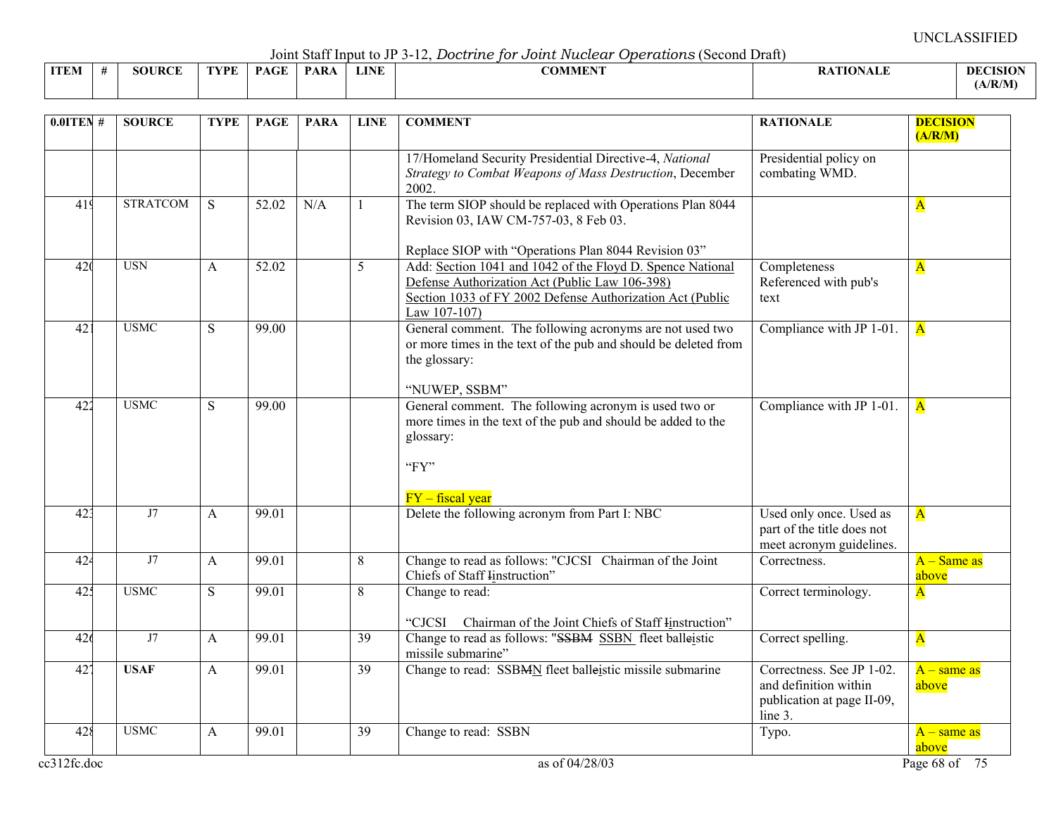Joint Staff Input to JP 3-12, *Doctrine for Joint Nuclear Operations* (Second Draft)

|             |                    |      |                                          |             |             | --------------<br>-----------                  |                 |                 |
|-------------|--------------------|------|------------------------------------------|-------------|-------------|------------------------------------------------|-----------------|-----------------|
| <b>ITEM</b> | <b>JRCE</b><br>5OU | TVDF | $\sim$ $\sim$ $\sim$ $\sim$ $\sim$<br>DА | <b>PARA</b> | <b>LINE</b> | $\alpha$ and $\alpha$ and $\alpha$<br>ADMMEN : | <b>\TIONALF</b> | <b>DECISION</b> |
|             |                    |      |                                          |             |             |                                                |                 | A/R/M           |

| 17/Homeland Security Presidential Directive-4, National<br>Presidential policy on<br>combating WMD.<br>Strategy to Combat Weapons of Mass Destruction, December<br>2002.<br><b>STRATCOM</b><br>The term SIOP should be replaced with Operations Plan 8044<br>419<br>S.<br>52.02<br>N/A<br>$\mathbf{A}$<br>1<br>Revision 03, IAW CM-757-03, 8 Feb 03.<br>Replace SIOP with "Operations Plan 8044 Revision 03"<br><b>USN</b><br>Add: Section 1041 and 1042 of the Floyd D. Spence National<br>52.02<br>Completeness<br>42(<br>5<br>$\mathsf{A}$<br>$\overline{\mathbf{A}}$<br>Defense Authorization Act (Public Law 106-398)<br>Referenced with pub's<br>Section 1033 of FY 2002 Defense Authorization Act (Public<br>text<br>Law 107-107)<br><b>USMC</b><br>General comment. The following acronyms are not used two<br>42 <sup>1</sup><br>S<br>99.00<br>Compliance with JP 1-01.<br>$\overline{\mathbf{A}}$<br>or more times in the text of the pub and should be deleted from<br>the glossary:<br>"NUWEP, SSBM"<br>422<br><b>USMC</b><br>99.00<br>General comment. The following acronym is used two or<br>S<br>Compliance with JP 1-01.<br>$\overline{\mathbf{A}}$<br>more times in the text of the pub and should be added to the<br>glossary:<br>"FY"<br>$FY$ – fiscal year<br>Delete the following acronym from Part I: NBC<br>42 <sup>3</sup><br>J7<br>99.01<br>Used only once. Used as<br>$\overline{\mathbf{A}}$<br>A<br>part of the title does not<br>meet acronym guidelines.<br>J7<br>Change to read as follows: "CJCSI Chairman of the Joint<br>42 <sup>2</sup><br>99.01<br>8<br>A<br>Correctness.<br>Chiefs of Staff Instruction"<br>above<br>425<br><b>USMC</b><br>S<br>99.01<br>8<br>Change to read:<br>$\overline{\mathbf{A}}$<br>Correct terminology.<br>"CJCSI<br>Chairman of the Joint Chiefs of Staff Instruction"<br>J7<br>Change to read as follows: "SSBM SSBN fleet balleistic<br>99.01<br>$\overline{39}$<br>Correct spelling.<br>426<br>A<br>$\overline{\mathbf{A}}$<br>missile submarine"<br>Change to read: SSBMN fleet balleistic missile submarine<br>Correctness. See JP 1-02.<br>42 <sup>7</sup><br><b>USAF</b><br>99.01<br>$\overline{39}$<br>A<br>and definition within<br>above<br>publication at page II-09,<br>line 3.<br><b>USMC</b><br>428<br>99.01<br>Change to read: SSBN<br>39<br>A<br>Typo.<br>above<br>as of 04/28/03<br>ec312fc.doc<br>Page 68 of 75 | $0.01$ TEN # | <b>SOURCE</b> | <b>TYPE</b> | <b>PAGE</b> | <b>PARA</b> | <b>LINE</b> | <b>COMMENT</b> | <b>RATIONALE</b> | <b>DECISION</b><br>(A/R/M) |
|---------------------------------------------------------------------------------------------------------------------------------------------------------------------------------------------------------------------------------------------------------------------------------------------------------------------------------------------------------------------------------------------------------------------------------------------------------------------------------------------------------------------------------------------------------------------------------------------------------------------------------------------------------------------------------------------------------------------------------------------------------------------------------------------------------------------------------------------------------------------------------------------------------------------------------------------------------------------------------------------------------------------------------------------------------------------------------------------------------------------------------------------------------------------------------------------------------------------------------------------------------------------------------------------------------------------------------------------------------------------------------------------------------------------------------------------------------------------------------------------------------------------------------------------------------------------------------------------------------------------------------------------------------------------------------------------------------------------------------------------------------------------------------------------------------------------------------------------------------------------------------------------------------------------------------------------------------------------------------------------------------------------------------------------------------------------------------------------------------------------------------------------------------------------------------------------------------------------------------------------------------------------------------------------------------------------------------------------------------------------------------------------------|--------------|---------------|-------------|-------------|-------------|-------------|----------------|------------------|----------------------------|
|                                                                                                                                                                                                                                                                                                                                                                                                                                                                                                                                                                                                                                                                                                                                                                                                                                                                                                                                                                                                                                                                                                                                                                                                                                                                                                                                                                                                                                                                                                                                                                                                                                                                                                                                                                                                                                                                                                                                                                                                                                                                                                                                                                                                                                                                                                                                                                                                   |              |               |             |             |             |             |                |                  |                            |
|                                                                                                                                                                                                                                                                                                                                                                                                                                                                                                                                                                                                                                                                                                                                                                                                                                                                                                                                                                                                                                                                                                                                                                                                                                                                                                                                                                                                                                                                                                                                                                                                                                                                                                                                                                                                                                                                                                                                                                                                                                                                                                                                                                                                                                                                                                                                                                                                   |              |               |             |             |             |             |                |                  |                            |
|                                                                                                                                                                                                                                                                                                                                                                                                                                                                                                                                                                                                                                                                                                                                                                                                                                                                                                                                                                                                                                                                                                                                                                                                                                                                                                                                                                                                                                                                                                                                                                                                                                                                                                                                                                                                                                                                                                                                                                                                                                                                                                                                                                                                                                                                                                                                                                                                   |              |               |             |             |             |             |                |                  |                            |
|                                                                                                                                                                                                                                                                                                                                                                                                                                                                                                                                                                                                                                                                                                                                                                                                                                                                                                                                                                                                                                                                                                                                                                                                                                                                                                                                                                                                                                                                                                                                                                                                                                                                                                                                                                                                                                                                                                                                                                                                                                                                                                                                                                                                                                                                                                                                                                                                   |              |               |             |             |             |             |                |                  |                            |
|                                                                                                                                                                                                                                                                                                                                                                                                                                                                                                                                                                                                                                                                                                                                                                                                                                                                                                                                                                                                                                                                                                                                                                                                                                                                                                                                                                                                                                                                                                                                                                                                                                                                                                                                                                                                                                                                                                                                                                                                                                                                                                                                                                                                                                                                                                                                                                                                   |              |               |             |             |             |             |                |                  |                            |
|                                                                                                                                                                                                                                                                                                                                                                                                                                                                                                                                                                                                                                                                                                                                                                                                                                                                                                                                                                                                                                                                                                                                                                                                                                                                                                                                                                                                                                                                                                                                                                                                                                                                                                                                                                                                                                                                                                                                                                                                                                                                                                                                                                                                                                                                                                                                                                                                   |              |               |             |             |             |             |                |                  |                            |
|                                                                                                                                                                                                                                                                                                                                                                                                                                                                                                                                                                                                                                                                                                                                                                                                                                                                                                                                                                                                                                                                                                                                                                                                                                                                                                                                                                                                                                                                                                                                                                                                                                                                                                                                                                                                                                                                                                                                                                                                                                                                                                                                                                                                                                                                                                                                                                                                   |              |               |             |             |             |             |                |                  | $A - Same$ as              |
|                                                                                                                                                                                                                                                                                                                                                                                                                                                                                                                                                                                                                                                                                                                                                                                                                                                                                                                                                                                                                                                                                                                                                                                                                                                                                                                                                                                                                                                                                                                                                                                                                                                                                                                                                                                                                                                                                                                                                                                                                                                                                                                                                                                                                                                                                                                                                                                                   |              |               |             |             |             |             |                |                  |                            |
|                                                                                                                                                                                                                                                                                                                                                                                                                                                                                                                                                                                                                                                                                                                                                                                                                                                                                                                                                                                                                                                                                                                                                                                                                                                                                                                                                                                                                                                                                                                                                                                                                                                                                                                                                                                                                                                                                                                                                                                                                                                                                                                                                                                                                                                                                                                                                                                                   |              |               |             |             |             |             |                |                  |                            |
|                                                                                                                                                                                                                                                                                                                                                                                                                                                                                                                                                                                                                                                                                                                                                                                                                                                                                                                                                                                                                                                                                                                                                                                                                                                                                                                                                                                                                                                                                                                                                                                                                                                                                                                                                                                                                                                                                                                                                                                                                                                                                                                                                                                                                                                                                                                                                                                                   |              |               |             |             |             |             |                |                  | $A$ – same as              |
|                                                                                                                                                                                                                                                                                                                                                                                                                                                                                                                                                                                                                                                                                                                                                                                                                                                                                                                                                                                                                                                                                                                                                                                                                                                                                                                                                                                                                                                                                                                                                                                                                                                                                                                                                                                                                                                                                                                                                                                                                                                                                                                                                                                                                                                                                                                                                                                                   |              |               |             |             |             |             |                |                  | $A$ – same as              |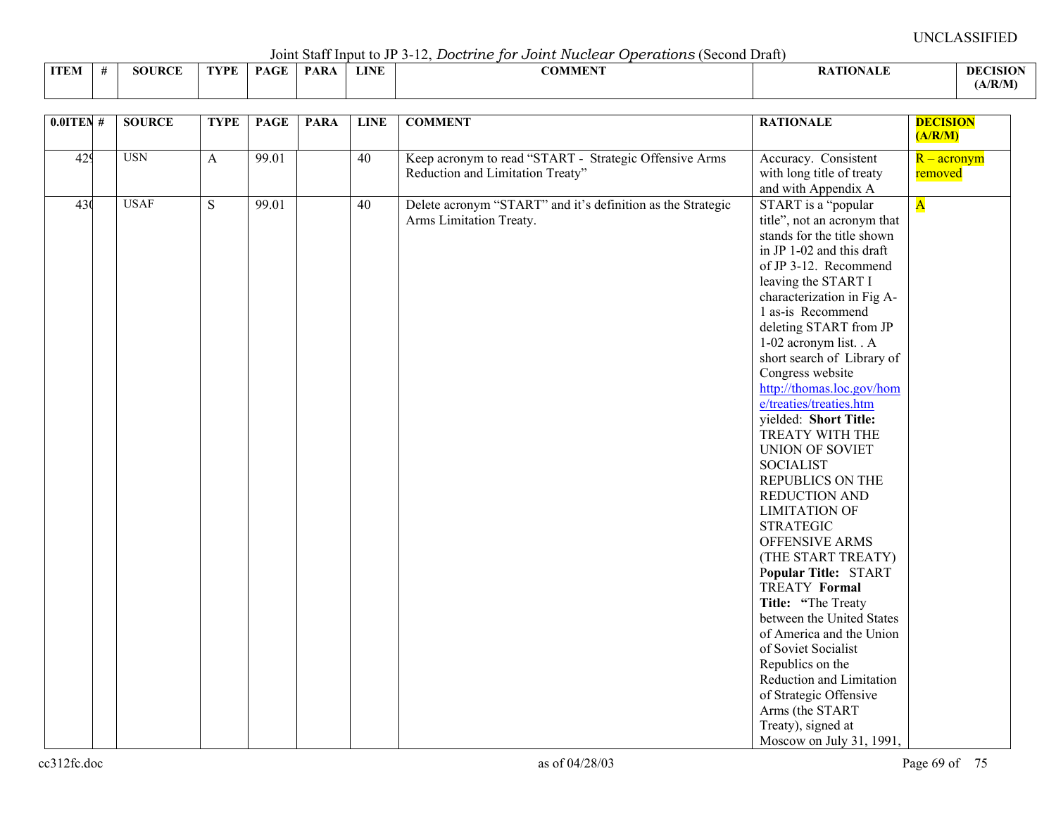Joint Staff Input to JP 3-12, *Doctrine for Joint Nuclear Operations* (Second Draft)

| <b>ITEM</b> | <b>SOURCE</b> | TVDF | $P_{\rm A}$<br>rage | <b>PARA</b> | <b>LINE</b> | <b>COMMENT</b> | <b>RATIONALE</b> | <b>DECISION</b><br>(A/R/M) |
|-------------|---------------|------|---------------------|-------------|-------------|----------------|------------------|----------------------------|
|             |               |      |                     |             |             |                |                  |                            |

| $0.0$ ITEN# | <b>SOURCE</b> | <b>TYPE</b>  | <b>PAGE</b> | <b>PARA</b> | <b>LINE</b>     | <b>COMMENT</b>                                                                             | <b>RATIONALE</b>                                                                                                                                                                                                                                                                                                                                                                                                                                                                                                                                                                                                                                                                                                                                                                                                                                                                                | <b>DECISION</b><br>(A/R/M)      |
|-------------|---------------|--------------|-------------|-------------|-----------------|--------------------------------------------------------------------------------------------|-------------------------------------------------------------------------------------------------------------------------------------------------------------------------------------------------------------------------------------------------------------------------------------------------------------------------------------------------------------------------------------------------------------------------------------------------------------------------------------------------------------------------------------------------------------------------------------------------------------------------------------------------------------------------------------------------------------------------------------------------------------------------------------------------------------------------------------------------------------------------------------------------|---------------------------------|
| 429         | <b>USN</b>    | $\mathbf{A}$ | 99.01       |             | 40              | Keep acronym to read "START - Strategic Offensive Arms<br>Reduction and Limitation Treaty" | Accuracy. Consistent<br>with long title of treaty<br>and with Appendix A                                                                                                                                                                                                                                                                                                                                                                                                                                                                                                                                                                                                                                                                                                                                                                                                                        | $R - \text{acronym}$<br>removed |
| 430         | <b>USAF</b>   | S            | 99.01       |             | $\overline{40}$ | Delete acronym "START" and it's definition as the Strategic<br>Arms Limitation Treaty.     | START is a "popular<br>title", not an acronym that<br>stands for the title shown<br>in JP 1-02 and this draft<br>of JP 3-12. Recommend<br>leaving the START I<br>characterization in Fig A-<br>1 as-is Recommend<br>deleting START from JP<br>1-02 acronym list. . A<br>short search of Library of<br>Congress website<br>http://thomas.loc.gov/hom<br>e/treaties/treaties.htm<br>yielded: Short Title:<br>TREATY WITH THE<br>UNION OF SOVIET<br><b>SOCIALIST</b><br>REPUBLICS ON THE<br>REDUCTION AND<br><b>LIMITATION OF</b><br><b>STRATEGIC</b><br>OFFENSIVE ARMS<br>(THE START TREATY)<br>Popular Title: START<br><b>TREATY Formal</b><br>Title: "The Treaty<br>between the United States<br>of America and the Union<br>of Soviet Socialist<br>Republics on the<br>Reduction and Limitation<br>of Strategic Offensive<br>Arms (the START<br>Treaty), signed at<br>Moscow on July 31, 1991, | $\overline{\mathbf{A}}$         |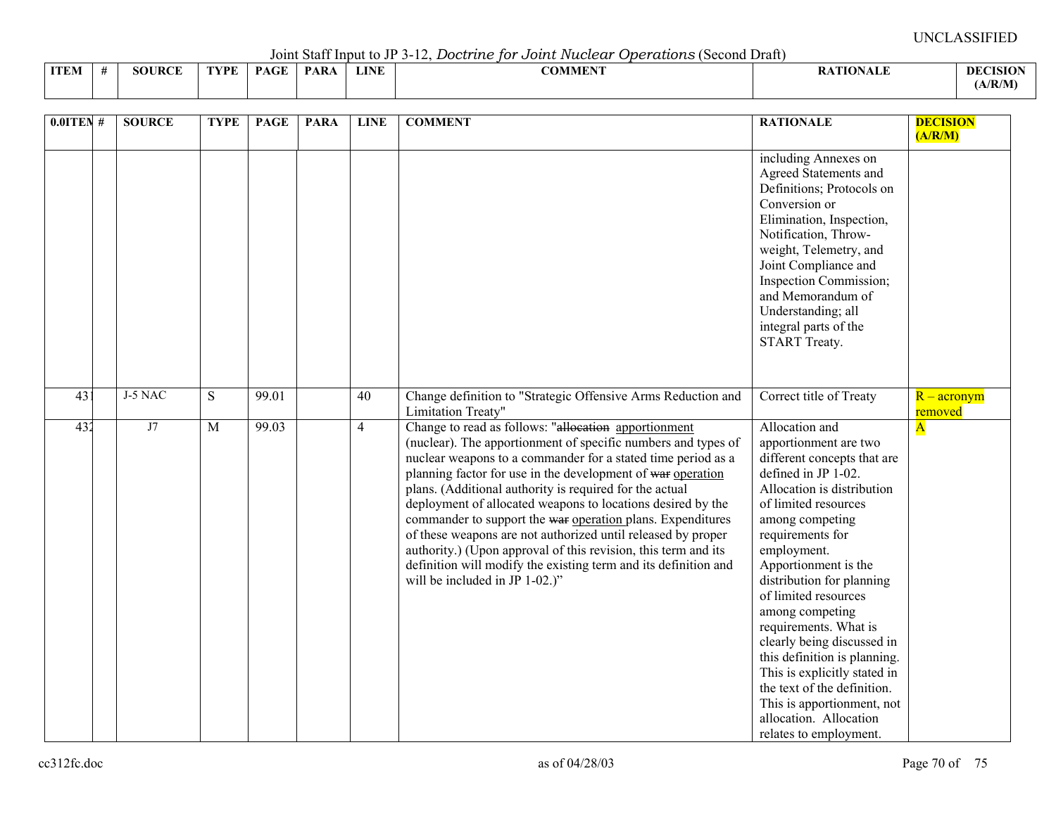Joint Staff Input to JP 3-12, *Doctrine for Joint Nuclear Operations* (Second Draft)

|             |               |      |                                         |      |             | voint built mpat to view the bood and for o oater radioan operation to to conta bruit |                 |                 |
|-------------|---------------|------|-----------------------------------------|------|-------------|---------------------------------------------------------------------------------------|-----------------|-----------------|
| <b>ITEM</b> | <b>SOURCE</b> | TVPF | $\mathbf{P}\Lambda\mathbf{C}\mathbf{F}$ | PARA | <b>LINE</b> | <b>^^********</b><br>_OMMEN J                                                         | <b>ATIONALE</b> | <b>DECISION</b> |
|             |               |      |                                         |      |             |                                                                                       |                 | (A/R/M)         |

| $0.01$ TEN #    | <b>SOURCE</b> | <b>TYPE</b>    | <b>PAGE</b>       | <b>PARA</b> | <b>LINE</b>    | <b>COMMENT</b>                                                                                                                                                                                                                                                                                                                                                                                                                                                                                                                                                                                                                                                                      | <b>RATIONALE</b>                                                                                                                                                                                                                                                                                                                                                                                                                                                                                                                                  | <b>DECISION</b><br>(A/R/M)  |
|-----------------|---------------|----------------|-------------------|-------------|----------------|-------------------------------------------------------------------------------------------------------------------------------------------------------------------------------------------------------------------------------------------------------------------------------------------------------------------------------------------------------------------------------------------------------------------------------------------------------------------------------------------------------------------------------------------------------------------------------------------------------------------------------------------------------------------------------------|---------------------------------------------------------------------------------------------------------------------------------------------------------------------------------------------------------------------------------------------------------------------------------------------------------------------------------------------------------------------------------------------------------------------------------------------------------------------------------------------------------------------------------------------------|-----------------------------|
|                 |               |                |                   |             |                |                                                                                                                                                                                                                                                                                                                                                                                                                                                                                                                                                                                                                                                                                     | including Annexes on<br>Agreed Statements and<br>Definitions; Protocols on<br>Conversion or<br>Elimination, Inspection,<br>Notification, Throw-<br>weight, Telemetry, and<br>Joint Compliance and<br>Inspection Commission;<br>and Memorandum of<br>Understanding; all<br>integral parts of the<br>START Treaty.                                                                                                                                                                                                                                  |                             |
| 43 <sup>2</sup> | J-5 NAC       | S              | 99.01             |             | 40             | Change definition to "Strategic Offensive Arms Reduction and<br>Limitation Treaty"                                                                                                                                                                                                                                                                                                                                                                                                                                                                                                                                                                                                  | Correct title of Treaty                                                                                                                                                                                                                                                                                                                                                                                                                                                                                                                           | $R - \arcsin(m)$<br>removed |
| 432             | J7            | $\overline{M}$ | $\frac{1}{99.03}$ |             | $\overline{4}$ | Change to read as follows: "allocation apportionment<br>(nuclear). The apportionment of specific numbers and types of<br>nuclear weapons to a commander for a stated time period as a<br>planning factor for use in the development of war operation<br>plans. (Additional authority is required for the actual<br>deployment of allocated weapons to locations desired by the<br>commander to support the war operation plans. Expenditures<br>of these weapons are not authorized until released by proper<br>authority.) (Upon approval of this revision, this term and its<br>definition will modify the existing term and its definition and<br>will be included in JP 1-02.)" | Allocation and<br>apportionment are two<br>different concepts that are<br>defined in JP 1-02.<br>Allocation is distribution<br>of limited resources<br>among competing<br>requirements for<br>employment.<br>Apportionment is the<br>distribution for planning<br>of limited resources<br>among competing<br>requirements. What is<br>clearly being discussed in<br>this definition is planning.<br>This is explicitly stated in<br>the text of the definition.<br>This is apportionment, not<br>allocation. Allocation<br>relates to employment. | $\overline{\mathbf{A}}$     |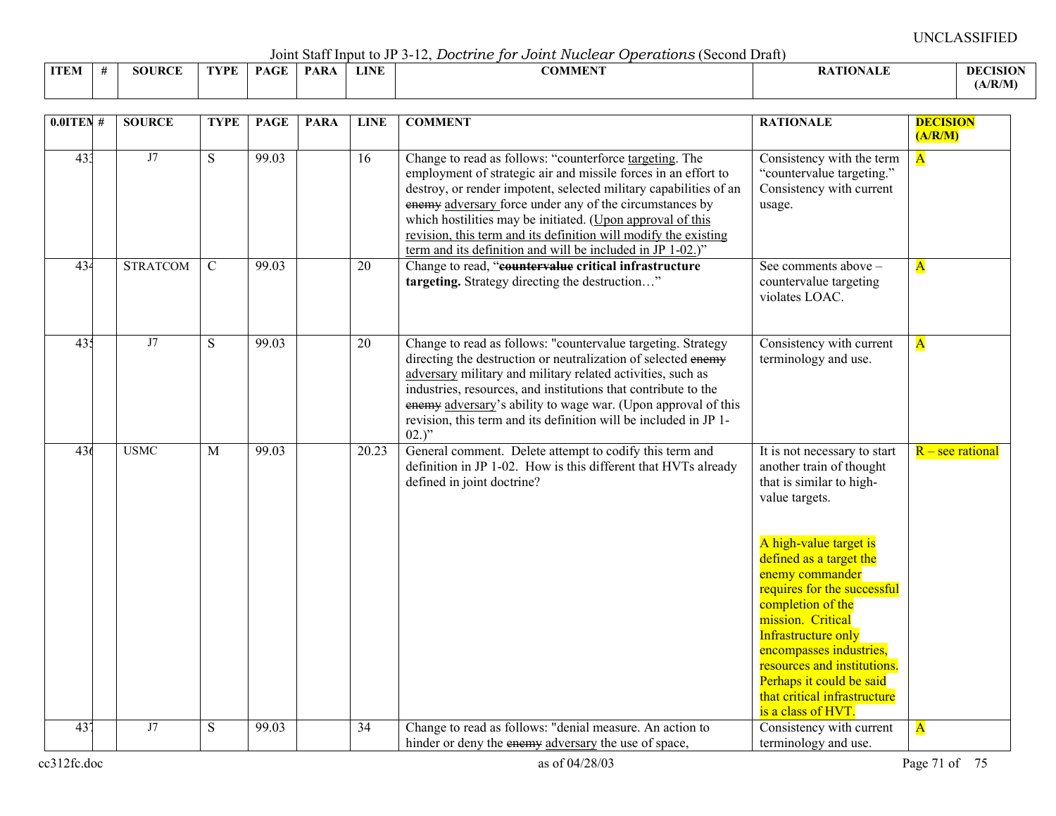Joint Staff Input to JP 3-12, *Doctrine for Joint Nuclear Operations* (Second Draft)

|             |                    |      |                                          |             |             | --------------<br>-----------                  |                 |                 |
|-------------|--------------------|------|------------------------------------------|-------------|-------------|------------------------------------------------|-----------------|-----------------|
| <b>ITEM</b> | <b>JRCE</b><br>5OU | TVDF | $\sim$ $\sim$ $\sim$ $\sim$ $\sim$<br>DА | <b>PARA</b> | <b>LINE</b> | $\alpha$ and $\alpha$ and $\alpha$<br>ADMMEN : | <b>\TIONALF</b> | <b>DECISION</b> |
|             |                    |      |                                          |             |             |                                                |                 | A/R/M           |

| $0.01$ TEN #    | <b>SOURCE</b>   | <b>TYPE</b>    | <b>PAGE</b> | <b>PARA</b> | <b>LINE</b>     | <b>COMMENT</b>                                                                                                                                                                                                                                                                                                                                                                                                                                           | <b>RATIONALE</b>                                                                                                                                                                                                                                                                                                                                                                                                           | <b>DECISION</b><br>(A/R/M) |
|-----------------|-----------------|----------------|-------------|-------------|-----------------|----------------------------------------------------------------------------------------------------------------------------------------------------------------------------------------------------------------------------------------------------------------------------------------------------------------------------------------------------------------------------------------------------------------------------------------------------------|----------------------------------------------------------------------------------------------------------------------------------------------------------------------------------------------------------------------------------------------------------------------------------------------------------------------------------------------------------------------------------------------------------------------------|----------------------------|
| 433             | J7              | $\overline{S}$ | 99.03       |             | $\overline{16}$ | Change to read as follows: "counterforce targeting. The<br>employment of strategic air and missile forces in an effort to<br>destroy, or render impotent, selected military capabilities of an<br>enemy adversary force under any of the circumstances by<br>which hostilities may be initiated. (Upon approval of this<br>revision, this term and its definition will modify the existing<br>term and its definition and will be included in JP 1-02.)" | Consistency with the term<br>"countervalue targeting."<br>Consistency with current<br>usage.                                                                                                                                                                                                                                                                                                                               | $\overline{\mathbf{A}}$    |
| 434             | <b>STRATCOM</b> | $\mathcal{C}$  | 99.03       |             | 20              | Change to read, "countervalue critical infrastructure<br>targeting. Strategy directing the destruction"                                                                                                                                                                                                                                                                                                                                                  | See comments above -<br>countervalue targeting<br>violates LOAC.                                                                                                                                                                                                                                                                                                                                                           | $\overline{\mathbf{A}}$    |
| 435             | J7              | S              | 99.03       |             | 20              | Change to read as follows: "countervalue targeting. Strategy<br>directing the destruction or neutralization of selected enemy<br>adversary military and military related activities, such as<br>industries, resources, and institutions that contribute to the<br>enemy adversary's ability to wage war. (Upon approval of this<br>revision, this term and its definition will be included in JP 1-<br>$02.$ "                                           | Consistency with current<br>terminology and use.                                                                                                                                                                                                                                                                                                                                                                           | $\overline{\mathbf{A}}$    |
| 436             | <b>USMC</b>     | M              | 99.03       |             | 20.23           | General comment. Delete attempt to codify this term and<br>definition in JP 1-02. How is this different that HVTs already<br>defined in joint doctrine?                                                                                                                                                                                                                                                                                                  | It is not necessary to start<br>another train of thought<br>that is similar to high-<br>value targets.<br>A high-value target is<br>defined as a target the<br>enemy commander<br>requires for the successful<br>completion of the<br>mission. Critical<br>Infrastructure only<br>encompasses industries,<br>resources and institutions.<br>Perhaps it could be said<br>that critical infrastructure<br>is a class of HVT. | $R$ – see rational         |
| 43 <sup>7</sup> | J7              | $\overline{S}$ | 99.03       |             | 34              | Change to read as follows: "denial measure. An action to<br>hinder or deny the enemy adversary the use of space,                                                                                                                                                                                                                                                                                                                                         | Consistency with current<br>terminology and use.                                                                                                                                                                                                                                                                                                                                                                           | $\overline{\mathbf{A}}$    |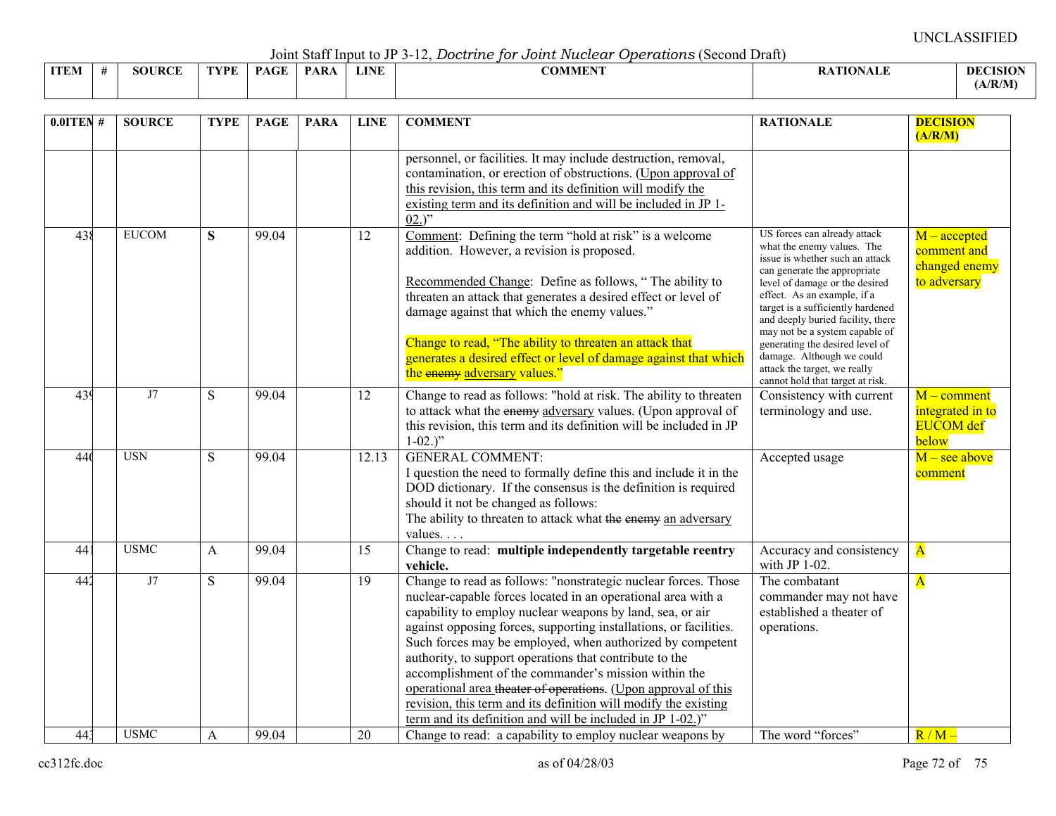Joint Staff Input to JP 3-12, *Doctrine for Joint Nuclear Operations* (Second Draft)

|             |    |               |      |             |             |             | .              |                  |                 |
|-------------|----|---------------|------|-------------|-------------|-------------|----------------|------------------|-----------------|
| <b>ITEM</b> | -4 | <b>SOURCE</b> | TYPE | <b>PAGE</b> | <b>PARA</b> | <b>LINE</b> | <b>COMMENT</b> | <b>RATIONALE</b> | <b>DECISION</b> |
|             |    |               |      |             |             |             |                |                  | (A/R/M)         |

| $0.0$ ITEN# | <b>SOURCE</b> | <b>TYPE</b>  | <b>PAGE</b> | <b>PARA</b> | <b>LINE</b>     | <b>COMMENT</b>                                                                                                                                                                                                                                                                                                                                                                                                                                                                                                                                                                                                                                      | <b>RATIONALE</b>                                                                                                                                                                                                                                                                                           | <b>DECISION</b><br>(A/R/M)                                     |
|-------------|---------------|--------------|-------------|-------------|-----------------|-----------------------------------------------------------------------------------------------------------------------------------------------------------------------------------------------------------------------------------------------------------------------------------------------------------------------------------------------------------------------------------------------------------------------------------------------------------------------------------------------------------------------------------------------------------------------------------------------------------------------------------------------------|------------------------------------------------------------------------------------------------------------------------------------------------------------------------------------------------------------------------------------------------------------------------------------------------------------|----------------------------------------------------------------|
|             |               |              |             |             |                 | personnel, or facilities. It may include destruction, removal,<br>contamination, or erection of obstructions. (Upon approval of<br>this revision, this term and its definition will modify the<br>existing term and its definition and will be included in JP 1-<br>$02.$ "                                                                                                                                                                                                                                                                                                                                                                         |                                                                                                                                                                                                                                                                                                            |                                                                |
| 438         | <b>EUCOM</b>  | S            | 99.04       |             | 12              | Comment: Defining the term "hold at risk" is a welcome<br>addition. However, a revision is proposed.<br>Recommended Change: Define as follows, "The ability to<br>threaten an attack that generates a desired effect or level of<br>damage against that which the enemy values."                                                                                                                                                                                                                                                                                                                                                                    | US forces can already attack<br>what the enemy values. The<br>issue is whether such an attack<br>can generate the appropriate<br>level of damage or the desired<br>effect. As an example, if a<br>target is a sufficiently hardened<br>and deeply buried facility, there<br>may not be a system capable of | $M$ – accepted<br>comment and<br>changed enemy<br>to adversary |
|             |               |              |             |             |                 | Change to read, "The ability to threaten an attack that<br>generates a desired effect or level of damage against that which<br>the enemy adversary values."                                                                                                                                                                                                                                                                                                                                                                                                                                                                                         | generating the desired level of<br>damage. Although we could<br>attack the target, we really<br>cannot hold that target at risk.                                                                                                                                                                           |                                                                |
| 439         | J7            | S            | 99.04       |             | 12              | Change to read as follows: "hold at risk. The ability to threaten<br>to attack what the enemy adversary values. (Upon approval of<br>this revision, this term and its definition will be included in JP<br>$1-02.$ "                                                                                                                                                                                                                                                                                                                                                                                                                                | Consistency with current<br>terminology and use.                                                                                                                                                                                                                                                           | $M$ – comment<br>integrated in to<br><b>EUCOM</b> def<br>below |
| 440         | <b>USN</b>    | ${\bf S}$    | 99.04       |             | 12.13           | <b>GENERAL COMMENT:</b><br>I question the need to formally define this and include it in the<br>DOD dictionary. If the consensus is the definition is required<br>should it not be changed as follows:<br>The ability to threaten to attack what the enemy an adversary<br>values                                                                                                                                                                                                                                                                                                                                                                   | Accepted usage                                                                                                                                                                                                                                                                                             | $M$ – see above<br>comment                                     |
| 441         | <b>USMC</b>   | $\mathbf{A}$ | 99.04       |             | 15              | Change to read: multiple independently targetable reentry<br>vehicle.                                                                                                                                                                                                                                                                                                                                                                                                                                                                                                                                                                               | Accuracy and consistency<br>with JP $1-02$ .                                                                                                                                                                                                                                                               | $\overline{\mathbf{A}}$                                        |
| 442         | J7            | S            | 99.04       |             | $\overline{19}$ | Change to read as follows: "nonstrategic nuclear forces. Those<br>nuclear-capable forces located in an operational area with a<br>capability to employ nuclear weapons by land, sea, or air<br>against opposing forces, supporting installations, or facilities.<br>Such forces may be employed, when authorized by competent<br>authority, to support operations that contribute to the<br>accomplishment of the commander's mission within the<br>operational area theater of operations. (Upon approval of this<br>revision, this term and its definition will modify the existing<br>term and its definition and will be included in JP 1-02.)" | The combatant<br>commander may not have<br>established a theater of<br>operations.                                                                                                                                                                                                                         | $\overline{\mathbf{A}}$                                        |
| 443         | <b>USMC</b>   | A            | 99.04       |             | 20              | Change to read: a capability to employ nuclear weapons by                                                                                                                                                                                                                                                                                                                                                                                                                                                                                                                                                                                           | The word "forces"                                                                                                                                                                                                                                                                                          | $R/M -$                                                        |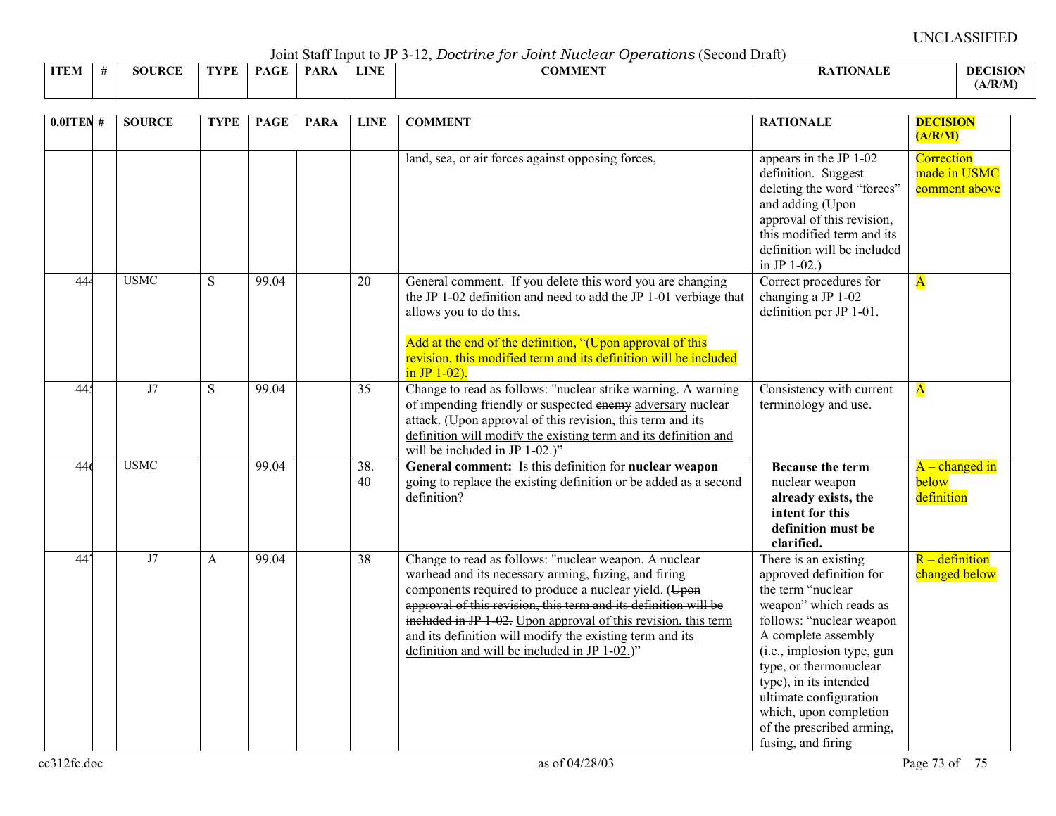UNCLASSIFIED

Joint Staff Input to JP 3-12, *Doctrine for Joint Nuclear Operations* (Second Draft)

| <b>ITEM</b> | <b>SOURCE</b> | TVDF | PAGE | <b>PARA</b> | <b>LINE</b> | <b>COMMENT</b> | <b>RATIONALE</b> | <b>DECISION</b> |
|-------------|---------------|------|------|-------------|-------------|----------------|------------------|-----------------|
|             |               |      |      |             |             |                |                  |                 |
|             |               |      |      |             |             |                |                  | (A/R/M)         |
|             |               |      |      |             |             |                |                  |                 |
|             |               |      |      |             |             |                |                  |                 |
|             |               |      |      |             |             |                |                  |                 |

| $0.01$ TEN #    | <b>SOURCE</b> | <b>TYPE</b>  | <b>PAGE</b> | <b>PARA</b> | <b>LINE</b> | <b>COMMENT</b>                                                                                                                                                                                                                                                                                                                                                                                                           | <b>RATIONALE</b>                                                                                                                                                                                                                                                                                                                           | <b>DECISION</b><br>(A/R/M)                  |
|-----------------|---------------|--------------|-------------|-------------|-------------|--------------------------------------------------------------------------------------------------------------------------------------------------------------------------------------------------------------------------------------------------------------------------------------------------------------------------------------------------------------------------------------------------------------------------|--------------------------------------------------------------------------------------------------------------------------------------------------------------------------------------------------------------------------------------------------------------------------------------------------------------------------------------------|---------------------------------------------|
|                 |               |              |             |             |             | land, sea, or air forces against opposing forces,                                                                                                                                                                                                                                                                                                                                                                        | appears in the JP 1-02<br>definition. Suggest<br>deleting the word "forces"<br>and adding (Upon<br>approval of this revision,<br>this modified term and its<br>definition will be included<br>in JP $1-02$ .)                                                                                                                              | Correction<br>made in USMC<br>comment above |
| 444             | <b>USMC</b>   | <sub>S</sub> | 99.04       |             | 20          | General comment. If you delete this word you are changing<br>the JP 1-02 definition and need to add the JP 1-01 verbiage that<br>allows you to do this.<br>Add at the end of the definition, "(Upon approval of this<br>revision, this modified term and its definition will be included<br>in JP $1-02$ ).                                                                                                              | Correct procedures for<br>changing a JP 1-02<br>definition per JP 1-01.                                                                                                                                                                                                                                                                    | $\overline{\mathbf{A}}$                     |
| 445             | J7            | S            | 99.04       |             | 35          | Change to read as follows: "nuclear strike warning. A warning<br>of impending friendly or suspected enemy adversary nuclear<br>attack. (Upon approval of this revision, this term and its<br>definition will modify the existing term and its definition and<br>will be included in JP $1-02$ .)"                                                                                                                        | Consistency with current<br>terminology and use.                                                                                                                                                                                                                                                                                           | $\overline{\mathbf{A}}$                     |
| 446             | <b>USMC</b>   |              | 99.04       |             | 38.<br>40   | General comment: Is this definition for nuclear weapon<br>going to replace the existing definition or be added as a second<br>definition?                                                                                                                                                                                                                                                                                | <b>Because the term</b><br>nuclear weapon<br>already exists, the<br>intent for this<br>definition must be<br>clarified.                                                                                                                                                                                                                    | $A$ – changed in<br>below<br>definition     |
| 44 <sup>7</sup> | J7            | A            | 99.04       |             | 38          | Change to read as follows: "nuclear weapon. A nuclear<br>warhead and its necessary arming, fuzing, and firing<br>components required to produce a nuclear yield. (Upon<br>approval of this revision, this term and its definition will be<br>included in JP 1-02. Upon approval of this revision, this term<br>and its definition will modify the existing term and its<br>definition and will be included in JP 1-02.)" | There is an existing<br>approved definition for<br>the term "nuclear<br>weapon" which reads as<br>follows: "nuclear weapon<br>A complete assembly<br>(i.e., implosion type, gun<br>type, or thermonuclear<br>type), in its intended<br>ultimate configuration<br>which, upon completion<br>of the prescribed arming,<br>fusing, and firing | $R$ – definition<br>changed below           |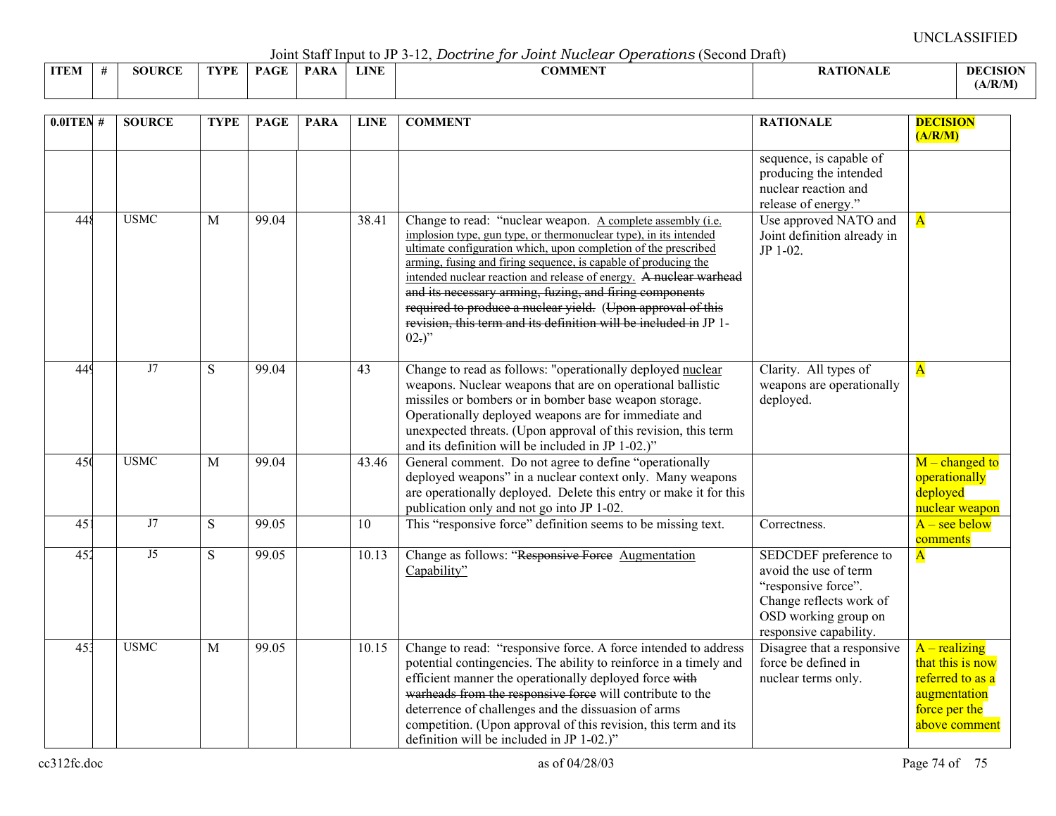UNCLASSIFIED

Joint Staff Input to JP 3-12, *Doctrine for Joint Nuclear Operations* (Second Draft)

|             |               |      |             | $\sim$ 0.11.0 $\sim$ 0.00 11.1 $\sim$ 0.00 0.10 0.10 $\sim$ |             | $\sim$ $\sim$ $\sim$ $\sim$ $\sim$ $\sim$<br>. |               |                 |
|-------------|---------------|------|-------------|-------------------------------------------------------------|-------------|------------------------------------------------|---------------|-----------------|
| <b>ITEM</b> | <b>SOURCE</b> | TVDF | $P_{\rm A}$ | <b>PARA</b>                                                 | <b>LINE</b> | <b>COMMENT</b>                                 | ATION<br>™AL∟ | <b>DECISION</b> |
|             |               |      |             |                                                             |             |                                                |               | (A/R/M)         |

| $0.0$ ITEN #    | <b>SOURCE</b> | <b>TYPE</b>    | <b>PAGE</b>           | <b>PARA</b> | <b>LINE</b>     | <b>COMMENT</b>                                                                                                                                                                                                                                                                                                                                                                                                                                                                                                                                        | <b>RATIONALE</b>                                                                                                                                   | <b>DECISION</b><br>(A/R/M)                                                                                |
|-----------------|---------------|----------------|-----------------------|-------------|-----------------|-------------------------------------------------------------------------------------------------------------------------------------------------------------------------------------------------------------------------------------------------------------------------------------------------------------------------------------------------------------------------------------------------------------------------------------------------------------------------------------------------------------------------------------------------------|----------------------------------------------------------------------------------------------------------------------------------------------------|-----------------------------------------------------------------------------------------------------------|
|                 |               |                |                       |             |                 |                                                                                                                                                                                                                                                                                                                                                                                                                                                                                                                                                       | sequence, is capable of<br>producing the intended<br>nuclear reaction and<br>release of energy."                                                   |                                                                                                           |
| 448             | <b>USMC</b>   | M              | 99.04                 |             | 38.41           | Change to read: "nuclear weapon. A complete assembly (i.e.<br>implosion type, gun type, or thermonuclear type), in its intended<br>ultimate configuration which, upon completion of the prescribed<br>arming, fusing and firing sequence, is capable of producing the<br>intended nuclear reaction and release of energy. A nuclear warhead<br>and its necessary arming, fuzing, and firing components<br>required to produce a nuclear yield. (Upon approval of this<br>revision, this term and its definition will be included in JP 1-<br>$02.$ )" | Use approved NATO and<br>Joint definition already in<br>JP 1-02.                                                                                   | $\overline{\mathbf{A}}$                                                                                   |
| 449             | J7            | ${\bf S}$      | 99.04                 |             | 43              | Change to read as follows: "operationally deployed nuclear<br>weapons. Nuclear weapons that are on operational ballistic<br>missiles or bombers or in bomber base weapon storage.<br>Operationally deployed weapons are for immediate and<br>unexpected threats. (Upon approval of this revision, this term<br>and its definition will be included in JP 1-02.)"                                                                                                                                                                                      | Clarity. All types of<br>weapons are operationally<br>deployed.                                                                                    | $\overline{\mathbf{A}}$                                                                                   |
| 450             | <b>USMC</b>   | $\mathbf{M}$   | 99.04                 |             | 43.46           | General comment. Do not agree to define "operationally<br>deployed weapons" in a nuclear context only. Many weapons<br>are operationally deployed. Delete this entry or make it for this<br>publication only and not go into JP 1-02.                                                                                                                                                                                                                                                                                                                 |                                                                                                                                                    | $M$ – changed to<br>operationally<br>deployed<br>nuclear weapon                                           |
| 451             | J7            | $\overline{S}$ | 99.05                 |             | $\overline{10}$ | This "responsive force" definition seems to be missing text.                                                                                                                                                                                                                                                                                                                                                                                                                                                                                          | Correctness.                                                                                                                                       | $A$ – see below<br>comments                                                                               |
| 452             | J5            | S              | $\frac{99.05}{99.05}$ |             | 10.13           | Change as follows: "Responsive Force Augmentation<br>Capability"                                                                                                                                                                                                                                                                                                                                                                                                                                                                                      | SEDCDEF preference to<br>avoid the use of term<br>"responsive force".<br>Change reflects work of<br>OSD working group on<br>responsive capability. | $\overline{\mathbf{A}}$                                                                                   |
| 45 <sup>3</sup> | <b>USMC</b>   | M              | 99.05                 |             | 10.15           | Change to read: "responsive force. A force intended to address<br>potential contingencies. The ability to reinforce in a timely and<br>efficient manner the operationally deployed force with<br>warheads from the responsive force will contribute to the<br>deterrence of challenges and the dissuasion of arms<br>competition. (Upon approval of this revision, this term and its<br>definition will be included in JP 1-02.)"                                                                                                                     | Disagree that a responsive<br>force be defined in<br>nuclear terms only.                                                                           | $A - realizing$<br>that this is now<br>referred to as a<br>augmentation<br>force per the<br>above comment |